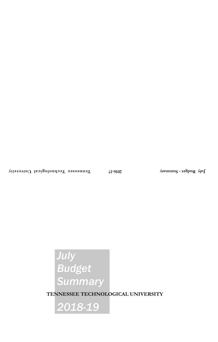# *July Budget Summary*

**TENNESSEE TECHNOLOGICAL UNIVERSITY**

*2018-19*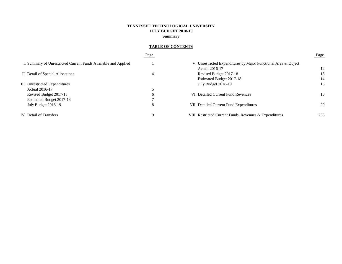# **TENNESSEE TECHNOLOGICAL UNIVERSITY JULY BUDGET 2018-19 Summary**

# **TABLE OF CONTENTS**

|                                                                | Page |                                                                | Page |
|----------------------------------------------------------------|------|----------------------------------------------------------------|------|
| I. Summary of Unrestricted Current Funds Available and Applied |      | V. Unrestricted Expenditures by Major Functional Area & Object |      |
|                                                                |      | <b>Actual 2016-17</b>                                          | 12   |
| II. Detail of Special Allocations                              | 4    | Revised Budget 2017-18                                         | 13   |
|                                                                |      | Estimated Budget 2017-18                                       | 14   |
| III. Unrestricted Expenditures                                 |      | July Budget 2018-19                                            | 15   |
| Actual 2016-17                                                 |      |                                                                |      |
| Revised Budget 2017-18                                         | b    | VI. Detailed Current Fund Revenues                             | 16   |
| Estimated Budget 2017-18                                       |      |                                                                |      |
| July Budget 2018-19                                            | 8    | VII. Detailed Current Fund Expenditures                        | 20   |
| IV. Detail of Transfers                                        | Q    | VIII. Restricted Current Funds, Revenues & Expenditures        | 235  |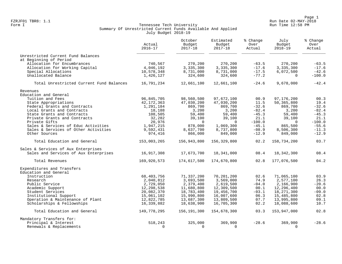Page 1<br>Run Date 02-MAY-2018 Run Date 02-MAY-2018 FZRJF01 TBR8: 1.1 Run Date 02-MAY-2018

## Form I Georgian Controller Controller Controller Controller Tech University Corner Controller Run Time 12:58 PM Summary Of Unrestricted Current Funds Available And Applied July Budget 2018-19

|                                          | Actual<br>$2016 - 17$ | October<br>Budget<br>$2017 - 18$ | Estimated<br>Budget<br>$2017 - 18$ | % Change<br>Over<br>Actual | July<br>Budget<br>$2018 - 19$ | % Change<br>Over<br>Actual |
|------------------------------------------|-----------------------|----------------------------------|------------------------------------|----------------------------|-------------------------------|----------------------------|
| Unrestricted Current Fund Balances       |                       |                                  |                                    |                            |                               |                            |
| at Beginning of Period                   |                       |                                  |                                    |                            |                               |                            |
| Allocation for Encumbrances              | 740,567               | 270,200                          | 270,200                            | $-63.5$                    | 270,200                       | $-63.5$                    |
| Allocation for Working Capital           | 4,046,192             | 3,335,300                        | 3,335,300                          | $-17.6$                    | 3,335,300                     | $-17.6$                    |
| Special Allocations                      | 10,578,348            | 8,731,000                        | 8,731,000                          | $-17.5$                    | 6,072,500                     | $-42.6$                    |
| Unallocated Balance                      | 1,426,127             | 324,600                          | 324,600                            | $-77.2$                    | $\Omega$                      | $-100.0$                   |
| Total Unrestricted Current Fund Balances | 16,791,234            | 12,661,100                       | 12,661,100                         | $-24.6$                    | 9,678,000                     | $-42.4$                    |
| Revenues                                 |                       |                                  |                                    |                            |                               |                            |
| Education and General                    |                       |                                  |                                    |                            |                               |                            |
| Tuition and Fees                         | 96,845,705            | 98,560,500                       | 97,672,100                         | 00.9                       | 97,176,200                    | 00.3                       |
| State Appropriations                     | 42, 172, 363          | 47,030,200                       | 47,030,200                         | 11.5                       | 50,365,800                    | 19.4                       |
| Federal Grants and Contracts             | 1,291,184             | 869,700                          | 869,700                            | $-32.6$                    | 869,700                       | $-32.6$                    |
| Local Grants and Contracts               | 18,188                | 3,200                            | 3,200                              | $-82.4$                    | 3,200                         | $-82.4$                    |
| State Grants and Contracts               | 108,505               | 59,400                           | 59,400                             | $-45.3$                    | 59,400                        | $-45.3$                    |
| Private Grants and Contracts             | 32,282                | 39,100                           | 39,100                             | 21.1                       | 39,100                        | 21.1                       |
| Private Gifts                            | 20,976                | $\Omega$                         | $\Omega$                           | $-100.0$                   | $\Omega$                      | $-100.0$                   |
| Sales & Services of Educ Activities      | 1,947,215             | 878,000                          | 1,069,300                          | $-45.1$                    | 865,500                       | $-55.6$                    |
| Sales & Services of Other Activities     | 9,592,431             | 8,637,700                        | 8,737,800                          | $-08.9$                    | 8,506,300                     | $-11.3$                    |
| Other Sources                            | 974,416               | 866,000                          | 849,000                            | $-12.9$                    | 849,000                       | $-12.9$                    |
| Total Education and General              | 153,003,265           | 156,943,800                      | 156,329,800                        | 02.2                       | 158,734,200                   | 03.7                       |
| Sales & Services of Aux Enterprises      |                       |                                  |                                    |                            |                               |                            |
| Sales and Services of Aux Enterprises    | 16,917,308            | 17,673,700                       | 18,341,000                         | 08.4                       | 18, 342, 300                  | 08.4                       |
| Total Revenues                           | 169,920,573           | 174,617,500                      | 174,670,800                        | 02.8                       | 177,076,500                   | 04.2                       |
| Expenditures and Transfers               |                       |                                  |                                    |                            |                               |                            |
| Education and General                    |                       |                                  |                                    |                            |                               |                            |
| Instruction                              | 68,403,756            | 71,337,200                       | 70,201,200                         | 02.6                       | 71,065,100                    | 03.9                       |
| Research                                 | 2,040,812             | 3,693,500                        | 3,569,000                          | 74.9                       | 2,577,100                     | 26.3                       |
| Public Service                           | 2,729,050             | 2,379,400                        | 2,619,500                          | $-04.0$                    | 2,166,900                     | $-20.6$                    |
| Academic Support                         | 12,298,538            | 11,680,800                       | 12,309,500                         | 00.1                       | 12,296,400                    | 00.0                       |
| Student Services                         | 20,082,370            | 18,783,400                       | 19,456,700                         | $-03.1$                    | 18,271,300                    | $-09.0$                    |
| Institutional Support                    | 15,061,102            | 15,990,800                       | 16,007,600                         | 06.3                       | 15,485,800                    | 02.8                       |
| Operation & Maintenance of Plant         | 12,822,785            | 13,687,300                       | 13,809,500                         | 07.7                       | 13,995,800                    | 09.1                       |
| Scholarships & Fellowships               | 16,339,882            | 18,638,900                       | 16,705,300                         | 02.2                       | 18,088,600                    | 10.7                       |
| Total Education and General              | 149,778,295           | 156,191,300                      | 154,678,300                        | 03.3                       | 153,947,000                   | 02.8                       |
| Mandatory Transfers for:                 |                       |                                  |                                    |                            |                               |                            |
| Principal & Interest                     | 518,243               | 325,000                          | 369,900                            | $-28.6$                    | 369,900                       | $-28.6$                    |
| Renewals & Replacements                  | $\Omega$              | $\Omega$                         | $\Omega$                           |                            | $\Omega$                      |                            |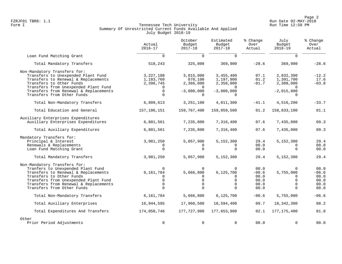Page 2<br>Run Date 02-MAY-2018<br>Run Date 02-MAY-2018 FZRJF01 TBR8: 1.1 Run Date 02-MAY-2018

## Form I Georgian Controller Controller Controller Controller Tech University Corner Controller Run Time 12:58 PM Summary Of Unrestricted Current Funds Available And Applied July Budget 2018-19

|                                                                 | Actual<br>$2016 - 17$  | October<br>Budget<br>$2017 - 18$ | Estimated<br>Budget<br>$2017 - 18$ | % Change<br>Over<br>Actual | July<br>Budget<br>$2018 - 19$ | % Change<br>Over<br>Actual |
|-----------------------------------------------------------------|------------------------|----------------------------------|------------------------------------|----------------------------|-------------------------------|----------------------------|
| Loan Fund Matching Grant                                        | $\Omega$               | $\Omega$                         | $\Omega$                           |                            | $\Omega$                      |                            |
| Total Mandatory Transfers                                       | 518,243                | 325,000                          | 369,900                            | $-28.6$                    | 369,900                       | $-28.6$                    |
| Non-Mandatory Transfers for:                                    |                        |                                  |                                    |                            |                               |                            |
| Transfers to Unexpended Plant Fund                              | 3,227,108              | 3,015,000                        | 3,455,400                          | 07.1                       | 2,832,300                     | $-12.2$                    |
| Transfers to Renewal & Replacements<br>Transfers to Other Funds | 1,183,760<br>2,398,745 | 870,100<br>2,366,000             | 1,197,900                          | 01.2<br>$-01.7$            | 1,391,700<br>2,308,000        | 17.6<br>$-03.8$            |
| Transfers from Unexpended Plant Fund                            |                        | $\Omega$                         | 2,358,000                          |                            |                               |                            |
| Transfers from Renewal & Replacements                           | $\Omega$               | $-3,000,000$                     | $-3,000,000$                       |                            | $-2,015,800$                  |                            |
| Transfers from Other Funds                                      | $\Omega$               | $\Omega$                         |                                    |                            |                               |                            |
| Total Non-Mandatory Transfers                                   | 6,809,613              | 3,251,100                        | 4,011,300                          | $-41.1$                    | 4,516,200                     | $-33.7$                    |
| Total Education and General                                     | 157,106,151            | 159,767,400                      | 159,059,500                        | 01.2                       | 158,833,100                   | 01.1                       |
| Auxiliary Enterprises Expenditures                              |                        |                                  |                                    |                            |                               |                            |
| Auxiliary Enterprises Expenditures                              | 6,801,561              | 7,235,800                        | 7,316,400                          | 07.6                       | 7,435,000                     | 09.3                       |
| Total Auxiliary Expenditures                                    | 6,801,561              | 7,235,800                        | 7,316,400                          | 07.6                       | 7,435,000                     | 09.3                       |
| Mandatory Transfers for:                                        |                        |                                  |                                    |                            |                               |                            |
| Principal & Interest                                            | 3,981,250              | 5,057,900                        | 5,152,300                          | 29.4                       | 5,152,300                     | 29.4                       |
| Renewals & Replacements                                         | $\Omega$               | $\Omega$                         | 0                                  | 00.0                       | $\Omega$                      | 00.0                       |
| Loan Fund Matching Grant                                        | $\Omega$               | $\Omega$                         | $\Omega$                           | 00.0                       | $\Omega$                      | 00.0                       |
| Total Mandatory Transfers                                       | 3,981,250              | 5,057,900                        | 5,152,300                          | 29.4                       | 5,152,300                     | 29.4                       |
| Non-Mandatory Transfers for:                                    |                        |                                  |                                    |                            |                               |                            |
| Tranfers to Unexpended Plant Fund                               | $\Omega$               | $\mathbf 0$                      | $\mathbf 0$                        | 00.0                       | $\Omega$                      | 00.0                       |
| Transfers to Renewal & Replacements<br>Transfers to Other Funds | 6,161,784<br>$\Omega$  | 5,666,800<br>$\Omega$            | 6, 125, 700                        | $-00.6$<br>00.0            | 5,755,000<br>$\Omega$         | $-06.6$<br>00.0            |
| Transfers from Unexpended Plant Fund                            | $\Omega$               | $\mathbf 0$                      | 0<br>$\mathbf 0$                   | 00.0                       | $\Omega$                      | 00.0                       |
| Transfers from Renewal & Replacements                           | $\Omega$               | $\Omega$                         | $\Omega$                           | 00.0                       | $\Omega$                      | 00.0                       |
| Transfers from Other Funds                                      | $\Omega$               | $\Omega$                         | $\Omega$                           | 00.0                       | $\Omega$                      | 00.0                       |
| Total Non-Mandatory Transfers                                   | 6,161,784              | 5,666,800                        | 6, 125, 700                        | $-00.6$                    | 5,755,000                     | $-06.6$                    |
| Total Auxiliary Enterprises                                     | 16,944,595             | 17,960,500                       | 18,594,400                         | 09.7                       | 18, 342, 300                  | 08.2                       |
| Total Expenditures And Transfers                                | 174,050,746            | 177,727,900                      | 177,653,900                        | 02.1                       | 177, 175, 400                 | 01.8                       |
| Other                                                           |                        |                                  |                                    |                            |                               |                            |
| Prior Period Adjustments                                        | $\mathbf 0$            | $\mathbf 0$                      | $\mathbf 0$                        | 00.0                       | $\Omega$                      | 00.0                       |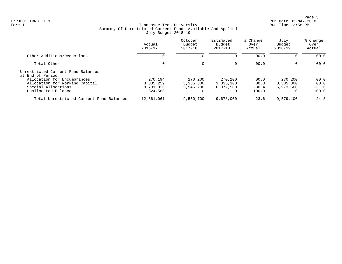Page 3<br>Run Date 02-MAY-2018<br>Run Date 02-MAY-2018 FZRJF01 TBR8: 1.1 Run Date 02-MAY-2018

## Form I Georgian Controller Controller Controller Controller Tech University Corner Controller Run Time 12:58 PM Summary Of Unrestricted Current Funds Available And Applied July Budget 2018-19

|                                                                                      | Actual<br>$2016 - 17$               | October<br>Budget<br>$2017 - 18$  | Estimated<br>Budget<br>$2017 - 18$ | % Change<br>Over<br>Actual | July<br>Budget<br>$2018 - 19$     | % Change<br>Over<br>Actual |
|--------------------------------------------------------------------------------------|-------------------------------------|-----------------------------------|------------------------------------|----------------------------|-----------------------------------|----------------------------|
| Other Additions/Deductions                                                           | 0                                   |                                   | 0                                  | 00.0                       | 0                                 | 00.0                       |
| Total Other                                                                          | 0                                   | $\Omega$                          | $\Omega$                           | 00.0                       | $\overline{0}$                    | 00.0                       |
| Unrestricted Current Fund Balances<br>at End of Period                               |                                     |                                   |                                    |                            |                                   |                            |
| Allocation for Encumbrances<br>Allocation for Working Capital<br>Special Allocations | 270,194<br>3, 335, 259<br>8,731,020 | 270,200<br>3,335,300<br>5,945,200 | 270,200<br>3,335,300<br>6,072,500  | 00.0<br>00.0<br>$-30.4$    | 270,200<br>3,335,300<br>5,973,600 | 00.0<br>00.0<br>$-31.6$    |
| Unallocated Balance                                                                  | 324,588                             |                                   | 0                                  | $-100.0$                   | $\Omega$                          | $-100.0$                   |
| Total Unrestricted Current Fund Balances                                             | 12,661,061                          | 9,550,700                         | 9,678,000                          | $-23.6$                    | 9,579,100                         | $-24.3$                    |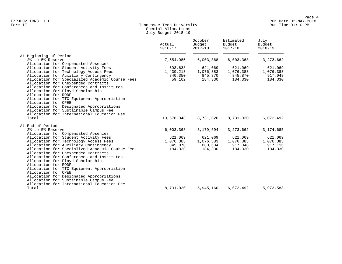## Form II Tennessee Tech University Run Time 01:10 PM Special Allocations July Budget 2018-19

|                                                                                   | Actual<br>$2016 - 17$ | October<br>Budget<br>$2017 - 18$ | Estimated<br>Budget<br>$2017 - 18$ | July<br>Budget<br>$2018 - 19$ |
|-----------------------------------------------------------------------------------|-----------------------|----------------------------------|------------------------------------|-------------------------------|
| At Beginning of Period                                                            |                       |                                  |                                    |                               |
| 2% to 5% Reserve                                                                  | 7,554,985             | 6,003,368                        | 6,003,368                          | 3, 273, 662                   |
| Allocation for Compensated Absences                                               |                       |                                  |                                    |                               |
| Allocation for Student Activity Fees                                              | 693,638               | 621,069                          | 621,069                            | 621,069                       |
| Allocation for Technology Access Fees                                             | 1,430,213             | 1,076,383                        | 1,076,383                          | 1,076,383                     |
| Allocation for Auxiliary Contingency                                              | 840,350               | 845,870                          | 845,870                            | 917,048                       |
| Allocation for Specialized Academic Course Fees                                   | 59,162                | 184,330                          | 184,330                            | 184,330                       |
| Allocation for Unexpended Contracts                                               |                       |                                  |                                    |                               |
| Allocation for Conferences and Institutes                                         |                       |                                  |                                    |                               |
| Allocation for Floyd Scholarship                                                  |                       |                                  |                                    |                               |
| Allocation for RODP                                                               |                       |                                  |                                    |                               |
| Allocation for TTC Equipment Appropriation                                        |                       |                                  |                                    |                               |
| Allocation for OPEB                                                               |                       |                                  |                                    |                               |
| Allocation for Designated Appropriations                                          |                       |                                  |                                    |                               |
| Allocation for Sustainable Campus Fee                                             |                       |                                  |                                    |                               |
| Allocation for International Education Fee                                        |                       |                                  |                                    |                               |
| Total                                                                             | 10,578,348            | 8,731,020                        | 8,731,020                          | 6,072,492                     |
| At End of Period                                                                  |                       |                                  |                                    |                               |
| 2% to 5% Reserve                                                                  | 6,003,368             | 3,179,694                        | 3, 273, 662                        | 3,174,685                     |
| Allocation for Compensated Absences                                               |                       |                                  |                                    |                               |
| Allocation for Student Activity Fees                                              | 621,069               | 621,069                          | 621,069                            | 621,069                       |
| Allocation for Technology Access Fees                                             | 1,076,383             | 1,076,383                        | 1,076,383                          | 1,076,383                     |
| Allocation for Auxiliary Contingency                                              | 845,870               | 883,684                          | 917,048                            | 917,116                       |
| Allocation for Specialized Academic Course Fees                                   | 184,330               | 184,330                          | 184,330                            | 184,330                       |
| Allocation for Unexpended Contracts                                               |                       |                                  |                                    |                               |
| Allocation for Conferences and Institutes                                         |                       |                                  |                                    |                               |
| Allocation for Floyd Scholarship                                                  |                       |                                  |                                    |                               |
| Allocation for RODP                                                               |                       |                                  |                                    |                               |
| Allocation for TTC Equipment Appropriation<br>Allocation for OPEB                 |                       |                                  |                                    |                               |
|                                                                                   |                       |                                  |                                    |                               |
| Allocation for Designated Appropriations<br>Allocation for Sustainable Campus Fee |                       |                                  |                                    |                               |
| Allocation for International Education Fee                                        |                       |                                  |                                    |                               |
| Total                                                                             | 8,731,020             | 5,945,160                        | 6,072,492                          | 5,973,583                     |
|                                                                                   |                       |                                  |                                    |                               |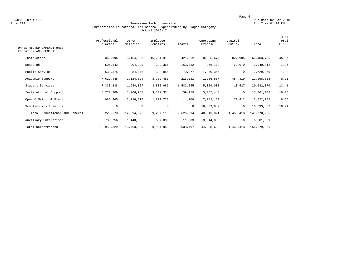#### Form III Tennessee Tech University Run Time 01:14 PM Unrestricted Educational And General Expenditures By Budget Category Actual 2016-17

| UNRESTRICTED EXPENDITURES<br>EDUCATION AND GENERAL | Professional<br>Salaries | Other<br>Salaries | Employee<br>Benefits | Travel       | Operating<br>Expense | Capital<br>Outlay | Total       | % OF<br>Total<br>E & G |
|----------------------------------------------------|--------------------------|-------------------|----------------------|--------------|----------------------|-------------------|-------------|------------------------|
|                                                    |                          |                   |                      |              |                      |                   |             |                        |
| Instruction                                        | 39, 363, 096             | 3, 164, 123       | 15,761,313           | 421,562      | 8,865,677            | 827,985           | 68,403,756  | 45.67                  |
| Research                                           | 506,542                  | 204,239           | 232,366              | 163,482      | 866,113              | 68,070            | 2,040,812   | 1.36                   |
| Public Service                                     | 639,575                  | 384,178           | 383,955              | 70,977       | 1,250,365            | 0                 | 2,729,050   | 1.82                   |
| Academic Support                                   | 7,622,448                | 2,124,024         | 3,789,453            | 215,051      | $-1,936,857$         | 484,419           | 12,298,538  | 8.21                   |
| Student Services                                   | 7,330,238                | 1,944,327         | 3,882,985            | 1,582,255    | 5,329,038            | 13,527            | 20,082,370  | 13.41                  |
| Institutional Support                              | 6,770,209                | 1,766,967         | 3,307,324            | 159,159      | 3,057,443            | $\mathbf 0$       | 15,061,102  | 10.06                  |
| Oper & Maint of Plant                              | 988,465                  | 2,726,817         | 1,879,723            | 14,208       | 7,142,160            | 71,412            | 12,822,785  | 8.56                   |
| Scholarships & Fellow                              | 0                        | $\mathbf 0$       | $\mathbf 0$          | $\mathbf{0}$ | 16,339,882           | $\mathbf 0$       | 16,339,882  | 10.91                  |
| Total Educational and General                      | 63, 220, 573             | 12, 314, 675      | 29, 237, 119         | 2,626,694    | 40, 913, 821         | 1,465,413         | 149,778,295 |                        |
| Auxiliary Enterprises                              | 738,756                  | 1,448,355         | 687,839              | 11,803       | 3,914,808            | 0                 | 6,801,561   |                        |
| Total Unrestricted                                 | 63,959,329               | 13,763,030        | 29,924,958           | 2,638,497    | 44,828,629           | 1,465,413         | 156,579,856 |                        |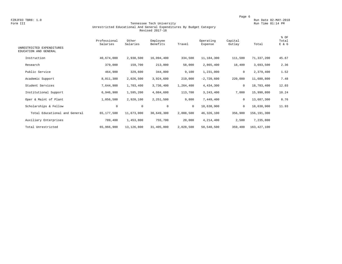#### Form III Tennessee Tech University Run Time 01:14 PM Unrestricted Educational And General Expenditures By Budget Category Revised 2017-18

| UNRESTRICTED EXPENDITURES<br>EDUCATION AND GENERAL | Professional<br>Salaries | Other<br>Salaries | Employee<br>Benefits | Travel    | Operating<br>Expense | Capital<br>Outlay | Total         | % OF<br>Total<br>E & G |
|----------------------------------------------------|--------------------------|-------------------|----------------------|-----------|----------------------|-------------------|---------------|------------------------|
| Instruction                                        | 40,674,000               | 2,938,500         | 16,094,400           | 334,500   | 11,184,300           | 111,500           | 71,337,200    | 45.67                  |
| Research                                           | 379,000                  | 159,700           | 213,000              | 58,000    | 2,865,400            | 18,400            | 3,693,500     | 2.36                   |
| Public Service                                     | 464,900                  | 329,600           | 344,800              | 9,100     | 1,231,000            | 0                 | 2,379,400     | 1.52                   |
| Academic Support                                   | 8,011,300                | 2,026,500         | 3,924,600            | 219,000   | $-2,720,600$         | 220,000           | 11,680,800    | 7.48                   |
| Student Services                                   | 7,644,900                | 1,703,400         | 3,736,400            | 1,264,400 | 4,434,300            | $\mathbf 0$       | 18,783,400    | 12.03                  |
| Institutional Support                              | 6,946,900                | 1,595,200         | 4,084,600            | 113,700   | 3,243,400            | 7,000             | 15,990,800    | 10.24                  |
| Oper & Maint of Plant                              | 1,056,500                | 2,920,100         | 2,251,500            | 9,800     | 7,449,400            | 0                 | 13,687,300    | 8.76                   |
| Scholarships & Fellow                              | $\circ$                  | $\circ$           | 0                    | $\circ$   | 18,638,900           | 0                 | 18,638,900    | 11.93                  |
| Total Educational and General                      | 65,177,500               | 11,673,000        | 30,649,300           | 2,008,500 | 46,326,100           | 356,900           | 156,191,300   |                        |
| Auxiliary Enterprises                              | 789,400                  | 1,453,800         | 755,700              | 20,000    | 4,214,400            | 2,500             | 7,235,800     |                        |
| Total Unrestricted                                 | 65,966,900               | 13,126,800        | 31,405,000           | 2,028,500 | 50,540,500           | 359,400           | 163, 427, 100 |                        |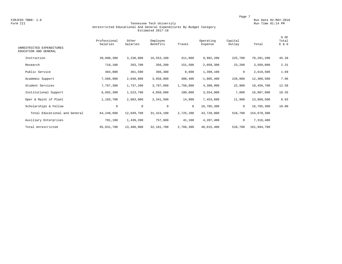#### Form III Tennessee Tech University Run Time 01:14 PM Unrestricted Educational And General Expenditures By Budget Category Estimated 2017-18

| UNRESTRICTED EXPENDITURES<br>EDUCATION AND GENERAL | Professional<br>Salaries | Other<br>Salaries | Employee<br>Benefits | Travel       | Operating<br>Expense | Capital<br>Outlay | Total       | % OF<br>Total<br>E & G |
|----------------------------------------------------|--------------------------|-------------------|----------------------|--------------|----------------------|-------------------|-------------|------------------------|
| Instruction                                        | 39,890,300               | 3,238,900         | 16,553,100           | 311,000      | 9,982,200            | 225,700           | 70,201,200  | 45.39                  |
| Research                                           | 716,100                  | 263,700           | 356,200              | 151,500      | 2,058,300            | 23,200            | 3,569,000   | 2.31                   |
| Public Service                                     | 484,000                  | 361,500           | 366,300              | 8,600        | 1,399,100            | 0                 | 2,619,500   | 1.69                   |
| Academic Support                                   | 7,586,900                | 2,040,800         | 3,958,800            | 308,400      | $-1,805,400$         | 220,000           | 12,309,500  | 7.96                   |
| Student Services                                   | 7,767,300                | 1,737,200         | 3,797,600            | 1,750,800    | 4,380,900            | 22,900            | 19,456,700  | 12.58                  |
| Institutional Support                              | 6,692,300                | 1,523,700         | 4,050,600            | 180,000      | 3,554,000            | 7,000             | 16,007,600  | 10.35                  |
| Oper & Maint of Plant                              | 1,103,700                | 2,883,900         | 2,341,500            | 14,900       | 7,453,600            | 11,900            | 13,809,500  | 8.93                   |
| Scholarships & Fellow                              | $\mathsf{O}$             | $\circ$           | $\mathbf 0$          | $\mathbf{0}$ | 16,705,300           | 0                 | 16,705,300  | 10.80                  |
| Total Educational and General                      | 64,240,600               | 12,049,700        | 31, 424, 100         | 2,725,200    | 43,728,000           | 510,700           | 154,678,300 |                        |
| Auxiliary Enterprises                              | 791,100                  | 1,439,200         | 757,600              | 41,100       | 4,287,400            | $\mathbf 0$       | 7,316,400   |                        |
| Total Unrestricted                                 | 65,031,700               | 13,488,900        | 32,181,700           | 2,766,300    | 48,015,400           | 510,700           | 161,994,700 |                        |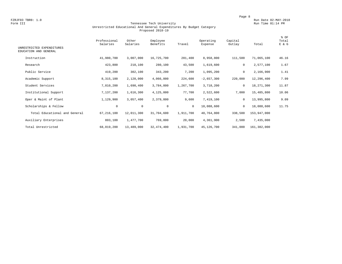#### Form III Tennessee Tech University Run Time 01:14 PM Unrestricted Educational And General Expenditures By Budget Category Proposed 2018-19

| UNRESTRICTED EXPENDITURES<br>EDUCATION AND GENERAL | Professional<br>Salaries | Other<br>Salaries | Employee<br>Benefits | Travel    | Operating<br>Expense | Capital<br>Outlay | Total       | % OF<br>Total<br>E & G |
|----------------------------------------------------|--------------------------|-------------------|----------------------|-----------|----------------------|-------------------|-------------|------------------------|
| Instruction                                        | 41,980,700               | 3,007,000         | 16,725,700           | 281,400   | 8,958,800            | 111,500           | 71,065,100  | 46.16                  |
| Research                                           | 423,800                  | 210,100           | 280,100              | 43,500    | 1,619,600            | $\mathsf{O}$      | 2,577,100   | 1.67                   |
| Public Service                                     | 419,200                  | 302,100           | 343,200              | 7,200     | 1,095,200            | $\mathsf{O}$      | 2,166,900   | 1.41                   |
| Academic Support                                   | 8,315,100                | 2,128,000         | 4,066,000            | 224,600   | $-2,657,300$         | 220,000           | 12,296,400  | 7.99                   |
| Student Services                                   | 7,810,200                | 1,690,400         | 3,784,800            | 1,267,700 | 3,718,200            | $\mathsf{O}$      | 18,271,300  | 11.87                  |
| Institutional Support                              | 7,137,200                | 1,616,300         | 4,125,000            | 77,700    | 2,522,600            | 7,000             | 15,485,800  | 10.06                  |
| Oper & Maint of Plant                              | 1,129,900                | 3,057,400         | 2,379,800            | 9,600     | 7,419,100            | 0                 | 13,995,800  | 9.09                   |
| Scholarships & Fellow                              | $\mathbf 0$              | $\mathbf 0$       | $\mathbf 0$          | $\circ$   | 18,088,600           | $\mathbf 0$       | 18,088,600  | 11.75                  |
| Total Educational and General                      | 67, 216, 100             | 12,011,300        | 31,704,600           | 1,911,700 | 40,764,800           | 338,500           | 153,947,000 |                        |
| Auxiliary Enterprises                              | 803,100                  | 1,477,700         | 769,800              | 20,000    | 4,361,900            | 2,500             | 7,435,000   |                        |
| Total Unrestricted                                 | 68,019,200               | 13,489,000        | 32, 474, 400         | 1,931,700 | 45,126,700           | 341,000           | 161,382,000 |                        |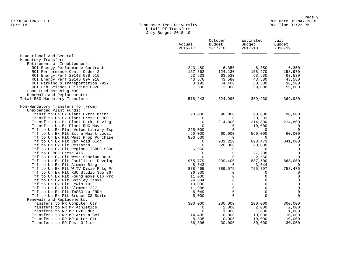#### Form IV Tennessee Tech University Run Time 01:23 PM Detail Of Transfers July Budget 2018-19

|                                                                      | Actual<br>$2016 - 17$   | October<br>Budget<br>$2017 - 18$ | Estimated<br>Budget<br>$2017 - 18$ | July<br>Budget<br>$2018 - 19$ |
|----------------------------------------------------------------------|-------------------------|----------------------------------|------------------------------------|-------------------------------|
| Educational And General                                              |                         |                                  |                                    |                               |
| Mandatory Transfers                                                  |                         |                                  |                                    |                               |
| Retirement of Indebtedness:                                          |                         |                                  |                                    |                               |
| ROI Energy Performance Contract                                      | 243,480                 | 6,350                            | 6,350                              | 6,350                         |
| ROI Performance Contr Order 2                                        | 157,862                 | 124,130                          | 158,970                            | 158,970                       |
| ROI Energy Perf 2014B 08B 915                                        | 63,533                  | 63,530                           | 63,530                             | 63,530                        |
| ROI Energy Perf 2014B 09A 918                                        | 43,576                  | 43,580                           | 43,580                             | 43,580                        |
| ROI Parking & Transportation P927                                    | 8,192                   | 74,400                           | 38,500                             | 38,500                        |
| ROI Lab Science Building P928                                        | 1,600                   | 13,000                           | 59,000                             | 59,000                        |
| Loan Fund Matching-NDSL                                              |                         |                                  |                                    |                               |
| Renewals and Replacements:                                           |                         |                                  |                                    |                               |
| Total E&G Mandatory Transfers                                        | 518,243                 | 324,990                          | 369,930                            | 369,930                       |
| Non-Mandatory Transfers To (From)                                    |                         |                                  |                                    |                               |
| Unexpended Plant Funds:                                              |                         |                                  |                                    |                               |
| Transf to Un Ex Plant Extra Maint                                    | 90,000                  | 90,000                           | 90,000                             | 90,000                        |
| Transf to Un Ex Plant Presc CEROC                                    | $\mathbf{0}$            | $\mathbf{0}$                     | 20,331                             | $\overline{0}$                |
| Transf to Un Ex Plant Parkg Paving<br>Transf to Un Ex Plant RUC Move | $\mathbf 0$<br>$\Omega$ | 214,800                          | 214,800<br>10,000                  | 214,800<br>$\overline{0}$     |
| Trf to Un Ex Plnt Volpe Library Exp                                  | 225,000                 | 0<br>$\mathbf 0$                 | $\mathbf 0$                        | $\overline{0}$                |
| Trf to Un Ex Plt Extra Maint Local                                   | 60,000                  | 60,000                           | 560,000                            | 60,000                        |
| Trf to Un Ex Plt West Prop Purchase                                  | 886,630                 | $\mathbf 0$                      | $\overline{0}$                     | $\mathbf{0}$                  |
| Trf to Un Ex Plt Var Acad Bldg                                       | 0                       | 901,210                          | 893,473                            | 841,000                       |
| Trf to Un Ex Plt Research                                            | $\mathbf 0$             | 20,000                           | 20,000                             | $\overline{0}$                |
| Trf to Un Ex Plt Regions TSBDC S300                                  | 6,950                   | 0                                | $\overline{0}$                     | $\overline{0}$                |
| Trf to CEROC Presc 416                                               | $\mathbf 0$             | 0                                | 27,298                             | $\mathbf 0$                   |
| Trf to Un Ex Plt West Stadium Door                                   | $\Omega$                | 0                                | 2,550                              | 0                             |
| Trf to Un Ex Plt Facilities Develop                                  | 965,779                 | 939,400                          | 887,500                            | 868,000                       |
| Trf to Un Ex Plt Alumni Bldg                                         | 8,643                   | 0                                | 3,644                              | $\overline{0}$                |
| Trf to Un Ex Plt W TV Dixie Prkg Pr                                  | 878,465                 | 789,575                          | 725,797                            | 758,475                       |
| Trf to Un Ex Plt RUC Studio 365 367                                  | 36,800                  | 0                                | $\Omega$                           | $\mathbf 0$                   |
| Trf to Un Ex Plt Found move Cap Pro                                  | 11,000                  | $\Omega$                         | $\Omega$                           | $\mathbf 0$                   |
| Trf to Un Ex Plt Shipley Tanks                                       | 24,804                  | 0                                | $\mathbf 0$                        | $\mathbf 0$                   |
| Trf to Un Ex Plt Lewis 102                                           | 10,000                  | $\mathbf 0$                      | $\Omega$                           | $\mathsf{O}\xspace$           |
| Trf to Un Ex Plt Clement 227                                         | 11,988                  | $\mathbf 0$                      | $\mathbf 0$                        | $\mathsf 0$                   |
| Trf to Un Ex Plt TnSBD to FNDH                                       | 6,049                   | $\mathbf 0$                      | $\mathbf 0$                        | $\mathbf 0$                   |
| Trf to Un Ex Plt Bruner CS Suite                                     | 5,000                   | $\Omega$                         | $\Omega$                           | $\Omega$                      |
| Renewals and Replacements:                                           |                         |                                  |                                    |                               |
| Transfers to RR Computer Ctr                                         | 300,000                 | 200,000                          | 200,000                            | 300,000                       |
| Transfers to RR MP Athletics                                         | $\mathbf{0}$            | 2,000                            | 2,000                              | 2,000                         |
| Transfers to RR MP Ext Educ                                          | $\mathbf 0$             | 1,000                            | 1,000                              | 1,000                         |
| Transfers to RR MP Arts n Sci                                        | 14,495                  | 10,000                           | 10,000                             | 10,000                        |
| Transfers to RR MP Water Ctr                                         | 8,835                   | 10,000                           | 10,000                             | 10,000                        |
| Transfers to RR Post Office                                          | 36,396                  | 30,000                           | 30,000                             | 30,000                        |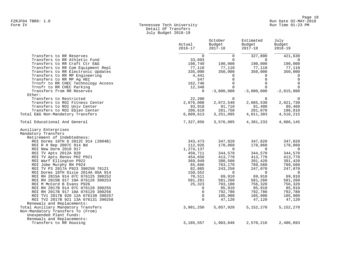## Form IV Tennessee Tech University Run Time 01:23 PM Detail Of Transfers July Budget 2018-19

|                                                                                                                                          | Actual<br>$2016 - 17$              | October<br>Budget<br>$2017 - 18$                     | Estimated<br>Budget<br>$2017 - 18$                   | July<br>Budget<br>$2018 - 19$                     |
|------------------------------------------------------------------------------------------------------------------------------------------|------------------------------------|------------------------------------------------------|------------------------------------------------------|---------------------------------------------------|
| Transfers to RR Reserves                                                                                                                 | $\Omega$                           | 0                                                    | 327,800                                              | 421,630                                           |
| Transfers to RR Athletic Fund<br>Transfers to RR Craft Ctr E&G<br>Transfers to RR Com Equipment Repl                                     | 33,093<br>198,749<br>77,110        | $\Omega$<br>190,000<br>77,110                        | $\Omega$<br>190,000<br>77,110                        | 190,000<br>77,110                                 |
| Transfers to RR Electronic Updates<br>Transfers to RR MP Engineering<br>Transfers to RR MP Ag HEC<br>Trnsfr to RR CHEC Technology Access | 335,000<br>4,441<br>547<br>162,746 | 350,000<br>$\Omega$<br>$\overline{0}$<br>$\mathbf 0$ | 350,000<br>$\Omega$<br>$\mathbf 0$<br>$\overline{0}$ | 350,000<br>$\Omega$<br>$\overline{0}$<br>$\Omega$ |
| Trnsfr to RR CHEC Parking                                                                                                                | 12,348                             | $\overline{0}$                                       | $\mathbf 0$                                          | $\Omega$                                          |
| Transfers from RR Reserves<br>Other:                                                                                                     | $\Omega$                           | $-3,000,000$                                         | $-3,000,000$                                         | $-2,015,800$                                      |
| Transfers to Restricted                                                                                                                  | 22,200                             | $\overline{0}$                                       | $\overline{0}$                                       | $\Omega$                                          |
| Transfers to ROI Fitness Center                                                                                                          | 2,076,008                          | 2,072,540                                            | 2,065,530                                            | 2,021,730                                         |
| Transfers to ROI Univ Center                                                                                                             | 93,918                             | 91,710                                               | 91,400                                               | 89,460                                            |
| Transfers to ROI Eblen Center                                                                                                            | 206,619                            | 201,750                                              | 201,070                                              | 196,810                                           |
| Total E&G Non-Mandatory Transfers                                                                                                        | 6,809,613                          | 3,251,095                                            | 4,011,303                                            | 4,516,215                                         |
| Total Educational And General                                                                                                            | 7,327,856                          | 3,576,085                                            | 4,381,233                                            | 4,886,145                                         |
| Auxiliary Enterprises<br>Mandatory Transfers                                                                                             |                                    |                                                      |                                                      |                                                   |
| Retirement of Indebtedness:<br>ROI Dorms 10TH D 2012C 914 (2004B)                                                                        |                                    |                                                      |                                                      | 347,820                                           |
| ROI R H Rep 2007C 914 Bd                                                                                                                 | 343,473<br>112,926                 | 347,820<br>178,860                                   | 347,820<br>178,860                                   | 178,860                                           |
| ROI New Dorm 2010 917                                                                                                                    | 1,274,137                          | $\overline{0}$                                       | $\Omega$                                             | $\overline{0}$                                    |
| ROI TV Apts 2012A 920                                                                                                                    | 450,711                            | 344,570                                              | 344,570                                              | 344,570                                           |
| ROI TV Apts Renov PH2 P921                                                                                                               | 454,656                            | 413,770                                              | 413,770                                              | 413,770                                           |
| ROI Warf Ellington P922                                                                                                                  | 369,949                            | 380,500                                              | 391,420                                              | 391,420                                           |
| ROI Jobe Murphy RH P924                                                                                                                  | 65,666                             | 763,170                                              | 789,560                                              | 789,560                                           |
| ROI TV P3 2017A P923 390250 76121                                                                                                        | 82,085                             | 243,250                                              | 247,070                                              | 247,070                                           |
| ROI Dorms 10TH Dixie 2014A 05A 914                                                                                                       | 150,552                            | $\Omega$                                             | $\Omega$                                             | $\overline{0}$                                    |
| ROI RH 2015A 914 07C 076125 390252                                                                                                       | 70,511                             | 69,910                                               | 69,910                                               | 69,910                                            |
| ROI RH 2015B 917 10A 076126 390253                                                                                                       | 581,261                            | 581,260                                              | 581,260                                              | 581,260                                           |
| ROI M McCord B Evans P926<br>ROI RH 2017B 914 07C 076128 390255                                                                          | 25,323<br>0                        | 703,100<br>85,910                                    | 756,320<br>85,910                                    | 756,320<br>85,910                                 |
| ROI RH 2017B 917 10A 076129 390256                                                                                                       | $\mathbf 0$                        | 792,780                                              | 792,780                                              | 792,780                                           |
| ROI TV1 2017B 920 12A 076130 390257                                                                                                      | $\mathbf 0$                        | 105,900                                              | 105,900                                              | 105,900                                           |
| ROI TV2 2017B 921 13A 076131 390258                                                                                                      | $\Omega$                           | 47,120                                               | 47,120                                               | 47,120                                            |
| Renewals and Replacements:                                                                                                               |                                    |                                                      |                                                      |                                                   |
| Total Auxiliary Mandatory Transfers                                                                                                      | 3,981,250                          | 5,057,920                                            | 5,152,270                                            | 5,152,270                                         |
| Non-Mandatory Transfers To (From)                                                                                                        |                                    |                                                      |                                                      |                                                   |
| Unexpended Plant Funds:                                                                                                                  |                                    |                                                      |                                                      |                                                   |
| Renewals and Replacements:                                                                                                               |                                    |                                                      |                                                      |                                                   |
| Transfers to RR Housing                                                                                                                  | 3, 185, 557                        | 1,903,846                                            | 2,570,216                                            | 2,486,893                                         |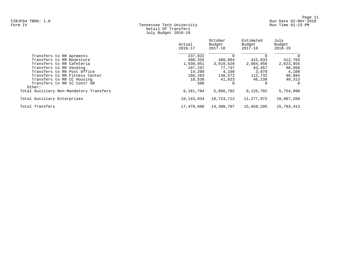## Form IV Tennessee Tech University Run Time 01:23 PM Detail Of Transfers July Budget 2018-19

|                                         | Actual<br>$2016 - 17$ | October<br>Budget<br>2017-18 | Estimated<br>Budget<br>$2017 - 18$ | July<br>Budget<br>$2018 - 19$ |
|-----------------------------------------|-----------------------|------------------------------|------------------------------------|-------------------------------|
| Transfers to RR Aptments                | 237,022               |                              |                                    | 0                             |
| Transfers to RR Bookstore               | 490,356               | 480,894                      | 415,033                            | 412,703                       |
| Transfers to RR Cafeteria               | 1,930,051             | 3,010,620                    | 2,884,956                          | 2,623,955                     |
| Transfers to RR Vending                 | 107,297               | 77.737                       | 93,457                             | 90,950                        |
| Transfers to RR Post Office             | 14,200                | 4,100                        | 3,070                              | 4,100                         |
| Transfers to RR Fitness Center          | 186,263               | 148,572                      | 112,732                            | 96,084                        |
| Transfers to RR CC Housing              | 10,538                | 41,023                       | 46,238                             | 40,313                        |
| Transfers to RR CC Contr SR<br>Other:   | 500                   |                              |                                    | $\Omega$                      |
| Total Auxiliary Non-Mandatory Transfers | 6,161,784             | 5,666,792                    | 6,125,702                          | 5,754,998                     |
| Total Auxiliary Enterprises             | 10,143,034            | 10,724,712                   | 11,277,972                         | 10,907,268                    |
| Total Transfers                         | 17,470,890            | 14,300,797                   | 15,659,205                         | 15,793,413                    |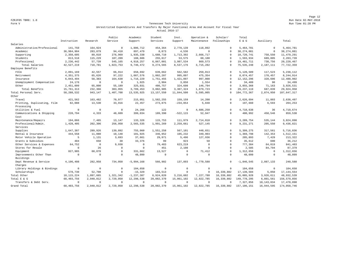Page 12 FZRJF05 TBR8: 1.0 Run Date 02-MAY-2018

#### Form V Tennessee Tech University Run Time 01:28 PM Unrestricted Expenditures And Transfers By Major Functional Area And Account For Fiscal Year Actual 2016-17

|                             |              |             | Public       | Academic       | Student      | Inst.        | Operation &    | Scholar/    | Total         |             |               |
|-----------------------------|--------------|-------------|--------------|----------------|--------------|--------------|----------------|-------------|---------------|-------------|---------------|
|                             | Instruction  | Research    | Service      | Support        | Services     | Support      | Maintenance    | Fellowships | $E$ & $G$     | Auxiliary   | Total         |
| Salaries                    |              |             |              |                |              |              |                |             |               |             |               |
| Administrative/Professional | 141,750      | 164,924     | $\Omega$     | 1,806,712      | 454,364      | 2,778,139    | 118,892        | $\Omega$    | 5,464,781     | $\mathbf 0$ | 5,464,781     |
| Academic                    | 36,984,904   | 283,879     | 94,410       | 897,479        | 8,873        | 4,536        | $\overline{0}$ | $\Omega$    | 38, 274, 081  | $\mathbf 0$ | 38, 274, 081  |
| Supporting                  | 2,350,605    | 89,010      | 276,969      | 1,935,338      | 1,688,710    | 1,713,392    | 2,666,717      | $\Omega$    | 10,720,741    | 758,550     | 11, 479, 291  |
| Students                    | 813,518      | 115,229     | 107,209      | 188,686        | 255,617      | 53,575       | 60,100         | $\Omega$    | 1,593,934     | 689,805     | 2,283,739     |
| Professional                | 2, 236, 442  | 57,739      | 545,165      | 4,918,257      | 6,867,001    | 3,987,534    | 869,573        | $\Omega$    | 19, 481, 711  | 738,756     | 20, 220, 467  |
| Total Salaries              | 42,527,219   | 710,781     | 1,023,753    | 9,746,472      | 9,274,565    | 8,537,176    | 3,715,282      | $\Omega$    | 75, 535, 248  | 2,187,111   | 77, 722, 359  |
| Employee Benefits           |              |             |              |                |              |              |                |             |               |             |               |
| FICA                        | 2,891,169    | 42,557      | 66,914       | 658,692        | 639,662      | 562,582      | 259,013        | $\Omega$    | 5,120,589     | 117,523     | 5,238,112     |
| Retirement                  | 4, 351, 375  | 65,626      | 97,222       | 1,087,576      | 1,002,207    | 995,097      | 475,354        | $\Omega$    | 8,074,457     | 170,457     | 8,244,914     |
| Insurance                   | 6,043,494    | 58,383      | 164,630      | 1,716,229      | 1,751,455    | 1,421,097    | 997,008        | $\Omega$    | 12, 152, 296  | 328,606     | 12,480,902    |
| Unemployment Compensation   | 24,176       | $\circ$     | $\circ$      | 1,925          | 2,904        | 3,850        | 1,554          | $\Omega$    | 34,409        | 90          | 34,499        |
| Other                       | 2,451,099    | 65,800      | 55,189       | 325,031        | 486,757      | 324,698      | 146,794        | $\Omega$    | 3,855,368     | 71,163      | 3,926,531     |
| Total Benefits              | 15,761,313   | 232,366     | 383,955      | 3,789,453      | 3,882,985    | 3,307,324    | 1,879,723      | $\Omega$    | 29, 237, 119  | 687,839     | 29,924,958    |
| Total Personal Serv.        | 58, 288, 532 | 943,147     | 1,407,708    | 13,535,925     | 13, 157, 550 | 11,844,500   | 5,595,005      | $\Omega$    | 104, 772, 367 | 2,874,950   | 107,647,317   |
| Other                       |              |             |              |                |              |              |                |             |               |             |               |
| Travel                      | 421,562      | 163,482     | 70,977       | 215,051        | 1,582,255    | 159,159      | 14,208         | $\Omega$    | 2,626,694     | 11,803      | 2,638,497     |
| Printing, Duplicating, Film | 82,088       | 13,530      | 33,916       | 22,457         | 273,875      | $-234,054$   | 5,848          | $\Omega$    | 197,660       | 6,593       | 204,253       |
| Processing                  |              |             |              |                |              |              |                |             |               |             |               |
| Utilities & Fuel            | $\mathbf 0$  | $\mathbf 0$ | $\mathbf{0}$ | 24,266         | 122          | $^{\circ}$   | 4.686.250      | $\mathbf 0$ | 4,710,638     | 36          | 4,710,674     |
| Communications & Shipping   | 228.794      | 4.333       | 48,609       | 399.034        | 189,390      | $-522.115$   | 52.947         | $\mathbf 0$ | 400.992       | 458.546     | 859,538       |
| Cost                        |              |             |              |                |              |              |                |             |               |             |               |
| Maintenance/Repairs         | 194,066      | 7.465       | 13,147       | 133,326        | 115,753      | 111,979      | 2,714,018      | $\Omega$    | 3.289.754     | 535,144     | 3,824,898     |
| Professional/Admin.         | 1,428,405    | 202,306     | 256,950      | 2,565,535      | 1,991,269    | 2,259,661    | 527,145        | $\Omega$    | 9,231,271     | 205,550     | 9,436,821     |
| Services                    |              |             |              |                |              |              |                |             |               |             |               |
| Supplies                    | 1,647,387    | 289,926     | 139,892      | 755,060        | 1,551,258    | 567,101      | 448,651        | $\Omega$    | 5,399,275     | 317,561     | 5,716,836     |
| Rental & Insurance          | 444,558      | 11,080      | 10,148       | 101,925        | 346,952      | 105,232      | 349,903        | $\Omega$    | 1,369,798     | 142,353     | 1,512,151     |
| Motor Vehicle Operation     | 5            | 1,131       | 3,693        | 37,661         | 29.971       | 5,496        | 127.936        | $\Omega$    | 205,893       | 7,429       | 213,322       |
| Grants & Subsidies          | 484          | 650         | 30           | 33,376         | 99           | 923          | 50             | $\Omega$    | 35,612        | 600         | 36,212        |
| Other Services & Expenses   | 64,752       | $\mathbf 0$ | 9,930        | $\circ$        | 79,483       | 623,219      | $\Omega$       | $\Omega$    | 777,384       | 64,019      | 841,403       |
| Stores for Resale           | $\Omega$     | 26          | $\Omega$     | $\Omega$       | 451          | 2,108        | $\Omega$       | $\Omega$    | 2,585         | 84,794      | 87,379        |
| Equipment                   | 827,985      | 68,070      | $\Omega$     | 331,662        | 13.527       | $\mathbf{0}$ | 71.412         | $\Omega$    | 1,312,656     | $^{\circ}$  | 1,312,656     |
| Improvements Other Than     | $\mathbf 0$  | $\mathbf 0$ | $\circ$      | 48,099         | $\mathbf 0$  | $\circ$      | $\mathbf 0$    | $\Omega$    | 48,099        | $\mathbf 0$ | 48,099        |
| Buildings                   |              |             |              |                |              |              |                |             |               |             |               |
| Dept Revenue & Service      | 4,196,408    | 282,958     | 734,050      | $-5,994,168$   | 566,902      | 137.893      | $-1,770,588$   | $\Omega$    | $-1,846,545$  | 2,087,133   | 240,588       |
| Charges                     |              |             |              |                |              |              |                |             |               |             |               |
| Library Holdings & Bindings | $\mathbf 0$  | $\circ$     | $\Omega$     | 104,658        | $\mathbf 0$  | $\mathbf 0$  | $\Omega$       | $\mathbf 0$ | 104,658       | $\mathbf 0$ | 104,658       |
| Scholarships                | 578,730      | 52,708      | $\Omega$     | $-15, 329$     | 183,513      | $\mathbf 0$  | $\overline{0}$ | 16,339,882  | 17, 139, 504  | 5,050       | 17, 144, 554  |
| Total Other                 | 10, 115, 224 | 1,097,665   | 1,321,342    | $-1, 237, 387$ | 6,924,820    | 3,216,602    | 7,227,780      | 16,339,882  | 45,005,928    | 3,926,611   | 48,932,539    |
| Total E & G                 | 68, 403, 756 | 2,040,812   | 2,729,050    | 12,298,538     | 20,082,370   | 15,061,102   | 12,822,785     | 16,339,882  | 149,778,295   | 6,801,561   | 156, 579, 856 |
| Transfers & Debt Serv.      | $\mathbf 0$  | $\mathbf 0$ | $\circ$      | $^{\circ}$     | $\Omega$     | $\circ$      | $\overline{0}$ | $\Omega$    | 7,327,856     | 10,143,034  | 17,470,890    |
| Grand Total                 | 68, 403, 756 | 2,040,812   | 2,729,050    | 12,298,538     | 20,082,370   | 15,061,102   | 12,822,785     | 16,339,882  | 157, 106, 151 | 16,944,595  | 174,050,746   |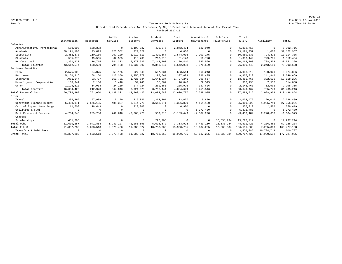#### Form V Tennessee Tech University Run Time 01:28 PM Unrestricted Expenditures And Transfers By Major Functional Area And Account For Fiscal Year Revised 2017-18

|                             |              |            | Public    | Academic       | Student    | Inst.          | Operation &  | Scholar/    | Total         |            |                |
|-----------------------------|--------------|------------|-----------|----------------|------------|----------------|--------------|-------------|---------------|------------|----------------|
|                             | Instruction  | Research   | Service   | Support        | Services   | Support        | Maintenance  | Fellowships | E & G         | Auxiliary  | Total          |
| Salaries                    |              |            |           |                |            |                |              |             |               |            |                |
| Administrative/Professional | 150,906      | 168,392    | $\Omega$  | 2,108,037      | 499,977    | 2,842,464      | 122,940      | $\Omega$    | 5,892,716     | $^{\circ}$ | 5,892,716      |
| Academic                    | 38, 171, 183 | 93,893     | 123,552   | 729,329        | $^{\circ}$ | 4,000          | $^{\circ}$   | $\Omega$    | 39, 121, 957  | 1,000      | 39, 122, 957   |
| Supporting                  | 2,352,878    | 110,185    | 267,109   | 1,912,813      | 1,499,567  | 1,544,006      | 2,903,275    | $\Omega$    | 10,589,833    | 724,472    | 11, 314, 305   |
| Students                    | 585,670      | 49,505     | 62,505    | 113,700        | 203,813    | 51,178         | 16,778       | $\Omega$    | 1,083,149     | 729,285    | 1,812,434      |
| Professional                | 2,351,937    | 116,715    | 341,322   | 5, 173, 923    | 7,144,890  | 4,100,440      | 933,566      | $\Omega$    | 20, 162, 793  | 788,433    | 20,951,226     |
| Total Salaries              | 43, 612, 574 | 538,690    | 794,488   | 10,037,802     | 9,348,247  | 8,542,088      | 3,976,559    | $\Omega$    | 76,850,448    | 2,243,190  | 79,093,638     |
| Employee Benefits           |              |            |           |                |            |                |              |             |               |            |                |
| FICA                        | 2,575,108    | 34,075     | 55,175    | 627,940        | 597,831    | 653,544        | 360,243      | $\Omega$    | 4,903,916     | 120,920    | 5,024,836      |
| Retirement                  | 5,150,216    | 68,150     | 110,350   | 1,255,879      | 1,195,661  | 1,307,088      | 720,485      | $\Omega$    | 9,807,829     | 241,840    | 10,049,669     |
| Insurance                   | 7,081,547    | 93,707     | 151,731   | 1,726,834      | 1,644,034  | 1,797,246      | 990,667      | $\Omega$    | 13,485,766    | 332,530    | 13,818,296     |
| Unemployment Compensation   | 160,944      | 2,130      | 3,448     | 39,246         | 37,364     | 40,846         | 22,515       |             | 306,493       | 7,557      | 314,050        |
| Other                       | 1,126,610    | 14,908     | 24,139    | 274,724        | 261,551    | 285,925        | 157,606      | $\Omega$    | 2,145,463     | 52,902     | 2,198,365      |
| Total Benefits              | 16,094,425   | 212,970    | 344,843   | 3,924,623      | 3,736,441  | 4,084,649      | 2, 251, 516  |             | 30,649,467    | 755,749    | 31, 405, 216   |
| Total Personal Serv.        | 59,706,999   | 751,660    | 1,139,331 | 13,962,425     | 13,084,688 | 12,626,737     | 6,228,075    | $\Omega$    | 107,499,915   | 2,998,939  | 110,498,854    |
| Other                       |              |            |           |                |            |                |              |             |               |            |                |
| Travel                      | 334,496      | 57,989     | 9,100     | 219,046        | 1,264,391  | 113,657        | 9,800        | $\Omega$    | 2,008,479     | 20,010     | 2,028,489      |
| Operating Expense Budget    | 6,488,171    | 2,576,135  | 481,387   | 3.344.776      | 3,618,071  | 4,396,820      | 4,164,160    | $\Omega$    | 25,069,520    | 1,985,741  | 27,055,261     |
| Capital Expenditure Budget  | 111,500      | 18,449     |           | 220,000        | 0          | 6,970          | $^{\circ}$   | $\Omega$    | 356,919       | 2,500      | 359,419        |
| Utilities & Fuel            | $\Omega$     | $\circ$    |           | $^{\circ}$     | $\Omega$   | $^{\circ}$     | 5,372,480    | $\Omega$    | 5,372,480     | $^{\circ}$ | 5,372,480      |
| Dept Revenue & Service      | 4,264,740    | 289,280    | 749,640   | $-6,065,420$   | 589,310    | $-1, 153, 449$ | $-2,087,290$ | $\Omega$    | $-3,413,189$  | 2,228,610  | $-1, 184, 579$ |
| Charges                     |              |            |           |                |            |                |              |             |               |            |                |
| Scholarships                | 431,380      | $^{\circ}$ | $\Omega$  | $^{\circ}$     | 226,900    | $\mathbf 0$    | $\circ$      | 18,638,934  | 19,297,214    | $^{\circ}$ | 19,297,214     |
| Total Other                 | 11,630,287   | 2,941,853  | 1,240,127 | $-2, 281, 598$ | 5,698,672  | 3.363.998      | 7,459,150    | 18,638,934  | 48,691,423    | 4,236,861  | 52,928,284     |
| Total E & G                 | 71,337,286   | 3,693,513  | 2,379,458 | 11,680,827     | 18,783,360 | 15,990,735     | 13,687,225   | 18,638,934  | 156, 191, 338 | 7,235,800  | 163, 427, 138  |
| Transfers & Debt Serv.      | $\Omega$     | $^{\circ}$ |           | $^{\circ}$     | $^{\circ}$ | $\Omega$       | $^{\circ}$   | $\Omega$    | 3,576,085     | 10,724,712 | 14,300,797     |
| Grand Total                 | 71,337,286   | 3,693,513  | 2,379,458 | 11,680,827     | 18,783,360 | 15,990,735     | 13.687.225   | 18,638,934  | 159, 767, 423 | 17,960,512 | 177, 727, 935  |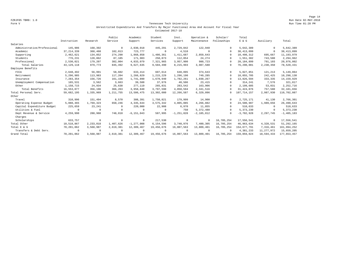#### Form V Tennessee Tech University Run Time 01:28 PM Unrestricted Expenditures And Transfers By Major Functional Area And Account For Fiscal Year Estimated 2017-18

|                             |              |            | Public      | Academic       | Student     | Inst.          | Operation &  | Scholar/    | Total         |              |                |
|-----------------------------|--------------|------------|-------------|----------------|-------------|----------------|--------------|-------------|---------------|--------------|----------------|
|                             | Instruction  | Research   | Service     | Support        | Services    | Support        | Maintenance  | Fellowships | E & G         | Auxiliary    | Total          |
| Salaries                    |              |            |             |                |             |                |              |             |               |              |                |
| Administrative/Professional | 145,906      | 168,392    | $\Omega$    | 2,030,018      | 445,291     | 2,729,842      | 122,940      | $\Omega$    | 5,642,389     | $\mathbf{0}$ | 5,642,389      |
| Academic                    | 37, 214, 339 | 368,460    | 102,013     | 723,777        | $^{\circ}$  | 4,510          | $\Omega$     | $\Omega$    | 38, 413, 099  | $\mathbf{0}$ | 38, 413, 099   |
| Supporting                  | 2,462,621    | 134,852    | 274,290     | 1,868,858      | 1,486,361   | 1,411,687      | 2,859,643    | $\Omega$    | 10,498,312    | 695,667      | 11, 193, 979   |
| Students                    | 776,231      | 128,862    | 87,185      | 171,903        | 250,873     | 112,054        | 24,274       | $\Omega$    | 1,551,382     | 743,580      | 2,294,962      |
| Professional                | 2,530,021    | 179,207    | 382,004     | 4,833,079      | 7,321,965   | 3,957,900      | 980,723      | $\Omega$    | 20,184,899    | 791,103      | 20,976,002     |
| Total Salaries              | 43, 129, 118 | 979,773    | 845,492     | 9,627,635      | 9,504,490   | 8,215,993      | 3,987,580    | $\Omega$    | 76,290,081    | 2,230,350    | 78,520,431     |
| Employee Benefits           |              |            |             |                |             |                |              |             |               |              |                |
| FICA                        | 2,648,492    | 56,991     | 58,602      | 633,414        | 607,614     | 648,095        | 374,643      | $\Omega$    | 5,027,851     | 121,213      | 5,149,064      |
| Retirement                  | 5,296,985    | 113,983    | 117,204     | 1,266,829      | 1,215,229   | 1,296,190      | 749,285      | $\Omega$    | 10,055,705    | 242,425      | 10,298,130     |
| Insurance                   | 7,283,354    | 156,726    | 161,156     | 1,741,890      | 1,670,940   | 1,782,261      | 1,030,267    | $\Omega$    | 13,826,594    | 333,335      | 14, 159, 929   |
| Unemployment Compensation   | 165,531      | 3,562      | 3,663       | 39,588         | 37,976      | 40,506         | 23, 415      | $\Omega$    | 314,241       | 7,576        | 321,817        |
| Other                       | 1,158,715    | 24,934     | 25,638      | 277,119        | 265,831     | 283,542        | 163,906      | $\Omega$    | 2,199,685     | 53,031       | 2, 252, 716    |
| Total Benefits              | 16,553,077   | 356,196    | 366,263     | 3,958,840      | 3,797,590   | 4,050,594      | 2,341,516    | $\Omega$    | 31, 424, 076  | 757,580      | 32, 181, 656   |
| Total Personal Serv.        | 59,682,195   | 1,335,969  | 1, 211, 755 | 13,586,475     | 13,302,080  | 12,266,587     | 6,329,096    | $\Omega$    | 107, 714, 157 | 2,987,930    | 110,702,087    |
| Other                       |              |            |             |                |             |                |              |             |               |              |                |
| Travel                      | 310,996      | 151,494    | 8,570       | 308,391        | 1,750,821   | 179,999        | 14,900       | $\Omega$    | 2,725,171     | 41,130       | 2,766,301      |
| Operating Expense Budget    | 5,088,465    | 1,769,323  | 650,246     | 4,345,644      | 3,575,342   | 4,805,085      | 4,266,882    | $\Omega$    | 24,500,987    | 1,989,656    | 26,490,643     |
| Capital Expenditure Budget  | 225,659      | 23,241     | $\Omega$    | 220,000        | 22,908      | 6,970          | 11,855       | $\Omega$    | 510,633       | $\mathbf{0}$ | 510,633        |
| Utilities & Fuel            | $\Omega$     | $^{\circ}$ | $\Omega$    | $^{\circ}$     | $\mathbf 0$ | 750            | 5,372,480    | $\Omega$    | 5, 373, 230   | $\mathbf{0}$ | 5, 373, 230    |
| Dept Revenue & Service      | 4,259,990    | 288,960    | 748,810     | $-6, 151, 043$ | 587,995     | $-1, 251, 828$ | $-2,185,812$ | $\Omega$    | $-3,702,928$  | 2,297,745    | $-1, 405, 183$ |
| Charges                     |              |            |             |                |             |                |              |             |               |              |                |
| Scholarships                | 633,757      | $\circ$    | $\Omega$    | $^{\circ}$     | 217,530     | $^{\circ}$     | $^{\circ}$   | 16,705,254  | 17,556,541    | $\Omega$     | 17,556,541     |
| Total Other                 | 10,518,867   | 2,233,018  | 1,407,626   | $-1, 277, 008$ | 6,154,596   | 3,740,976      | 7,480,305    | 16,705,254  | 46, 963, 634  | 4,328,531    | 51, 292, 165   |
| Total E & G                 | 70,201,062   | 3,568,987  | 2,619,381   | 12,309,467     | 19,456,676  | 16,007,563     | 13,809,401   | 16,705,254  | 154,677,791   | 7,316,461    | 161,994,252    |
| Transfers & Debt Serv.      | $\Omega$     | $^{\circ}$ | $\Omega$    | $^{\circ}$     | $^{\circ}$  | $\Omega$       | $\Omega$     | $\Omega$    | 4,381,233     | 11, 277, 972 | 15,659,205     |
| Grand Total                 | 70,201,062   | 3,568,987  | 2,619,381   | 12,309,467     | 19,456,676  | 16,007,563     | 13,809,401   | 16,705,254  | 159,059,024   | 18,594,433   | 177,653,457    |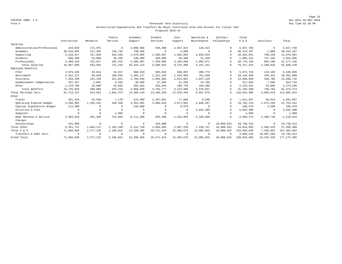#### Form V Tennessee Tech University Run Time 01:28 PM Unrestricted Expenditures And Transfers By Major Functional Area And Account For Fiscal Year Proposed 2018-19

|                             |              |              | Public       | Academic       | Student      | Inst.          | Operation &    | Scholar/    | Total        |              |                |
|-----------------------------|--------------|--------------|--------------|----------------|--------------|----------------|----------------|-------------|--------------|--------------|----------------|
|                             | Instruction  | Research     | Service      | Support        | Services     | Support        | Maintenance    | Fellowships | E & G        | Auxiliary    | Total          |
| Salaries                    |              |              |              |                |              |                |                |             |              |              |                |
| Administrative/Professional | 154,849      | 172,975      | $^{\circ}$   | 2,089,966      | 546,300      | 2,937,347      | 126,313        | $\Omega$    | 6,027,750    | $^{\circ}$   | 6,027,750      |
| Academic                    | 39, 416, 602 | 127,205      | 126,794      | 738,566        | $^{\circ}$   | 4,000          | $\Omega$       | $\Omega$    | 40, 413, 167 | 1,000        | 40, 414, 167   |
| Supporting                  | 2,418,617    | 157,039      | 263,639      | 1,979,085      | 1,505,587    | 1,565,955      | 3,035,919      | $\Omega$    | 10,925,841   | 750,250      | 11,676,091     |
| Students                    | 588,390      | 53,090       | 38,435       | 148,900        | 184,860      | 50,308         | 21,438         | $\Omega$    | 1,085,421    | 727,485      | 1,812,906      |
| Professional                | 2,409,210    | 123,617      | 292,376      | 5,486,607      | 7,263,905    | 4,195,850      | 1,003,571      | $\Omega$    | 20, 775, 136 | 802,100      | 21,577,236     |
| Total Salaries              | 44,987,668   | 633,926      | 721,244      | 10,443,124     | 9,500,652    | 8,753,460      | 4,187,241      | $\Omega$    | 79, 227, 315 | 2,280,835    | 81,508,150     |
| Employee Benefits           |              |              |              |                |              |                |                |             |              |              |                |
| FICA                        | 2,676,105    | 44,814       | 54,917       | 650,563        | 605,564      | 659,997        | 380,774        | $\Omega$    | 5,072,734    | 123,165      | 5,195,899      |
| Retirement                  | 5, 352, 211  | 89,628       | 109,833      | 1,301,127      | 1,211,129    | 1,319,993      | 761,548        | $\Omega$    | 10,145,469   | 246,331      | 10,391,800     |
| Insurance                   | 7,359,290    | 123,239      | 151,021      | 1,789,049      | 1,665,302    | 1,814,991      | 1,047,128      | $\Omega$    | 13,950,020   | 338,705      | 14, 288, 725   |
| Unemployment Compensation   | 167,257      | 2,801        | 3.432        | 40.660         | 37.848       | 41,250         | 23,798         | $\cap$      | 317.046      | 7.698        | 324,744        |
| Other                       | 1,170,796    | 19,606       | 24,026       | 284,621        | 264,934      | 288,749        | 166,589        | $\Omega$    | 2,219,321    | 53,885       | 2,273,206      |
| Total Benefits              | 16,725,659   | 280,088      | 343,229      | 4,066,020      | 3,784,777    | 4,124,980      | 2,379,837      | $\Omega$    | 31,704,590   | 769,784      | 32, 474, 374   |
| Total Personal Serv.        | 61, 713, 327 | 914,014      | 1,064,473    | 14,509,144     | 13, 285, 429 | 12,878,440     | 6,567,078      | $\Omega$    | 110,931,905  | 3,050,619    | 113,982,524    |
| Other                       |              |              |              |                |              |                |                |             |              |              |                |
| Travel                      | 281,426      | 43,540       | 7,170        | 224,560        | 1,267,661    | 77,660         | 9,640          | $\Omega$    | 1,911,657    | 20,010       | 1,931,667      |
| Operating Expense Budget    | 4,240,995    | 1,328,251    | 338,260      | 3,454,081      | 2,896,844    | 3,677,501      | 3,846,287      | $\Omega$    | 19,782,219   | 1,972,193    | 21,754,412     |
| Capital Expenditure Budget  | 111,500      | $^{\circ}$   | $\Omega$     | 220,000        | $^{\circ}$   | 6,970          | $\Omega$       | $\Omega$    | 338,470      | 2,500        | 340,970        |
| Utilities & Fuel            | $\Omega$     | $^{\circ}$   | $\Omega$     | $^{\circ}$     | $^{\circ}$   | $\Omega$       | 5,842,480      | $\Omega$    | 5,842,480    | $\mathbf{0}$ | 5,842,480      |
| Supplies                    | $\Omega$     | $\mathbf{0}$ | 1,969        | $^{\circ}$     | $^{\circ}$   | $\Omega$       | $\Omega$       | $\Omega$    | 1,969        | $^{\circ}$   | 1,969          |
| Dept Revenue & Service      | 4,294,910    | 291,320      | 754,950      | $-6, 111, 390$ | 594,490      | $-1, 154, 893$ | $-2, 269, 660$ | $\cap$      | $-3,600,273$ | 2,389,730    | $-1, 210, 543$ |
| Charges                     |              |              |              |                |              |                |                |             |              |              |                |
| Scholarships                | 422,880      | $\circ$      | $\mathbf{0}$ | $\mathbf 0$    | 226,900      | $\circ$        | $^{\circ}$     | 18,088,633  | 18,738,413   | $^{\circ}$   | 18,738,413     |
| Total Other                 | 9,351,711    | 1,663,111    | 1,102,349    | $-2, 212, 749$ | 4,985,895    | 2,607,238      | 7,428,747      | 18,088,633  | 43,014,935   | 4,384,433    | 47,399,368     |
| Total E & G                 | 71,065,038   | 2,577,125    | 2,166,822    | 12,296,395     | 18, 271, 324 | 15,485,678     | 13,995,825     | 18,088,633  | 153,946,840  | 7,435,052    | 161, 381, 892  |
| Transfers & Debt Serv.      | $\Omega$     | $^{\circ}$   | $\Omega$     | $^{\circ}$     | $\Omega$     | $\Omega$       | $\Omega$       | $\Omega$    | 4,886,145    | 10,907,268   | 15,793,413     |
| Grand Total                 | 71,065,038   | 2,577,125    | 2,166,822    | 12,296,395     | 18, 271, 324 | 15,485,678     | 13,995,825     | 18,088,633  | 158,832,985  | 18, 342, 320 | 177, 175, 305  |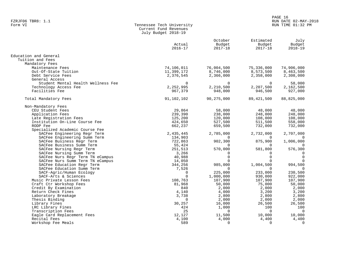# PAGE 16 FZRJF06 TBR8: 1.1 RUN DATE 02-MAY-2018

## Form VI Tennessee Tech University RUN TIME 01:32 PM Current Fund Revenues July Budget 2018-19

|                                    | Actual<br>$2016 - 17$ | October<br>Budget<br>$2017 - 18$ | Estimated<br>Budget<br>$2017 - 18$ | July<br>Budget<br>$2018 - 19$ |
|------------------------------------|-----------------------|----------------------------------|------------------------------------|-------------------------------|
| Education and General              |                       |                                  |                                    |                               |
| Tuition and Fees                   |                       |                                  |                                    |                               |
| Mandatory Fees                     |                       |                                  |                                    |                               |
| Maintenance Fees                   | 74,106,011            | 76,004,500                       | 75,336,000                         | 74,906,000                    |
| Out-Of-State Tuition               | 11,399,172            | 8,746,000                        | 8,573,500                          | 8,463,500                     |
| Debt Service Fees                  | 2,376,545             | 2,366,000                        | 2,358,000                          | 2,308,000                     |
| General Access                     |                       |                                  |                                    |                               |
| Student Mental Health Wellness Fee | $\Omega$              | $\Omega$                         | $\Omega$                           | 58,000                        |
| Technology Access Fee              | 2,252,995             | 2,210,500                        | 2,207,500                          | 2,162,500                     |
| Facilities Fee                     | 967,379               | 948,000                          | 946,500                            | 927,000                       |
| Total Mandatory Fees               | 91,102,102            | 90, 275, 000                     | 89, 421, 500                       | 88,825,000                    |
| Non-Mandatory Fees                 |                       |                                  |                                    |                               |
| CEU Student Fees                   | 29,864                | 58,000                           | 48,000                             | 48,000                        |
| Application Fees                   | 239,390               | 238,000                          | 248,000                            | 248,000                       |
| Late Registration Fees             | 125,200               | 120,000                          | 108,000                            | 108,000                       |
| Institution On-Line Course Fee     | 424,650               | 527,500                          | 511,500                            | 558,000                       |
| RODP Fee                           | 662,237               | 659,500                          | 732,000                            | 732,000                       |
| Specialized Academic Course Fee    |                       |                                  |                                    |                               |
| SACFee Engineering Regr Term       | 2,435,445             | 2,785,000                        | 2,732,000                          | 2,707,000                     |
| SACFee Engineering Summ Term       | 134,903               | 0                                | $\Omega$                           | 0                             |
| SACFee Business Regr Term          | 722,863               | 902,300                          | 875,900                            | 1,006,000                     |
| SACFee Business Summ Term          | 55,424                | $\Omega$                         | $\Omega$                           | $\Omega$                      |
| SACFee Nursing Regr Term           | 251,513               | 570,000                          | 581,800                            | 576,300                       |
| SACFee Nursing Summ Term           | 3,266                 | $\Omega$                         | $\Omega$                           | $\mathbf 0$                   |
| SACFee Nurs Regr Term TN eCampus   | 40,988                | $\Omega$                         | $\Omega$                           | $\mathbf 0$                   |
| SACFee Nurs Summ Term TN eCampus   | 14,050                | $\Omega$                         |                                    |                               |
| SACFee Education Regr Term         | 344,256               | 985,000                          | 1,004,500                          | 994,500                       |
| SACFee Education Summ Term         | 7,526                 | $\Omega$                         | $\Omega$                           | $\mathbf 0$                   |
| SACF-Agric/Human Ecology           | $\Omega$              | 225,000                          | 233,000                            | 230,500                       |
| SACF-Arts & Sciences               | $\Omega$              | 1,000,000                        | 930,000                            | 922,000                       |
| Music Private Lesson Fees          | 108,763               | 107,900                          | 107,900                            | 107,900                       |
| Craft Ctr Workshop Fees            | 81,968                | 50,000                           | 75,000                             | 50,000                        |
| Credit By Examination              | 840                   | 2,000                            | 2,000                              | 2,000                         |
| Return Check Fines                 | 4,140                 | 4,000                            | 3,200                              | 3,200                         |
| Laboratory Breakage                | 3,738                 | 2,800                            | 2,800                              | 2,800                         |
| Thesis Binding                     | $\Omega$              | 2,000                            | 2,000                              | 2,000                         |
| Library Fines                      | 30,257                | 16,000                           | 26,500                             | 26,500                        |
| LRC Library Fines                  | 424                   | 1,000                            | 100                                | 100                           |
| Transcription Fees                 | 25                    | $\Omega$                         | $\Omega$                           | $\overline{0}$                |
| Eagle Card Replacement Fees        | 12,127                | 11,500                           | 10,000                             | 10,000                        |
| Recital Fees                       | 4,100                 | 4,000                            | 4,400                              | 4,400                         |
| Workshop Fee Meals                 | 589                   | $\Omega$                         | $\Omega$                           | 0                             |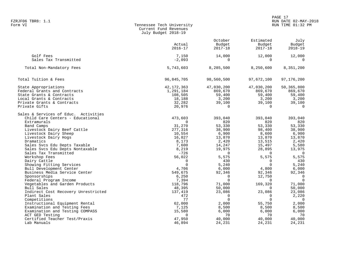# PAGE 17 FZRJF06 TBR8: 1.1 RUN DATE 02-MAY-2018

## Form VI Tennessee Tech University RUN TIME 01:32 PM Current Fund Revenues July Budget 2018-19

|                                      | Actual       | October<br>Budget | Estimated<br>Budget | July<br>Budget |
|--------------------------------------|--------------|-------------------|---------------------|----------------|
|                                      | $2016 - 17$  | $2017 - 18$       | $2017 - 18$         | $2018 - 19$    |
| Golf Fees                            | 7,150        | 14,000            | 12,000              | 12,000         |
| Sales Tax Transmitted                | $-2,093$     | $\mathbf 0$       | $\Omega$            | $\mathbf 0$    |
| Total Non-Mandatory Fees             | 5,743,603    | 8,285,500         | 8,250,600           | 8,351,200      |
| Total Tuition & Fees                 | 96,845,705   | 98,560,500        | 97,672,100          | 97,176,200     |
| State Appropriations                 | 42, 172, 363 | 47,030,200        | 47,030,200          | 50,365,800     |
| Federal Grants and Contracts         | 1,291,184    | 869,670           | 869,670             | 869,670        |
| State Grants & Contracts             | 108,505      | 59,400            | 59,400              | 59,400         |
| Local Grants & Contracts             | 18,188       | 3,200             | 3,200               | 3,200          |
| Private Grants & Contracts           | 32,282       | 39,100            | 39,100              | 39,100         |
| Private Gifts                        | 20,976       | $\Omega$          | $\Omega$            | $\Omega$       |
| Sales & Services of Educ. Activities |              |                   |                     |                |
| Child Care Centers - Educational     | 473,603      | 393,040           | 393,040             | 393,040        |
| Extramurals                          | $\Omega$     | 820               | 820                 | 820            |
| Band Camps                           | 31,270       | 53,330            | 53,330              | 53,330         |
| Livestock Dairy Beef Cattle          | 277,316      | 38,900            | 98,400              | 38,900         |
| Livestock Dairy Sheep                | 10,554       | 6,900             | 8,600               | 6,900          |
| Livestock Dairy Hogs                 | 16,827       | 13,870            | 13,870              | 13,870         |
| Dramatics                            | 8,173        | 2,420             | 13,515              | 2,420          |
| Sales Svcs Edu Depts Taxable         | 7,600        | 14,247            | 15,497              | 5,580          |
| Sales Svcs Edu Depts Nontaxable      | 8,219        | 19,975            | 28,895              | 13,975         |
| Sales Tax Transmitted                | $-726$       | $\Omega$          | $\Omega$            | $\overline{0}$ |
| Workshop Fees                        | 56,022       | 5,575             | 5,575               | 5,575          |
| Dairy Cattle                         | 0            | 430               | 0                   | 430            |
| Showing Fitting Services             | $\Omega$     | 5,240             | $\Omega$            | 5,240          |
| Bull Development Center              | 4,706        | 6,000             | 4,800               | 6,000          |
| Business Media Service Center        | 549,675      | 92,346            | 92,346              | 92,346         |
| Sponsorships                         | 6,250        | $\Omega$          | 12,750              | $\overline{0}$ |
| Federal Program Income               | 7,394        | $\Omega$          | $\Omega$            | $\Omega$       |
| Vegetables and Garden Products       | 118,796      | 71,000            | 169,320             | 71,000         |
| Bull Sales                           | 48,395       | 50,000            | $\Omega$            | 50,000         |
| Indirect Cost Recovery Unrestricted  | 137,419      | 23,086            | 23,086              | 23,086         |
| Plant Sales                          | 472          | $\Omega$          | $\mathbf 0$         | 2,220          |
| Competitions                         | 77           | $\Omega$          | $\Omega$            | $\overline{0}$ |
| Instructional Equipment Rental       | 62,000       | 2,000             | 55,750              | 2,000          |
| Examination and Testing Fees         | 7,125        | 8,500             | 8,500               | 8,500          |
| Examination and Testing COMPASS      | 15,580       | 6,000             | 6,000               | 6,000          |
| ACT GED Testing                      | $\Omega$     | 70                | 70                  | 70             |
| Certified Teacher Test/Praxis        | 47,950       | 40,000            | 40,000              | 40,000         |
| Lab Manuals                          | 46,894       | 24,231            | 24,231              | 24,231         |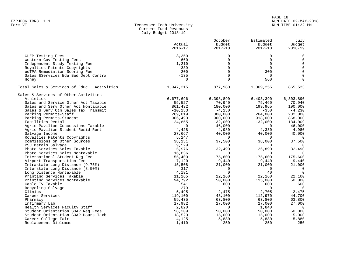#### PAGE 18 FZRJF06 TBR8: 1.1 RUN DATE 02-MAY-2018 RUN TIME 01:32 PM

| Form VI | Tennessee Tech University |
|---------|---------------------------|
|         | Current Fund Revenues     |
|         | July Budget 2018-19       |

|                                            |                | October     | Estimated   | July           |
|--------------------------------------------|----------------|-------------|-------------|----------------|
|                                            | Actual         | Budget      | Budget      | Budget         |
|                                            | $2016 - 17$    | $2017 - 18$ | $2017 - 18$ | $2018 - 19$    |
| CLEP Testing Fees                          | 3,350          | $\mathbf 0$ | $\Omega$    | $\mathbf 0$    |
| Western Gov Testing Fees                   | 660            | $\Omega$    | $\Omega$    | $\mathsf 0$    |
| Independent Study Testing Fee              | 1,210          | $\Omega$    | $\Omega$    | $\mathbf 0$    |
| Royalties Patents Copyrights               | 339            | $\Omega$    | $\Omega$    | $\mathbf 0$    |
| edTPA Remediation Scoring Fee              | 200            | $\Omega$    | 300         | $\mathbf 0$    |
| Sales &Services Edu Bad Debt Contra        | $-135$         | $\mathbf 0$ | $\Omega$    | $\mathbf 0$    |
|                                            | $\overline{0}$ | $\Omega$    | 560         | $\Omega$       |
| Honey                                      |                |             |             |                |
| Total Sales & Services of Educ. Activities | 1,947,215      | 877,980     | 1,069,255   | 865,533        |
| Sales & Services of Other Activities       |                |             |             |                |
| Athletics                                  | 6,677,696      | 6,398,890   | 6,403,390   | 6,303,890      |
| Sales and Service Other Act Taxable        | 55,527         | 70,940      | 75,460      | 70,940         |
| Sales and Serv Other Act Nontaxable        | 861,432        | 180,000     | 199,965     | 190,000        |
| Sales & Serv Oth Sales Tax Transmit        | $-10, 133$     | $-4,230$    | $-350$      | $-4,230$       |
| Parking Permits-Staff                      | 269,819        | 300,000     | 264,000     | 282,000        |
| Parking Permits-Student                    | 906,490        | 900,000     | 918,000     | 868,000        |
| Facilities Rental                          | 124,855        | 132,009     | 132,009     | 134,009        |
| Agric Pavilion Concessions Taxable         | $\Omega$       | 46,000      | $\Omega$    | 46,000         |
| Agric Pavilion Student Resid Rent          | 4,428          | 4,980       | 4,330       | 4,980          |
| Salvage Income                             | 27,667         | 40,000      | 40,000      | 40,000         |
| Royalties Patents Copyrights               | 5,247          | $\Omega$    | $\Omega$    | $\Omega$       |
| Commissions on Other Sources               | 38,131         | 37,500      | 38,000      | 37,500         |
| PSC Metals Salvage                         | 9,529          | $\Omega$    | $\Omega$    | - 0            |
| Photo Services Sales Taxable               | 5,976          | 32,490      | 26,890      | 32,490         |
| Photo Services Sales Nontaxable            | 16,836         | $\Omega$    | $\Omega$    | $\overline{0}$ |
| International Student Reg Fee              | 155,400        | 175,600     | 175,600     | 175,600        |
| Airport Transportation Fee                 | 7,120          | 9,440       | 9,440       | 9,440          |
| Intrastate Long Distance (9.75%)           | 15,508         | 21,000      | 21,000      | 21,000         |
| Interstate Long Distance (8.50%)           | 317            | $\Omega$    | $\Omega$    | $\overline{0}$ |
| Long Distance Nontaxable                   | 4,191          | $\Omega$    | 40          | $\Omega$       |
| Printing Services Taxable                  | 11,165         | 22,160      | 22,160      | 22,160         |
| Printing Services Nontaxable               | 94,792         | 50,000      | 115,000     | 50,000         |
| Cable TV Taxable                           | 541            | 600         | 600         | 600            |
| Recycling Salvage                          | 279            | $\Omega$    | $\Omega$    | $\overline{0}$ |
| Clinics                                    | 5,495          | 2,475       | 2,705       | 2,475          |
| Career Services                            | 119,100        | 43,100      | 112,970     | 44,700         |
| Pharmacy                                   | 59,435         | 63,800      | 63,800      | 63,800         |
| Infirmary Lab                              | 17,982         | 27,000      | 27,000      | 27,000         |
| Health Services Faculty Staff              | 2,820          | $\Omega$    | 1,840       | $\Omega$       |
| Student Orientation SOAR Req Fees          | 58,209         | 50,000      | 50,000      | 50,000         |
| Student Orientation SOAR Hours Taxb        | 18,520         | 15,000      | 15,000      | 15,000         |
| Career College Fair                        | 4,125          | 5,880       | 5,880       | 5,880          |
| Replacement Diplomas                       | 1,410          | 250         | 250         | 250            |
|                                            |                |             |             |                |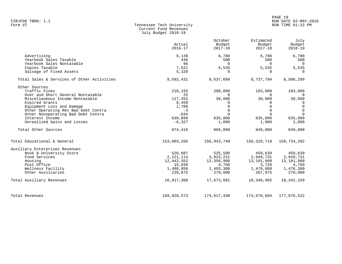#### PAGE 19 FZRJF06 TBR8: 1.1 RUN DATE 02-MAY-2018 RUN TIME 01:32 PM

| Form VI | Tennessee Tech University |
|---------|---------------------------|
|         | Current Fund Revenues     |
|         | July Budget 2018-19       |

|                                                                                | Actual<br>$2016 - 17$                | October<br>Budget<br>$2017 - 18$   | Estimated<br>Budget<br>$2017 - 18$ | July<br>Budget<br>$2018 - 19$      |
|--------------------------------------------------------------------------------|--------------------------------------|------------------------------------|------------------------------------|------------------------------------|
| Advertising<br>Yearbook Sales Taxable<br>Yearbook Sales Nontaxable             | 9,139<br>446<br>96                   | 6,780<br>500<br>$\Omega$           | 6,780<br>500<br>$\Omega$           | 6,780<br>500<br>$\overline{0}$     |
| Copies Taxable<br>Salvage of Fixed Assets                                      | 7,521<br>5,320                       | 5,535<br>$\Omega$                  | 5,535<br>$\Omega$                  | 5,535<br>$\Omega$                  |
| Total Sales & Services of Other Activities                                     | 9,592,431                            | 8,637,699                          | 8,737,794                          | 8,506,299                          |
| Other Sources<br>Traffic Fines<br>Over and Short General Nontaxable            | 216,155<br>25                        | 200,000<br>$\Omega$                | 183,000<br>$\Omega$                | 183,000<br>$\Omega$                |
| Miscellaneous Income Nontaxable<br>Expired Grants<br>Equipment Loss and Damage | 117,352<br>6,459<br>1,700            | 30,000<br>0<br>$\Omega$            | 30,000                             | 30,000<br>0<br>$\mathbf 0$         |
| Other Operating Rev Bad Debt Contra<br>Other Nonoperating Bad Debt Contra      | $-3$<br>$-844$                       | $\Omega$<br>$\Omega$               | $\cap$                             | $\Omega$<br>$\Omega$               |
| Interest Income<br>Unrealized Gains and Losses                                 | 639,899<br>$-6,327$                  | 635,000<br>1,000                   | 635,000<br>1,000                   | 635,000<br>1,000                   |
| Total Other Sources                                                            | 974,416                              | 866,000                            | 849,000                            | 849,000                            |
| Total Educational & General                                                    | 153,003,265                          | 156,943,749                        | 156,329,719                        | 158,734,202                        |
| Auxiliary Enterprises Revenues                                                 |                                      |                                    |                                    |                                    |
| Book & University Store<br>Food Services<br>Housing                            | 528,087<br>2, 221, 114<br>12,442,352 | 525,500<br>3,023,231<br>12,356,900 | 459,639<br>2,949,731<br>13,181,900 | 459,639<br>2,949,731<br>13,181,900 |
| Post Office<br>Wellness Facility<br>Other Auxiliaries                          | 15,030<br>1,480,850<br>229,875       | 4,750<br>1,493,300<br>270,000      | 3,720<br>1,478,000<br>267,975      | 4,750<br>1,476,300<br>270,000      |
| Total Auxiliary Revenues                                                       | 16,917,308                           | 17,673,681                         | 18,340,965                         | 18, 342, 320                       |
|                                                                                |                                      |                                    |                                    |                                    |
| Total Revenues                                                                 | 169,920,573                          | 174,617,430                        | 174,670,684                        | 177,076,522                        |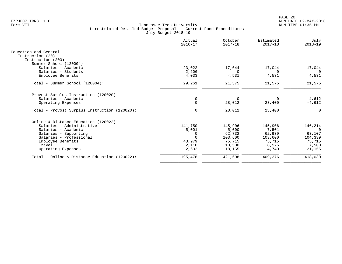|                                               | Actual<br>$2016 - 17$ | October<br>$2017 - 18$ | Estimated<br>$2017 - 18$ | July<br>$2018 - 19$ |
|-----------------------------------------------|-----------------------|------------------------|--------------------------|---------------------|
| Education and General                         |                       |                        |                          |                     |
| Instruction (20)                              |                       |                        |                          |                     |
| Instruction (200)<br>Summer School (120004)   |                       |                        |                          |                     |
| Salaries - Academic                           | 23,022                | 17,044                 | 17,044                   | 17,044              |
| Salaries - Students                           | 2,206                 | $\Omega$               | $\Omega$                 | 0                   |
| Employee Benefits                             | 4,033                 | 4,531                  | 4,531                    | 4,531               |
| Total - Summer School (120004):               | 29,261                | 21,575                 | 21,575                   | 21,575              |
|                                               |                       |                        |                          |                     |
| Provost Surplus Instruction (120020)          |                       |                        |                          |                     |
| Salaries - Academic                           | 0                     | $\Omega$               | O                        | 4,612               |
| Operating Expenses                            | $\Omega$              | 28,012                 | 23,400                   | $-4,612$            |
| Total - Provost Surplus Instruction (120020): | 0                     | 28,012                 | 23,400                   | 0                   |
| Online & Distance Education (120022)          |                       |                        |                          |                     |
| Salaries - Administrative                     | 141,750               | 145,906                | 145,906                  | 146,214             |
| Salaries - Academic                           | 5,001                 | 5,000                  | 7,501                    | $\Omega$            |
| Salaries - Supporting                         |                       | 62,732                 | 62,939                   | 63,107              |
| Salaries - Professional                       | $\Omega$              | 103,600                | 103,600                  | 104,339             |
| Employee Benefits                             | 43,979                | 75,715                 | 75,715                   | 75,715              |
| Travel                                        | 2,116                 | 10,500                 | 8,975                    | 7,500               |
| Operating Expenses                            | 2,632                 | 18,155                 | 4,740                    | 21,155              |
| Total - Online & Distance Education (120022): | 195,478               | 421,608                | 409,376                  | 418,030             |
|                                               |                       |                        |                          |                     |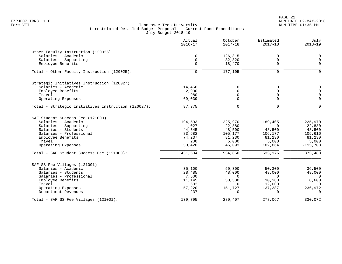| Actual<br>$2016 - 17$ | October<br>$2017 - 18$                                                      | Estimated<br>$2017 - 18$                                                                         | July<br>$2018 - 19$                                                            |
|-----------------------|-----------------------------------------------------------------------------|--------------------------------------------------------------------------------------------------|--------------------------------------------------------------------------------|
|                       |                                                                             |                                                                                                  |                                                                                |
|                       |                                                                             |                                                                                                  | $\mathbf 0$                                                                    |
| $\mathbf 0$           |                                                                             | 0                                                                                                | $\Omega$                                                                       |
| $\Omega$              | 18,470                                                                      | 0                                                                                                | $\Omega$                                                                       |
| $\Omega$              | 177,105                                                                     | $\Omega$                                                                                         | $\Omega$                                                                       |
|                       |                                                                             |                                                                                                  |                                                                                |
|                       |                                                                             |                                                                                                  | $\mathbf 0$                                                                    |
| 2,900                 | 0                                                                           | $\mathbf 0$                                                                                      | $\mathbf 0$                                                                    |
| 980                   | 0                                                                           | 0                                                                                                | $\mathbf 0$                                                                    |
| 69,039                | $\Omega$                                                                    | 0                                                                                                | $\Omega$                                                                       |
| 87,375                | $\Omega$                                                                    | $\Omega$                                                                                         | $\Omega$                                                                       |
|                       |                                                                             |                                                                                                  |                                                                                |
| 194,593               | 225,970                                                                     | 189,405                                                                                          | 225,970                                                                        |
| 1,027                 | 22,880                                                                      | $\Omega$                                                                                         | 22,880                                                                         |
| 44,345                | 48,500                                                                      | 48,500                                                                                           | 48,500                                                                         |
|                       |                                                                             |                                                                                                  | 105,616                                                                        |
|                       |                                                                             |                                                                                                  | 81,230                                                                         |
|                       |                                                                             |                                                                                                  | 5,000                                                                          |
|                       |                                                                             |                                                                                                  | $-115,708$                                                                     |
| 431,504               | 534,850                                                                     | 533,176                                                                                          | 373,488                                                                        |
|                       |                                                                             |                                                                                                  |                                                                                |
| 35,100                | 50,300                                                                      | 50,300                                                                                           | 36,500                                                                         |
| 28,485                | 48,000                                                                      | 48,000                                                                                           | 48,000                                                                         |
| 7,500                 | $\Omega$                                                                    | $\mathbf 0$                                                                                      | $\overline{0}$                                                                 |
| 11,145                | 30,380                                                                      |                                                                                                  | 8,600                                                                          |
|                       | $\Omega$                                                                    |                                                                                                  | $\Omega$                                                                       |
| $-237$                | $\Omega$                                                                    | $\Omega$                                                                                         | 236,972<br>$\Omega$                                                            |
|                       |                                                                             | 278,067                                                                                          | 330,072                                                                        |
|                       | $\mathbf 0$<br>14,456<br>83,682<br>74,237<br>200<br>33,420<br>582<br>57,220 | 126,315<br>32,320<br>0<br>105,177<br>81,230<br>5,000<br>46,093<br>151,727<br>139,795<br>280, 407 | 0<br>0<br>106,177<br>81,230<br>5,000<br>102,864<br>30,380<br>12,000<br>137,387 |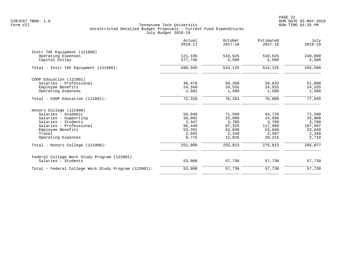|                                                                    | Actual<br>$2016 - 17$ | October<br>$2017 - 18$ | Estimated<br>$2017 - 18$ | July<br>$2018 - 19$ |
|--------------------------------------------------------------------|-----------------------|------------------------|--------------------------|---------------------|
| Instr TAF Equipment (121600)                                       |                       |                        |                          |                     |
| Operating Expenses                                                 | 121,199               | 518,625                | 518,625                  | 240,000             |
| Capital Outlay                                                     | 577,746               | 5,500                  | 5,500                    | 5,500               |
| Total - Instr TAF Equipment (121600):                              | 698,945               | 524,125                | 524,125                  | 245,500             |
| COOP Education (121801)                                            |                       |                        |                          |                     |
| Salaries - Professional                                            | 46,476                | 50,208                 | 50,833                   | 51,890              |
| Employee Benefits                                                  | 24,349                | 24,555                 | 24,555                   | 24,555              |
| Operating Expenses                                                 | 1,501                 | 1,500                  | 1,500                    | 1,500               |
| Total - COOP Education (121801):                                   | 72,326                | 76,263                 | 76,888                   | 77,945              |
| Honors College (121900)                                            |                       |                        |                          |                     |
| Salaries - Academic                                                | 56,040                | 71,500                 | 44,720                   | 71,500              |
| Salaries - Supporting                                              | 30,092                | 25,000                 | 24,560                   | 25,000              |
| Salaries - Students                                                | 3,347                 | 3,780                  | 3,780                    | 3,780               |
| Salaries - Professional                                            | 96,440                | 87,325                 | 117,990                  | 107,507             |
| Employee Benefits                                                  | 53,261                | 53,040                 | 53,040                   | 53,040              |
| Travel                                                             | 2,045                 | 2,340                  | 2,507                    | 2,340               |
| Operating Expenses                                                 | 9,775                 | 12,828                 | 29,216                   | 2,710               |
| Total - Honors College (121900):                                   | 251,000               | 255,813                | 275,813                  | 265,877             |
| Federal College Work Study Program (122001)<br>Salaries - Students | 53,908                | 57,730                 | 57,730                   | 57,730              |
|                                                                    |                       |                        |                          |                     |
| Total - Federal College Work Study Program (122001):               | 53,908                | 57,730                 | 57,730                   | 57,730              |
|                                                                    |                       |                        |                          |                     |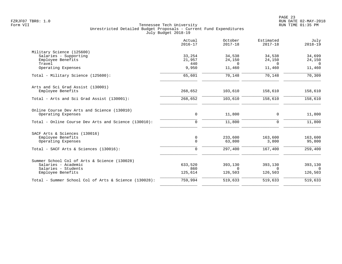|                                                       | Actual<br>$2016 - 17$ | October<br>$2017 - 18$ | Estimated<br>$2017 - 18$ | July<br>$2018 - 19$ |
|-------------------------------------------------------|-----------------------|------------------------|--------------------------|---------------------|
| Military Science (125600)                             |                       |                        |                          |                     |
| Salaries - Supporting                                 | 33,254                | 34,538                 | 34,538                   | 34,699              |
| Employee Benefits<br>Travel                           | 21,957<br>440         | 24,150<br>$\Omega$     | 24,150<br>$\cap$         | 24,150<br>$\Omega$  |
| Operating Expenses                                    | 9,950                 | 11,460                 | 11,460                   | 11,460              |
| Total - Military Science (125600):                    | 65,601                | 70,148                 | 70,148                   | 70,309              |
| Arts and Sci Grad Assist (130001)                     |                       |                        |                          |                     |
| Employee Benefits                                     | 268,652               | 103,610                | 158,610                  | 158,610             |
| Total - Arts and Sci Grad Assist (130001):            | 268,652               | 103,610                | 158,610                  | 158,610             |
| Online Course Dev Arts and Science (130010)           |                       |                        |                          |                     |
| Operating Expenses                                    | 0                     | 11,800                 | 0                        | 11,800              |
| Total - Online Course Dev Arts and Science (130010):  | $\Omega$              | 11,800                 | $\Omega$                 | 11,800              |
| SACF Arts & Sciences (130016)                         |                       |                        |                          |                     |
| Employee Benefits<br>Operating Expenses               | 0<br>$\Omega$         | 233,600<br>63,800      | 163,600<br>3,800         | 163,600<br>95,800   |
| Total - SACF Arts & Sciences (130016):                | $\mathbf 0$           | 297,400                | 167,400                  | 259,400             |
| Summer School Col of Arts & Science (130028)          |                       |                        |                          |                     |
| Salaries - Academic                                   | 633,520               | 393,130                | 393,130                  | 393,130             |
| Salaries - Students                                   | 860<br>125,614        | $\Omega$<br>126,503    | $\Omega$<br>126,503      | $\Omega$<br>126,503 |
| Employee Benefits                                     |                       |                        |                          |                     |
| Total - Summer School Col of Arts & Science (130028): | 759,994               | 519,633                | 519,633                  | 519,633             |
|                                                       |                       |                        |                          |                     |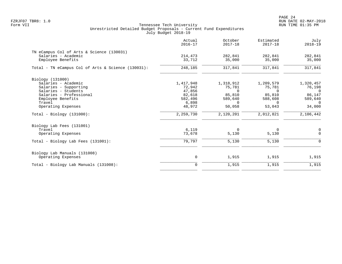|                                                    | Actual<br>$2016 - 17$ | October<br>$2017 - 18$ | Estimated<br>$2017 - 18$ | July<br>$2018 - 19$ |
|----------------------------------------------------|-----------------------|------------------------|--------------------------|---------------------|
| TN eCampus Col of Arts & Science (130031)          |                       |                        |                          |                     |
| Salaries - Academic                                | 214,473               | 282,841                | 282,841                  | 282,841             |
| Employee Benefits                                  | 33,712                | 35,000                 | 35,000                   | 35,000              |
| Total - TN eCampus Col of Arts & Science (130031): | 248,185               | 317,841                | 317,841                  | 317,841             |
| Biology (131000)                                   |                       |                        |                          |                     |
| Salaries - Academic                                | 1,417,948             | 1,318,912              | 1,209,579                | 1,320,457           |
| Salaries - Supporting                              | 72,942                | 75,781                 | 75,781                   | 76,198              |
| Salaries - Students                                | 47,856                | $\Omega$               | $\Omega$                 | $\Omega$            |
| Salaries - Professional                            | 82,618                | 85,810                 | 85,810                   | 86,147              |
| Employee Benefits                                  | 582,496               | 589,640                | 588,608                  | 589,640             |
| Travel                                             | 6,898                 | $\Omega$               | $\Omega$                 | $\Omega$            |
| Operating Expenses                                 | 48,972                | 50,058                 | 53,043                   | 34,000              |
| $Total - Biology (131000):$                        | 2,259,730             | 2,120,201              | 2,012,821                | 2,106,442           |
| Biology Lab Fees (131001)                          |                       |                        |                          |                     |
| Travel                                             | 6,119                 | $\Omega$               | 0                        | 0                   |
| Operating Expenses                                 | 73,678                | 5,130                  | 5,130                    | $\Omega$            |
| Total - Biology Lab Fees (131001):                 | 79,797                | 5,130                  | 5,130                    | $\Omega$            |
| Biology Lab Manuals (131008)                       |                       |                        |                          |                     |
| Operating Expenses                                 | 0                     | 1,915                  | 1,915                    | 1,915               |
| Total - Biology Lab Manuals (131008):              | $\mathbf 0$           | 1,915                  | 1,915                    | 1,915               |
|                                                    |                       |                        |                          |                     |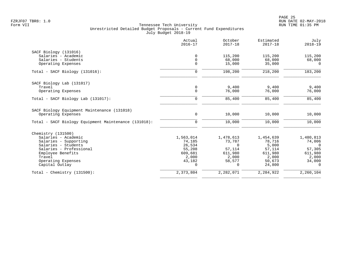|                                                      | Actual<br>$2016 - 17$ | October<br>$2017 - 18$ | Estimated<br>$2017 - 18$ | July<br>$2018 - 19$ |
|------------------------------------------------------|-----------------------|------------------------|--------------------------|---------------------|
| SACF Biology (131016)                                |                       |                        |                          |                     |
| Salaries - Academic                                  | $\mathbf 0$           | 115,200                | 115,200                  | 115,200             |
| Salaries - Students                                  | $\mathbf 0$           | 68,000                 | 68,000                   | 68,000              |
| Operating Expenses                                   | $\mathbf 0$           | 15,000                 | 35,000                   | $\Omega$            |
| Total - SACF Biology (131016):                       | 0                     | 198,200                | 218,200                  | 183,200             |
| SACF Biology Lab (131017)                            |                       |                        |                          |                     |
| Travel                                               | 0                     | 9,400                  | 9,400                    | 9,400               |
| Operating Expenses                                   | $\Omega$              | 76,000                 | 76,000                   | 76,000              |
| Total - SACF Biology Lab (131017):                   | $\mathbf 0$           | 85,400                 | 85,400                   | 85,400              |
| SACF Biology Equipment Maintenance (131018)          |                       |                        |                          |                     |
| Operating Expenses                                   | $\mathbf 0$           | 10,000                 | 10,000                   | 10,000              |
| Total - SACF Biology Equipment Maintenance (131018): | $\mathbf 0$           | 10,000                 | 10,000                   | 10,000              |
| Chemistry (131500)                                   |                       |                        |                          |                     |
| Salaries - Academic                                  | 1,563,014             | 1,478,613              | 1,454,639                | 1,480,813           |
| Salaries - Supporting                                | 74,185                | 73,787                 | 78,716                   | 74,006              |
| Salaries - Students                                  | 26,534                | $\Omega$               | 5,000                    | $\Omega$            |
| Salaries - Professional                              | 55,208                | 57,114                 | 57,114                   | 57,305              |
| Employee Benefits                                    | 609,681               | 611,980                | 611,980                  | 611,980             |
| Travel                                               | 2,000                 | 2,000                  | 2,000                    | 2,000               |
| Operating Expenses                                   | 43,182                | 58,577                 | 50,673                   | 34,000              |
| Capital Outlay                                       | $\Omega$              | 0                      | 24,800                   | $\Omega$            |
| Total - Chemistry $(131500)$ :                       | 2,373,804             | 2,282,071              | 2,284,922                | 2,260,104           |
|                                                      |                       |                        |                          |                     |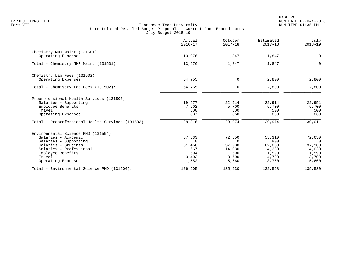|                                                   | Actual<br>$2016 - 17$ | October<br>$2017 - 18$ | Estimated<br>$2017 - 18$ | July<br>$2018 - 19$ |
|---------------------------------------------------|-----------------------|------------------------|--------------------------|---------------------|
| Chemistry NMR Maint (131501)                      |                       |                        |                          |                     |
| Operating Expenses                                | 13,976                | 1,847                  | 1,847                    | $\mathbf 0$         |
| Total - Chemistry NMR Maint (131501):             | 13,976                | 1,847                  | 1,847                    | $\Omega$            |
| Chemistry Lab Fees (131502)                       |                       |                        |                          |                     |
| Operating Expenses                                | 64,755                | $\mathbf 0$            | 2,800                    | 2,800               |
| Total - Chemistry Lab Fees (131502):              | 64,755                | $\mathbf 0$            | 2,800                    | 2,800               |
| Preprofessional Health Services (131503)          |                       |                        |                          |                     |
| Salaries - Supporting                             | 19,977                | 22,914                 | 22,914                   | 22,951              |
| Employee Benefits                                 | 7,502                 | 5,700<br>500           | 5,700                    | 5,700               |
| Travel<br>Operating Expenses                      | 500<br>837            | 860                    | 500<br>860               | 500<br>860          |
| Total - Preprofessional Health Services (131503): | 28,816                | 29,974                 | 29,974                   | 30,011              |
| Environmental Science PHD (131504)                |                       |                        |                          |                     |
| Salaries - Academic                               | 67,833                | 72,650                 | 55,310                   | 72,650              |
| Salaries - Supporting                             | $\Omega$              | $\Omega$               | 900                      | $\Omega$            |
| Salaries - Students                               | 51,456                | 37,900                 | 62,058                   | 37,900              |
| Salaries - Professional                           | 667                   | 14,030                 | 4,280                    | 14,030              |
| Employee Benefits<br>Travel                       | 1,694<br>3,403        | 1,590<br>3,700         | 1,590<br>4,700           | 1,590<br>3,700      |
| Operating Expenses                                | 1,552                 | 5,660                  | 3,760                    | 5,660               |
| Total - Environmental Science PHD (131504):       | 126,605               | 135,530                | 132,598                  | 135,530             |
|                                                   |                       |                        |                          |                     |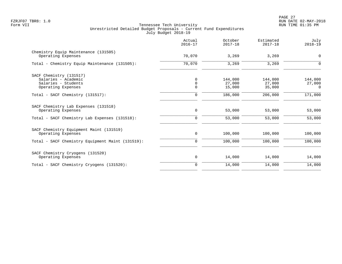|                                                            | Actual<br>$2016 - 17$ | October<br>$2017 - 18$ | Estimated<br>$2017 - 18$ | July<br>$2018 - 19$ |
|------------------------------------------------------------|-----------------------|------------------------|--------------------------|---------------------|
| Chemistry Equip Maintenance (131505)                       |                       |                        |                          |                     |
| Operating Expenses                                         | 70,070                | 3,269                  | 3,269                    | 0                   |
| Total - Chemistry Equip Maintenance (131505):              | 70,070                | 3,269                  | 3,269                    | $\Omega$            |
| SACF Chemistry (131517)                                    |                       |                        |                          |                     |
| Salaries - Academic                                        | $\Omega$              | 144,000                | 144,000                  | 144,000             |
| Salaries - Students                                        | $\mathbf 0$           | 27,000                 | 27,000                   | 27,000              |
| Operating Expenses                                         | $\Omega$              | 15,000                 | 35,000                   | $\Omega$            |
| Total - SACF Chemistry (131517):                           | $\mathbf 0$           | 186,000                | 206,000                  | 171,000             |
| SACF Chemistry Lab Expenses (131518)<br>Operating Expenses | 0                     | 53,000                 | 53,000                   | 53,000              |
|                                                            |                       |                        |                          |                     |
| Total - SACF Chemistry Lab Expenses (131518):              | $\mathbf 0$           | 53,000                 | 53,000                   | 53,000              |
| SACF Chemistry Equipment Maint (131519)                    |                       |                        |                          |                     |
| Operating Expenses                                         | 0                     | 100,000                | 100,000                  | 100,000             |
| Total - SACF Chemistry Equipment Maint (131519):           | $\mathbf 0$           | 100,000                | 100,000                  | 100,000             |
| SACF Chemistry Cryogens (131520)                           |                       |                        |                          |                     |
| Operating Expenses                                         | 0                     | 14,000                 | 14,000                   | 14,000              |
| Total - SACF Chemistry Cryogens (131520):                  | $\mathbf 0$           | 14,000                 | 14,000                   | 14,000              |
|                                                            |                       |                        |                          |                     |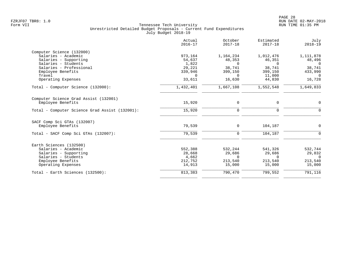|                                                | Actual<br>$2016 - 17$ | October<br>$2017 - 18$ | Estimated<br>$2017 - 18$ | July<br>$2018 - 19$ |
|------------------------------------------------|-----------------------|------------------------|--------------------------|---------------------|
| Computer Science (132000)                      |                       |                        |                          |                     |
| Salaries - Academic                            | 973,164               | 1,164,234              | 1,012,476                | 1,111,878           |
| Salaries - Supporting                          | 54,637                | 48,353                 | 46,351                   | 48,496              |
| Salaries - Students                            | 1,822                 | $\Omega$               | $\Omega$                 | $\Omega$            |
| Salaries - Professional                        | 29,221                | 38,741                 | 38,741                   | 38,741              |
| Employee Benefits                              | 339,946               | 399,150                | 399,150                  | 433,990             |
| Travel                                         | $\Omega$              | $\Omega$               | 11,000                   | $\Omega$            |
| Operating Expenses                             | 33,611                | 16,630                 | 44,830                   | 16,728              |
| Total - Computer Science (132000):             | 1,432,401             | 1,667,108              | 1,552,548                | 1,649,833           |
| Computer Science Grad Assist (132001)          |                       |                        |                          |                     |
| Employee Benefits                              | 15,920                | 0                      | 0                        | 0                   |
| Total - Computer Science Grad Assist (132001): | 15,920                | $\mathbf 0$            | 0                        | $\Omega$            |
| SACF Comp Sci GTAs (132007)                    |                       |                        |                          |                     |
| Employee Benefits                              | 79,539                | $\mathbf 0$            | 104,187                  | $\mathbf 0$         |
| Total - SACF Comp Sci GTAs (132007):           | 79,539                | $\mathbf 0$            | 104,187                  | $\Omega$            |
| Earth Sciences (132500)                        |                       |                        |                          |                     |
| Salaries - Academic                            | 552,388               | 532,244                | 541,326                  | 532,744             |
| Salaries - Supporting                          | 28,668                | 29,686                 | 29,686                   | 29,832              |
| Salaries - Students                            | 4,662                 | $\Omega$               | $\Omega$                 | $\Omega$            |
|                                                |                       |                        |                          | 213,540             |
| Operating Expenses                             | 14,913                | 15,000                 | 15,000                   | 15,000              |
| Total - Earth Sciences (132500):               | 813,383               | 790,470                | 799,552                  | 791,116             |
| Employee Benefits                              | 212,752               | 213,540                | 213,540                  |                     |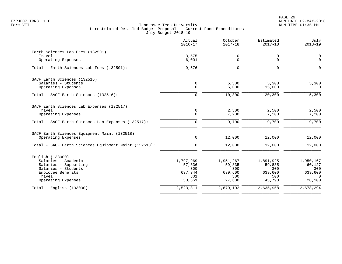|                                                       | Actual<br>$2016 - 17$ | October<br>$2017 - 18$ | Estimated<br>$2017 - 18$ | July<br>$2018 - 19$ |
|-------------------------------------------------------|-----------------------|------------------------|--------------------------|---------------------|
| Earth Sciences Lab Fees (132501)                      |                       |                        |                          |                     |
| Travel                                                | 3,575                 | 0                      | 0                        | $\mathbf 0$         |
| Operating Expenses                                    | 6,001                 | 0                      | 0                        | $\Omega$            |
| Total - Earth Sciences Lab Fees (132501):             | 9,576                 | $\mathbf 0$            | $\mathbf 0$              | $\Omega$            |
| SACF Earth Sciences (132516)                          |                       |                        |                          |                     |
| Salaries - Students                                   | $\mathsf 0$           | 5,300                  | 5,300                    | 5,300               |
| Operating Expenses                                    | $\mathbf 0$           | 5,000                  | 15,000                   | $\mathbf 0$         |
| Total - SACF Earth Sciences (132516):                 | $\mathbf 0$           | 10,300                 | 20,300                   | 5,300               |
| SACF Earth Sciences Lab Expenses (132517)             |                       |                        |                          |                     |
| Travel                                                | $\mathbf 0$           | 2,500                  | 2,500                    | 2,500               |
| Operating Expenses                                    | $\mathbf 0$           | 7,200                  | 7,200                    | 7,200               |
| Total - SACF Earth Sciences Lab Expenses (132517):    | $\mathbf 0$           | 9,700                  | 9,700                    | 9,700               |
| SACF Earth Sciences Equipment Maint (132518)          |                       |                        |                          |                     |
| Operating Expenses                                    | $\mathbf 0$           | 12,000                 | 12,000                   | 12,000              |
| Total - SACF Earth Sciences Equipment Maint (132518): | $\mathbf 0$           | 12,000                 | 12,000                   | 12,000              |
| English (133000)                                      |                       |                        |                          |                     |
| Salaries - Academic                                   | 1,797,969             | 1,951,267              | 1,891,925                | 1,950,167           |
| Salaries - Supporting                                 | 57,336                | 59,835                 | 59,835                   | 60,127              |
| Salaries - Students                                   | 300                   | 300                    | 300                      | 300                 |
| Employee Benefits<br>Travel                           | 637,344<br>301        | 639,600<br>500         | 639,600<br>500           | 639,600<br>$\Omega$ |
| Operating Expenses                                    | 30,561                | 27,600                 | 43,798                   | 28,100              |
| $Total - English (133000):$                           | 2,523,811             | 2,679,102              | 2,635,958                | 2,678,294           |
|                                                       |                       |                        |                          |                     |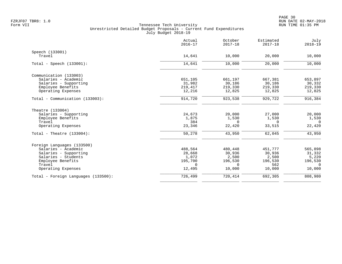|                                     | Actual<br>$2016 - 17$ | October<br>$2017 - 18$ | Estimated<br>$2017 - 18$ | July<br>$2018 - 19$ |
|-------------------------------------|-----------------------|------------------------|--------------------------|---------------------|
| Speech (133001)                     |                       |                        |                          |                     |
| Travel                              | 14,641                | 10,000                 | 20,000                   | 10,000              |
| Total - Speech $(133001)$ :         | 14,641                | 10,000                 | 20,000                   | 10,000              |
| Communication (133003)              |                       |                        |                          |                     |
| Salaries - Academic                 | 651,105               | 661,197                | 667,381                  | 653,897             |
| Salaries - Supporting               | 31,982                | 30,186                 | 30,186                   | 30,332              |
| Employee Benefits                   | 219,417               | 219,330                | 219,330                  | 219,330             |
| Operating Expenses                  | 12,216                | 12,825                 | 12,825                   | 12,825              |
| Total - Communication (133003):     | 914,720               | 923,538                | 929,722                  | 916, 384            |
| Theatre (133004)                    |                       |                        |                          |                     |
| Salaries - Supporting               | 24,673                | 20,000                 | 27,000                   | 20,000              |
| Employee Benefits                   | 1,875                 | 1,530                  | 1,530                    | 1,530               |
| Travel                              | 384                   | 0                      | 0                        | $\overline{0}$      |
| Operating Expenses                  | 23,346                | 22,420                 | 33,515                   | 22,420              |
| Total - Theatre $(133004)$ :        | 50,278                | 43,950                 | 62,045                   | 43,950              |
| Foreign Languages (133500)          |                       |                        |                          |                     |
| Salaries - Academic                 | 488,564               | 480,448                | 451,777                  | 565,898             |
| Salaries - Supporting               | 28,668                | 30,936                 | 30,936                   | 31,332              |
| Salaries - Students                 | 1,072                 | 2,500                  | 2,500                    | 5,220               |
| Employee Benefits                   | 195,700               | 196,530                | 196,530                  | 196,530             |
| Travel                              | $\Omega$              | $\Omega$               | 562                      | $\Omega$            |
| Operating Expenses                  | 12,495                | 10,000                 | 10,000                   | 10,000              |
| Total - Foreign Languages (133500): | 726,499               | 720,414                | 692,305                  | 808,980             |
|                                     |                       |                        |                          |                     |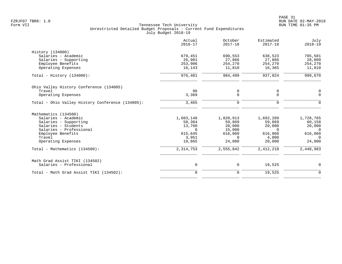|                                                  | Actual<br>$2016 - 17$ | October<br>$2017 - 18$ | Estimated<br>$2017 - 18$ | July<br>$2018 - 19$ |
|--------------------------------------------------|-----------------------|------------------------|--------------------------|---------------------|
| History (134000)                                 |                       |                        |                          |                     |
| Salaries - Academic                              | 679,451               | 690,553                | 638,523                  | 705,581             |
| Salaries - Supporting                            | 26,901                | 27,866                 | 27,866                   | 28,009              |
| Employee Benefits                                | 253,906               | 254,270                | 254,270                  | 254,270             |
| Operating Expenses                               | 16,143                | 11,810                 | 16,365                   | 11,810              |
| Total - History $(134000)$ :                     | 976,401               | 984,499                | 937,024                  | 999,670             |
| Ohio Valley History Conference (134005)          |                       |                        |                          |                     |
| Travel                                           | 96                    | 0                      | 0                        | 0                   |
| Operating Expenses                               | 3,369                 | 0                      | $\mathbf 0$              | $\Omega$            |
| Total - Ohio Valley History Conference (134005): | 3,465                 | 0                      | $\mathbf 0$              | $\Omega$            |
| Mathematics (134500)                             |                       |                        |                          |                     |
| Salaries - Academic                              | 1,603,148             | 1,820,913              | 1,692,289                | 1,728,765           |
| Salaries - Supporting                            | 58,384                | 59,869                 | 59,869                   | 60,158              |
| Salaries - Students                              | 13,760                | 20,000                 | 20,000                   | 20,000              |
| Salaries - Professional                          | $\Omega$              | 15,000                 | $\Omega$                 | $\Omega$            |
| Employee Benefits                                | 615,645               | 616,060                | 616,060                  | 616,060             |
| Travel                                           | 3,951                 | $\Omega$               | 4,000                    | $\Omega$            |
| Operating Expenses                               | 19,865                | 24,000                 | 20,000                   | 24,000              |
| Total - Mathematics (134500):                    | 2,314,753             | 2,555,842              | 2, 412, 218              | 2,448,983           |
| Math Grad Assist TIKI (134502)                   |                       |                        |                          |                     |
| Salaries - Professional                          | $\mathbf 0$           | 0                      | 19,525                   | 0                   |
| Total - Math Grad Assist TIKI (134502):          | $\mathbf 0$           | 0                      | 19,525                   | $\mathbf 0$         |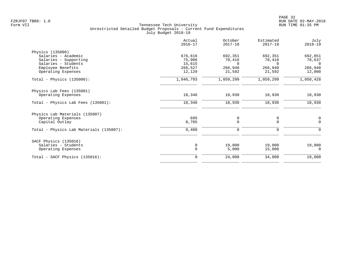|                                         | Actual<br>$2016 - 17$ | October<br>$2017 - 18$ | Estimated<br>$2017 - 18$ | July<br>$2018 - 19$ |
|-----------------------------------------|-----------------------|------------------------|--------------------------|---------------------|
| Physics (135000)                        |                       |                        |                          |                     |
| Salaries - Academic                     | 676,616               | 692,351                | 692,351                  | 692,851             |
| Salaries - Supporting                   | 75,906                | 78,416                 | 78,416                   | 78,637              |
| Salaries - Students                     | 15,615                | $\Omega$               | $\Omega$                 | $\Omega$            |
| Employee Benefits                       | 266,527               | 266,940                | 266,940                  | 266,940             |
| Operating Expenses                      | 12,129                | 21,592                 | 21,592                   | 12,000              |
| Total - Physics $(135000)$ :            | 1,046,793             | 1,059,299              | 1,059,299                | 1,050,428           |
| Physics Lab Fees (135001)               |                       |                        |                          |                     |
| Operating Expenses                      | 18,346                | 18,930                 | 18,930                   | 18,930              |
| Total - Physics Lab Fees (135001):      | 18,346                | 18,930                 | 18,930                   | 18,930              |
| Physics Lab Materials (135007)          |                       |                        |                          |                     |
| Operating Expenses                      | 695                   | 0                      | 0                        | 0                   |
| Capital Outlay                          | 8,705                 | $\Omega$               | $\Omega$                 | $\Omega$            |
| Total - Physics Lab Materials (135007): | 9,400                 | $\mathbf 0$            | 0                        | <sup>0</sup>        |
| SACF Physics (135016)                   |                       |                        |                          |                     |
| Salaries - Students                     | $\mathbf 0$           | 19,000                 | 19,000                   | 19,000              |
| Operating Expenses                      | $\Omega$              | 5,000                  | 15,000                   | $\Omega$            |
| Total - SACF Physics (135016):          | $\Omega$              | 24,000                 | 34,000                   | 19,000              |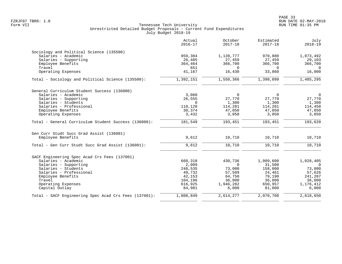|                                                       | Actual<br>$2016 - 17$ | October<br>$2017 - 18$ | Estimated<br>$2017 - 18$ | July<br>$2018 - 19$ |
|-------------------------------------------------------|-----------------------|------------------------|--------------------------|---------------------|
| Sociology and Political Science (135500)              |                       |                        |                          |                     |
| Salaries - Academic                                   | 959,384               | 1,139,777              | 970,880                  | 1,073,492           |
| Salaries - Supporting                                 | 26,485                | 27,459                 | 27,459                   | 29,103              |
| Employee Benefits                                     | 364,464               | 366,700                | 366,700                  | 366,700             |
| Travel                                                | 651                   | $\Omega$               | $\Omega$                 | $\Omega$            |
| Operating Expenses                                    | 41,167                | 16,430                 | 33,860                   | 16,000              |
| Total - Sociology and Political Science (135500):     | 1,392,151             | 1,550,366              | 1,398,899                | 1,485,295           |
| General Curriculum Student Success (136000)           |                       |                        |                          |                     |
| Salaries - Academic                                   | 3,060                 | $\Omega$               | $\Omega$                 | $\Omega$            |
| Salaries - Supporting                                 | 26,555                | 27,770                 | 27,770                   | 27,770              |
| Salaries - Students                                   | $\Omega$              | 1,300                  | 1,300                    | 1,300               |
| Salaries - Professional                               | 110,128               | 114,281                | 114,281                  | 114,450             |
| Employee Benefits                                     | 38,374                | 47,050                 | 47,050                   | 47,050              |
| Operating Expenses                                    | 3,432                 | 3,050                  | 3,050                    | 3,050               |
| Total - General Curriculum Student Success (136000):  | 181,549               | 193,451                | 193,451                  | 193,620             |
| Gen Curr Studt Succ Grad Assist (136001)              |                       |                        |                          |                     |
| Employee Benefits                                     | 9,612                 | 10,710                 | 10,710                   | 10,710              |
| Total - Gen Curr Studt Succ Grad Assist (136001):     | 9,612                 | 10,710                 | 10,710                   | 10,710              |
| SACF Engineering Spec Acad Crs Fees (137001)          |                       |                        |                          |                     |
| Salaries - Academic                                   | 660,318               | 430,736                | 1,009,600                | 1,028,405           |
| Salaries - Supporting                                 | 2,009                 | $\Omega$               | 31,500                   | $\overline{0}$      |
| Salaries - Students                                   | 248,535               | 73,000                 | 158,000                  | 73,000              |
| Salaries - Professional                               | 49,732                | 57,509                 | 24,461                   | 57,626              |
| Employee Benefits                                     | 42,153                | 64,750                 | 79,190                   | 241,207             |
| Travel                                                | 104,196               | 36,000                 | 36,000                   | 36,000              |
| Operating Expenses                                    | 616,925               | 1,946,282              | 650,957                  | 1,176,412           |
| Capital Outlay                                        | 84,981                | 6,000                  | 81,000                   | 6,000               |
| Total - SACF Engineering Spec Acad Crs Fees (137001): | 1,808,849             | 2,614,277              | 2,070,708                | 2,618,650           |
|                                                       |                       |                        |                          |                     |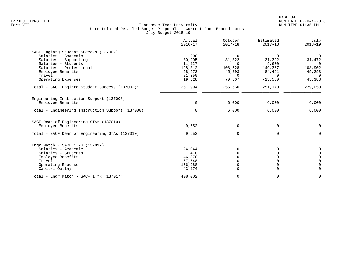|                                                   | Actual<br>$2016 - 17$ | October<br>$2017 - 18$ | Estimated<br>$2017 - 18$ | July<br>$2018 - 19$ |
|---------------------------------------------------|-----------------------|------------------------|--------------------------|---------------------|
| SACF Enginrg Student Success (137002)             |                       |                        |                          |                     |
| Salaries - Academic                               | $-1,200$              | $\Omega$               | $\Omega$                 | 0                   |
| Salaries - Supporting                             | 30,205                | 31,322                 | 31,322                   | 31,472              |
| Salaries - Students                               | 11,127                | <sup>n</sup>           | 9,600                    | $\Omega$            |
| Salaries - Professional                           | 128,312               | 108,528                | 149,367                  | 108,902             |
| Employee Benefits                                 | 58,572                | 45,293                 | 84,461                   | 45,293              |
| Travel                                            | 21,350                | $\Omega$               | $\Omega$                 | $\Omega$            |
| Operating Expenses                                | 19,628                | 70,507                 | $-23,580$                | 43,383              |
| Total - SACF Enginrg Student Success (137002):    | 267,994               | 255,650                | 251,170                  | 229,050             |
| Engineering Instruction Support (137008)          |                       |                        |                          |                     |
| Employee Benefits                                 | $\mathbf 0$           | 6,000                  | 6,000                    | 6,000               |
| Total - Engineering Instruction Support (137008): | $\mathbf 0$           | 6,000                  | 6,000                    | 6,000               |
| SACF Dean of Engineering GTAs (137010)            |                       |                        |                          |                     |
| Employee Benefits                                 | 9,652                 | 0                      | 0                        | $\mathbf 0$         |
| Total - SACF Dean of Engineering GTAs (137010):   | 9,652                 | 0                      | $\mathbf 0$              | $\mathbf 0$         |
|                                                   |                       |                        |                          |                     |
| Engr Match - SACF $1$ YR (137017)                 |                       |                        |                          |                     |
| Salaries - Academic                               | 94,044                | $\Omega$               | 0                        | $\mathbf 0$         |
| Salaries - Students                               | 478                   |                        | 0                        | $\overline{0}$      |
| Employee Benefits                                 | 46,370                |                        | 0                        | $\mathbf 0$         |
| Travel                                            | 67,648                |                        | 0                        | $\overline{0}$      |
| Operating Expenses                                | 156,288               | 0                      | 0                        | $\overline{0}$      |
| Capital Outlay                                    | 43,174                | 0                      | $\mathbf 0$              | $\overline{0}$      |
| Total - Engr Match - SACF $1$ YR (137017):        | 408,002               | 0                      | 0                        | $\Omega$            |
|                                                   |                       |                        |                          |                     |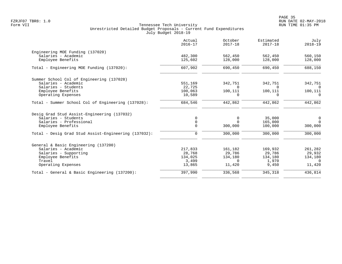| Actual<br>$2016 - 17$ | October<br>$2017 - 18$                  | Estimated<br>$2017 - 18$                 | July<br>$2018 - 19$           |
|-----------------------|-----------------------------------------|------------------------------------------|-------------------------------|
|                       |                                         |                                          |                               |
| 482,300               | 562,450                                 | 562,450                                  | 560,150                       |
| 125,602               | 128,000                                 | 128,000                                  | 128,000                       |
| 607,902               | 690,450                                 | 690,450                                  | 688,150                       |
|                       |                                         |                                          |                               |
|                       |                                         |                                          | 342,751                       |
|                       | $\Omega$                                | $\Omega$                                 | $\Omega$                      |
|                       |                                         |                                          | 100,111                       |
| 10,589                | $\Omega$                                | $\Omega$                                 | $\Omega$                      |
| 684,546               | 442,862                                 | 442,862                                  | 442,862                       |
|                       |                                         |                                          |                               |
| $\mathbf 0$           | $\mathbf 0$                             | 35,000                                   | $\mathsf{O}$                  |
| $\mathbf 0$           | $\Omega$                                | 165,000                                  | $\Omega$                      |
| $\Omega$              | 300,000                                 | 100,000                                  | 300,000                       |
| $\mathbf 0$           | 300,000                                 | 300,000                                  | 300,000                       |
|                       |                                         |                                          |                               |
|                       |                                         |                                          | 261,282                       |
| 28,768                | 29,786                                  | 29,786                                   | 29,932                        |
| 134,025               |                                         | 134,180                                  | 134,180                       |
| 3,499                 | $\Omega$                                | 1,970                                    | $\Omega$                      |
| 13,865                | 11,420                                  | 9,450                                    | 11,420                        |
| 397,990               | 336,568                                 | 345,318                                  | 436,814                       |
|                       | 551,169<br>22,725<br>100,063<br>217,833 | 342,751<br>100,111<br>161,182<br>134,180 | 342,751<br>100,111<br>169,932 |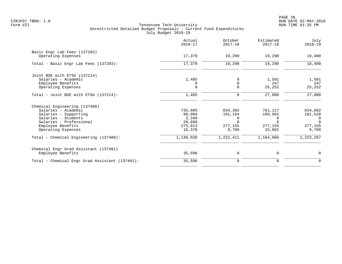|                                                | Actual<br>$2016 - 17$ | October<br>$2017 - 18$ | Estimated<br>$2017 - 18$ | July<br>$2018 - 19$ |
|------------------------------------------------|-----------------------|------------------------|--------------------------|---------------------|
| Basic Engr Lab Fees (137203)                   |                       |                        |                          |                     |
| Operating Expenses                             | 17,379                | 19,290                 | 19,290                   | 18,400              |
| Total - Basic Engr Lab Fees (137203):          | 17,379                | 19,290                 | 19,290                   | 18,400              |
| Joint BSE with ETSU (137214)                   |                       |                        |                          |                     |
| Salaries - Academic                            | 1,485                 | 0                      | 1,501                    | 1,501               |
| Employee Benefits                              |                       | $\Omega$               | 247                      | 247                 |
| Operating Expenses                             | $\Omega$              | $\Omega$               | 25,252                   | 25,252              |
| Total - Joint BSE with ETSU (137214):          | 1,485                 | 0                      | 27,000                   | 27,000              |
| Chemical Engineering (137400)                  |                       |                        |                          |                     |
| Salaries - Academic                            | 735,605               | 834,392                | 761,117                  | 834,892             |
| Salaries - Supporting                          | 98,094                | 101,164                | 109,992                  | 101,520             |
| Salaries - Students                            | 2,340                 | 0                      | 0                        | 0                   |
| Salaries - Professional                        | 20,600                | $\Omega$               | $\Omega$                 | $\Omega$            |
| Employee Benefits                              | 275,913               | 277,155                | 277,155                  | 277,155             |
| Operating Expenses                             | 16,378                | 9,700                  | 15,802                   | 9,700               |
| Total - Chemical Engineering (137400):         | 1,148,930             | 1,222,411              | 1,164,066                | 1,223,267           |
| Chemical Engr Grad Assistant (137401)          |                       |                        |                          |                     |
| Employee Benefits                              | 35,596                | 0                      | 0                        | $\mathbf 0$         |
| Total - Chemical Engr Grad Assistant (137401): | 35,596                | $\mathbf 0$            | 0                        | 0                   |
|                                                |                       |                        |                          |                     |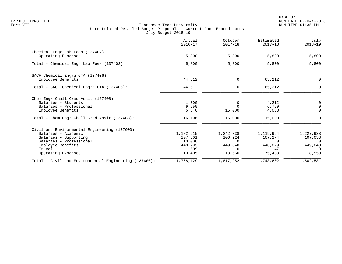PAGE 37 FZRJF07 TBR8: 1.0 RUN DATE 02-MAY-2018

|                                                       | Actual<br>$2016 - 17$ | October<br>$2017 - 18$ | Estimated<br>$2017 - 18$ | July<br>$2018 - 19$ |
|-------------------------------------------------------|-----------------------|------------------------|--------------------------|---------------------|
| Chemical Engr Lab Fees (137402)<br>Operating Expenses | 5,800                 | 5,800                  | 5,800                    | 5,800               |
|                                                       |                       |                        |                          |                     |
| Total - Chemical Engr Lab Fees (137402):              | 5,800                 | 5,800                  | 5,800                    | 5,800               |
| SACF Chemical Engrg GTA (137406)                      |                       |                        |                          |                     |
| Employee Benefits                                     | 44,512                | 0                      | 65,212                   | 0                   |
| Total - SACF Chemical Engrg GTA (137406):             | 44,512                | $\mathbf 0$            | 65,212                   | $\Omega$            |
| Chem Engr Chall Grad Assit (137408)                   |                       |                        |                          |                     |
| Salaries - Students                                   | 1,300                 | $\mathbf 0$            | 4,212                    | 0                   |
| Salaries - Professional                               | 9,550                 | $\Omega$               | 6,750                    | $\overline{0}$      |
| Employee Benefits                                     | 5,346                 | 15,000                 | 4,038                    | $\Omega$            |
| Total - Chem Engr Chall Grad Assit (137408):          | 16,196                | 15,000                 | 15,000                   | $\Omega$            |
| Civil and Environmental Engineering (137600)          |                       |                        |                          |                     |
| Salaries - Academic                                   | 1,182,615             | 1,242,738              | 1,119,964                | 1,227,938           |
| Salaries - Supporting                                 | 107,301               | 106,924                | 107,274                  | 107,053             |
| Salaries - Professional                               | 10,006                | $\Omega$               | $\Omega$                 | $\Omega$            |
| Employee Benefits                                     | 448,293<br>509        | 449,040<br>$\Omega$    | 440,879<br>47            | 449,040<br>$\Omega$ |
| Travel<br>Operating Expenses                          | 19,405                | 18,550                 | 75,438                   | 18,550              |
| Total - Civil and Environmental Engineering (137600): | 1,768,129             | 1,817,252              | 1,743,602                | 1,802,581           |
|                                                       |                       |                        |                          |                     |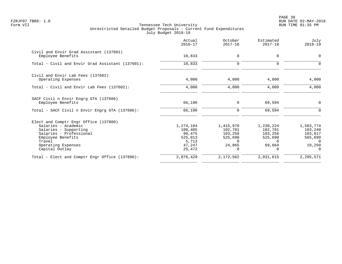PAGE 38 FZRJF07 TBR8: 1.0 RUN DATE 02-MAY-2018

|                                                                                                                                                                                         | Actual<br>$2016 - 17$                                                  | October<br>$2017 - 18$                                                       | Estimated<br>$2017 - 18$                                         | July<br>$2018 - 19$                                              |
|-----------------------------------------------------------------------------------------------------------------------------------------------------------------------------------------|------------------------------------------------------------------------|------------------------------------------------------------------------------|------------------------------------------------------------------|------------------------------------------------------------------|
| Civil and Envir Grad Assistant (137601)<br>Employee Benefits                                                                                                                            | 10,833                                                                 | $\mathbf 0$                                                                  | $\Omega$                                                         | 0                                                                |
| Total - Civil and Envir Grad Assistant (137601):                                                                                                                                        | 10,833                                                                 | $\mathbf 0$                                                                  | $\mathbf 0$                                                      | $\Omega$                                                         |
| Civil and Envir Lab Fees (137602)<br>Operating Expenses                                                                                                                                 | 4,000                                                                  | 4,000                                                                        | 4,000                                                            | 4,000                                                            |
| Total - Civil and Envir Lab Fees (137602):                                                                                                                                              | 4,000                                                                  | 4,000                                                                        | 4,000                                                            | 4,000                                                            |
| SACF Civil n Envir Engrg GTA (137606)<br>Employee Benefits                                                                                                                              | 66,190                                                                 | 0                                                                            | 69,594                                                           | $\Omega$                                                         |
| Total - SACF Civil n Envir Engrg GTA (137606):                                                                                                                                          | 66,190                                                                 | 0                                                                            | 69,594                                                           | $\Omega$                                                         |
| Elect and Comptr Engr Office (137800)<br>Salaries - Academic<br>Salaries - Supporting<br>Salaries - Professional<br>Employee Benefits<br>Travel<br>Operating Expenses<br>Capital Outlay | 1,274,104<br>108,405<br>90,475<br>525,013<br>5,713<br>47,247<br>25,472 | 1,415,970<br>102,781<br>103,256<br>525,690<br>$\Omega$<br>24,865<br>$\Omega$ | 1,230,224<br>102,781<br>103,256<br>525,690<br>$\Omega$<br>69,664 | 1,503,774<br>103,240<br>103,617<br>565,690<br>$\Omega$<br>19,250 |
| Total - Elect and Comptr Engr Office (137800):                                                                                                                                          | 2,076,429                                                              | 2,172,562                                                                    | 2,031,615                                                        | 2,295,571                                                        |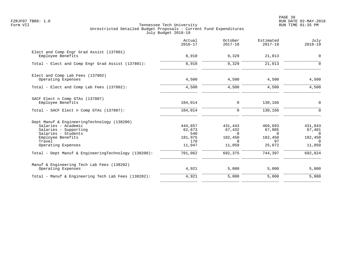PAGE 39 FZRJF07 TBR8: 1.0 RUN DATE 02-MAY-2018

|                                                                                                                                                                         | Actual<br>$2016 - 17$                                | October<br>$2017 - 18$                                         | Estimated<br>$2017 - 18$                                 | July<br>$2018 - 19$                                            |
|-------------------------------------------------------------------------------------------------------------------------------------------------------------------------|------------------------------------------------------|----------------------------------------------------------------|----------------------------------------------------------|----------------------------------------------------------------|
| Elect and Comp Engr Grad Assist (137801)<br>Employee Benefits                                                                                                           | 8,910                                                | 9,329                                                          | 21,013                                                   | $\mathbf 0$                                                    |
| Total - Elect and Comp Engr Grad Assist (137801):                                                                                                                       | 8,910                                                | 9,329                                                          | 21,013                                                   | $\Omega$                                                       |
| Elect and Comp Lab Fees (137802)<br>Operating Expenses                                                                                                                  | 4,500                                                | 4,500                                                          | 4,500                                                    | 4,500                                                          |
| Total - Elect and Comp Lab Fees (137802):                                                                                                                               | 4,500                                                | 4,500                                                          | 4,500                                                    | 4,500                                                          |
| SACF Elect n Comp GTAs (137807)<br>Employee Benefits                                                                                                                    | 104,014                                              | 0                                                              | 130,166                                                  | 0                                                              |
| Total - SACF Elect n Comp GTAs (137807):                                                                                                                                | 104,014                                              | 0                                                              | 130,166                                                  | $\mathbf 0$                                                    |
| Dept Manuf & EngineeringTechnology (138200)<br>Salaries - Academic<br>Salaries - Supporting<br>Salaries - Students<br>Employee Benefits<br>Travel<br>Operating Expenses | 444,657<br>62,673<br>540<br>181,975<br>170<br>11,047 | 431,443<br>67,432<br>$\Omega$<br>182,450<br>$\Omega$<br>11,050 | 469,693<br>67,085<br>$\Omega$<br>182,450<br>97<br>25,072 | 431,843<br>67,481<br>$\Omega$<br>182,450<br>$\Omega$<br>11,050 |
| Total - Dept Manuf & EngineeringTechnology (138200):                                                                                                                    | 701,062                                              | 692,375                                                        | 744,397                                                  | 692,824                                                        |
| Manuf & Engineering Tech Lab Fees (138202)<br>Operating Expenses                                                                                                        | 4,921                                                | 5,000                                                          | 5,000                                                    | 5,000                                                          |
| Total - Manuf & Engineering Tech Lab Fees (138202):                                                                                                                     | 4,921                                                | 5,000                                                          | 5,000                                                    | 5,000                                                          |
|                                                                                                                                                                         |                                                      |                                                                |                                                          |                                                                |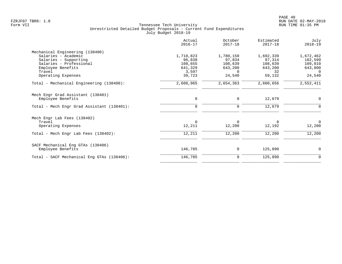| 1,780,150<br>97,834<br>108,639<br>643,200<br>$\Omega$<br>24,540<br>2,654,363<br>0 | 1,692,339<br>97,314<br>108,639<br>643,200<br>32<br>59,132<br>2,600,656<br>12,679 | 1,672,462<br>102,599<br>109,010<br>643,800<br>$\Omega$<br>24,540<br>2,552,411<br>0 |
|-----------------------------------------------------------------------------------|----------------------------------------------------------------------------------|------------------------------------------------------------------------------------|
|                                                                                   |                                                                                  |                                                                                    |
|                                                                                   |                                                                                  |                                                                                    |
|                                                                                   |                                                                                  |                                                                                    |
|                                                                                   |                                                                                  |                                                                                    |
|                                                                                   |                                                                                  |                                                                                    |
|                                                                                   |                                                                                  |                                                                                    |
|                                                                                   |                                                                                  |                                                                                    |
|                                                                                   |                                                                                  |                                                                                    |
|                                                                                   |                                                                                  |                                                                                    |
|                                                                                   |                                                                                  |                                                                                    |
| 0                                                                                 | 12,679                                                                           |                                                                                    |
|                                                                                   |                                                                                  |                                                                                    |
| $\Omega$                                                                          | 8                                                                                | $\Omega$                                                                           |
| 12,200                                                                            | 12,192                                                                           | 12,200                                                                             |
| 12,200                                                                            | 12,200                                                                           | 12,200                                                                             |
|                                                                                   |                                                                                  |                                                                                    |
| 0                                                                                 | 125,890                                                                          | 0                                                                                  |
|                                                                                   | 125,890                                                                          | 0                                                                                  |
|                                                                                   | 0                                                                                |                                                                                    |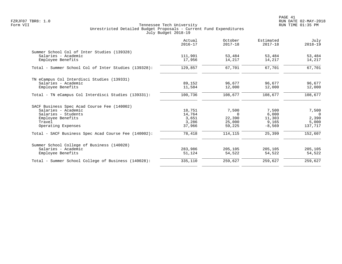PAGE 41 FZRJF07 TBR8: 1.0 RUN DATE 02-MAY-2018

|                                                      | Actual<br>$2016 - 17$ | October<br>$2017 - 18$ | Estimated<br>$2017 - 18$ | July<br>$2018 - 19$ |
|------------------------------------------------------|-----------------------|------------------------|--------------------------|---------------------|
| Summer School Col of Inter Studies (139328)          |                       |                        |                          |                     |
| Salaries - Academic<br>Employee Benefits             | 111,901<br>17,956     | 53,484<br>14,217       | 53,484<br>14,217         | 53,484<br>14,217    |
| Total - Summer School Col of Inter Studies (139328): | 129,857               | 67,701                 | 67,701                   | 67,701              |
| TN eCampus Col Interdisci Studies (139331)           |                       |                        |                          |                     |
| Salaries - Academic<br>Employee Benefits             | 89,152<br>11,584      | 96,677<br>12,000       | 96,677<br>12,000         | 96,677<br>12,000    |
| Total - TN eCampus Col Interdisci Studies (139331):  | 100,736               | 108,677                | 108,677                  | 108,677             |
|                                                      |                       |                        |                          |                     |
| SACF Business Spec Acad Course Fee (140002)          |                       |                        |                          |                     |
| Salaries - Academic                                  | 18,751                | 7,500                  | 7,500                    | 7,500               |
| Salaries - Students                                  | 14,764                | $\Omega$               | 6,000                    | $\Omega$            |
| Employee Benefits                                    | 3,651                 | 22,390                 | 11,303                   | 2,390               |
| Travel<br>Operating Expenses                         | 3,286<br>37,966       | 25,000<br>59,225       | 9,165<br>$-8,569$        | 5,000<br>137,717    |
| Total - SACF Business Spec Acad Course Fee (140002): | 78,418                | 114,115                | 25,399                   | 152,607             |
| Summer School College of Business (140028)           |                       |                        |                          |                     |
| Salaries - Academic                                  | 283,986               | 205,105                | 205,105                  | 205,105             |
| Employee Benefits                                    | 51,124                | 54,522                 | 54,522                   | 54,522              |
| Total - Summer School College of Business (140028):  | 335,110               | 259,627                | 259,627                  | 259,627             |
|                                                      |                       |                        |                          |                     |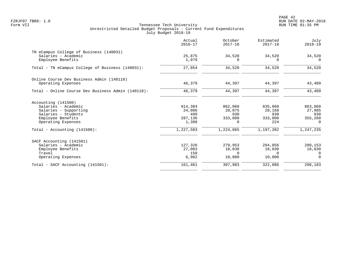PAGE 42 FZRJF07 TBR8: 1.0 RUN DATE 02-MAY-2018

|                                                    | Actual<br>$2016 - 17$ | October<br>$2017 - 18$ | Estimated<br>$2017 - 18$ | July<br>$2018 - 19$ |
|----------------------------------------------------|-----------------------|------------------------|--------------------------|---------------------|
| TN eCampus College of Business (140031)            |                       |                        |                          |                     |
| Salaries - Academic<br>Employee Benefits           | 25,875<br>1,979       | 34,520<br>0            | 34,520<br>$\Omega$       | 34,520<br>$\Omega$  |
| Total - TN eCampus College of Business (140031):   | 27,854                | 34,520                 | 34,520                   | 34,520              |
| Online Course Dev Business Admin (140110)          |                       |                        |                          |                     |
| Operating Expenses                                 | 46,379                | 44,397                 | 44,397                   | 43,409              |
| Total - Online Course Dev Business Admin (140110): | 46,379                | 44,397                 | 44,397                   | 43,409              |
| Accounting (141500)                                |                       |                        |                          |                     |
| Salaries - Academic                                | 914,384               | 862,060                | 835,060                  | 863,060             |
| Salaries - Supporting                              | 24,086                | 28,075                 | 28,168                   | 27,985              |
| Salaries - Students                                | 499                   | 930                    | 930                      | 930                 |
| Employee Benefits                                  | 287,136               | 333,000                | 333,000                  | 355,260             |
| Operating Expenses                                 | 1,398                 | 0                      | 224                      | $\mathbf 0$         |
| Total - Accounting $(141500)$ :                    | 1,227,503             | 1,224,065              | 1,197,382                | 1,247,235           |
| SACF Accounting (141501)                           |                       |                        |                          |                     |
| Salaries - Academic                                | 127,326               | 279,953                | 294,056                  | 280,153             |
| Employee Benefits                                  | 27,003                | 18,030                 | 18,030                   | 18,030              |
| Travel                                             | 150                   | $\Omega$               | $\Omega$                 | $\Omega$            |
| Operating Expenses                                 | 6,982                 | 10,000                 | 10,000                   | $\Omega$            |
| Total - SACF Accounting (141501):                  | 161,461               | 307,983                | 322,086                  | 298,183             |
|                                                    |                       |                        |                          |                     |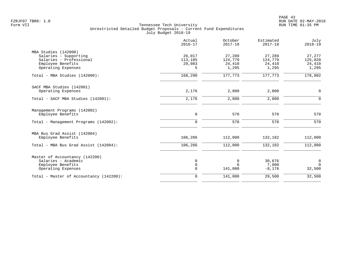|                                                                                                                     | Actual<br>$2016 - 17$            | October<br>$2017 - 18$               | Estimated<br>$2017 - 18$             | July<br>$2018 - 19$                  |
|---------------------------------------------------------------------------------------------------------------------|----------------------------------|--------------------------------------|--------------------------------------|--------------------------------------|
| MBA Studies (142000)<br>Salaries - Supporting<br>Salaries - Professional<br>Employee Benefits<br>Operating Expenses | 26,017<br>113,185<br>29,083<br>5 | 27,289<br>124,779<br>24,410<br>1,295 | 27,289<br>124,779<br>24,410<br>1,295 | 27,277<br>125,020<br>24,410<br>1,295 |
| Total - MBA Studies (142000):                                                                                       | 168,290                          | 177,773                              | 177,773                              | 178,002                              |
| SACF MBA Studies (142001)<br>Operating Expenses                                                                     | 2,176                            | 2,800                                | 2,800                                | $\mathbf 0$                          |
| Total - SACF MBA Studies (142001):                                                                                  | 2,176                            | 2,800                                | 2,800                                | $\mathbf 0$                          |
| Management Programs (142002)<br>Employee Benefits                                                                   | $\mathbf 0$                      | 570                                  | 570                                  | 570                                  |
| Total - Management Programs (142002):                                                                               | $\mathbf 0$                      | 570                                  | 570                                  | 570                                  |
| MBA Bus Grad Assist (142004)<br>Employee Benefits                                                                   | 106,286                          | 112,000                              | 132,182                              | 112,000                              |
| Total - MBA Bus Grad Assist (142004):                                                                               | 106,286                          | 112,000                              | 132,182                              | 112,000                              |
| Master of Accountancy (142200)<br>Salaries - Academic<br>Employee Benefits<br>Operating Expenses                    | 0<br>$\mathsf{O}$<br>$\mathbf 0$ | 0<br>$\Omega$<br>141,000             | 30,676<br>7,000<br>$-8,176$          | $\mathbf 0$<br>$\mathbf 0$<br>32,500 |
| Total - Master of Accountancy (142200):                                                                             | $\mathbf 0$                      | 141,000                              | 29,500                               | 32,500                               |
|                                                                                                                     |                                  |                                      |                                      |                                      |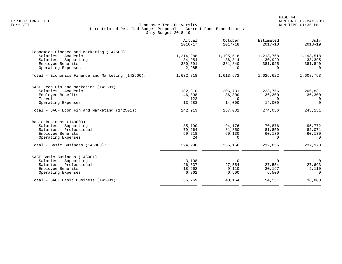|                                                   | Actual<br>$2016 - 17$ | October<br>$2017 - 18$ | Estimated<br>$2017 - 18$ | July<br>$2018 - 19$ |
|---------------------------------------------------|-----------------------|------------------------|--------------------------|---------------------|
| Economics Finance and Marketing (142500)          |                       |                        |                          |                     |
| Salaries - Academic                               | 1,214,288             | 1,195,518              | 1,213,768                | 1,193,518           |
| Salaries - Supporting                             | 34,954                | 36,314                 | 30,929                   | 33,395              |
| Employee Benefits                                 | 380,591               | 381,840                | 381,925                  | 381,840             |
| Operating Expenses                                | 2,985                 | $\Omega$               | $\Omega$                 | $\Omega$            |
| Total - Economics Finance and Marketing (142500): | 1,632,818             | 1,613,672              | 1,626,622                | 1,608,753           |
| SACF Econ Fin and Marketing (142501)              |                       |                        |                          |                     |
| Salaries - Academic                               | 182,310               | 206,731                | 223,756                  | 206,831             |
| Employee Benefits                                 | 46,898                | 36,300                 | 36,300                   | 36,300              |
| Travel                                            | 122                   | $\Omega$               | $\Omega$                 | 0                   |
| Operating Expenses                                | 13,583                | 14,000                 | 14,000                   | $\Omega$            |
| Total - SACF Econ Fin and Marketing (142501):     | 242,913               | 257,031                | 274,056                  | 243,131             |
| Basic Business (143000)                           |                       |                        |                          |                     |
| Salaries - Supporting                             | 85,790                | 94,176                 | 70,876                   | 95,772              |
| Salaries - Professional                           | 79,264                | 81,850                 | 81,850                   | 82,071              |
| Employee Benefits                                 | 59,218                | 60,130                 | 60,130                   | 60,130              |
| Operating Expenses                                | 24                    | $\Omega$               | $\Omega$                 | $\Omega$            |
| Total - Basic Business (143000):                  | 224,296               | 236,156                | 212,856                  | 237,973             |
| SACF Basic Business (143001)                      |                       |                        |                          |                     |
| Salaries - Supporting                             | 3,108                 | $\Omega$               | $\Omega$                 | $\overline{0}$      |
| Salaries - Professional                           | 26,637                | 27,554                 | 27,554                   | 27,693              |
| Employee Benefits                                 | 18,662                | 9,110                  | 20,197                   | 9,110               |
| Operating Expenses                                | 6,862                 | 6,500                  | 6,500                    | $\Omega$            |
| Total - SACF Basic Business (143001):             | 55,269                | 43,164                 | 54,251                   | 36,803              |
|                                                   |                       |                        |                          |                     |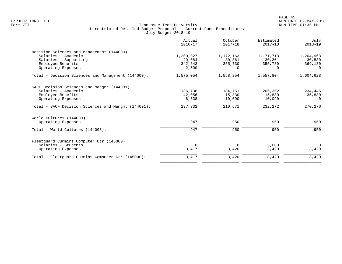|                                                     | Actual<br>$2016 - 17$ | October<br>$2017 - 18$ | Estimated<br>$2017 - 18$ | July<br>$2018 - 19$ |
|-----------------------------------------------------|-----------------------|------------------------|--------------------------|---------------------|
| Decision Sciences and Management (144000)           |                       |                        |                          |                     |
| Salaries - Academic                                 | 1,200,827             | 1,172,163              | 1,171,713                | 1,204,963           |
| Salaries - Supporting                               | 29,084                | 30,361                 | 30,361                   | 30,530              |
| Employee Benefits                                   | 342,643               | 355,730                | 355,730                  | 369,130             |
| Operating Expenses                                  | 2,500                 | $\Omega$               | $\Omega$                 | $\Omega$            |
| Total - Decision Sciences and Management (144000):  | 1,575,054             | 1,558,254              | 1,557,804                | 1,604,623           |
| SACF Decision Sciences and Mangmt (144001)          |                       |                        |                          |                     |
| Salaries - Academic                                 | 186,738               | 184,751                | 206,352                  | 234,446             |
| Employee Benefits                                   | 42,056                | 15,830                 | 15,830                   | 35,830              |
| Operating Expenses                                  | 8,538                 | 10,090                 | 10,090                   | $\Omega$            |
| Total - SACF Decision Sciences and Mangmt (144001): | 237,332               | 210,671                | 232,272                  | 270,276             |
| World Cultures (144003)                             |                       |                        |                          |                     |
| Operating Expenses                                  | 947                   | 950                    | 950                      | 950                 |
| Total - World Cultures (144003):                    | 947                   | 950                    | 950                      | 950                 |
| Fleetquard Cummins Computer Ctr (145000)            |                       |                        |                          |                     |
| Salaries - Students                                 | $\Omega$              | $\Omega$               | 5,000                    | $\Omega$            |
| Operating Expenses                                  | 3,417                 | 3,420                  | 3,420                    | 3,420               |
| Total - Fleetguard Cummins Computer Ctr (145000):   | 3,417                 | 3,420                  | 8,420                    | 3,420               |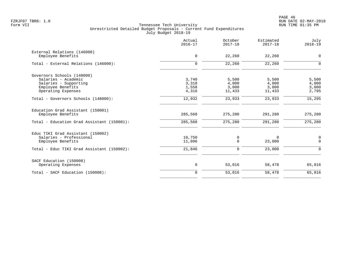|                                                                                   | Actual<br>$2016 - 17$   | October<br>$2017 - 18$   | Estimated<br>$2017 - 18$ | July<br>$2018 - 19$     |
|-----------------------------------------------------------------------------------|-------------------------|--------------------------|--------------------------|-------------------------|
| External Relations (146000)<br>Employee Benefits                                  | $\mathbf 0$             | 22,260                   | 22,260                   | $\mathbf 0$             |
| Total - External Relations (146000):                                              | $\mathbf 0$             | 22,260                   | 22,260                   | $\mathbf 0$             |
| Governors Schools (148000)<br>Salaries - Academic                                 | 3,740                   | 5,500                    | 5,500                    | 5,500                   |
| Salaries - Supporting<br>Employee Benefits<br>Operating Expenses                  | 3,318<br>1,558<br>4,316 | 4,000<br>3,000<br>11,433 | 4,000<br>3,000<br>11,433 | 4,000<br>3,000<br>2,795 |
| Total - Governors Schools (148000):                                               | 12,932                  | 23,933                   | 23,933                   | 15,295                  |
| Education Grad Assistant (150001)<br>Employee Benefits                            | 285,568                 | 275,280                  | 291,280                  | 275,280                 |
| Total - Education Grad Assistant (150001):                                        | 285,568                 | 275,280                  | 291,280                  | 275,280                 |
| Educ TIKI Grad Assistant (150002)<br>Salaries - Professional<br>Employee Benefits | 10,750<br>11,096        | 0<br>$\Omega$            | $\Omega$<br>23,000       | $\mathbf 0$<br>$\Omega$ |
| Total - Educ TIKI Grad Assistant (150002):                                        | 21,846                  | 0                        | 23,000                   | $\Omega$                |
| SACF Education (150008)<br>Operating Expenses                                     | $\mathsf{O}$            | 53,016                   | 58,478                   | 65,016                  |
| Total - SACF Education (150008):                                                  | $\mathbf 0$             | 53,016                   | 58,478                   | 65,016                  |
|                                                                                   |                         |                          |                          |                         |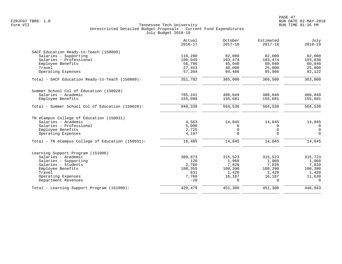|                                                   | Actual<br>$2016 - 17$ | October<br>$2017 - 18$ | Estimated<br>$2017 - 18$ | July<br>$2018 - 19$ |
|---------------------------------------------------|-----------------------|------------------------|--------------------------|---------------------|
| SACF Education Ready-to-Teach (150009)            |                       |                        |                          |                     |
| Salaries - Supporting                             | 110,280               | 82,000                 | 82,000                   | 82,000              |
| Salaries - Professional                           | 100,049               | 103,474                | 103,474                  | 103,838             |
| Employee Benefits                                 | 56,796                | 45,040                 | 60,040                   | 60,040              |
| Travel                                            | 27,453                | 40,000                 | 25,000                   | 25,000              |
| Operating Expenses                                | 57,204                | 94,486                 | 95,986                   | 92,122              |
| Total - SACF Education Ready-to-Teach (150009):   | 351,782               | 365,000                | 366,500                  | 363,000             |
| Summer School Col of Education (150028)           |                       |                        |                          |                     |
| Salaries - Academic                               | 785,241               | 408,849                | 408,849                  | 408,849             |
| Employee Benefits                                 | 155,098               | 155,681                | 155,681                  | 155,681             |
|                                                   |                       |                        |                          |                     |
| Total - Summer School Col of Education (150028):  | 940,339               | 564,530                | 564,530                  | 564,530             |
| TN eCampus College of Education (150031)          |                       |                        |                          |                     |
| Salaries - Academic                               | 4,563                 | 14,045                 | 14,045                   | 14,045              |
| Salaries - Professional                           | 5,000                 | $\Omega$               | $\Omega$                 | $\overline{0}$      |
| Employee Benefits                                 | 2,725                 | $\Omega$               | $\Omega$                 | $\Omega$            |
| Operating Expenses                                | 4,197                 | $\Omega$               | $\Omega$                 | $\Omega$            |
| Total - TN eCampus College of Education (150031): | 16,485                | 14,045                 | 14,045                   | 14,045              |
| Learning Support Program (151000)                 |                       |                        |                          |                     |
| Salaries - Academic                               | 309,873               | 315,523                | 315,523                  | 315,723             |
| Salaries - Supporting                             | 120                   | 1,960                  | 1,960                    | 1,960               |
| Salaries - Students                               | 2,760                 | 7,820                  | 7,820                    | 7,820               |
| Employee Benefits                                 | 108,355               | 108,390                | 108,390                  | 108,390             |
| Travel                                            | 631                   | 1,420                  | 1,420                    | 1,420               |
| Operating Expenses                                | 7,760                 | 16,187                 | 16,187                   | 11,630              |
| Department Revenues                               | $-20$                 | $\cap$                 | $\Omega$                 | $\Omega$            |
| Total - Learning Support Program (151000):        | 429,479               | 451,300                | 451,300                  | 446,943             |
|                                                   |                       |                        |                          |                     |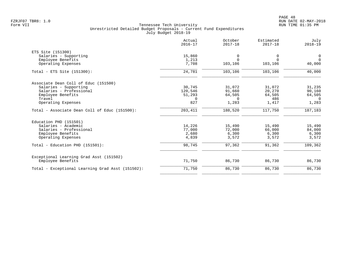| Actual<br>$2016 - 17$ | October<br>$2017 - 18$                                   | Estimated<br>$2017 - 18$                                | July<br>$2018 - 19$                                     |
|-----------------------|----------------------------------------------------------|---------------------------------------------------------|---------------------------------------------------------|
|                       |                                                          |                                                         |                                                         |
| 15,860                | 0                                                        | 0                                                       | 0                                                       |
| 1,213                 | $\Omega$                                                 | $\Omega$                                                | $\overline{0}$                                          |
| 7,708                 | 103,106                                                  | 103,106                                                 | 40,000                                                  |
| 24,781                | 103,106                                                  | 103,106                                                 | 40,000                                                  |
|                       |                                                          |                                                         |                                                         |
|                       |                                                          |                                                         | 31,235                                                  |
|                       |                                                          |                                                         | 90,160                                                  |
|                       |                                                          |                                                         | 64,505                                                  |
| $\Omega$              | $\Omega$                                                 | 486                                                     | $\Omega$                                                |
| 827                   | 1,283                                                    | 1,417                                                   | 1,283                                                   |
| 203,411               | 188,520                                                  | 117,750                                                 | 187,183                                                 |
|                       |                                                          |                                                         |                                                         |
|                       |                                                          |                                                         | 15,490                                                  |
|                       |                                                          |                                                         | 84,000                                                  |
|                       |                                                          |                                                         | 6,300                                                   |
| 4,839                 | 3,572                                                    | 3,572                                                   | 3,572                                                   |
| 98,745                | 97,362                                                   | 91,362                                                  | 109,362                                                 |
|                       |                                                          |                                                         |                                                         |
| 71,750                | 86,730                                                   | 86,730                                                  | 86,730                                                  |
| 71,750                | 86,730                                                   | 86,730                                                  | 86,730                                                  |
|                       | 30,745<br>120,546<br>51,293<br>14,226<br>77,000<br>2,680 | 31,072<br>91,660<br>64,505<br>15,490<br>72,000<br>6,300 | 31,072<br>20,270<br>64,505<br>15,490<br>66,000<br>6,300 |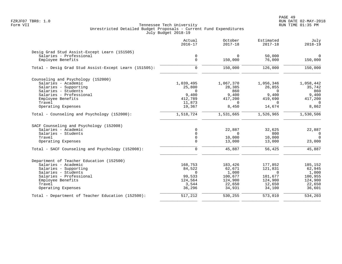|                                                       | Actual<br>$2016 - 17$ | October<br>$2017 - 18$ | Estimated<br>$2017 - 18$ | July<br>$2018 - 19$ |
|-------------------------------------------------------|-----------------------|------------------------|--------------------------|---------------------|
| Desig Grad Stud Assist-Except Learn (151505)          |                       |                        |                          |                     |
| Salaries - Professional                               | 0                     | $\Omega$               | 50,000                   | $\mathbf 0$         |
| Employee Benefits                                     | $\mathbf 0$           | 150,000                | 76,000                   | 150,000             |
| Total - Desig Grad Stud Assist-Except Learn (151505): | $\mathbf 0$           | 150,000                | 126,000                  | 150,000             |
| Counseling and Psychology (152000)                    |                       |                        |                          |                     |
| Salaries - Academic                                   | 1,039,495             | 1,067,370              | 1,056,346                | 1,058,442           |
| Salaries - Supporting                                 | 25,800                | 28,385                 | 26,855                   | 35,742              |
| Salaries - Students                                   | $\Omega$              | 860                    | $\Omega$                 | 860                 |
| Salaries - Professional                               | 9,400                 | 9,400                  | 9,400                    | 9,400               |
| Employee Benefits                                     | 412,789               | 417,200                | 419,690                  | 417,200             |
| Travel                                                | 11,873                | $\Omega$               | $\Omega$                 | $\Omega$            |
| Operating Expenses                                    | 19,367                | 8,450                  | 14,674                   | 8,862               |
| Total - Counseling and Psychology (152000):           | 1,518,724             | 1,531,665              | 1,526,965                | 1,530,506           |
| SACF Counseling and Psychology (152008)               |                       |                        |                          |                     |
| Salaries - Academic                                   | $\mathbf 0$           | 22,887                 | 32,625                   | 22,887              |
| Salaries - Students                                   | $\Omega$              | $\Omega$               | 800                      | $\mathbf 0$         |
| Travel                                                | 0                     | 10,000                 | 10,000                   | $\Omega$            |
| Operating Expenses                                    | $\Omega$              | 13,000                 | 13,000                   | 23,000              |
| Total - SACF Counseling and Psychology (152008):      | $\Omega$              | 45,887                 | 56,425                   | 45,887              |
| Department of Teacher Education (152500)              |                       |                        |                          |                     |
| Salaries - Academic                                   | 168,753               | 183,426                | 177,852                  | 185,152             |
| Salaries - Supporting                                 | 84,522                | 62,671                 | 121,831                  | 62,945              |
| Salaries - Students                                   | $\Omega$              | 1,000                  | $\Omega$                 | 1,000               |
| Salaries - Professional                               | 99,533                | 100,677                | 101,677                  | 100,955             |
| Employee Benefits                                     | 124,564               | 124,900                | 124,900                  | 124,900             |
| Travel                                                | 3,544                 | 22,650                 | 12,650                   | 22,650              |
| Operating Expenses                                    | 36,296                | 34,931                 | 34,100                   | 36,601              |
| Total - Department of Teacher Education (152500):     | 517,212               | 530,255                | 573,010                  | 534,203             |
|                                                       |                       |                        |                          |                     |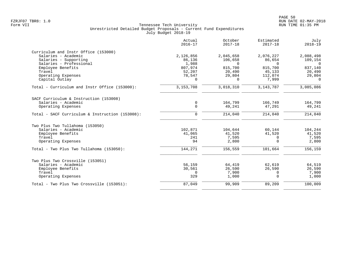|                                                 | Actual<br>$2016 - 17$ | October<br>$2017 - 18$ | Estimated<br>$2017 - 18$ | July<br>$2018 - 19$ |
|-------------------------------------------------|-----------------------|------------------------|--------------------------|---------------------|
| Curriculum and Instr Office (153000)            |                       |                        |                          |                     |
| Salaries - Academic                             | 2,126,856             | 2,045,658              | 2,076,227                | 2,088,498           |
| Salaries - Supporting                           | 86,136                | 106,658                | 86,654                   | 109,154             |
| Salaries - Professional                         | 1,988                 | $\Omega$               | $\Omega$                 | $\Omega$            |
| Employee Benefits<br>Travel                     | 807,974               | 815,700                | 815,700                  | 837,140             |
| Operating Expenses                              | 52,207<br>78,547      | 20,490<br>29,804       | 45,133<br>112,074        | 20,490<br>29,804    |
| Capital Outlay                                  | $\Omega$              | $\Omega$               | 7,999                    | $\Omega$            |
| Total - Curriculum and Instr Office (153000):   | 3, 153, 708           | 3,018,310              | 3, 143, 787              | 3,085,086           |
| SACF Curriculum & Instruction (153008)          |                       |                        |                          |                     |
| Salaries - Academic                             | 0                     | 164,799                | 166,749                  | 164,799             |
| Operating Expenses                              | $\mathbf 0$           | 49,241                 | 47,291                   | 49,241              |
| Total - SACF Curriculum & Instruction (153008): | $\mathbf 0$           | 214,040                | 214,040                  | 214,040             |
| Two Plus Two Tullahoma (153050)                 |                       |                        |                          |                     |
| Salaries - Academic                             | 102,871               | 104,644                | 60,144                   | 104,244             |
| Employee Benefits                               | 41,065                | 41,520                 | 41,520                   | 41,520              |
| Travel                                          | 241                   | 7,595                  | $\Omega$                 | 7,595               |
| Operating Expenses                              | 94                    | 2,800                  | $\Omega$                 | 2,800               |
| Total - Two Plus Two Tullahoma (153050):        | 144,271               | 156,559                | 101,664                  | 156,159             |
| Two Plus Two Crossville (153051)                |                       |                        |                          |                     |
| Salaries - Academic                             | 56,159                | 64,419                 | 62,619                   | 64,519              |
| Employee Benefits                               | 30,561                | 26,590                 | 26,590                   | 26,590              |
| Travel                                          | $\Omega$              | 7,900                  | $\Omega$                 | 7,900               |
| Operating Expenses                              | 329                   | 1,000                  | $\Omega$                 | 1,000               |
| Total - Two Plus Two Crossville (153051):       | 87,049                | 99,909                 | 89,209                   | 100,009             |
|                                                 |                       |                        |                          |                     |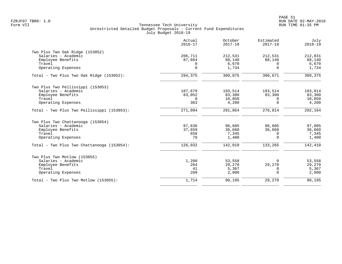|                                            | Actual<br>$2016 - 17$ | October<br>$2017 - 18$ | Estimated<br>$2017 - 18$ | July<br>$2018 - 19$ |
|--------------------------------------------|-----------------------|------------------------|--------------------------|---------------------|
| Two Plus Two Oak Ridge (153052)            |                       |                        |                          |                     |
| Salaries - Academic                        | 206,711               | 212,531                | 212,531                  | 212,831             |
| Employee Benefits                          | 87,664                | 88,140                 | 88,140                   | 88,140              |
| Travel<br>Operating Expenses               | 0<br>$\Omega$         | 6,670<br>1,734         | 0<br>$\Omega$            | 6,670<br>1,734      |
| Total - Two Plus Two Oak Ridge (153052):   | 294,375               | 309,075                | 300,671                  | 309,375             |
| Two Plus Two Pellissippi (153053)          |                       |                        |                          |                     |
| Salaries - Academic                        | 187,679               | 193,514                | 193,514                  | 193,814             |
| Employee Benefits                          | 83,052                | 83,300                 | 83,300                   | 83,300              |
| Travel                                     | $\Omega$              | 10,850                 | 0                        | 10,850              |
| Operating Expenses                         | 363                   | 4,200                  | $\Omega$                 | 4,200               |
| Total - Two Plus Two Pellissippi (153053): | 271,094               | 291,864                | 276,814                  | 292,164             |
| Two Plus Two Chattanooga (153054)          |                       |                        |                          |                     |
| Salaries - Academic                        | 87,636                | 96,605                 | 96,605                   | 97,005              |
| Employee Benefits                          | 37,659                | 36,660                 | 36,660                   | 36,660              |
| Travel                                     | 658                   | 7,345                  | 0                        | 7,345               |
| Operating Expenses                         | 79                    | 1,400                  | $\Omega$                 | 1,400               |
| Total - Two Plus Two Chattanooga (153054): | 126,032               | 142,010                | 133,265                  | 142,410             |
| Two Plus Two Motlow (153055)               |                       |                        |                          |                     |
| Salaries - Academic                        | 1,200                 | 53,558                 | O                        | 53,558              |
| Employee Benefits                          | 264                   | 29,270                 | 29,270                   | 29,270              |
| Travel                                     | 41                    | 5,367                  | 0                        | 5,367               |
| Operating Expenses                         | 209                   | 2,000                  | $\Omega$                 | 2,000               |
| Total - Two Plus Two Motlow (153055):      | 1,714                 | 90,195                 | 29,270                   | 90,195              |
|                                            |                       |                        |                          |                     |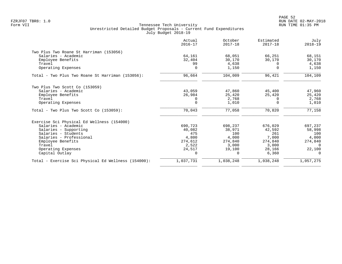|                                                     | Actual<br>$2016 - 17$ | October<br>$2017 - 18$ | Estimated<br>$2017 - 18$ | July<br>$2018 - 19$ |
|-----------------------------------------------------|-----------------------|------------------------|--------------------------|---------------------|
| Two Plus Two Roane St Harriman (153056)             |                       |                        |                          |                     |
| Salaries - Academic                                 | 64,161                | 68,051                 | 66,251                   | 68,151              |
| Employee Benefits                                   | 32,404                | 30,170                 | 30,170                   | 30,170              |
| Travel                                              | 99                    | 4,638                  | $\Omega$                 | 4,638               |
| Operating Expenses                                  |                       | 1,150                  | $\Omega$                 | 1,150               |
| Total - Two Plus Two Roane St Harriman (153056):    | 96,664                | 104,009                | 96,421                   | 104,109             |
| Two Plus Two Scott Co (153059)                      |                       |                        |                          |                     |
| Salaries - Academic                                 | 43,059                | 47,860                 | 45,400                   | 47,960              |
| Employee Benefits                                   | 26,984                | 25,420                 | 25,420                   | 25,420              |
| Travel                                              |                       | 2,768                  | $\Omega$                 | 2,768               |
| Operating Expenses                                  | $\mathbf 0$           | 1,010                  | $\Omega$                 | 1,010               |
| $Total - Two Plus Two Scott Co (153059):$           | 70,043                | 77,058                 | 70,820                   | 77,158              |
| Exercise Sci Physical Ed Wellness (154000)          |                       |                        |                          |                     |
| Salaries - Academic                                 | 690,723               | 698,237                | 676,029                  | 697,237             |
| Salaries - Supporting                               | 40,082                | 38,971                 | 42,592                   | 58,998              |
| Salaries - Students                                 | 475                   | 100                    | 261                      | 100                 |
| Salaries - Professional                             | 4,800                 | 4,000                  | 7,000                    | 4,000               |
| Employee Benefits                                   | 274,612               | 274,840                | 274,840                  | 274,840             |
| Travel                                              | 2,522                 | 3.000                  | 3,000                    | $\Omega$            |
| Operating Expenses                                  | 24,517                | 19,100                 | 28,166                   | 22,100              |
| Capital Outlay                                      | 0                     | $\Omega$               | 6,360                    | $\Omega$            |
| Total - Exercise Sci Physical Ed Wellness (154000): | 1,037,731             | 1,038,248              | 1,038,248                | 1,057,275           |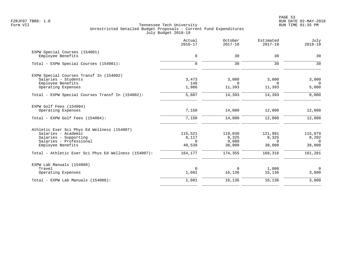|                                                      | Actual<br>$2016 - 17$ | October<br>$2017 - 18$ | Estimated<br>$2017 - 18$ | July<br>$2018 - 19$ |
|------------------------------------------------------|-----------------------|------------------------|--------------------------|---------------------|
| EXPW Special Courses (154001)                        |                       |                        |                          |                     |
| Employee Benefits                                    | $\mathbf 0$           | 30                     | 30                       | 30                  |
| Total - EXPW Special Courses (154001):               | $\Omega$              | 30                     | 30                       | 30                  |
| EXPW Special Courses Transf In (154002)              |                       |                        |                          |                     |
| Salaries - Students                                  | 3,473                 | 3,000                  | 3,000                    | 3,000               |
| Employee Benefits                                    | 148                   | $\Omega$               | $\Omega$                 | $\Omega$            |
| Operating Expenses                                   | 1,986                 | 11,393                 | 11,393                   | 5,000               |
| Total - EXPW Special Courses Transf In (154002):     | 5,607                 | 14,393                 | 14,393                   | 8,000               |
| EXPW Golf Fees (154004)                              |                       |                        |                          |                     |
| Operating Expenses                                   | 7,150                 | 14,000                 | 12,000                   | 12,000              |
| Total - EXPW Golf Fees (154004):                     | 7,150                 | 14,000                 | 12,000                   | 12,000              |
| Athletic Exer Sci Phys Ed Wellness (154007)          |                       |                        |                          |                     |
| Salaries - Academic                                  | 115,521               | 119,030                | 121,991                  | 115,079             |
| Salaries - Supporting                                | 8,117                 | 8,325                  | 8,325                    | 8,202               |
| Salaries - Professional<br>Employee Benefits         | $\Omega$<br>40,539    | 9,000<br>38,000        | $\Omega$<br>38,000       | $\Omega$<br>38,000  |
|                                                      |                       |                        |                          |                     |
| Total - Athletic Exer Sci Phys Ed Wellness (154007): | 164,177               | 174,355                | 168,316                  | 161,281             |
| EXPW Lab Manuals (154008)                            |                       |                        |                          |                     |
| Travel                                               | $\mathbf 0$           | $\mathbf 0$            | 1,000                    | $\overline{0}$      |
| Operating Expenses                                   | 1,601                 | 16,136                 | 15,136                   | 3,000               |
| Total - EXPW Lab Manuals (154008):                   | 1,601                 | 16,136                 | 16,136                   | 3,000               |
|                                                      |                       |                        |                          |                     |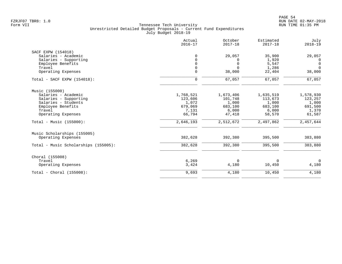|                                      | Actual<br>$2016 - 17$ | October<br>$2017 - 18$ | Estimated<br>$2017 - 18$ | July<br>$2018 - 19$ |
|--------------------------------------|-----------------------|------------------------|--------------------------|---------------------|
| SACF EXPW (154018)                   |                       |                        |                          |                     |
| Salaries - Academic                  | 0                     | 29,057                 | 35,900                   | 29,057              |
| Salaries - Supporting                | $\Omega$              | 0                      | 1,920                    | $\overline{0}$      |
| Employee Benefits                    | $\Omega$              | $\mathbf 0$            | 5,547                    | $\mathbf 0$         |
| Travel                               | 0                     | $\Omega$               | 1,286                    | $\Omega$            |
| Operating Expenses                   | $\mathbf 0$           | 38,000                 | 22,404                   | 38,000              |
|                                      |                       |                        |                          |                     |
| Total - SACF EXPW (154018):          | $\mathbf 0$           | 67,057                 | 67,057                   | 67,057              |
| Music (155000)                       |                       |                        |                          |                     |
| Salaries - Academic                  | 1,768,521             | 1,673,406              | 1,635,519                | 1,578,930           |
| Salaries - Supporting                | 123,606               | 101,748                | 113,673                  | 123,257             |
| Salaries - Students                  | 1,072                 | 1,000                  | 1,000                    | 1,000               |
| Employee Benefits                    | 679,069               | 683,100                | 683,100                  | 691,500             |
| Travel                               | 7,131                 | 6,000                  | 6,000                    | 1,370               |
| Operating Expenses                   | 66,794                | 47,418                 | 58,570                   | 61,587              |
| Total - Music $(155000)$ :           | 2,646,193             | 2,512,672              | 2,497,862                | 2,457,644           |
| Music Scholarships (155005)          |                       |                        |                          |                     |
| Operating Expenses                   | 382,628               | 392,380                | 395,500                  | 383,880             |
| Total - Music Scholarships (155005): | 382,628               | 392,380                | 395,500                  | 383,880             |
| Choral (155008)                      |                       |                        |                          |                     |
| Travel                               | 6,269                 | $\mathbf 0$            | 0                        | $\overline{0}$      |
| Operating Expenses                   | 3,424                 | 4,180                  | 10,450                   | 4,180               |
| Total - Choral $(155008):$           | 9,693                 | 4,180                  | 10,450                   | 4,180               |
|                                      |                       |                        |                          |                     |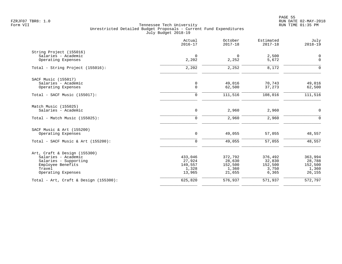PAGE 55 FZRJF07 TBR8: 1.0 RUN DATE 02-MAY-2018

|                                                                                                                                   | Actual<br>$2016 - 17$                           | October<br>$2017 - 18$                          | Estimated<br>$2017 - 18$                       | July<br>$2018 - 19$                             |
|-----------------------------------------------------------------------------------------------------------------------------------|-------------------------------------------------|-------------------------------------------------|------------------------------------------------|-------------------------------------------------|
| String Project (155016)<br>Salaries - Academic<br>Operating Expenses                                                              | $\mathbf 0$<br>2,202                            | $\mathbf 0$<br>2,252                            | 2,500<br>5,672                                 | 0<br>$\mathbf 0$                                |
| Total - String Project (155016):                                                                                                  | 2,202                                           | 2,252                                           | 8,172                                          | $\Omega$                                        |
| SACF Music (155017)<br>Salaries - Academic<br>Operating Expenses                                                                  | $\mathsf{O}$<br>$\mathsf{O}$                    | 49,016<br>62,500                                | 70,743<br>37,273                               | 49,016<br>62,500                                |
| Total - SACF Music $(155017)$ :                                                                                                   | $\mathbf 0$                                     | 111,516                                         | 108,016                                        | 111,516                                         |
| Match Music (155025)<br>Salaries - Academic                                                                                       | $\mathsf{O}$                                    | 2,960                                           | 2,960                                          | $\mathbf 0$                                     |
| Total - Match Music (155025):                                                                                                     | $\Omega$                                        | 2,960                                           | 2,960                                          | $\Omega$                                        |
| SACF Music & Art (155200)<br>Operating Expenses                                                                                   | 0                                               | 49,055                                          | 57,055                                         | 48,557                                          |
| Total - SACF Music & Art (155200):                                                                                                | $\mathbf 0$                                     | 49,055                                          | 57,055                                         | 48,557                                          |
| Art, Craft & Design (155300)<br>Salaries - Academic<br>Salaries - Supporting<br>Employee Benefits<br>Travel<br>Operating Expenses | 433,046<br>27,924<br>149,557<br>1,328<br>13,965 | 372,792<br>28,630<br>152,500<br>1,360<br>21,655 | 376,492<br>32,830<br>152,500<br>3,750<br>6,365 | 363,994<br>28,788<br>152,500<br>1,360<br>26,155 |
| Total - Art, Craft & Design $(155300)$ :                                                                                          | 625,820                                         | 576,937                                         | 571,937                                        | 572,797                                         |
|                                                                                                                                   |                                                 |                                                 |                                                |                                                 |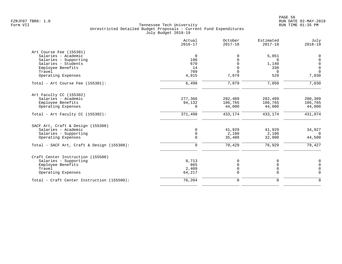|                                            | Actual<br>$2016 - 17$ | October<br>$2017 - 18$ | Estimated<br>$2017 - 18$ | July<br>$2018 - 19$ |
|--------------------------------------------|-----------------------|------------------------|--------------------------|---------------------|
| Art Course Fee (155301)                    |                       |                        |                          |                     |
| Salaries - Academic                        | $\overline{0}$        | $\Omega$               | 5,051                    | 0                   |
| Salaries - Supporting                      | 190                   |                        | $\Omega$                 | $\Omega$            |
| Salaries - Students                        | 670                   |                        | 1,140                    | $\mathbf 0$         |
| Employee Benefits                          | 14                    | $\Omega$               | 330                      | $\mathbf 0$         |
| Travel                                     | 709                   | $\Omega$               | $\Omega$                 | $\Omega$            |
| Operating Expenses                         | 4,915                 | 7,079                  | 529                      | 7,030               |
| Total - Art Course Fee (155301):           | 6,498                 | 7,079                  | 7,050                    | 7,030               |
| Art Faculty CC (155302)                    |                       |                        |                          |                     |
| Salaries - Academic                        | 277,366               | 282,409                | 282,409                  | 280,309             |
| Employee Benefits                          | 94,132                | 106,765                | 106,765                  | 106,765             |
| Operating Expenses                         | $\Omega$              | 44,000                 | 44,000                   | 44,000              |
| Total - Art Faculty CC $(155302)$ :        | 371,498               | 433,174                | 433,174                  | 431,074             |
| SACF Art, Craft & Design (155308)          |                       |                        |                          |                     |
| Salaries - Academic                        | $\mathbf 0$           | 41,929                 | 41,929                   | 34,927              |
| Salaries - Supporting                      | $\mathbf 0$           | 2,100                  | 2,100                    | $\Omega$            |
| Operating Expenses                         | $\Omega$              | 35,400                 | 32,900                   | 44,500              |
| Total - SACF Art, Craft & Design (155308): | $\mathbf 0$           | 79,429                 | 76,929                   | 79,427              |
| Craft Center Instruction (155500)          |                       |                        |                          |                     |
| Salaries - Supporting                      | 8,713                 | 0                      | 0                        | $\mathbf 0$         |
| Employee Benefits                          | 865                   | 0                      | $\Omega$                 | $\mathbf 0$         |
| Travel                                     | 2,409                 | 0                      | 0                        | $\Omega$            |
| Operating Expenses                         | 64,217                | 0                      | $\Omega$                 | $\Omega$            |
| Total - Craft Center Instruction (155500): | 76,204                | 0                      | $\mathbf 0$              | $\Omega$            |
|                                            |                       |                        |                          |                     |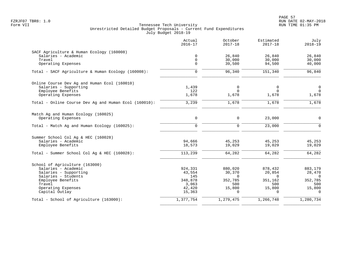PAGE 57 FZRJF07 TBR8: 1.0 RUN DATE 02-MAY-2018

|                                                       | Actual<br>$2016 - 17$ | October<br>$2017 - 18$ | Estimated<br>$2017 - 18$ | July<br>$2018 - 19$ |
|-------------------------------------------------------|-----------------------|------------------------|--------------------------|---------------------|
| SACF Agriculture & Human Ecology (160008)             |                       |                        |                          |                     |
| Salaries - Academic                                   | $\mathbf 0$           | 26,840                 | 26,840                   | 26,840              |
| Travel                                                | $\mathbf 0$           | 30,000                 | 30,000                   | 30,000              |
| Operating Expenses                                    | $\Omega$              | 39,500                 | 94,500                   | 40,000              |
| Total - SACF Agriculture & Human Ecology (160008):    | $\mathbf 0$           | 96,340                 | 151,340                  | 96,840              |
| Online Course Dev Ag and Human Ecol (160010)          |                       |                        |                          |                     |
| Salaries - Supporting                                 | 1,439                 | 0                      | 0                        | 0                   |
| Employee Benefits                                     | 122                   | $\Omega$               | $\Omega$                 | $\Omega$            |
| Operating Expenses                                    | 1,678                 | 1,678                  | 1,678                    | 1,678               |
| Total - Online Course Dev Ag and Human Ecol (160010): | 3,239                 | 1,678                  | 1,678                    | 1,678               |
| Match Ag and Human Ecology (160025)                   |                       |                        |                          |                     |
| Operating Expenses                                    | $\mathbf 0$           | 0                      | 23,000                   | $\mathsf{O}$        |
| Total - Match Ag and Human Ecology (160025):          | $\mathbf 0$           | $\mathbf 0$            | 23,000                   | $\mathbf 0$         |
| Summer School Col Aq & HEC (160028)                   |                       |                        |                          |                     |
| Salaries - Academic                                   | 94,666                | 45,253                 | 45,253                   | 45,253              |
| Employee Benefits                                     | 18,573                | 19,029                 | 19,029                   | 19,029              |
| Total - Summer School Col Aq & HEC (160028):          | 113,239               | 64,282                 | 64,282                   | 64,282              |
| School of Agriculture (163000)                        |                       |                        |                          |                     |
| Salaries - Academic                                   | 924,331               | 880,020                | 878,432                  | 883,179             |
| Salaries - Supporting                                 | 43,554                | 30,370                 | 20,854                   | 28,470              |
| Salaries - Students                                   | 145                   | $\mathbf 0$            | $\mathbf 0$              | $\overline{0}$      |
| Employee Benefits<br>Travel                           | 348,878               | 352,785<br>500         | 351,162<br>500           | 352,785<br>500      |
| Operating Expenses                                    | 3,063<br>42,420       | 15,800                 | 15,800                   | 15,800              |
| Capital Outlay                                        | 15,363                | $\Omega$               | $\Omega$                 | $\Omega$            |
| Total - School of Agriculture (163000):               | 1,377,754             | 1,279,475              | 1,266,748                | 1,280,734           |
|                                                       |                       |                        |                          |                     |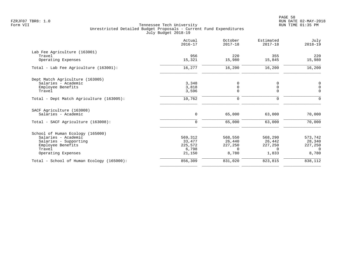|                                           | Actual<br>$2016 - 17$ | October<br>$2017 - 18$ | Estimated<br>$2017 - 18$ | July<br>$2018 - 19$ |
|-------------------------------------------|-----------------------|------------------------|--------------------------|---------------------|
| Lab Fee Agriculture (163001)              |                       |                        |                          |                     |
| Travel<br>Operating Expenses              | 956<br>15,321         | 220<br>15,980          | 355<br>15,845            | 220<br>15,980       |
| Total - Lab Fee Agriculture (163001):     | 16,277                | 16,200                 | 16,200                   | 16,200              |
| Dept Match Agriculture (163005)           |                       |                        |                          |                     |
| Salaries - Academic                       | 3,348                 | 0                      | 0                        | 0                   |
| Employee Benefits                         | 3,818                 | $\mathsf 0$            | 0                        | $\mathsf 0$         |
| Travel                                    | 3,596                 | $\Omega$               | $\Omega$                 | $\Omega$            |
| Total - Dept Match Agriculture (163005):  | 10,762                | 0                      | 0                        | $\mathbf 0$         |
| SACF Agriculture (163008)                 |                       |                        |                          |                     |
| Salaries - Academic                       | 0                     | 65,000                 | 63,000                   | 70,000              |
| Total - SACF Agriculture (163008):        | $\mathbf 0$           | 65,000                 | 63,000                   | 70,000              |
| School of Human Ecology (165000)          |                       |                        |                          |                     |
| Salaries - Academic                       | 569,312               | 568,550                | 568,290                  | 573,742             |
| Salaries - Supporting                     | 33,477                | 26,440                 | 26,442                   | 28,340              |
| Employee Benefits                         | 225,572               | 227,250                | 227,250                  | 227,250             |
| Travel                                    | 6,798                 | $\Omega$               | $\Omega$                 | $\Omega$            |
| Operating Expenses                        | 21,150                | 8,780                  | 1,833                    | 8,780               |
| Total - School of Human Ecology (165000): | 856,309               | 831,020                | 823,815                  | 838,112             |
|                                           |                       |                        |                          |                     |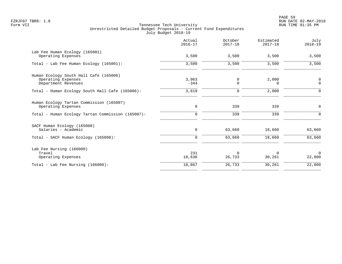|                                                                                     | Actual<br>$2016 - 17$ | October<br>$2017 - 18$ | Estimated<br>$2017 - 18$ | July<br>$2018 - 19$        |
|-------------------------------------------------------------------------------------|-----------------------|------------------------|--------------------------|----------------------------|
| Lab Fee Human Ecology (165001)<br>Operating Expenses                                | 3,500                 | 3,500                  | 3,500                    | 3,500                      |
| Total - Lab Fee Human Ecology (165001):                                             | 3,500                 | 3,500                  | 3,500                    | 3,500                      |
| Human Ecology South Hall Cafe (165006)<br>Operating Expenses<br>Department Revenues | 3,963<br>$-344$       | 0<br>0                 | 2,000<br>0               | $\mathbf 0$<br>$\mathbf 0$ |
| Total - Human Ecology South Hall Cafe (165006):                                     | 3,619                 | 0                      | 2,000                    | $\Omega$                   |
| Human Ecology Tartan Commission (165007)<br>Operating Expenses                      | $\mathsf{O}$          | 339                    | 339                      | $\mathbf 0$                |
| Total - Human Ecology Tartan Commission (165007):                                   | $\Omega$              | 339                    | 339                      | ∩                          |
| SACF Human Ecology (165008)<br>Salaries - Academic                                  | $\mathbf 0$           | 63,660                 | 18,660                   | 63,660                     |
| Total - SACF Human Ecology (165008):                                                | $\mathbf 0$           | 63,660                 | 18,660                   | 63,660                     |
| Lab Fee Nursing (166000)<br>Travel<br>Operating Expenses                            | 231<br>18,636         | $\Omega$<br>26,733     | $\Omega$<br>30,261       | $\Omega$<br>22,800         |
| Total - Lab Fee Nursing (166000):                                                   | 18,867                | 26,733                 | 30,261                   | 22,800                     |
|                                                                                     |                       |                        |                          |                            |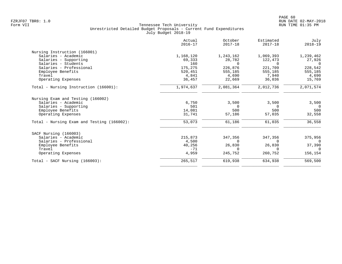| Actual<br>$2016 - 17$ | October<br>$2017 - 18$  | Estimated<br>$2017 - 18$ | July<br>$2018 - 19$ |
|-----------------------|-------------------------|--------------------------|---------------------|
|                       |                         |                          |                     |
| 1,168,120             | 1,243,162               | 1,069,393                | 1,239,462           |
| 69,333                | 28,782                  | 122,473                  | 27,926              |
| 160                   | $\Omega$                | <sup>n</sup>             | $\Omega$            |
| 175,275               | 226,876                 | 221,709                  | 228,542             |
| 520,451               | 555,185                 | 555,185                  | 555,185             |
| 4,841                 | 4,690                   | 7,940                    | 4,690               |
| 36,457                | 22,669                  | 36,036                   | 15,769              |
| 1,974,637             | 2,081,364               | 2,012,736                | 2,071,574           |
|                       |                         |                          |                     |
| 6,750                 | 3,500                   | 3,500                    | 3,500               |
|                       | $\Omega$                | $\Omega$                 | $\overline{0}$      |
|                       |                         |                          | 500                 |
|                       |                         |                          | 32,558              |
| 53,073                | 61,186                  | 61,035                   | 36,558              |
|                       |                         |                          |                     |
| 215,873               | 347,356                 | 347,356                  | 375,956             |
| 4,500                 | $\Omega$                | $\Omega$                 | $\Omega$            |
| 40,256                | 26,830                  | 26,830                   | 37,390              |
| $-71$                 | $\Omega$                | <sup>n</sup>             | $\Omega$            |
| 4,959                 | 245,752                 | 260,752                  | 156,154             |
| 265,517               | 619,938                 | 634,938                  | 569,500             |
|                       | 501<br>14,081<br>31,741 | 500<br>57,186            | 500<br>57,035       |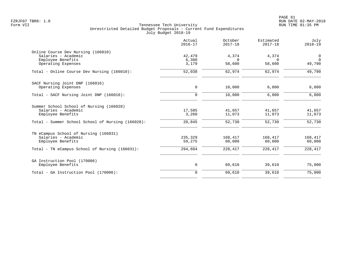|                                                           | Actual<br>$2016 - 17$ | October<br>$2017 - 18$ | Estimated<br>$2017 - 18$ | July<br>$2018 - 19$        |
|-----------------------------------------------------------|-----------------------|------------------------|--------------------------|----------------------------|
| Online Course Dev Nursing (166010)<br>Salaries - Academic |                       |                        |                          |                            |
|                                                           | 42,479<br>6,380       | 4,374<br>$\Omega$      | 4,374<br>$\Omega$        | $\mathbf 0$<br>$\mathbf 0$ |
| Employee Benefits<br>Operating Expenses                   | 3,179                 | 58,600                 | 58,600                   | 49,790                     |
| Total - Online Course Dev Nursing (166010):               | 52,038                | 62,974                 | 62,974                   | 49,790                     |
| SACF Nursing Joint DNP (166016)                           |                       |                        |                          |                            |
| Operating Expenses                                        | 0                     | 10,000                 | 6,800                    | 6,800                      |
| Total - SACF Nursing Joint DNP (166016):                  | $\Omega$              | 10,000                 | 6,800                    | 6,800                      |
| Summer School School of Nursing (166028)                  |                       |                        |                          |                            |
| Salaries - Academic                                       | 17,585                | 41,657                 | 41,657                   | 41,657                     |
| Employee Benefits                                         | 3,260                 | 11,073                 | 11,073                   | 11,073                     |
| Total - Summer School School of Nursing (166028):         | 20,845                | 52,730                 | 52,730                   | 52,730                     |
| TN eCampus School of Nursing (166031)                     |                       |                        |                          |                            |
| Salaries - Academic                                       | 235,329               | 168,417                | 168,417                  | 168,417                    |
| Employee Benefits                                         | 59,275                | 60,000                 | 60,000                   | 60,000                     |
| Total - TN eCampus School of Nursing (166031):            | 294,604               | 228,417                | 228,417                  | 228,417                    |
| GA Instruction Pool (170006)                              |                       |                        |                          |                            |
| Employee Benefits                                         | 0                     | 69,610                 | 39,610                   | 75,000                     |
| Total - GA Instruction Pool (170006):                     | $\mathbf 0$           | 69,610                 | 39,610                   | 75,000                     |
|                                                           |                       |                        |                          |                            |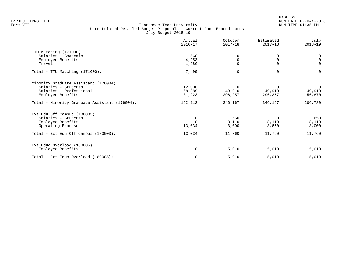PAGE 62 FZRJF07 TBR8: 1.0 RUN DATE 02-MAY-2018

|                                               | Actual<br>$2016 - 17$ | October<br>$2017 - 18$ | Estimated<br>$2017 - 18$ | July<br>$2018 - 19$ |
|-----------------------------------------------|-----------------------|------------------------|--------------------------|---------------------|
| TTU Matching (171000)                         |                       |                        |                          |                     |
| Salaries - Academic                           | 560                   | 0                      | 0                        | 0                   |
| Employee Benefits                             | 4,953                 | $\mathbf 0$            | $\mathbf 0$              | $\mathbf 0$         |
| Travel                                        | 1,986                 | $\mathbf 0$            | $\Omega$                 | $\Omega$            |
| Total - TTU Matching (171000):                | 7,499                 | $\mathsf{O}$           | $\mathbf 0$              | $\Omega$            |
| Minority Graduate Assistant (176004)          |                       |                        |                          |                     |
| Salaries - Students                           | 12,000                | $\mathbf 0$            | 0                        | $\overline{0}$      |
| Salaries - Professional                       | 68,889                | 49,910                 | 49,910                   | 49,910              |
| Employee Benefits                             | 81,223                | 296,257                | 296,257                  | 156,870             |
| Total - Minority Graduate Assistant (176004): | 162,112               | 346,167                | 346,167                  | 206,780             |
| Ext Edu Off Campus (180003)                   |                       |                        |                          |                     |
| Salaries - Students                           | 0                     | 650                    | 0                        | 650                 |
| Employee Benefits                             | $\Omega$              | 8,110                  | 8,110                    | 8,110               |
| Operating Expenses                            | 13,034                | 3,000                  | 3,650                    | 3,000               |
| Total - Ext Edu Off Campus (180003):          | 13,034                | 11,760                 | 11,760                   | 11,760              |
| Ext Educ Overload (180005)                    |                       |                        |                          |                     |
| Employee Benefits                             | $\mathsf 0$           | 5,010                  | 5,010                    | 5,010               |
| Total - Ext Educ Overload (180005):           | $\mathbf 0$           | 5,010                  | 5,010                    | 5,010               |
|                                               |                       |                        |                          |                     |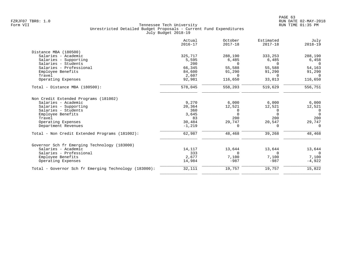|                                                       | Actual<br>$2016 - 17$ | October<br>$2017 - 18$ | Estimated<br>$2017 - 18$ | July<br>$2018 - 19$ |
|-------------------------------------------------------|-----------------------|------------------------|--------------------------|---------------------|
| Distance MBA (180500)                                 |                       |                        |                          |                     |
| Salaries - Academic                                   | 325,717               | 288,190                | 333,253                  | 288,190             |
| Salaries - Supporting                                 | 5,595                 | 6,485                  | 6,485                    | 6,458               |
| Salaries - Students                                   | 200                   | $\Omega$               | $\Omega$                 | $\Omega$            |
| Salaries - Professional                               | 66,345                | 55,588                 | 55,588                   | 54,163              |
| Employee Benefits                                     | 84,600                | 91,290                 | 91,290                   | 91,290              |
| Travel                                                | 2,607                 | $\Omega$               | $\Omega$                 | $\cap$              |
| Operating Expenses                                    | 92,981                | 116,650                | 33,013                   | 116,650             |
| Total - Distance MBA (180500):                        | 578,045               | 558,203                | 519,629                  | 556,751             |
| Non Credit Extended Programs (181002)                 |                       |                        |                          |                     |
| Salaries - Academic                                   | 9,270                 | 6,000                  | 6,000                    | 6,000               |
| Salaries - Supporting                                 | 20,364                | 12,521                 | 12,521                   | 12,521              |
| Salaries - Students                                   | 360                   | 0                      | 0                        | 0                   |
| Employee Benefits                                     | 3,645                 | $\Omega$               | $\Omega$                 | $\Omega$            |
| Travel                                                | 83                    | 200                    | 200                      | 200                 |
| Operating Expenses                                    | 30,484                | 29,747                 | 20,547                   | 29,747              |
| Department Revenues                                   | $-1,219$              | $\Omega$               | $\Omega$                 | $\Omega$            |
| Total - Non Credit Extended Programs (181002):        | 62,987                | 48,468                 | 39,268                   | 48,468              |
| Governor Sch fr Emerging Technology (183000)          |                       |                        |                          |                     |
| Salaries - Academic                                   | 14,117                | 13,644                 | 13,644                   | 13,644              |
| Salaries - Professional                               | 333                   | $\Omega$               | $\cap$                   | $\Omega$            |
| Employee Benefits                                     | 2,677                 | 7,100                  | 7,100                    | 7,100               |
| Operating Expenses                                    | 14,984                | $-987$                 | $-987$                   | $-4,922$            |
| Total - Governor Sch fr Emerging Technology (183000): | 32,111                | 19,757                 | 19,757                   | 15,822              |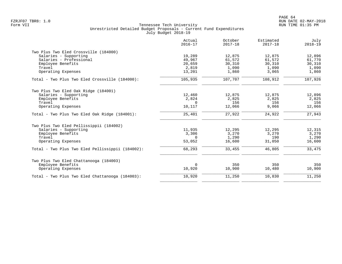|                                                  | Actual<br>$2016 - 17$ | October<br>$2017 - 18$ | Estimated<br>$2017 - 18$ | July<br>$2018 - 19$ |
|--------------------------------------------------|-----------------------|------------------------|--------------------------|---------------------|
| Two Plus Two Eled Crossville (184000)            |                       |                        |                          |                     |
| Salaries - Supporting                            | 19,289                | 12,875                 | 12,875                   | 12,896              |
| Salaries - Professional                          | 49,967                | 61,572                 | 61,572                   | 61,770              |
| Employee Benefits                                | 20,659                | 30,310                 | 30,310                   | 30,310              |
| Travel                                           | 2,819                 | 1,090                  | 1,090                    | 1,090               |
| Operating Expenses                               | 13,201                | 1,860                  | 3,065                    | 1,860               |
| Total - Two Plus Two Eled Crossville (184000):   | 105,935               | 107,707                | 108,912                  | 107,926             |
| Two Plus Two Eled Oak Ridge (184001)             |                       |                        |                          |                     |
| Salaries - Supporting                            | 12,460                | 12,875                 | 12,875                   | 12,896              |
| Employee Benefits                                | 2,824                 | 2,825                  | 2,825                    | 2,825               |
| Travel                                           | $\Omega$              | 156                    | 156                      | 156                 |
| Operating Expenses                               | 10,117                | 12,066                 | 9,066                    | 12,066              |
| Total - Two Plus Two Eled Oak Ridge (184001):    | 25,401                | 27,922                 | 24,922                   | 27,943              |
| Two Plus Two Eled Pellissippii (184002)          |                       |                        |                          |                     |
| Salaries - Supporting                            | 11,935                | 12,295                 | 12,295                   | 12,315              |
| Employee Benefits                                | 3,306                 | 3,270                  | 3,270                    | 3,270               |
| Travel                                           | $\Omega$              | 1,290                  | 190                      | 1,290               |
| Operating Expenses                               | 53,052                | 16,600                 | 31,050                   | 16,600              |
| Total - Two Plus Two Eled Pellissippii (184002): | 68,293                | 33,455                 | 46,805                   | 33,475              |
| Two Plus Two Eled Chattanooga (184003)           |                       |                        |                          |                     |
| Employee Benefits                                | $\Omega$              | 350                    | 350                      | 350                 |
| Operating Expenses                               | 10,920                | 10,900                 | 10,480                   | 10,900              |
| Total - Two Plus Two Eled Chattanooga (184003):  | 10,920                | 11,250                 | 10,830                   | 11,250              |
|                                                  |                       |                        |                          |                     |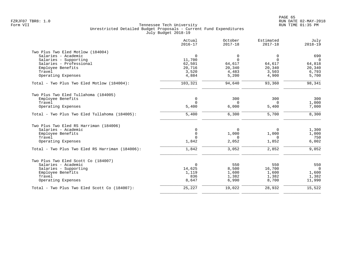|                                                 | Actual<br>$2016 - 17$ | October<br>$2017 - 18$ | Estimated<br>$2017 - 18$ | July<br>$2018 - 19$ |
|-------------------------------------------------|-----------------------|------------------------|--------------------------|---------------------|
| Two Plus Two Eled Motlow (184004)               |                       |                        |                          |                     |
| Salaries - Academic                             | $\mathbf 0$           | $\overline{0}$         | $\mathbf 0$              | 690                 |
| Salaries - Supporting                           | 11,700                | $\Omega$               | $\Omega$                 | $\overline{0}$      |
| Salaries - Professional                         | 62,501                | 64,617                 | 64,617                   | 64,818              |
| Employee Benefits                               | 20,716                | 20,340                 | 20,340                   | 20,340              |
| Travel                                          | 3,520                 | 4,483                  | 3,503                    | 6,793               |
| Operating Expenses                              | 4,884                 | 5,200                  | 4,900                    | 5,700               |
| Total - Two Plus Two Eled Motlow (184004):      | 103,321               | 94,640                 | 93,360                   | 98,341              |
| Two Plus Two Eled Tullahoma (184005)            |                       |                        |                          |                     |
| Employee Benefits                               | $\mathbf 0$           | 300                    | 300                      | 300                 |
| Travel                                          | $\Omega$              | $\Omega$               | $\Omega$                 | 1,000               |
| Operating Expenses                              | 5,400                 | 6,000                  | 5,400                    | 7,000               |
| Total - Two Plus Two Eled Tullahoma (184005):   | 5,400                 | 6,300                  | 5,700                    | 8,300               |
| Two Plus Two Eled RS Harriman (184006)          |                       |                        |                          |                     |
| Salaries - Academic                             | 0                     | 0                      | 0                        | 1,300               |
| Employee Benefits                               | $\mathbf 0$           | 1,000                  | 1,000                    | 1,000               |
| Travel                                          | $\Omega$              | $\Omega$               | $\Omega$                 | 750                 |
| Operating Expenses                              | 1,842                 | 2,052                  | 1,852                    | 6,002               |
| Total - Two Plus Two Eled RS Harriman (184006): | 1,842                 | 3,052                  | 2,852                    | 9,052               |
| Two Plus Two Eled Scott Co (184007)             |                       |                        |                          |                     |
| Salaries - Academic                             | $\Omega$              | 550                    | 550                      | 550                 |
| Salaries - Supporting                           | 14,625                | 8,500                  | 16,700                   | $\Omega$            |
| Employee Benefits                               | 1,119                 | 1,600                  | 1,600                    | 1,600               |
| Travel                                          | 836                   | 1,382                  | 1,382                    | 1,382               |
| Operating Expenses                              | 8,647                 | 6,990                  | 8,700                    | 11,990              |
| Total - Two Plus Two Eled Scott Co (184007):    | 25,227                | 19,022                 | 28,932                   | 15,522              |
|                                                 |                       |                        |                          |                     |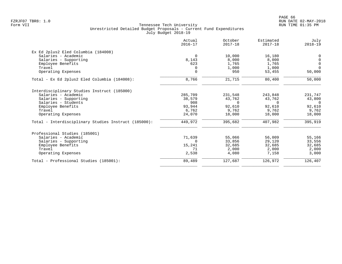|                                                      | Actual<br>$2016 - 17$ | October<br>$2017 - 18$ | Estimated<br>$2017 - 18$ | July<br>$2018 - 19$ |
|------------------------------------------------------|-----------------------|------------------------|--------------------------|---------------------|
| Ex Ed 2plus2 Eled Columbia (184008)                  |                       |                        |                          |                     |
| Salaries - Academic                                  | $\Omega$              | 10,000                 | 16,180                   | 0                   |
| Salaries - Supporting                                | 8,143                 | 8,000                  | 8,000                    | $\mathbf 0$         |
| Employee Benefits                                    | 623                   | 1,765                  | 1,765                    | $\overline{0}$      |
| Travel                                               |                       | 1,000                  | 1,000                    | $\Omega$            |
| Operating Expenses                                   | $\mathbf 0$           | 950                    | 53,455                   | 50,000              |
| Total - Ex Ed 2plus2 Eled Columbia (184008):         | 8,766                 | 21,715                 | 80,400                   | 50,000              |
| Interdisciplinary Studies Instruct (185000)          |                       |                        |                          |                     |
| Salaries - Academic                                  | 285,709               | 231,548                | 243,848                  | 231,747             |
| Salaries - Supporting                                | 38,579                | 43,762                 | 43,762                   | 43,800              |
| Salaries - Students                                  | 908                   | $\Omega$               | $\Omega$                 | $\Omega$            |
| Employee Benefits                                    | 93,944                | 92,610                 | 92,610                   | 92,610              |
| Travel                                               | 6,762                 | 9,762                  | 9,762                    | 9,762               |
| Operating Expenses                                   | 24,070                | 18,000                 | 18,000                   | 18,000              |
| Total - Interdisciplinary Studies Instruct (185000): | 449,972               | 395,682                | 407,982                  | 395,919             |
| Professional Studies (185001)                        |                       |                        |                          |                     |
| Salaries - Academic                                  | 71,639                | 55,066                 | 56,009                   | 55,166              |
| Salaries - Supporting                                | $\Omega$              | 33,856                 | 29,120                   | 33,556              |
| Employee Benefits                                    | 15,241                | 32,685                 | 32,685                   | 32,685              |
| Travel                                               | 71                    | 2,000                  | 2,000                    | 2,000               |
| Operating Expenses                                   | 2,538                 | 4,080                  | 7,158                    | 3,000               |
| Total - Professional Studies (185001):               | 89,489                | 127,687                | 126,972                  | 126,407             |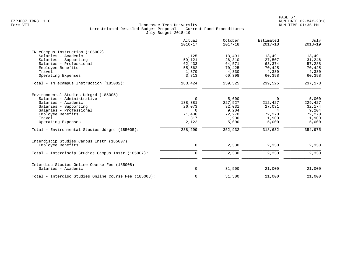|                                                                                                                                                                                                                                                      | Actual<br>$2016 - 17$                                                          | October<br>$2017 - 18$                                                     | Estimated<br>$2017 - 18$                                                  | July<br>$2018 - 19$                                                        |
|------------------------------------------------------------------------------------------------------------------------------------------------------------------------------------------------------------------------------------------------------|--------------------------------------------------------------------------------|----------------------------------------------------------------------------|---------------------------------------------------------------------------|----------------------------------------------------------------------------|
| TN eCampus Instruction (185002)<br>Salaries - Academic<br>Salaries - Supporting<br>Salaries - Professional<br>Employee Benefits<br>Travel<br>Operating Expenses                                                                                      | 1,125<br>59,121<br>62,433<br>55,562<br>1,370<br>3,813                          | 13,491<br>26,310<br>64,571<br>70,425<br>4,330<br>60,398                    | 13,491<br>27,507<br>63,374<br>70,425<br>4,330<br>60,398                   | 13,491<br>31,246<br>57,288<br>70,425<br>4,330<br>60,398                    |
| Total - TN eCampus Instruction (185002):                                                                                                                                                                                                             | 183,424                                                                        | 239,525                                                                    | 239,525                                                                   | 237,178                                                                    |
| Environmental Studies Udrgrd (185005)<br>Salaries - Administrative<br>Salaries - Academic<br>Salaries - Supporting<br>Salaries - Professional<br>Employee Benefits<br>Travel<br>Operating Expenses<br>Total - Environmental Studies Udrgrd (185005): | $\Omega$<br>138,381<br>26,073<br>$\Omega$<br>71,406<br>317<br>2,122<br>238,299 | 5,000<br>227,527<br>32,031<br>9,204<br>72,270<br>1,900<br>5,000<br>352,932 | $\Omega$<br>212,427<br>27,031<br>4<br>72,270<br>1,900<br>5,000<br>318,632 | 5,000<br>229,427<br>32,174<br>9,204<br>72,270<br>1,900<br>5,000<br>354,975 |
| Interdiscip Studies Campus Instr (185007)<br>Employee Benefits<br>Total - Interdiscip Studies Campus Instr (185007):                                                                                                                                 | 0<br>0                                                                         | 2,330<br>2,330                                                             | 2,330<br>2,330                                                            | 2,330<br>2,330                                                             |
| Interdisc Studies Online Course Fee (185008)<br>Salaries - Academic                                                                                                                                                                                  | $\mathsf{O}$                                                                   | 31,500                                                                     | 21,000                                                                    | 21,000                                                                     |
| Total - Interdisc Studies Online Course Fee (185008):                                                                                                                                                                                                | 0                                                                              | 31,500                                                                     | 21,000                                                                    | 21,000                                                                     |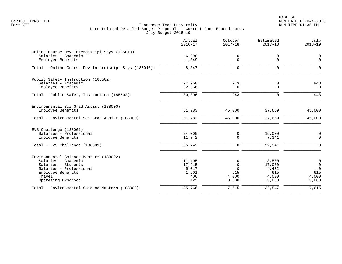PAGE 68 FZRJF07 TBR8: 1.0 RUN DATE 02-MAY-2018

|                                                                                                                                                                      | Actual<br>$2016 - 17$                            | October<br>$2017 - 18$                             | Estimated<br>$2017 - 18$                          | July<br>$2018 - 19$                                             |
|----------------------------------------------------------------------------------------------------------------------------------------------------------------------|--------------------------------------------------|----------------------------------------------------|---------------------------------------------------|-----------------------------------------------------------------|
| Online Course Dev Interdiscipl Stys (185010)<br>Salaries - Academic<br>Employee Benefits                                                                             | 6,998<br>1,349                                   | 0<br>0                                             | 0<br>$\mathbf 0$                                  | $\mathbf 0$<br>$\Omega$                                         |
| Total - Online Course Dev Interdiscipl Stys (185010):                                                                                                                | 8,347                                            | $\mathbf 0$                                        | $\mathbf 0$                                       | $\Omega$                                                        |
| Public Safety Instruction (185502)<br>Salaries - Academic<br>Employee Benefits                                                                                       | 27,950<br>2,356                                  | 943<br>0                                           | 0<br>$\mathbf 0$                                  | 943<br>$\mathbf 0$                                              |
| Total - Public Safety Instruction (185502):                                                                                                                          | 30,306                                           | 943                                                | $\Omega$                                          | 943                                                             |
| Environmental Sci Grad Assist (188000)<br>Employee Benefits                                                                                                          | 51,283                                           | 45,000                                             | 37,659                                            | 45,000                                                          |
| Total - Environmental Sci Grad Assist (188000):                                                                                                                      | 51,283                                           | 45,000                                             | 37,659                                            | 45,000                                                          |
| EVS Challenge (188001)<br>Salaries - Professional<br>Employee Benefits<br>Total - EVS Challenge (188001):                                                            | 24,000<br>11,742<br>35,742                       | 0<br>0<br>$\mathbf 0$                              | 15,000<br>7,341<br>22,341                         | $\overline{0}$<br>$\mathbf 0$<br>$\mathbf 0$                    |
| Environmental Science Masters (188002)<br>Salaries - Academic<br>Salaries - Students<br>Salaries - Professional<br>Employee Benefits<br>Travel<br>Operating Expenses | 11,105<br>17,915<br>5,017<br>1,201<br>406<br>122 | 0<br>$\Omega$<br>$\Omega$<br>615<br>4,000<br>3,000 | 3,500<br>17,000<br>4,432<br>615<br>4,000<br>3,000 | $\mathbf 0$<br>$\mathbf 0$<br>$\Omega$<br>615<br>4,000<br>3,000 |
| Total - Environmental Science Masters (188002):                                                                                                                      | 35,766                                           | 7,615                                              | 32,547                                            | 7,615                                                           |
|                                                                                                                                                                      |                                                  |                                                    |                                                   |                                                                 |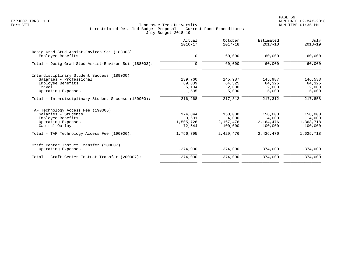|                                                                  | Actual<br>$2016 - 17$ | October<br>$2017 - 18$ | Estimated<br>$2017 - 18$ | July<br>$2018 - 19$ |
|------------------------------------------------------------------|-----------------------|------------------------|--------------------------|---------------------|
| Desig Grad Stud Assist-Environ Sci (188003)<br>Employee Benefits | $\mathbf 0$           | 60,000                 | 60,000                   | 60,000              |
|                                                                  |                       |                        |                          |                     |
| Total - Desig Grad Stud Assist-Environ Sci (188003):             | $\mathbf 0$           | 60,000                 | 60,000                   | 60,000              |
| Interdisciplinary Student Success (189000)                       |                       |                        |                          |                     |
| Salaries - Professional                                          | 139,760               | 145,987                | 145,987                  | 146,533             |
| Employee Benefits                                                | 69,839                | 64,325                 | 64,325                   | 64,325              |
| Travel                                                           | 5,134                 | 2,000                  | 2,000                    | 2,000               |
| Operating Expenses                                               | 1,535                 | 5,000                  | 5,000                    | 5,000               |
| Total - Interdisciplinary Student Success (189000):              | 216,268               | 217,312                | 217,312                  | 217,858             |
| TAF Technology Access Fee (190006)                               |                       |                        |                          |                     |
| Salaries - Students                                              | 174,844               | 158,000                | 158,000                  | 158,000             |
| Employee Benefits                                                | 3,681                 | 4,000                  | 4,000                    | 4,000               |
| Operating Expenses                                               | 1,505,726             | 2,167,476              | 2,164,476                | 1,363,718           |
| Capital Outlay                                                   | 72,544                | 100,000                | 100,000                  | 100,000             |
| Total - TAF Technology Access Fee (190006):                      | 1,756,795             | 2,429,476              | 2,426,476                | 1,625,718           |
| Craft Center Instuct Transfer (200007)                           |                       |                        |                          |                     |
| Operating Expenses                                               | $-374,000$            | $-374,000$             | $-374.000$               | $-374,000$          |
| Total - Craft Center Instuct Transfer (200007):                  | $-374,000$            | $-374,000$             | $-374,000$               | $-374,000$          |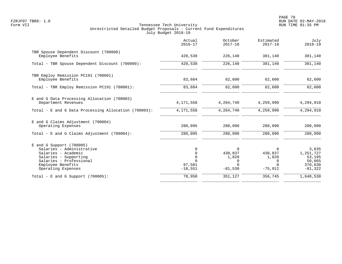|                                                                                                                                                                               | Actual<br>$2016 - 17$                                    | October<br>$2017 - 18$                                     | Estimated<br>$2017 - 18$                            | July<br>$2018 - 19$                                            |
|-------------------------------------------------------------------------------------------------------------------------------------------------------------------------------|----------------------------------------------------------|------------------------------------------------------------|-----------------------------------------------------|----------------------------------------------------------------|
| TBR Spouse Dependent Discount (700000)<br>Employee Benefits                                                                                                                   | 420,538                                                  | 226,140                                                    | 381,140                                             | 381,140                                                        |
| Total - TBR Spouse Dependent Discount (700000):                                                                                                                               | 420,538                                                  | 226,140                                                    | 381,140                                             | 381,140                                                        |
| TBR Employ Remission PC191 (700001)<br>Employee Benefits                                                                                                                      | 83,684                                                   | 62,600                                                     | 62,600                                              | 62,600                                                         |
| Total - TBR Employ Remission PC191 (700001):                                                                                                                                  | 83,684                                                   | 62,600                                                     | 62,600                                              | 62,600                                                         |
| E and G Data Processing Allocation (700003)<br>Department Revenues                                                                                                            | 4,171,558                                                | 4, 264, 740                                                | 4,259,990                                           | 4,294,910                                                      |
| Total - E and G Data Processing Allocation (700003):                                                                                                                          | 4,171,558                                                | 4, 264, 740                                                | 4,259,990                                           | 4,294,910                                                      |
| E and G Claims Adjustment (700004)<br>Operating Expenses                                                                                                                      | 280,095                                                  | 280,090                                                    | 280,090                                             | 280,090                                                        |
| Total - E and G Claims Adjustment $(700004)$ :                                                                                                                                | 280,095                                                  | 280,090                                                    | 280,090                                             | 280,090                                                        |
| $E$ and G Support (700005)<br>Salaries - Administrative<br>Salaries - Academic<br>Salaries - Supporting<br>Salaries - Professional<br>Employee Benefits<br>Operating Expenses | 0<br>0<br>$\mathbf 0$<br>$\Omega$<br>97,501<br>$-18,551$ | $\Omega$<br>430,837<br>1,820<br>0<br>$\Omega$<br>$-81,530$ | 0<br>430,837<br>1,820<br>0<br>$\Omega$<br>$-75,912$ | 3,635<br>1,251,727<br>53,195<br>50,665<br>370,630<br>$-81,322$ |
| Total - E and G Support $(700005)$ :                                                                                                                                          | 78,950                                                   | 351,127                                                    | 356,745                                             | 1,648,530                                                      |
|                                                                                                                                                                               |                                                          |                                                            |                                                     |                                                                |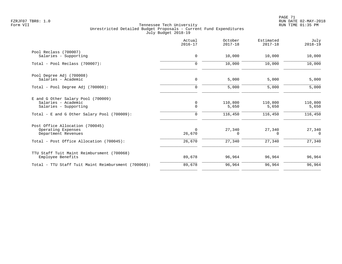|                                                     | Actual<br>$2016 - 17$ | October<br>$2017 - 18$ | Estimated<br>$2017 - 18$ | July<br>$2018 - 19$ |
|-----------------------------------------------------|-----------------------|------------------------|--------------------------|---------------------|
| Pool Reclass (700007)                               |                       |                        |                          |                     |
| Salaries - Supporting                               | $\mathbf 0$           | 10,000                 | 10,000                   | 10,000              |
| Total - Pool Reclass (700007):                      | $\mathbf 0$           | 10,000                 | 10,000                   | 10,000              |
| Pool Degree Adj (700008)                            |                       |                        |                          |                     |
| Salaries - Academic                                 | $\mathbf 0$           | 5,000                  | 5,000                    | 5,000               |
| Total - Pool Degree Adj (700008):                   | $\mathbf 0$           | 5,000                  | 5,000                    | 5,000               |
| E and G Other Salary Pool (700009)                  |                       |                        |                          |                     |
| Salaries - Academic                                 | 0                     | 110,800                | 110,800                  | 110,800             |
| Salaries - Supporting                               | $\mathbf 0$           | 5,650                  | 5,650                    | 5,650               |
| Total - E and G Other Salary Pool (700009):         | 0                     | 116,450                | 116,450                  | 116,450             |
| Post Office Allocation (700045)                     |                       |                        |                          |                     |
| Operating Expenses                                  | $\Omega$              | 27,340                 | 27,340                   | 27,340              |
| Department Revenues                                 | 26,670                | $\Omega$               | $\Omega$                 | $\Omega$            |
| Total - Post Office Allocation (700045):            | 26,670                | 27,340                 | 27,340                   | 27,340              |
| TTU Staff Tuit Maint Reimbursment (700068)          |                       |                        |                          |                     |
| Employee Benefits                                   | 89,678                | 96,964                 | 96,964                   | 96,964              |
| Total - TTU Staff Tuit Maint Reimbursment (700068): | 89,678                | 96,964                 | 96,964                   | 96,964              |
|                                                     |                       |                        |                          |                     |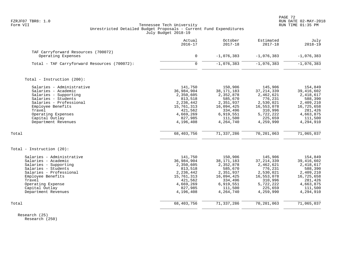PAGE 72 FZRJF07 TBR8: 1.0 RUN DATE 02-MAY-2018

## Form VII Tennessee Tech University RUN TIME 01:35 PM Unrestricted Detailed Budget Proposals - Current Fund Expenditures July Budget 2018-19

|                                                                                                                                                                                                                           | Actual<br>$2016 - 17$                                                                                                    | October<br>$2017 - 18$                                                                                                     | Estimated<br>$2017 - 18$                                                                                                   | July<br>$2018 - 19$                                                                                                        |
|---------------------------------------------------------------------------------------------------------------------------------------------------------------------------------------------------------------------------|--------------------------------------------------------------------------------------------------------------------------|----------------------------------------------------------------------------------------------------------------------------|----------------------------------------------------------------------------------------------------------------------------|----------------------------------------------------------------------------------------------------------------------------|
| TAF Carryforward Resources (700072)<br>Operating Expenses                                                                                                                                                                 | $\mathbf 0$                                                                                                              | $-1,076,383$                                                                                                               | $-1,076,383$                                                                                                               | $-1,076,383$                                                                                                               |
| Total - TAF Carryforward Resources (700072):                                                                                                                                                                              | $\mathbf 0$                                                                                                              | $-1,076,383$                                                                                                               | $-1,076,383$                                                                                                               | $-1,076,383$                                                                                                               |
| Total - Instruction (200):                                                                                                                                                                                                |                                                                                                                          |                                                                                                                            |                                                                                                                            |                                                                                                                            |
| Salaries - Administrative<br>Salaries - Academic<br>Salaries - Supporting<br>Salaries - Students<br>Salaries - Professional<br>Employee Benefits<br>Travel<br>Operating Expenses<br>Capital Outlay<br>Department Revenues | 141,750<br>36,984,904<br>2,350,605<br>813,518<br>2,236,442<br>15,761,313<br>421,562<br>4,669,269<br>827,985<br>4,196,408 | 150,906<br>38, 171, 183<br>2,352,878<br>585,670<br>2,351,937<br>16,094,425<br>334,496<br>6,919,551<br>111,500<br>4,264,740 | 145,906<br>37, 214, 339<br>2,462,621<br>776,231<br>2,530,021<br>16,553,078<br>310,996<br>5,722,222<br>225,659<br>4,259,990 | 154,849<br>39, 416, 602<br>2,418,617<br>588,390<br>2,409,210<br>16,725,658<br>281,426<br>4,663,875<br>111,500<br>4,294,910 |
| Total                                                                                                                                                                                                                     | 68, 403, 756                                                                                                             | 71, 337, 286                                                                                                               | 70,201,063                                                                                                                 | 71,065,037                                                                                                                 |
| Total - Instruction (20):                                                                                                                                                                                                 |                                                                                                                          |                                                                                                                            |                                                                                                                            |                                                                                                                            |
| Salaries - Administrative<br>Salaries - Academic<br>Salaries - Supporting<br>Salaries - Students<br>Salaries - Professional<br>Employee Benefits<br>Travel<br>Operating Expense<br>Capital Outlay<br>Department Revenues  | 141,750<br>36,984,904<br>2,350,605<br>813,518<br>2,236,442<br>15,761,313<br>421,562<br>4,669,269<br>827,985<br>4,196,408 | 150,906<br>38, 171, 183<br>2,352,878<br>585,670<br>2,351,937<br>16,094,425<br>334,496<br>6,919,551<br>111,500<br>4,264,740 | 145,906<br>37, 214, 339<br>2,462,621<br>776,231<br>2,530,021<br>16,553,078<br>310,996<br>5,722,222<br>225,659<br>4,259,990 | 154,849<br>39, 416, 602<br>2,418,617<br>588,390<br>2,409,210<br>16,725,658<br>281,426<br>4,663,875<br>111,500<br>4,294,910 |
| Total                                                                                                                                                                                                                     | 68,403,756                                                                                                               | 71,337,286                                                                                                                 | 70,201,063                                                                                                                 | 71,065,037                                                                                                                 |

 Research (25) Research (250)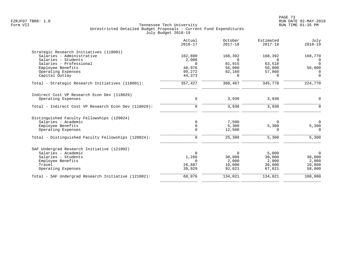|                                                      | Actual<br>$2016 - 17$ | October<br>$2017 - 18$ | Estimated<br>$2017 - 18$ | July<br>$2018 - 19$  |
|------------------------------------------------------|-----------------------|------------------------|--------------------------|----------------------|
| Strategic Research Initiatives (118001)              |                       |                        |                          |                      |
| Salaries - Administrative                            | 162,800               | 168,392                | 168,392                  | 168,770              |
| Salaries - Students<br>Salaries - Professional       | 2,006<br>$\Omega$     | $\Omega$<br>81,915     | $\Omega$                 | $\Omega$<br>$\Omega$ |
| Employee Benefits                                    | 48,976                | 56,000                 | 63,518<br>56,000         | 56,000               |
| Operating Expenses                                   | 99,272                | 82,160                 | 57,860                   | 0                    |
| Capital Outlay                                       | 44,373                | $\Omega$               | $\Omega$                 | $\mathbf 0$          |
| Total - Strategic Research Initiatives (118001):     | 357,427               | 388,467                | 345,770                  | 224,770              |
| Indirect Cost VP Research Econ Dev (118029)          |                       |                        |                          |                      |
| Operating Expenses                                   | $\mathbf 0$           | 3,930                  | 3,930                    | 0                    |
| Total - Indirect Cost VP Research Econ Dev (118029): | $\mathbf 0$           | 3,930                  | 3,930                    | $\mathsf{O}$         |
| Distinguished Faculty Fellowships (120024)           |                       |                        |                          |                      |
| Salaries - Academic                                  | $\mathbf 0$           | 7,500                  | 0                        | $\Omega$             |
| Employee Benefits                                    | 0                     | 5,300                  | 5,300                    | 5,300                |
| Operating Expenses                                   | $\mathbf 0$           | 12,500                 | 0                        | 0                    |
| Total - Distinguished Faculty Fellowships (120024):  | $\mathbf 0$           | 25,300                 | 5,300                    | 5,300                |
| SAF Undergrad Research Initiative (121002)           |                       |                        |                          |                      |
| Salaries - Academic                                  | $\Omega$              | $\mathbf 0$            | 5,000                    | $\overline{0}$       |
| Salaries - Students                                  | 1,260                 | 30,000                 | 30,000                   | 30,000               |
| Employee Benefits                                    | $\Omega$              | 2,000                  | 2,000                    | 2,000                |
| Travel<br>Operating Expenses                         | 26,887<br>39,929      | 10,000<br>92,021       | 30,000<br>67,021         | 10,000<br>58,000     |
|                                                      |                       |                        |                          |                      |
| Total - SAF Undergrad Research Initiative (121002):  | 68,076                | 134,021                | 134,021                  | 100,000              |
|                                                      |                       |                        |                          |                      |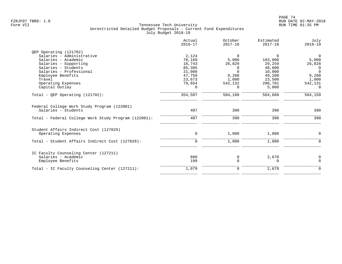| Actual<br>$2016 - 17$ | October<br>$2017 - 18$ | Estimated<br>$2017 - 18$ | July<br>$2018 - 19$ |
|-----------------------|------------------------|--------------------------|---------------------|
|                       |                        |                          |                     |
| 2,124                 | $\Omega$               | $\Omega$                 | $\overline{0}$      |
| 78,169                | 5,000                  | 103,000                  | 5,000               |
| 16,743                | 26,829                 | 29,259                   | 26,828              |
| 85,385                | $\Omega$               | 48,000                   | 0                   |
| 21,000                | $\Omega$               | 10,000                   | $\Omega$            |
| 47,759                | 9,200                  | 49,200                   | 9,200               |
| 23,673                | 1,000                  |                          | 1,000               |
| 79,654                | 542,131                | 296,701                  | 542,131             |
| $\Omega$              | $\Omega$               | 5,000                    | $\Omega$            |
| 354,507               | 584,160                | 564,660                  | 584,159             |
| 407                   | 390                    | 390                      | 390                 |
| 407                   | 390                    | 390                      | 390                 |
|                       |                        |                          |                     |
| 0                     | 1,080                  | 1,080                    | 0                   |
| $\mathbf 0$           | 1,080                  | 1,080                    | $\Omega$            |
|                       |                        |                          |                     |
|                       |                        |                          | 0                   |
| 199                   | $\mathbf 0$            | 0                        | $\Omega$            |
| 1,079                 | 0                      | 2,670                    | $\mathbf 0$         |
|                       | 880                    | 0                        | 23,500<br>2,670     |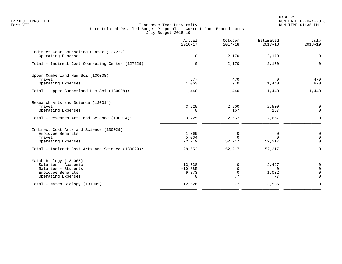PAGE 75 FZRJF07 TBR8: 1.0 RUN DATE 02-MAY-2018

|                                                                | Actual<br>$2016 - 17$ | October<br>$2017 - 18$ | Estimated<br>$2017 - 18$ | July<br>$2018 - 19$     |
|----------------------------------------------------------------|-----------------------|------------------------|--------------------------|-------------------------|
| Indirect Cost Counseling Center (127229)<br>Operating Expenses | $\mathbf 0$           | 2,170                  | 2,170                    | $\mathbf 0$             |
|                                                                |                       |                        |                          |                         |
| Total - Indirect Cost Counseling Center (127229):              | $\mathbf 0$           | 2,170                  | 2,170                    | $\Omega$                |
| Upper Cumberland Hum Sci (130008)                              |                       |                        |                          |                         |
| Travel                                                         | 377                   | 470                    | $\Omega$                 | 470                     |
| Operating Expenses                                             | 1,063                 | 970                    | 1,440                    | 970                     |
| Total - Upper Cumberland Hum Sci (130008):                     | 1,440                 | 1,440                  | 1,440                    | 1,440                   |
| Research Arts and Science (130014)                             |                       |                        |                          |                         |
| Travel                                                         | 3,225                 | 2,500                  | 2,500                    | $\mathbf 0$             |
| Operating Expenses                                             | 0                     | 167                    | 167                      | $\mathbf 0$             |
| Total - Research Arts and Science (130014):                    | 3,225                 | 2,667                  | 2,667                    | $\Omega$                |
| Indirect Cost Arts and Science (130029)                        |                       |                        |                          |                         |
| Employee Benefits                                              | 1,369                 | 0                      | 0                        | $\mathbf 0$             |
| Travel                                                         | 5,034                 | $\Omega$               | $\Omega$                 | $\Omega$<br>$\Omega$    |
| Operating Expenses                                             | 22,249                | 52,217                 | 52,217                   |                         |
| Total - Indirect Cost Arts and Science (130029):               | 28,652                | 52,217                 | 52,217                   | $\Omega$                |
| Match Biology (131005)                                         |                       |                        |                          |                         |
| Salaries - Academic                                            | 13,538                | $\Omega$               | 2,427                    | 0                       |
| Salaries - Students                                            | $-10,885$             | $\Omega$               | $\Omega$                 | $\Omega$                |
| Employee Benefits<br>Operating Expenses                        | 9,873<br>$\Omega$     | 0<br>77                | 1,032<br>77              | $\mathbf 0$<br>$\Omega$ |
| $Total - Match Biology (131005):$                              | 12,526                | 77                     | 3,536                    | $\Omega$                |
|                                                                |                       |                        |                          |                         |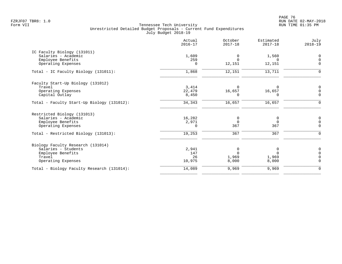en and the set of the set of the set of the set of the set of the set of the set of the set of the set of the set of the set of the set of the set of the set of the set of the set of the set of the set of the set of the se FZRJF07 TBR8: 1.0 RUN DATE 02-MAY-2018

|                                            | Actual<br>$2016 - 17$ | October<br>$2017 - 18$ | Estimated<br>$2017 - 18$ | July<br>$2018 - 19$ |
|--------------------------------------------|-----------------------|------------------------|--------------------------|---------------------|
| IC Faculty Biology (131011)                |                       |                        |                          |                     |
| Salaries - Academic                        | 1,609                 | 0                      | 1,560                    | 0                   |
| Employee Benefits                          | 259                   |                        | $\Omega$                 | $\Omega$            |
| Operating Expenses                         | $\Omega$              | 12,151                 | 12,151                   | $\Omega$            |
| Total - IC Faculty Biology (131011):       | 1,868                 | 12,151                 | 13,711                   | $\Omega$            |
| Faculty Start-Up Biology (131012)          |                       |                        |                          |                     |
| Travel                                     | 3,414                 | $\Omega$               |                          | $\Omega$            |
| Operating Expenses                         | 22,479                | 16,657                 | 16,657                   | $\Omega$            |
| Capital Outlay                             | 8,450                 |                        | $\Omega$                 | $\Omega$            |
| Total - Faculty Start-Up Biology (131012): | 34,343                | 16,657                 | 16,657                   | $\mathbf 0$         |
| Restricted Biology (131013)                |                       |                        |                          |                     |
| Salaries - Academic                        | 16,282                | 0                      | 0                        | 0                   |
| Employee Benefits                          | 2,971                 | $\Omega$               | $\Omega$                 | $\Omega$            |
| Operating Expenses                         | $\Omega$              | 367                    | 367                      | $\Omega$            |
| Total - Restricted Biology (131013):       | 19,253                | 367                    | 367                      | $\Omega$            |
| Biology Faculty Research (131014)          |                       |                        |                          |                     |
| Salaries - Students                        | 2,941                 | $\Omega$               | 0                        | 0                   |
| Employee Benefits                          | 147                   |                        | $\Omega$                 | $\cap$              |
| Travel                                     | 26                    | 1,969                  | 1,969                    | $\Omega$            |
| Operating Expenses                         | 10,975                | 8,000                  | 8,000                    | $\Omega$            |
| Total - Biology Faculty Research (131014): | 14,089                | 9,969                  | 9,969                    | $\mathbf 0$         |
|                                            |                       |                        |                          |                     |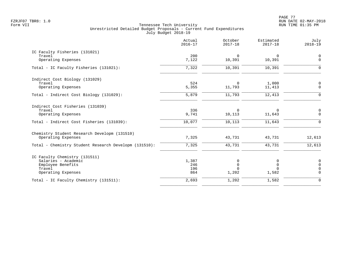|                                                                                                                             | Actual<br>$2016 - 17$      | October<br>$2017 - 18$             | Estimated<br>$2017 - 18$    | July<br>$2018 - 19$                             |
|-----------------------------------------------------------------------------------------------------------------------------|----------------------------|------------------------------------|-----------------------------|-------------------------------------------------|
| IC Faculty Fisheries (131021)<br>Travel<br>Operating Expenses                                                               | 200<br>7,122               | $\Omega$<br>10,391                 | $\Omega$<br>10,391          | 0<br>$\mathbf 0$                                |
| Total - IC Faculty Fisheries (131021):                                                                                      | 7,322                      | 10,391                             | 10,391                      | $\Omega$                                        |
| Indirect Cost Biology (131029)<br>Travel<br>Operating Expenses                                                              | 524<br>5,355               | $\Omega$<br>11,793                 | 1,000<br>11,413             | 0<br>$\Omega$                                   |
| Total - Indirect Cost Biology (131029):                                                                                     | 5,879                      | 11,793                             | 12,413                      | $\Omega$                                        |
| Indirect Cost Fisheries (131039)<br>Travel<br>Operating Expenses<br>Total - Indirect Cost Fisheries (131039):               | 336<br>9,741<br>10,077     | $\Omega$<br>10,113<br>10,113       | 0<br>11,643<br>11,643       | $\mathbf 0$<br>$\Omega$<br>$\Omega$             |
| Chemistry Student Research Developm (131510)<br>Operating Expenses<br>Total - Chemistry Student Research Developm (131510): | 7,325<br>7,325             | 43,731<br>43,731                   | 43,731<br>43,731            | 12,613<br>12,613                                |
| IC Faculty Chemistry (131511)<br>Salaries - Academic<br>Employee Benefits<br>Travel<br>Operating Expenses                   | 1,387<br>246<br>196<br>864 | 0<br>$\Omega$<br>$\Omega$<br>1,202 | 0<br>0<br>$\Omega$<br>1,582 | $\mathbf 0$<br>$\Omega$<br>$\Omega$<br>$\Omega$ |
| Total - IC Faculty Chemistry (131511):                                                                                      | 2,693                      | 1,202                              | 1,582                       | $\Omega$                                        |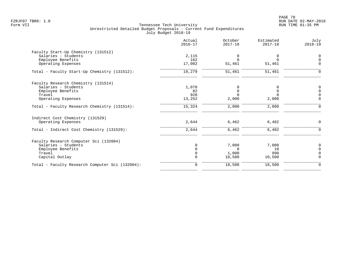|                                                 | Actual<br>$2016 - 17$ | October<br>$2017 - 18$     | Estimated<br>$2017 - 18$ | July<br>$2018 - 19$     |
|-------------------------------------------------|-----------------------|----------------------------|--------------------------|-------------------------|
| Faculty Start-Up Chemistry (131512)             |                       |                            |                          |                         |
| Salaries - Students                             | 2,115                 | $\mathbf 0$                | 0                        | $\overline{0}$          |
| Employee Benefits                               | 162                   | $\Omega$                   | $\Omega$                 | $\Omega$<br>$\Omega$    |
| Operating Expenses                              | 17,002                | 51,461                     | 51,461                   |                         |
| Total - Faculty Start-Up Chemistry (131512):    | 19,279                | 51,461                     | 51,461                   | $\mathbf 0$             |
| Faculty Research Chemistry (131514)             |                       |                            |                          |                         |
| Salaries - Students                             | 1,070                 | 0                          | 0                        | $\mathbf 0$             |
| Employee Benefits<br>Travel                     | 82<br>920             | $\overline{0}$<br>$\Omega$ | $\mathbf{0}$<br>$\Omega$ | $\mathbf 0$<br>$\Omega$ |
| Operating Expenses                              | 13,252                | 2,000                      | 2,000                    | $\mathbf 0$             |
|                                                 |                       |                            |                          |                         |
| Total - Faculty Research Chemistry (131514):    | 15,324                | 2,000                      | 2,000                    | $\Omega$                |
| Indirect Cost Chemistry (131529)                |                       |                            |                          |                         |
| Operating Expenses                              | 2,644                 | 6,462                      | 6,482                    | 0                       |
| Total - Indirect Cost Chemistry (131529):       | 2,644                 | 6,462                      | 6,482                    | $\Omega$                |
| Faculty Research Computer Sci (132004)          |                       |                            |                          |                         |
| Salaries - Students                             | $\Omega$              | 7,000                      | 7,000                    | $\overline{0}$          |
| Employee Benefits                               | $\Omega$              | $\Omega$                   | 10                       | $\Omega$                |
| Travel                                          | $\Omega$              | 1,000                      | 990                      | $\Omega$                |
| Capital Outlay                                  | $\Omega$              | 10,500                     | 10,500                   | $\mathbf 0$             |
| Total - Faculty Research Computer Sci (132004): | $\mathbf 0$           | 18,500                     | 18,500                   | $\mathbf 0$             |
|                                                 |                       |                            |                          |                         |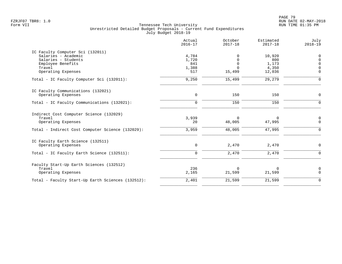|                                                   | Actual<br>$2016 - 17$ | October<br>$2017 - 18$ | Estimated<br>$2017 - 18$ | July<br>$2018 - 19$     |
|---------------------------------------------------|-----------------------|------------------------|--------------------------|-------------------------|
| IC Faculty Computer Sci (132011)                  |                       |                        |                          |                         |
| Salaries - Academic<br>Salaries - Students        | 4,784<br>1,720        | 0<br>$\Omega$          | 10,920<br>800            | $\mathbf 0$<br>$\Omega$ |
| Employee Benefits                                 | 841                   | $\Omega$               | 1,173                    | $\Omega$                |
| Travel                                            | 1,388                 | $\Omega$               | 4,350                    | $\Omega$                |
| Operating Expenses                                | 517                   | 15,499                 | 12,036                   | $\Omega$                |
| Total - IC Faculty Computer Sci (132011):         | 9,250                 | 15,499                 | 29,279                   | $\Omega$                |
| IC Faculty Communications (132021)                |                       |                        |                          |                         |
| Operating Expenses                                | $\mathbf 0$           | 150                    | 150                      | $\mathbf 0$             |
| Total - IC Faculty Communications (132021):       | $\Omega$              | 150                    | 150                      | $\Omega$                |
| Indirect Cost Computer Science (132029)           |                       |                        |                          |                         |
| Travel                                            | 3,939                 | $\Omega$               | 0                        | 0                       |
| Operating Expenses                                | 20                    | 48,005                 | 47,995                   | $\mathbf 0$             |
| Total - Indirect Cost Computer Science (132029):  | 3,959                 | 48,005                 | 47,995                   | $\Omega$                |
| IC Faculty Earth Science (132511)                 |                       |                        |                          |                         |
| Operating Expenses                                | 0                     | 2,470                  | 2,470                    | $\Omega$                |
| Total - IC Faculty Earth Science (132511):        | $\Omega$              | 2,470                  | 2,470                    | $\Omega$                |
| Faculty Start-Up Earth Sciences (132512)          |                       |                        |                          |                         |
| Travel                                            | 236                   | $\Omega$               | 0                        | $\mathbf 0$             |
| Operating Expenses                                | 2,165                 | 21,599                 | 21,599                   | $\Omega$                |
| Total - Faculty Start-Up Earth Sciences (132512): | 2,401                 | 21,599                 | 21,599                   | $\Omega$                |
|                                                   |                       |                        |                          |                         |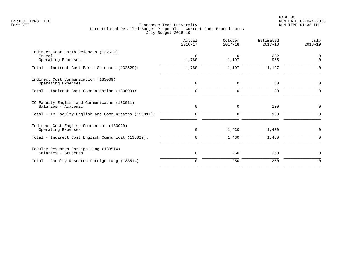|                                                                       | Actual<br>$2016 - 17$ | October<br>$2017 - 18$ | Estimated<br>$2017 - 18$ | July<br>$2018 - 19$  |
|-----------------------------------------------------------------------|-----------------------|------------------------|--------------------------|----------------------|
| Indirect Cost Earth Sciences (132529)<br>Travel<br>Operating Expenses | $\Omega$<br>1,760     | $\Omega$<br>1,197      | 232<br>965               | $\Omega$<br>$\Omega$ |
| Total - Indirect Cost Earth Sciences (132529):                        | 1,760                 | 1,197                  | 1,197                    | $\Omega$             |
| Indirect Cost Communication (133009)<br>Operating Expenses            | 0                     | 0                      | 30                       | 0                    |
| Total - Indirect Cost Communication (133009):                         | $\mathbf 0$           | $\mathbf 0$            | 30                       | $\Omega$             |
| IC Faculty English and Communicatns (133011)<br>Salaries - Academic   | 0                     | 0                      | 100                      | 0                    |
| Total - IC Faculty English and Communicatns (133011):                 | $\mathbf 0$           | $\Omega$               | 100                      | $\Omega$             |
| Indirect Cost English Communicat (133029)<br>Operating Expenses       | 0                     | 1,430                  | 1,430                    | 0                    |
| Total - Indirect Cost English Communicat (133029):                    | 0                     | 1,430                  | 1,430                    | $\mathbf 0$          |
| Faculty Research Foreign Lang (133514)<br>Salaries - Students         | 0                     | 250                    | 250                      | $\mathbf 0$          |
| Total - Faculty Research Foreign Lang (133514):                       | 0                     | 250                    | 250                      | $\mathbf 0$          |
|                                                                       |                       |                        |                          |                      |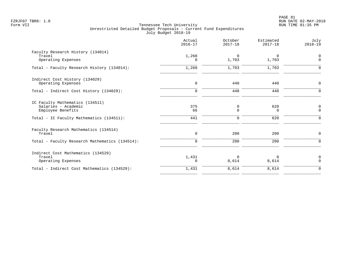|                                                                             | Actual<br>$2016 - 17$ | October<br>$2017 - 18$ | Estimated<br>$2017 - 18$ | July<br>$2018 - 19$           |
|-----------------------------------------------------------------------------|-----------------------|------------------------|--------------------------|-------------------------------|
| Faculty Research History (134014)<br>Travel<br>Operating Expenses           | 1,268<br>$\Omega$     | $\Omega$<br>1,703      | 0<br>1,703               | $\mathbf 0$<br>$\Omega$       |
| Total - Faculty Research History (134014):                                  | 1,268                 | 1,703                  | 1,703                    | $\Omega$                      |
| Indirect Cost History (134029)<br>Operating Expenses                        | $\mathbf 0$           | 440                    | 440                      | $\mathbf 0$                   |
| Total - Indirect Cost History (134029):                                     | $\Omega$              | 440                    | 440                      | ∩                             |
| IC Faculty Mathematics (134511)<br>Salaries - Academic<br>Employee Benefits | 375<br>66             | 0<br>0                 | 620<br>0                 | $\overline{0}$<br>$\mathbf 0$ |
| Total - IC Faculty Mathematics (134511):                                    | 441                   | 0                      | 620                      | $\Omega$                      |
| Faculty Research Mathematics (134514)<br>Travel                             | $\mathbf 0$           | 200                    | 200                      | 0                             |
| Total - Faculty Research Mathematics (134514):                              | $\mathbf 0$           | 200                    | 200                      | $\Omega$                      |
| Indirect Cost Mathematics (134529)<br>Travel<br>Operating Expenses          | 1,431<br>$\Omega$     | $\Omega$<br>8,614      | 0<br>8,614               | $\mathbf 0$<br>$\Omega$       |
| Total - Indirect Cost Mathematics (134529):                                 | 1,431                 | 8,614                  | 8,614                    | $\mathbf 0$                   |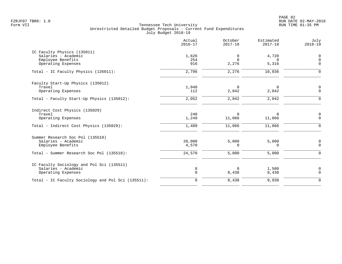PAGE 82 FZRJF07 TBR8: 1.0 RUN DATE 02-MAY-2018

|                                                                                                                           | Actual<br>$2016 - 17$     | October<br>$2017 - 18$       | Estimated<br>$2017 - 18$     | July<br>$2018 - 19$          |
|---------------------------------------------------------------------------------------------------------------------------|---------------------------|------------------------------|------------------------------|------------------------------|
| IC Faculty Physics (135011)<br>Salaries - Academic<br>Employee Benefits<br>Operating Expenses                             | 1,626<br>254<br>916       | 0<br>$\Omega$<br>2,276       | 4,720<br>$\Omega$<br>5,316   | 0<br>$\mathbf 0$<br>$\Omega$ |
| Total - IC Faculty Physics (135011):                                                                                      | 2,796                     | 2,276                        | 10,036                       | $\Omega$                     |
| Faculty Start-Up Physics (135012)<br>Travel<br>Operating Expenses                                                         | 1,940<br>112              | $\Omega$<br>2,042            | $\mathbf 0$<br>2,042         | $\mathbf 0$<br>$\Omega$      |
| Total - Faculty Start-Up Physics (135012):                                                                                | 2,052                     | 2,042                        | 2,042                        | $\Omega$                     |
| Indirect Cost Physics (135029)<br>Travel<br>Operating Expenses<br>Total - Indirect Cost Physics (135029):                 | 240<br>1,249<br>1,489     | $\Omega$<br>11,066<br>11,066 | $\Omega$<br>11,066<br>11,066 | 0<br>$\mathbf 0$<br>$\Omega$ |
| Summer Research Soc Pol (135510)<br>Salaries - Academic<br>Employee Benefits<br>Total - Summer Research Soc Pol (135510): | 20,000<br>4,570<br>24,570 | 5,000<br>$\Omega$<br>5,000   | 5,000<br>$\Omega$<br>5,000   | 0<br>$\mathbf 0$<br>$\Omega$ |
| IC Faculty Sociology and Pol Sci (135511)<br>Salaries - Academic<br>Operating Expenses                                    | 0<br>$\mathbf 0$          | $\Omega$<br>8,438            | 1,500<br>8,438               | $\mathbf 0$<br>$\Omega$      |
| Total - IC Faculty Sociology and Pol Sci (135511):                                                                        | $\mathbf 0$               | 8,438                        | 9,938                        | $\Omega$                     |
|                                                                                                                           |                           |                              |                              |                              |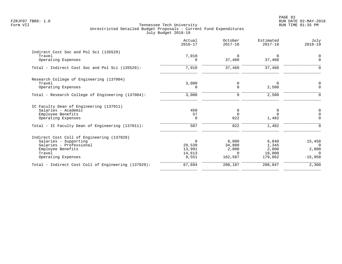|                                                     | Actual<br>$2016 - 17$ | October<br>$2017 - 18$ | Estimated<br>$2017 - 18$ | July<br>$2018 - 19$  |
|-----------------------------------------------------|-----------------------|------------------------|--------------------------|----------------------|
| Indirect Cost Soc and Pol Sci (135529)              |                       |                        |                          |                      |
| Travel<br>Operating Expenses                        | 7,010<br>$\Omega$     | $\Omega$<br>37,460     | $\Omega$<br>37,460       | $\Omega$<br>$\Omega$ |
| Total - Indirect Cost Soc and Pol Sci (135529):     | 7,010                 | 37,460                 | 37,460                   | ∩                    |
| Research College of Engineering (137004)            |                       |                        |                          |                      |
| Travel                                              | 3,000                 | 0                      | 0                        | $\mathbf 0$          |
| Operating Expenses                                  | $\Omega$              | $\Omega$               | 2,500                    | $\Omega$             |
| Total - Research College of Engineering (137004):   | 3,000                 | 0                      | 2,500                    | $\Omega$             |
| IC Faculty Dean of Engineering (137011)             |                       |                        |                          |                      |
| Salaries - Academic                                 | 450                   | 0                      | 0                        | 0                    |
| Employee Benefits                                   | 57                    | $\Omega$<br>822        | $\Omega$                 | $\Omega$<br>$\Omega$ |
| Operating Expenses                                  | 0                     |                        | 1,482                    |                      |
| Total - IC Faculty Dean of Engineering (137011):    | 507                   | 822                    | 1,482                    | $\mathbf 0$          |
| Indirect Cost Coll of Engineering (137029)          |                       |                        |                          |                      |
| Salaries - Supporting                               | $\Omega$              | 8,000                  | 6,840                    | 15,458               |
| Salaries - Professional                             | 29,539                | 34,800                 | 1,345                    | $\Omega$             |
| Employee Benefits                                   | 13,991                | 2,800                  | 2,800                    | 2,800                |
| Travel<br>Operating Expenses                        | 14,613<br>9,551       | $\Omega$<br>162,587    | 18,000<br>179,862        | $\cap$<br>$-15,958$  |
|                                                     |                       |                        |                          |                      |
| Total - Indirect Cost Coll of Engineering (137029): | 67,694                | 208,187                | 208,847                  | 2,300                |
|                                                     |                       |                        |                          |                      |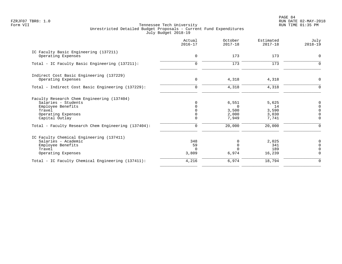PAGE 84 FZRJF07 TBR8: 1.0 RUN DATE 02-MAY-2018

|                                                             | Actual<br>$2016 - 17$ | October<br>$2017 - 18$ | Estimated<br>$2017 - 18$ | July<br>$2018 - 19$              |
|-------------------------------------------------------------|-----------------------|------------------------|--------------------------|----------------------------------|
| IC Faculty Basic Engineering (137211)<br>Operating Expenses | $\mathbf 0$           | 173                    | 173                      | $\mathbf 0$                      |
| Total - IC Faculty Basic Engineering (137211):              | $\Omega$              | 173                    | 173                      | 0                                |
| Indirect Cost Basic Engineering (137229)                    |                       |                        |                          |                                  |
| Operating Expenses                                          | $\mathbf 0$           | 4,318                  | 4,318                    | 0                                |
| Total - Indirect Cost Basic Engineering (137229):           | $\mathbf 0$           | 4,318                  | 4,318                    | $\mathbf 0$                      |
| Faculty Research Chem Engineering (137404)                  |                       |                        |                          |                                  |
| Salaries - Students                                         | $\Omega$              | 6,551                  | 5,625                    | 0                                |
| Employee Benefits                                           | 0                     | $\Omega$               | 14                       | $\mathbf 0$                      |
| Travel                                                      |                       | 3,500                  | 3,590                    | $\overline{0}$<br>$\overline{0}$ |
| Operating Expenses<br>Capital Outlay                        | $\Omega$              | 2,000<br>7,949         | 3,030<br>7,741           | $\mathbf 0$                      |
| Total - Faculty Research Chem Engineering (137404):         | 0                     | 20,000                 | 20,000                   | $\Omega$                         |
| IC Faculty Chemical Engineering (137411)                    |                       |                        |                          |                                  |
| Salaries - Academic                                         | 348                   | 0                      | 2,025                    | 0                                |
| Employee Benefits                                           | 59                    | $\Omega$               | 341                      | $\mathsf 0$                      |
| Travel                                                      | $\Omega$              | $\Omega$               | 189                      | $\mathbf 0$                      |
| Operating Expenses                                          | 3,809                 | 6,974                  | 16,239                   | $\mathbf 0$                      |
| Total - IC Faculty Chemical Engineering (137411):           | 4,216                 | 6,974                  | 18,794                   | $\mathbf 0$                      |
|                                                             |                       |                        |                          |                                  |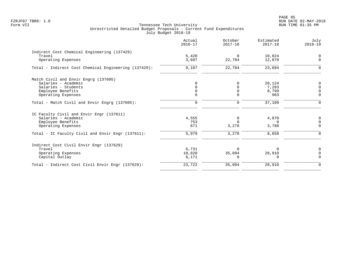| Actual<br>$2016 - 17$ | October<br>$2017 - 18$ | Estimated<br>$2017 - 18$ | July<br>$2018 - 19$ |
|-----------------------|------------------------|--------------------------|---------------------|
|                       |                        |                          |                     |
| 5.420                 | $\Omega$               | 10,824                   |                     |
| 3,687                 | 22,784                 | 12,870                   | $\Omega$            |
| 9,107                 | 22,784                 | 23,694                   |                     |
|                       |                        |                          |                     |
|                       | $\Omega$               | 20,124                   | $\mathbf 0$         |
|                       |                        | 7,283                    | $\Omega$            |
|                       | $\Omega$               | 8,799                    |                     |
| $\Omega$              | $\Omega$               | 903                      | $\Omega$            |
| $\mathbf 0$           | 0                      | 37,109                   | $\Omega$            |
|                       |                        |                          |                     |
| 4,555                 | 0                      | 4,870                    | 0                   |
| 753                   |                        | $\Omega$                 | $\Omega$            |
| 671                   | 3,278                  | 3,788                    | $\mathbf 0$         |
| 5,979                 | 3,278                  | 8,658                    | $\Omega$            |
|                       |                        |                          |                     |
| 6,731                 |                        |                          | $\Omega$            |
| 10,820                | 35,094                 | 28,910                   | n                   |
| 6,171                 | 0                      | $\Omega$                 | $\Omega$            |
| 23,722                | 35,094                 | 28,910                   | $\mathbf 0$         |
|                       |                        |                          |                     |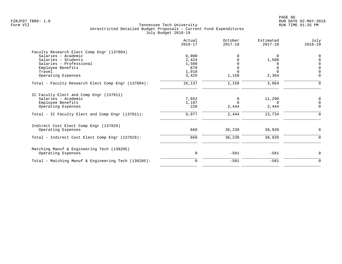|                                                     | Actual<br>$2016 - 17$ | October<br>$2017 - 18$ | Estimated<br>$2017 - 18$ | July<br>$2018 - 19$ |
|-----------------------------------------------------|-----------------------|------------------------|--------------------------|---------------------|
| Faculty Research Elect Comp Engr (137804)           |                       |                        |                          |                     |
| Salaries - Academic                                 | 6,000                 |                        | $\Omega$                 | $\Omega$            |
| Salaries - Students                                 | 2,424                 |                        | 1,500                    | $\Omega$            |
| Salaries - Professional                             | 1,500                 |                        |                          | $\Omega$            |
| Employee Benefits                                   | 870                   |                        |                          | $\mathsf 0$         |
| Travel                                              | 1,918                 |                        |                          | $\Omega$            |
| Operating Expenses                                  | 3,425                 | 1,158                  | 2,364                    | $\mathbf 0$         |
| Total - Faculty Research Elect Comp Engr (137804):  | 16,137                | 1,158                  | 3,864                    | $\Omega$            |
| IC Faculty Elect and Comp Engr (137811)             |                       |                        |                          |                     |
| Salaries - Academic                                 | 7,652                 | 0                      | 11,290                   | 0                   |
| Employee Benefits                                   | 1,197                 | $\Omega$               | $\Omega$                 | $\mathbf 0$         |
| Operating Expenses                                  | 228                   | 2,444                  | 2,444                    | $\mathbf 0$         |
| Total - IC Faculty Elect and Comp Engr (137811):    | 9,077                 | 2,444                  | 13,734                   | $\Omega$            |
| Indirect Cost Elect Comp Engr (137829)              |                       |                        |                          |                     |
| Operating Expenses                                  | 660                   | 36,230                 | 38,920                   | 0                   |
| Total - Indirect Cost Elect Comp Engr (137829):     | 660                   | 36,230                 | 38,920                   | $\Omega$            |
| Matching Manuf & Engineering Tech (138205)          |                       |                        |                          |                     |
| Operating Expenses                                  | $\mathbf 0$           | $-581$                 | $-581$                   | $\mathbf 0$         |
| Total - Matching Manuf & Engineering Tech (138205): | $\Omega$              | $-581$                 | $-581$                   | $\mathbf 0$         |
|                                                     |                       |                        |                          |                     |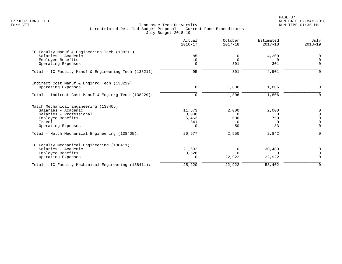PAGE 87 FZRJF07 TBR8: 1.0 RUN DATE 02-MAY-2018

|                                                       | Actual<br>$2016 - 17$ | October<br>$2017 - 18$ | Estimated<br>$2017 - 18$ | July<br>$2018 - 19$     |
|-------------------------------------------------------|-----------------------|------------------------|--------------------------|-------------------------|
| IC Faculty Manuf & Engineering Tech (138211)          |                       |                        |                          |                         |
| Salaries - Academic                                   | 85                    | 0                      | 4,200                    | 0                       |
| Employee Benefits<br>Operating Expenses               | 10<br>0               | $\Omega$<br>301        | $\Omega$<br>301          | $\mathbf 0$<br>$\Omega$ |
|                                                       |                       |                        |                          |                         |
| Total - IC Faculty Manuf & Engineering Tech (138211): | 95                    | 301                    | 4,501                    | $\Omega$                |
| Indirect Cost Manuf & Enginrg Tech (138229)           |                       |                        |                          |                         |
| Operating Expenses                                    | $\mathbf 0$           | 1,806                  | 1,806                    | $\mathbf 0$             |
| Total - Indirect Cost Manuf & Enginrg Tech (138229):  | $\mathbf 0$           | 1,806                  | 1,806                    | $\Omega$                |
| Match Mechanical Engineering (138405)                 |                       |                        |                          |                         |
| Salaries - Academic                                   | 11,673                | 2,000                  | 2,000                    | 0                       |
| Salaries - Professional                               | 3,000                 | $\Omega$               | <sup>n</sup>             | $\mathbf 0$             |
| Employee Benefits                                     | 5,463                 | 600                    | 759                      | $\mathbf 0$             |
| Travel                                                | 841                   | $\overline{0}$         | $\Omega$                 | $\overline{0}$          |
| Operating Expenses                                    | 0                     | $-50$                  | 83                       | $\mathbf 0$             |
| Total - Match Mechanical Engineering (138405):        | 20,977                | 2,550                  | 2,842                    | $\Omega$                |
| IC Faculty Mechanical Engineering (138411)            |                       |                        |                          |                         |
| Salaries - Academic                                   | 21,692                | $\Omega$               | 30,480                   | 0                       |
| Employee Benefits                                     | 3,528                 | $\Omega$               | <sup>n</sup>             | $\Omega$                |
| Operating Expenses                                    | $\Omega$              | 22,922                 | 22,922                   | $\Omega$                |
| Total - IC Faculty Mechanical Engineering (138411):   | 25,220                | 22,922                 | 53,402                   | $\mathbf 0$             |
|                                                       |                       |                        |                          |                         |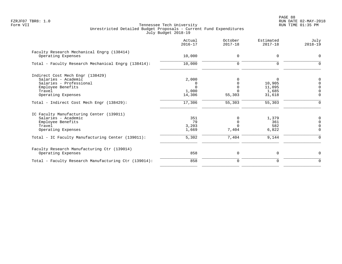PAGE 88 FZRJF07 TBR8: 1.0 RUN DATE 02-MAY-2018

|                                                                  | Actual<br>$2016 - 17$ | October<br>$2017 - 18$ | Estimated<br>$2017 - 18$ | July<br>$2018 - 19$ |
|------------------------------------------------------------------|-----------------------|------------------------|--------------------------|---------------------|
| Faculty Research Mechanical Engrg (138414)<br>Operating Expenses | 10,000                | 0                      | $\mathbf 0$              | $\Omega$            |
|                                                                  |                       |                        |                          |                     |
| Total - Faculty Research Mechanical Engrg (138414):              | 10,000                | 0                      | $\Omega$                 |                     |
| Indirect Cost Mech Engr (138429)                                 |                       |                        |                          |                     |
| Salaries - Academic                                              | 2,000                 |                        | 0                        |                     |
| Salaries - Professional                                          |                       |                        | 10,905                   |                     |
| Employee Benefits                                                |                       | $\Omega$               | 11,095                   | $\Omega$            |
| Travel                                                           | 1,000                 |                        | 1,685                    | $\Omega$            |
| Operating Expenses                                               | 14,306                | 55,303                 | 31,618                   | $\Omega$            |
| Total - Indirect Cost Mech Engr (138429):                        | 17,306                | 55,303                 | 55,303                   | $\mathbf 0$         |
| IC Faculty Manufacturing Center (139011)                         |                       |                        |                          |                     |
| Salaries - Academic                                              | 351                   | 0                      | 1,379                    |                     |
| Employee Benefits                                                | 79                    |                        | 361                      | $\Omega$            |
| Travel                                                           | 3,203                 | <sup>n</sup>           | 582                      | $\cap$              |
| Operating Expenses                                               | 1,669                 | 7,404                  | 6,822                    | $\Omega$            |
| Total - IC Faculty Manufacturing Center (139011):                | 5,302                 | 7,404                  | 9,144                    | $\Omega$            |
| Faculty Research Manufacturing Ctr (139014)                      |                       |                        |                          |                     |
| Operating Expenses                                               | 858                   | 0                      | 0                        | $\Omega$            |
| Total - Faculty Research Manufacturing Ctr (139014):             | 858                   | 0                      | 0                        | $\Omega$            |
|                                                                  |                       |                        |                          |                     |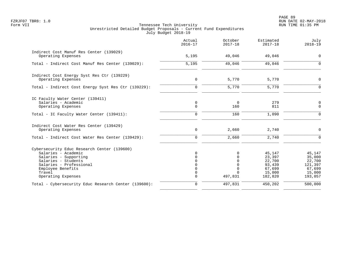|                                                                                                                                                                                                    | Actual<br>$2016 - 17$          | October<br>$2017 - 18$               | Estimated<br>$2017 - 18$                                            | July<br>$2018 - 19$                                                  |
|----------------------------------------------------------------------------------------------------------------------------------------------------------------------------------------------------|--------------------------------|--------------------------------------|---------------------------------------------------------------------|----------------------------------------------------------------------|
| Indirect Cost Manuf Res Center (139029)<br>Operating Expenses                                                                                                                                      | 5,195                          | 49,046                               | 49,046                                                              | $\mathbf 0$                                                          |
| Total - Indirect Cost Manuf Res Center (139029):                                                                                                                                                   | 5,195                          | 49,046                               | 49,046                                                              | $\Omega$                                                             |
| Indirect Cost Energy Syst Res Ctr (139229)<br>Operating Expenses                                                                                                                                   | $\mathbf 0$                    | 5,770                                | 5,770                                                               | $\Omega$                                                             |
| Total - Indirect Cost Energy Syst Res Ctr (139229):                                                                                                                                                | $\Omega$                       | 5,770                                | 5,770                                                               | $\Omega$                                                             |
| IC Faculty Water Center (139411)<br>Salaries - Academic<br>Operating Expenses                                                                                                                      | $\mathbf 0$<br>$\mathbf 0$     | 0<br>160                             | 279<br>811                                                          | 0<br>$\mathbf 0$                                                     |
| Total - IC Faculty Water Center (139411):                                                                                                                                                          | $\mathbf 0$                    | 160                                  | 1,090                                                               | $\Omega$                                                             |
| Indirect Cost Water Res Center (139429)<br>Operating Expenses                                                                                                                                      | 0                              | 2,660                                | 2,740                                                               | $\mathbf 0$                                                          |
| Total - Indirect Cost Water Res Center (139429):                                                                                                                                                   | 0                              | 2,660                                | 2,740                                                               | $\Omega$                                                             |
| Cybersecurity Educ Research Center (139600)<br>Salaries - Academic<br>Salaries - Supporting<br>Salaries - Students<br>Salaries - Professional<br>Employee Benefits<br>Travel<br>Operating Expenses | $\cap$<br>$\Omega$<br>$\Omega$ | 0<br>$\Omega$<br>$\Omega$<br>497,831 | 45,147<br>23,397<br>22,700<br>93,439<br>67,699<br>15,000<br>182,820 | 45,147<br>35,000<br>22,700<br>121,397<br>67,699<br>15,000<br>193,057 |
| Total - Cybersecurity Educ Research Center (139600):                                                                                                                                               | $\mathbf 0$                    | 497,831                              | 450,202                                                             | 500,000                                                              |
|                                                                                                                                                                                                    |                                |                                      |                                                                     |                                                                      |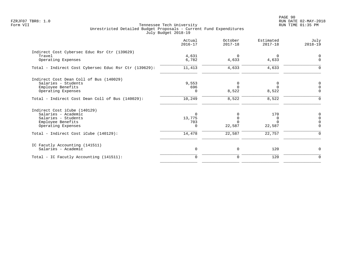PAGE 90 FZRJF07 TBR8: 1.0 RUN DATE 02-MAY-2018

|                                                       | Actual<br>$2016 - 17$ | October<br>$2017 - 18$ | Estimated<br>$2017 - 18$ | July<br>$2018 - 19$ |
|-------------------------------------------------------|-----------------------|------------------------|--------------------------|---------------------|
| Indirect Cost Cybersec Educ Rsr Ctr (139629)          |                       |                        |                          |                     |
| Travel                                                | 4,631                 | $\overline{0}$         | $\Omega$                 |                     |
| Operating Expenses                                    | 6,782                 | 4,633                  | 4,633                    | $\Omega$            |
| Total - Indirect Cost Cybersec Educ Rsr Ctr (139629): | 11,413                | 4,633                  | 4,633                    | $\Omega$            |
| Indirect Cost Dean Coll of Bus (140029)               |                       |                        |                          |                     |
| Salaries - Students                                   | 9,553                 | 0                      |                          | $\Omega$            |
| Employee Benefits                                     | 696                   | $\Omega$               | $\Omega$                 | $\Omega$            |
| Operating Expenses                                    | 0                     | 8,522                  | 8,522                    | $\Omega$            |
| Total - Indirect Cost Dean Coll of Bus (140029):      | 10,249                | 8,522                  | 8,522                    | $\Omega$            |
| Indirect Cost iCube (140129)                          |                       |                        |                          |                     |
| Salaries - Academic                                   | $\Omega$              | 0                      | 170                      | 0                   |
| Salaries - Students                                   | 13,775                | $\Omega$               | $\Omega$                 | $\Omega$            |
| Employee Benefits                                     | 703                   |                        |                          |                     |
| Operating Expenses                                    | $\Omega$              | 22,587                 | 22,587                   | $\Omega$            |
| Total - Indirect Cost iCube (140129):                 | 14,478                | 22,587                 | 22,757                   | $\Omega$            |
| IC Facutly Accounting (141511)                        |                       |                        |                          |                     |
| Salaries - Academic                                   | 0                     | 0                      | 120                      | $\Omega$            |
| Total - IC Facutly Accounting (141511):               | $\Omega$              | 0                      | 120                      | 0                   |
|                                                       |                       |                        |                          |                     |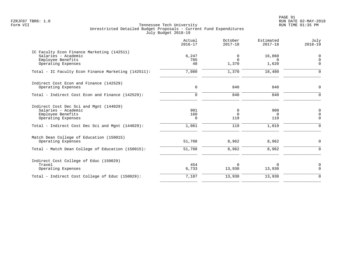PAGE 91 FZRJF07 TBR8: 1.0 RUN DATE 02-MAY-2018

| IC Faculty Econ Finance Marketing (142511)<br>6,247<br>Salaries - Academic<br>16,860<br>0<br>Employee Benefits<br>785<br>$\Omega$<br>$\Omega$<br>Operating Expenses<br>48<br>1,370<br>1,620<br>7,080<br>1,370<br>18,480<br>Total - IC Faculty Econ Finance Marketing (142511):<br>Indirect Cost Econ and Finance (142529)<br>$\mathbf 0$<br>840<br>840<br>Operating Expenses<br>840<br>840<br>Total - Indirect Cost Econ and Finance (142529):<br>$\mathbf 0$<br>Indirect Cost Dec Sci and Mgnt (144029)<br>901<br>Salaries - Academic<br>900<br>0<br>$\Omega$<br>Employee Benefits<br>160<br>$\Omega$<br>119<br>119<br>Operating Expenses<br>0<br>119<br>1,019<br>1,061<br>Total - Indirect Cost Dec Sci and Mgnt (144029):<br>Match Dean College of Education (150015)<br>51,708<br>8,962<br>8,962<br>Operating Expenses<br>51,708<br>8,962<br>8,962<br>Total - Match Dean College of Education (150015):<br>Indirect Cost College of Educ (150029)<br>454<br>Travel<br>$\Omega$<br>0<br>6,733<br>13,930<br>13,930<br>Operating Expenses<br>13,930<br>7,187<br>13,930<br>Total - Indirect Cost College of Educ (150029): | Actual<br>$2016 - 17$ | October<br>$2017 - 18$ | Estimated<br>$2017 - 18$ | July<br>$2018 - 19$                            |
|----------------------------------------------------------------------------------------------------------------------------------------------------------------------------------------------------------------------------------------------------------------------------------------------------------------------------------------------------------------------------------------------------------------------------------------------------------------------------------------------------------------------------------------------------------------------------------------------------------------------------------------------------------------------------------------------------------------------------------------------------------------------------------------------------------------------------------------------------------------------------------------------------------------------------------------------------------------------------------------------------------------------------------------------------------------------------------------------------------------------------|-----------------------|------------------------|--------------------------|------------------------------------------------|
|                                                                                                                                                                                                                                                                                                                                                                                                                                                                                                                                                                                                                                                                                                                                                                                                                                                                                                                                                                                                                                                                                                                            |                       |                        |                          | 0<br>$\mathbf 0$<br>$\Omega$                   |
|                                                                                                                                                                                                                                                                                                                                                                                                                                                                                                                                                                                                                                                                                                                                                                                                                                                                                                                                                                                                                                                                                                                            |                       |                        |                          | $\Omega$                                       |
|                                                                                                                                                                                                                                                                                                                                                                                                                                                                                                                                                                                                                                                                                                                                                                                                                                                                                                                                                                                                                                                                                                                            |                       |                        |                          | $\mathbf 0$                                    |
|                                                                                                                                                                                                                                                                                                                                                                                                                                                                                                                                                                                                                                                                                                                                                                                                                                                                                                                                                                                                                                                                                                                            |                       |                        |                          | $\mathbf 0$                                    |
|                                                                                                                                                                                                                                                                                                                                                                                                                                                                                                                                                                                                                                                                                                                                                                                                                                                                                                                                                                                                                                                                                                                            |                       |                        |                          | 0<br>$\mathbf 0$<br>$\mathbf 0$<br>$\mathbf 0$ |
|                                                                                                                                                                                                                                                                                                                                                                                                                                                                                                                                                                                                                                                                                                                                                                                                                                                                                                                                                                                                                                                                                                                            |                       |                        |                          | $\mathbf 0$<br>$\mathbf 0$                     |
|                                                                                                                                                                                                                                                                                                                                                                                                                                                                                                                                                                                                                                                                                                                                                                                                                                                                                                                                                                                                                                                                                                                            |                       |                        |                          | $\mathbf 0$<br>$\mathbf 0$                     |
|                                                                                                                                                                                                                                                                                                                                                                                                                                                                                                                                                                                                                                                                                                                                                                                                                                                                                                                                                                                                                                                                                                                            |                       |                        |                          | $\Omega$                                       |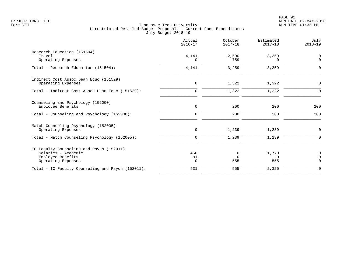|                                                                                                            | Actual<br>$2016 - 17$    | October<br>$2017 - 18$ | Estimated<br>$2017 - 18$ | July<br>$2018 - 19$          |
|------------------------------------------------------------------------------------------------------------|--------------------------|------------------------|--------------------------|------------------------------|
| Research Education (151504)<br>Travel<br>Operating Expenses                                                | 4,141<br>$\Omega$        | 2,500<br>759           | 3,259<br>$\Omega$        | 0<br>$\mathbf 0$             |
| Total - Research Education (151504):                                                                       | 4,141                    | 3,259                  | 3,259                    | $\Omega$                     |
| Indirect Cost Assoc Dean Educ (151529)<br>Operating Expenses                                               | $\mathbf 0$              | 1,322                  | 1,322                    | $\mathbf 0$                  |
| Total - Indirect Cost Assoc Dean Educ (151529):                                                            | $\Omega$                 | 1,322                  | 1,322                    | $\Omega$                     |
| Counseling and Psychology (152000)<br>Employee Benefits                                                    | $\mathbf 0$              | 200                    | 200                      | 200                          |
| Total - Counseling and Psychology (152000):                                                                | $\mathbf 0$              | 200                    | 200                      | 200                          |
| Match Counseling Psychology (152005)<br>Operating Expenses                                                 | $\mathbf 0$              | 1,239                  | 1,239                    | $\mathbf 0$                  |
| Total - Match Counseling Psychology (152005):                                                              | $\mathbf 0$              | 1,239                  | 1,239                    | $\Omega$                     |
| IC Faculty Counseling and Psych (152011)<br>Salaries - Academic<br>Employee Benefits<br>Operating Expenses | 450<br>81<br>$\mathbf 0$ | 0<br>$\Omega$<br>555   | 1,770<br>$\Omega$<br>555 | 0<br>$\mathbf 0$<br>$\Omega$ |
| Total - IC Faculty Counseling and Psych (152011):                                                          | 531                      | 555                    | 2,325                    | $\mathbf 0$                  |
|                                                                                                            |                          |                        |                          |                              |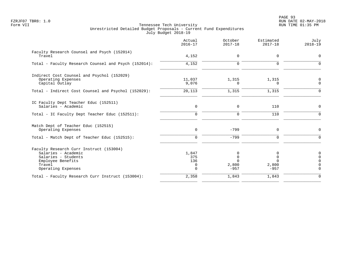PAGE 93 FZRJF07 TBR8: 1.0 RUN DATE 02-MAY-2018

|                                                                                                                                            | Actual<br>$2016 - 17$                   | October<br>$2017 - 18$                | Estimated<br>$2017 - 18$                        | July<br>$2018 - 19$                                            |
|--------------------------------------------------------------------------------------------------------------------------------------------|-----------------------------------------|---------------------------------------|-------------------------------------------------|----------------------------------------------------------------|
| Faculty Research Counsel and Psych (152014)<br>Travel                                                                                      | 4,152                                   | 0                                     | 0                                               | 0                                                              |
| Total - Faculty Research Counsel and Psych (152014):                                                                                       | 4,152                                   | $\Omega$                              | $\Omega$                                        | $\Omega$                                                       |
| Indirect Cost Counsel and Psychol (152029)<br>Operating Expenses<br>Capital Outlay                                                         | 11,037<br>9,076                         | 1,315<br>0                            | 1,315<br>$\Omega$                               | 0<br>$\mathbf 0$                                               |
| Total - Indirect Cost Counsel and Psychol (152029):                                                                                        | 20,113                                  | 1,315                                 | 1,315                                           | $\mathbf 0$                                                    |
| IC Faculty Dept Teacher Educ (152511)<br>Salaries - Academic                                                                               | 0                                       | 0                                     | 110                                             | $\mathbf 0$                                                    |
| Total - IC Faculty Dept Teacher Educ (152511):                                                                                             | $\mathbf 0$                             | 0                                     | 110                                             | $\mathbf 0$                                                    |
| Match Dept of Teacher Educ (152515)<br>Operating Expenses                                                                                  | $\mathbf 0$                             | $-799$                                | 0                                               | $\mathbf 0$                                                    |
| Total - Match Dept of Teacher Educ (152515):                                                                                               | $\mathbf 0$                             | $-799$                                | $\mathbf 0$                                     | $\mathbf 0$                                                    |
| Faculty Research Curr Instruct (153004)<br>Salaries - Academic<br>Salaries - Students<br>Employee Benefits<br>Travel<br>Operating Expenses | 1,847<br>375<br>136<br>0<br>$\mathbf 0$ | 0<br>$\Omega$<br>U<br>2,800<br>$-957$ | 0<br>$\mathbf 0$<br>$\Omega$<br>2,800<br>$-957$ | $\mathbf 0$<br>$\mathbf 0$<br>$\Omega$<br>$\Omega$<br>$\Omega$ |
| Total - Faculty Research Curr Instruct (153004):                                                                                           | 2,358                                   | 1,843                                 | 1,843                                           | $\Omega$                                                       |
|                                                                                                                                            |                                         |                                       |                                                 |                                                                |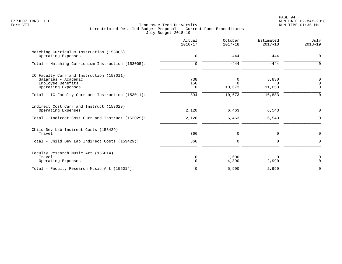PAGE 94 FZRJF07 TBR8: 1.0 RUN DATE 02-MAY-2018

|                                                                                                            | Actual<br>$2016 - 17$  | October<br>$2017 - 18$  | Estimated<br>$2017 - 18$    | July<br>$2018 - 19$                 |
|------------------------------------------------------------------------------------------------------------|------------------------|-------------------------|-----------------------------|-------------------------------------|
| Matching Curriculum Instruction (153005)<br>Operating Expenses                                             | $\mathbf 0$            | $-444$                  | $-444$                      | $\mathbf 0$                         |
| Total - Matching Curriculum Instruction (153005):                                                          | $\Omega$               | $-444$                  | $-444$                      | $\Omega$                            |
| IC Faculty Curr and Instruction (153011)<br>Salaries - Academic<br>Employee Benefits<br>Operating Expenses | 738<br>156<br>$\Omega$ | 0<br>$\Omega$<br>10,673 | 5,830<br>$\Omega$<br>11,053 | $\mathbf 0$<br>$\Omega$<br>$\Omega$ |
| Total - IC Faculty Curr and Instruction (153011):                                                          | 894                    | 10,673                  | 16,883                      | ∩                                   |
| Indirect Cost Curr and Instruct (153029)<br>Operating Expenses                                             | 2,120                  | 6,463                   | 6,543                       | $\mathbf 0$                         |
| Total - Indirect Cost Curr and Instruct (153029):                                                          | 2,120                  | 6,463                   | 6,543                       | $\Omega$                            |
| Child Dev Lab Indirect Costs (153429)<br>Travel                                                            | 366                    | $\Omega$                | 0                           | $\Omega$                            |
| Total - Child Dev Lab Indirect Costs (153429):                                                             | 366                    | $\mathbf 0$             | $\mathbf 0$                 | $\Omega$                            |
| Faculty Research Music Art (155014)<br>Travel<br>Operating Expenses                                        | 0<br>$\Omega$          | 1,600<br>4,390          | $\Omega$<br>2,990           | $\mathbf 0$<br>$\Omega$             |
| Total - Faculty Research Music Art (155014):                                                               | $\Omega$               | 5,990                   | 2,990                       | $\Omega$                            |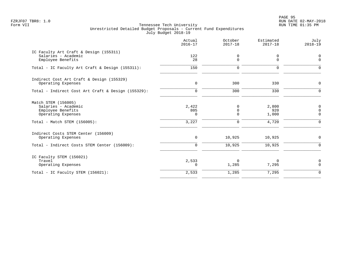PAGE 95 FZRJF07 TBR8: 1.0 RUN DATE 02-MAY-2018

| IC Faculty Art Craft & Design (155311)<br>122<br>Salaries - Academic<br>0<br>0<br>0<br>0<br>28<br>Employee Benefits<br>150<br>Total - IC Faculty Art Craft & Design (155311):<br>$\mathbf 0$<br>$\mathbf 0$<br>Indirect Cost Art Craft & Design (155329)<br>300<br>$\mathbf 0$<br>330<br>Operating Expenses<br>330<br>300<br>Total - Indirect Cost Art Craft & Design (155329):<br>$\mathbf 0$<br>Match STEM (156005)<br>Salaries - Academic<br>2,422<br>2,800<br>0<br>Employee Benefits<br>805<br>920<br>0<br>0<br>Operating Expenses<br>1,000<br>0<br>3,227<br>4,720<br>Total - Match STEM (156005):<br>$\mathbf 0$<br>Indirect Costs STEM Center (156009)<br>0<br>10,925<br>10,925<br>Operating Expenses<br>10,925<br>Total - Indirect Costs STEM Center (156009):<br>10,925<br>0<br>IC Faculty STEM (156021)<br>2,533<br>Travel<br>$\Omega$<br>$\Omega$<br>7,295<br>Operating Expenses<br>1,285<br>$\Omega$<br>7,295<br>2,533<br>1,285<br>Total - IC Faculty STEM (156021): | Actual<br>$2016 - 17$ | October<br>$2017 - 18$ | Estimated<br>$2017 - 18$ | July<br>$2018 - 19$                                   |
|---------------------------------------------------------------------------------------------------------------------------------------------------------------------------------------------------------------------------------------------------------------------------------------------------------------------------------------------------------------------------------------------------------------------------------------------------------------------------------------------------------------------------------------------------------------------------------------------------------------------------------------------------------------------------------------------------------------------------------------------------------------------------------------------------------------------------------------------------------------------------------------------------------------------------------------------------------------------------------|-----------------------|------------------------|--------------------------|-------------------------------------------------------|
|                                                                                                                                                                                                                                                                                                                                                                                                                                                                                                                                                                                                                                                                                                                                                                                                                                                                                                                                                                                 |                       |                        |                          | $\mathbf 0$<br>$\Omega$                               |
|                                                                                                                                                                                                                                                                                                                                                                                                                                                                                                                                                                                                                                                                                                                                                                                                                                                                                                                                                                                 |                       |                        |                          | $\Omega$                                              |
|                                                                                                                                                                                                                                                                                                                                                                                                                                                                                                                                                                                                                                                                                                                                                                                                                                                                                                                                                                                 |                       |                        |                          | $\Omega$                                              |
|                                                                                                                                                                                                                                                                                                                                                                                                                                                                                                                                                                                                                                                                                                                                                                                                                                                                                                                                                                                 |                       |                        |                          | $\Omega$                                              |
|                                                                                                                                                                                                                                                                                                                                                                                                                                                                                                                                                                                                                                                                                                                                                                                                                                                                                                                                                                                 |                       |                        |                          | $\mathbf 0$<br>$\mathbf 0$<br>$\mathbf 0$<br>$\Omega$ |
|                                                                                                                                                                                                                                                                                                                                                                                                                                                                                                                                                                                                                                                                                                                                                                                                                                                                                                                                                                                 |                       |                        |                          | $\mathbf 0$                                           |
|                                                                                                                                                                                                                                                                                                                                                                                                                                                                                                                                                                                                                                                                                                                                                                                                                                                                                                                                                                                 |                       |                        |                          | $\Omega$                                              |
|                                                                                                                                                                                                                                                                                                                                                                                                                                                                                                                                                                                                                                                                                                                                                                                                                                                                                                                                                                                 |                       |                        |                          | 0<br>$\Omega$                                         |
|                                                                                                                                                                                                                                                                                                                                                                                                                                                                                                                                                                                                                                                                                                                                                                                                                                                                                                                                                                                 |                       |                        |                          | $\mathbf 0$                                           |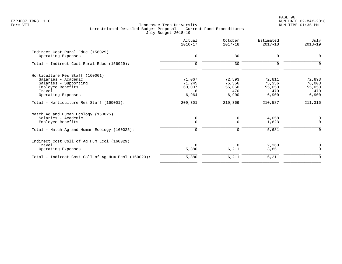PAGE 96 FZRJF07 TBR8: 1.0 RUN DATE 02-MAY-2018

|             |                                                |                              | $2018 - 19$                        |
|-------------|------------------------------------------------|------------------------------|------------------------------------|
|             |                                                |                              | $\mathbf 0$                        |
|             |                                                |                              |                                    |
| $\mathbf 0$ | 30                                             | $\Omega$                     | $\Omega$                           |
|             |                                                |                              |                                    |
| 71,067      | 72,593                                         | 72,811                       | 72,893                             |
|             | 75,356                                         | 75,356                       | 76,003                             |
|             |                                                |                              | 55,050                             |
|             |                                                |                              | 470                                |
|             |                                                |                              | 6,900                              |
| 209,301     | 210,369                                        | 210,587                      | 211,316                            |
|             |                                                |                              |                                    |
| $\mathbf 0$ | 0                                              | 4,058                        | 0                                  |
| $\Omega$    | $\Omega$                                       | 1,623                        | $\mathbf 0$                        |
| 0           | $\mathbf 0$                                    | 5,681                        | $\Omega$                           |
|             |                                                |                              |                                    |
| $\Omega$    | $\Omega$                                       | 2,360                        | 0                                  |
| 5,380       | 6,211                                          | 3,851                        | $\Omega$                           |
| 5,380       | 6,211                                          | 6,211                        | $\mathbf 0$                        |
|             | $\mathbf 0$<br>71,245<br>60,007<br>18<br>6,964 | 30<br>55,050<br>470<br>6,900 | $\Omega$<br>55,050<br>470<br>6,900 |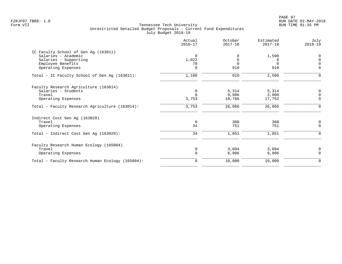|                                                  | Actual<br>$2016 - 17$ | October<br>$2017 - 18$ | Estimated<br>$2017 - 18$ | July<br>$2018 - 19$ |
|--------------------------------------------------|-----------------------|------------------------|--------------------------|---------------------|
| IC Faculty School of Gen Ag (163011)             |                       |                        |                          |                     |
| Salaries - Academic                              | $\Omega$              | $\Omega$               | 1,590                    | $\Omega$            |
| Salaries - Supporting                            | 1,022                 | $\Omega$               | $\Omega$                 | $\Omega$            |
| Employee Benefits                                | 78                    | $\Omega$               | $\Omega$                 | $\Omega$            |
| Operating Expenses                               | $\Omega$              | 910                    | 910                      | $\mathbf 0$         |
| Total - IC Faculty School of Gen Aq (163011):    | 1,100                 | 910                    | 2,500                    | $\Omega$            |
| Faculty Research Agriculture (163014)            |                       |                        |                          |                     |
| Salaries - Students                              | $\Omega$              | 5,314                  | 5,314                    | 0                   |
| Travel                                           | $\Omega$              | 9,986                  | 3,000                    | $\Omega$            |
| Operating Expenses                               | 3,753                 | 10,766                 | 17,752                   | $\overline{0}$      |
| Total - Faculty Research Agriculture (163014):   | 3,753                 | 26,066                 | 26,066                   | 0                   |
| Indirect Cost Gen Ag (163029)                    |                       |                        |                          |                     |
| Travel                                           | $\mathbf 0$           | 300                    | 300                      | $\mathbf 0$         |
| Operating Expenses                               | 34                    | 751                    | 751                      | $\Omega$            |
| Total - Indirect Cost Gen Ag (163029):           | 34                    | 1,051                  | 1,051                    | $\mathbf 0$         |
| Faculty Research Human Ecology (165004)          |                       |                        |                          |                     |
| Travel                                           | $\mathbf 0$           | 3,094                  | 3,094                    | 0                   |
| Operating Expenses                               | $\mathbf 0$           | 6,906                  | 6,906                    | $\mathbf 0$         |
| Total - Faculty Research Human Ecology (165004): | $\mathbf 0$           | 10,000                 | 10,000                   | $\mathbf 0$         |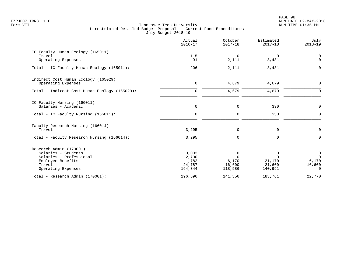PAGE 98 FZRJF07 TBR8: 1.0 RUN DATE 02-MAY-2018

|                                                                                                                                | Actual<br>$2016 - 17$                        | October<br>$2017 - 18$                      | Estimated<br>$2017 - 18$                     | July<br>$2018 - 19$                                          |
|--------------------------------------------------------------------------------------------------------------------------------|----------------------------------------------|---------------------------------------------|----------------------------------------------|--------------------------------------------------------------|
| IC Faculty Human Ecology (165011)<br>Travel<br>Operating Expenses                                                              | 115<br>91                                    | $\Omega$<br>2,111                           | 0<br>3,431                                   | $\mathbf 0$<br>$\mathbf 0$                                   |
| Total - IC Faculty Human Ecology (165011):                                                                                     | 206                                          | 2,111                                       | 3,431                                        | $\mathbf 0$                                                  |
| Indirect Cost Human Ecology (165029)<br>Operating Expenses                                                                     | $\mathbf 0$                                  | 4,679                                       | 4,679                                        | $\mathbf 0$                                                  |
| Total - Indirect Cost Human Ecology (165029):                                                                                  | $\mathbf 0$                                  | 4,679                                       | 4,679                                        | $\mathbf 0$                                                  |
| IC Faculty Nursing (166011)<br>Salaries - Academic<br>Total - IC Faculty Nursing (166011):                                     | $\mathsf{O}$<br>$\mathbf 0$                  | 0<br>0                                      | 330<br>330                                   | $\mathsf{O}$<br>$\mathbf 0$                                  |
|                                                                                                                                |                                              |                                             |                                              |                                                              |
| Faculty Research Nursing (166014)<br>Travel                                                                                    | 3,295                                        | 0                                           | $\mathbf 0$                                  | $\mathbf 0$                                                  |
| Total - Faculty Research Nursing (166014):                                                                                     | 3,295                                        | $\mathbf 0$                                 | $\mathbf 0$                                  | $\mathbf 0$                                                  |
| Research Admin (170001)<br>Salaries - Students<br>Salaries - Professional<br>Employee Benefits<br>Travel<br>Operating Expenses | 3,083<br>2,700<br>1,782<br>24,787<br>164,344 | 0<br>$\Omega$<br>6,170<br>16,600<br>118,586 | 0<br>$\Omega$<br>21,170<br>21,600<br>140,991 | $\mathbf 0$<br>$\overline{0}$<br>6,170<br>16,600<br>$\Omega$ |
| Total - Research Admin (170001):                                                                                               | 196,696                                      | 141,356                                     | 183,761                                      | 22,770                                                       |
|                                                                                                                                |                                              |                                             |                                              |                                                              |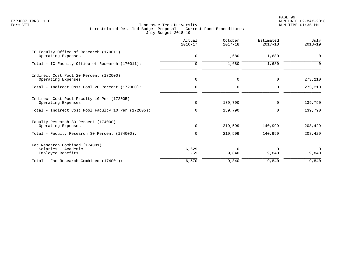PAGE 99 FZRJF07 TBR8: 1.0 RUN DATE 02-MAY-2018

|                                                                            | Actual<br>$2016 - 17$ | October<br>$2017 - 18$ | Estimated<br>$2017 - 18$ | July<br>$2018 - 19$ |
|----------------------------------------------------------------------------|-----------------------|------------------------|--------------------------|---------------------|
| IC Faculty Office of Research (170011)<br>Operating Expenses               | $\mathbf 0$           | 1,680                  | 1,680                    | 0                   |
| Total - IC Faculty Office of Research (170011):                            | $\Omega$              | 1,680                  | 1,680                    |                     |
| Indirect Cost Pool 20 Percent (172000)<br>Operating Expenses               | $\mathbf 0$           | $\mathbf 0$            | 0                        | 273,210             |
| Total - Indirect Cost Pool 20 Percent (172000):                            | $\Omega$              | 0                      | $\Omega$                 | 273,210             |
| Indirect Cost Pool Faculty 10 Per (172005)<br>Operating Expenses           | $\mathbf 0$           | 139,790                | 0                        | 139,790             |
| Total - Indirect Cost Pool Faculty 10 Per (172005):                        | $\mathbf 0$           | 139,790                | 0                        | 139,790             |
| Faculty Research 30 Percent (174000)<br>Operating Expenses                 | 0                     | 219,599                | 140,999                  | 208,429             |
| Total - Faculty Research 30 Percent (174000):                              | $\mathbf 0$           | 219,599                | 140,999                  | 208,429             |
| Fac Research Combined (174001)<br>Salaries - Academic<br>Employee Benefits | 6,629<br>$-59$        | $\Omega$<br>9,840      | $\Omega$<br>9,840        | $\Omega$<br>9,840   |
| Total - Fac Research Combined (174001):                                    | 6,570                 | 9,840                  | 9,840                    | 9,840               |
|                                                                            |                       |                        |                          |                     |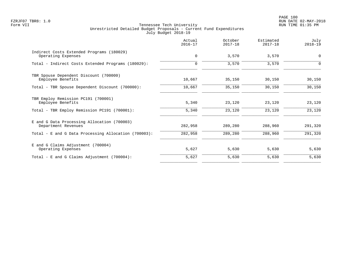PAGE 100 FZRJF07 TBR8: 1.0 RUN DATE 02-MAY-2018

|                                                                    | Actual<br>$2016 - 17$ | October<br>$2017 - 18$ | Estimated<br>$2017 - 18$ | July<br>$2018 - 19$ |
|--------------------------------------------------------------------|-----------------------|------------------------|--------------------------|---------------------|
| Indirect Costs Extended Programs (180029)<br>Operating Expenses    | $\mathbf 0$           | 3,570                  | 3,570                    | $\mathbf 0$         |
| Total - Indirect Costs Extended Programs (180029):                 | $\mathbf 0$           | 3,570                  | 3,570                    | $\Omega$            |
| TBR Spouse Dependent Discount (700000)<br>Employee Benefits        | 10,667                | 35,150                 | 30,150                   | 30,150              |
| Total - TBR Spouse Dependent Discount (700000):                    | 10,667                | 35,150                 | 30,150                   | 30,150              |
| TBR Employ Remission PC191 (700001)<br>Employee Benefits           | 5,340                 | 23,120                 | 23,120                   | 23,120              |
| Total - TBR Employ Remission PC191 (700001):                       | 5,340                 | 23,120                 | 23,120                   | 23,120              |
| E and G Data Processing Allocation (700003)<br>Department Revenues | 282,958               | 289,280                | 288,960                  | 291,320             |
| Total - E and G Data Processing Allocation (700003):               | 282,958               | 289,280                | 288,960                  | 291,320             |
| E and G Claims Adjustment (700004)<br>Operating Expenses           | 5,627                 | 5,630                  | 5,630                    | 5,630               |
| Total - E and G Claims Adjustment $(700004)$ :                     | 5,627                 | 5,630                  | 5,630                    | 5,630               |
|                                                                    |                       |                        |                          |                     |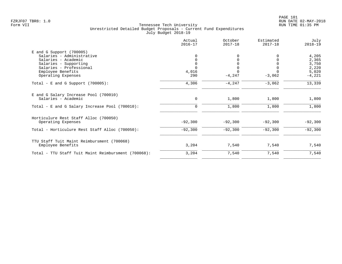|                                                              | Actual<br>$2016 - 17$ | October<br>$2017 - 18$ | Estimated<br>$2017 - 18$ | July<br>$2018 - 19$ |
|--------------------------------------------------------------|-----------------------|------------------------|--------------------------|---------------------|
| $E$ and G Support (700005)                                   |                       |                        |                          |                     |
| Salaries - Administrative                                    |                       |                        |                          | 4,205               |
| Salaries - Academic                                          |                       |                        |                          | 2,365               |
| Salaries - Supporting                                        |                       |                        |                          | 3,750               |
| Salaries - Professional                                      |                       |                        |                          | 2,220               |
| Employee Benefits                                            | 4,016                 |                        |                          | 5,020               |
| Operating Expenses                                           | 290                   | $-4, 247$              | $-3,062$                 | $-4,221$            |
| Total - E and G Support $(700005)$ :                         | 4,306                 | $-4, 247$              | $-3,062$                 | 13,339              |
| E and G Salary Increase Pool (700010)<br>Salaries - Academic | $\mathbf 0$           | 1,800                  | 1,800                    | 1,800               |
|                                                              |                       |                        |                          |                     |
| Total - E and G Salary Increase Pool (700010):               | $\Omega$              | 1,800                  | 1,800                    | 1,800               |
| Horticulure Rest Staff Alloc (700050)                        |                       |                        |                          |                     |
| Operating Expenses                                           | $-92,300$             | $-92,300$              | $-92,300$                | $-92,300$           |
| Total - Horticulure Rest Staff Alloc (700050):               | $-92,300$             | $-92,300$              | $-92,300$                | $-92,300$           |
| TTU Staff Tuit Maint Reimbursment (700068)                   |                       |                        |                          |                     |
| Employee Benefits                                            | 3,204                 | 7,540                  | 7,540                    | 7,540               |
| Total - TTU Staff Tuit Maint Reimbursment (700068):          | 3,204                 | 7,540                  | 7,540                    | 7,540               |
|                                                              |                       |                        |                          |                     |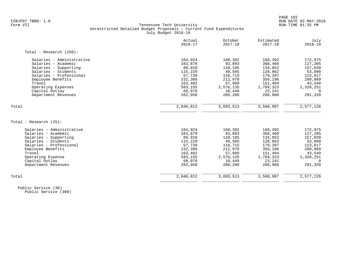# FZRJF07 TBR8: 1.0 RUN DATE 02-MAY-2018 Tennessee Tech University Unrestricted Detailed Budget Proposals - Current Fund Expenditures July Budget 2018-19

|                            | Actual<br>$2016 - 17$ | October<br>$2017 - 18$ | Estimated<br>$2017 - 18$ | July<br>$2018 - 19$ |
|----------------------------|-----------------------|------------------------|--------------------------|---------------------|
| Total - Research $(250)$ : |                       |                        |                          |                     |
| Salaries - Administrative  | 164,924               | 168,392                | 168,392                  | 172,975             |
| Salaries - Academic        | 283,879               | 93,893                 | 368,460                  | 127,205             |
| Salaries - Supporting      | 89,010                | 110,185                | 134,852                  | 157,039             |
| Salaries - Students        | 115,229               | 49,505                 | 128,862                  | 53,090              |
| Salaries - Professional    | 57,739                | 116,715                | 179,207                  | 123,617             |
| Employee Benefits          | 232,366               | 212,970                | 356,196                  | 280,089             |
| Travel                     | 163,482               | 57,989                 | 151,494                  | 43,540              |
| Operating Expenses         | 583,155               | 2,576,135              | 1,769,323                | 1,328,251           |
| Capital Outlay             | 68,070                | 18,449                 | 23,241                   | $\Omega$            |
| Department Revenues        | 282,958               | 289,280                | 288,960                  | 291,320             |
| Total                      | 2,040,812             | 3,693,513              | 3,568,987                | 2,577,126           |
|                            |                       |                        |                          |                     |
| Total - Research (25):     |                       |                        |                          |                     |
| Salaries - Administrative  | 164,924               | 168,392                | 168,392                  | 172,975             |
| Salaries - Academic        | 283,879               | 93,893                 | 368,460                  | 127,205             |
| Salaries - Supporting      | 89,010                | 110,185                | 134,852                  | 157,039             |
| Salaries - Students        | 115,229               | 49,505                 | 128,862                  | 53,090              |
| Salaries - Professional    | 57,739                | 116,715                | 179,207                  | 123,617             |
| Employee Benefits          | 232,366               | 212,970                | 356,196                  | 280,089             |
| Travel                     | 163,482               | 57,989                 | 151,494                  | 43,540              |
| Operating Expense          | 583,155               | 2,576,135              | 1,769,323                | 1,328,251           |
| Capital Outlay             | 68,070                | 18,449                 | 23,241                   | $\Omega$            |
| Department Revenues        | 282,958               | 289,280                | 288,960                  | 291,320             |
| Total                      | 2,040,812             | 3,693,513              | 3,568,987                | 2,577,126           |
|                            |                       |                        |                          |                     |

 Public Service (30) Public Service (300)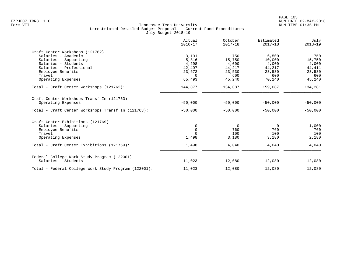|                                                      | Actual<br>$2016 - 17$ | October<br>$2017 - 18$ | Estimated<br>$2017 - 18$ | July<br>$2018 - 19$ |
|------------------------------------------------------|-----------------------|------------------------|--------------------------|---------------------|
| Craft Center Workshops (121762)                      |                       |                        |                          |                     |
| Salaries - Academic                                  | 3,101                 | 750                    | 6,500                    | 750                 |
| Salaries - Supporting                                | 5,816                 | 15,750                 | 10,000                   | 15,750              |
| Salaries - Students                                  | 4,298                 | 4,000                  | 4,000                    | 4,000               |
| Salaries - Professional                              | 42,497                | 44,217                 | 44,217                   | 44, 411             |
| Employee Benefits                                    | 23,672                | 23,530                 | 23,530                   | 23,530              |
| Travel                                               | $\Omega$              | 600                    | 600                      | 600                 |
| Operating Expenses                                   | 65,493                | 45,240                 | 70,240                   | 45,240              |
| Total - Craft Center Workshops (121762):             | 144,877               | 134,087                | 159,087                  | 134,281             |
| Craft Center Workshops Transf In (121763)            |                       |                        |                          |                     |
| Operating Expenses                                   | $-50,000$             | $-50,000$              | $-50,000$                | $-50,000$           |
| Total - Craft Center Workshops Transf In (121763):   | $-50,000$             | $-50,000$              | $-50,000$                | $-50,000$           |
| Craft Center Exhibitions (121769)                    |                       |                        |                          |                     |
| Salaries - Supporting                                | 0                     | 0                      | 0                        | 1,000               |
| Employee Benefits                                    | $\mathbf 0$           | 760                    | 760                      | 760                 |
| Travel                                               |                       | 100                    | 100                      | 100                 |
| Operating Expenses                                   | 1,498                 | 3,180                  | 3,180                    | 2,180               |
| Total - Craft Center Exhibitions (121769):           | 1,498                 | 4,040                  | 4,040                    | 4,040               |
| Federal College Work Study Program (122001)          |                       |                        |                          |                     |
| Salaries - Students                                  | 11,023                | 12,080                 | 12,080                   | 12,080              |
| Total - Federal College Work Study Program (122001): | 11,023                | 12,080                 | 12,080                   | 12,080              |
|                                                      |                       |                        |                          |                     |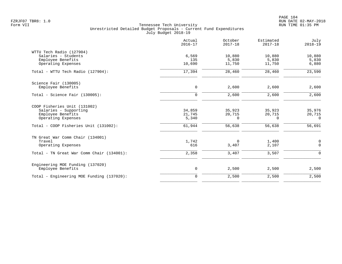|                                                                                                                                           | Actual<br>$2016 - 17$               | October<br>$2017 - 18$          | Estimated<br>$2017 - 18$               | July<br>$2018 - 19$                               |
|-------------------------------------------------------------------------------------------------------------------------------------------|-------------------------------------|---------------------------------|----------------------------------------|---------------------------------------------------|
| WTTU Tech Radio (127904)<br>Salaries - Students<br>Employee Benefits<br>Operating Expenses                                                | 6,569<br>135<br>10,690              | 10,880<br>5,830<br>11,750       | 10,880<br>5,830<br>11,750              | 10,880<br>5,830<br>6,880                          |
| Total - WTTU Tech Radio (127904):                                                                                                         | 17,394                              | 28,460                          | 28,460                                 | 23,590                                            |
| Science Fair (130005)<br>Employee Benefits                                                                                                | $\mathbf 0$                         | 2,600                           | 2,600                                  | 2,600                                             |
| Total - Science Fair $(130005)$ :                                                                                                         | $\mathbf 0$                         | 2,600                           | 2,600                                  | 2,600                                             |
| COOP Fisheries Unit (131002)<br>Salaries - Supporting<br>Employee Benefits<br>Operating Expenses<br>Total - COOP Fisheries Unit (131002): | 34,859<br>21,745<br>5,340<br>61,944 | 35,923<br>20,715<br>0<br>56,638 | 35,923<br>20,715<br>$\Omega$<br>56,638 | 35,976<br>20,715<br>$\Omega$<br>56,691            |
| TN Great War Comm Chair (134001)<br>Travel<br>Operating Expenses<br>Total - TN Great War Comm Chair (134001):                             | 1,742<br>616<br>2,358               | 0<br>3,407<br>3,407             | 1,400<br>2,107<br>3,507                | $\mathsf{O}\xspace$<br>$\mathbf 0$<br>$\mathbf 0$ |
| Engineering MOE Funding (137020)<br>Employee Benefits                                                                                     | $\mathsf{O}$                        | 2,500                           | 2,500                                  | 2,500                                             |
| Total - Engineering MOE Funding (137020):                                                                                                 | $\mathbf 0$                         | 2,500                           | 2,500                                  | 2,500                                             |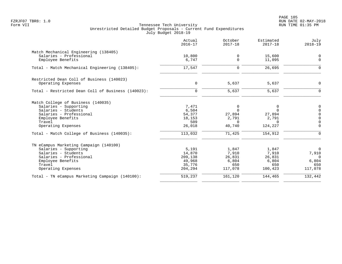PAGE 105 FZRJF07 TBR8: 1.0 RUN DATE 02-MAY-2018

|                                                                  | Actual<br>$2016 - 17$ | October<br>$2017 - 18$ | Estimated<br>$2017 - 18$ | July<br>$2018 - 19$        |
|------------------------------------------------------------------|-----------------------|------------------------|--------------------------|----------------------------|
| Match Mechanical Engineering (138405)<br>Salaries - Professional | 10,800                | 0                      | 15,600                   | 0                          |
| Employee Benefits                                                | 6,747                 | 0                      | 11,095                   | $\mathbf 0$                |
| Total - Match Mechanical Engineering (138405):                   | 17,547                | $\Omega$               | 26,695                   | $\mathbf 0$                |
| Restricted Dean Coll of Business (140023)                        |                       |                        |                          |                            |
| Operating Expenses                                               | $\mathbf 0$           | 5,637                  | 5,637                    | 0                          |
| Total - Restricted Dean Coll of Business (140023):               | $\mathbf 0$           | 5,637                  | 5,637                    | $\mathbf 0$                |
| Match College of Business (140035)                               |                       |                        |                          |                            |
| Salaries - Supporting                                            | 7,471                 | 0                      | 0                        | $\mathbf 0$                |
| Salaries - Students<br>Salaries - Professional                   | 6,504<br>54,377       | $\Omega$<br>27,894     | $\Omega$<br>27,894       | $\mathbf 0$<br>$\mathbf 0$ |
| Employee Benefits                                                | 18,153                | 2,791                  | 2,791                    | $\mathbf 0$                |
| Travel                                                           | 509                   | $\Omega$               | $\Omega$                 | $\overline{0}$             |
| Operating Expenses                                               | 26,018                | 40,740                 | 124,227                  | $\mathbf 0$                |
| Total - Match College of Business (140035):                      | 113,032               | 71,425                 | 154,912                  | $\mathbf 0$                |
| TN eCampus Marketing Campaign (140100)                           |                       |                        |                          |                            |
| Salaries - Supporting                                            | 5,191                 | 1,847                  | 1,847                    | $\mathbf 0$                |
| Salaries - Students                                              | 14,870                | 7,910                  | 7,910                    | 7,910                      |
| Salaries - Professional                                          | 209,138<br>49,968     | 26,831                 | 26,831                   | $\overline{0}$             |
| Employee Benefits<br>Travel                                      | 35,776                | 6,804<br>650           | 6,804<br>650             | 6,804<br>650               |
| Operating Expenses                                               | 204,294               | 117,078                | 100,423                  | 117,078                    |
| Total - TN eCampus Marketing Campaign (140100):                  | 519,237               | 161,120                | 144,465                  | 132,442                    |
|                                                                  |                       |                        |                          |                            |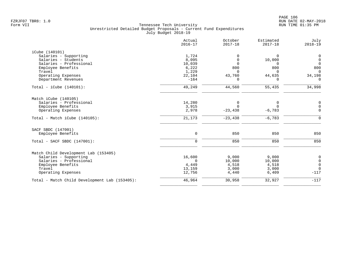|                                               | Actual<br>$2016 - 17$ | October<br>$2017 - 18$ | Estimated<br>$2017 - 18$ | July<br>$2018 - 19$                  |
|-----------------------------------------------|-----------------------|------------------------|--------------------------|--------------------------------------|
| iCube (140101)                                |                       |                        |                          |                                      |
| Salaries - Supporting                         | 1,724                 | $\Omega$               | $\Omega$                 | $\theta$                             |
| Salaries - Students                           | 8,095                 | $\mathbf 0$            | 10,000                   | $\overline{0}$                       |
| Salaries - Professional                       | 10,039                | $\mathbf 0$            | <sup>n</sup>             | $\overline{0}$                       |
| Employee Benefits                             | 6,222                 | 800                    | 800                      | 800                                  |
| Travel                                        | 1,229                 | $\Omega$               | $\Omega$                 | $\Omega$                             |
| Operating Expenses                            | 22,104                | 43,760                 | 44,635                   | 34,198                               |
| Department Revenues                           | $-164$                | $\Omega$               | 0                        | $\Omega$                             |
| Total - iCube $(140101):$                     | 49,249                | 44,560                 | 55,435                   | 34,998                               |
| Match iCube (140105)                          |                       |                        |                          |                                      |
| Salaries - Professional                       | 14,280                | $\mathbf 0$            | 0                        | $\mathbf 0$                          |
| Employee Benefits                             | 3,915                 | $\Omega$               | $\Omega$                 | $\mathsf 0$                          |
| Operating Expenses                            | 2,978                 | $-23, 438$             | $-6,783$                 | $\Omega$                             |
|                                               |                       |                        |                          |                                      |
| $Total - Match iCube (140105):$               | 21,173                | $-23, 438$             | $-6,783$                 | $\mathbf 0$                          |
| SACF SBDC (147001)                            |                       |                        |                          |                                      |
| Employee Benefits                             | $\mathbf 0$           | 850                    | 850                      | 850                                  |
| Total - SACF SBDC (147001):                   | $\mathbf 0$           | 850                    | 850                      | 850                                  |
| Match Child Development Lab (153405)          |                       |                        |                          |                                      |
| Salaries - Supporting                         | 16,600                | 9,000                  | 9,000                    |                                      |
| Salaries - Professional                       | $\Omega$              | 10,000                 | 10,000                   | $\begin{matrix} 0 \\ 0 \end{matrix}$ |
|                                               |                       |                        |                          | $\overline{0}$                       |
|                                               |                       |                        |                          | $\overline{0}$                       |
| Operating Expenses                            | 12,756                | 4,440                  | 6,409                    | $-117$                               |
| Total - Match Child Development Lab (153405): | 46,964                | 30,958                 | 32,927                   | $-117$                               |
| Employee Benefits<br>Travel                   | 4,449<br>13,159       | 4,518<br>3,000         | 4,518<br>3,000           |                                      |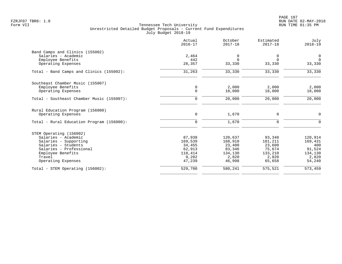|                                           | Actual<br>$2016 - 17$ | October<br>$2017 - 18$ | Estimated<br>$2017 - 18$ | July<br>$2018 - 19$ |
|-------------------------------------------|-----------------------|------------------------|--------------------------|---------------------|
| Band Camps and Clinics (155002)           |                       |                        |                          |                     |
| Salaries - Academic                       | 2,464                 | 0                      | 0                        | 0                   |
| Employee Benefits                         | 442                   | $\Omega$               | $\Omega$                 | $\Omega$            |
| Operating Expenses                        | 28,357                | 33,330                 | 33,330                   | 33,330              |
| Total - Band Camps and Clinics (155002):  | 31,263                | 33,330                 | 33,330                   | 33,330              |
| Southeast Chamber Music (155007)          |                       |                        |                          |                     |
| Employee Benefits                         | 0                     | 2,000                  | 2,000                    | 2,000               |
| Operating Expenses                        | $\Omega$              | 18,000                 | 18,000                   | 18,000              |
| Total - Southeast Chamber Music (155007): | $\mathbf 0$           | 20,000                 | 20,000                   | 20,000              |
| Rural Education Program (156000)          |                       |                        |                          |                     |
| Operating Expenses                        | 0                     | 1,670                  | 0                        | $\mathbf 0$         |
| Total - Rural Education Program (156000): | $\mathbf 0$           | 1,670                  | 0                        | $\Omega$            |
| STEM Operating (156002)                   |                       |                        |                          |                     |
| Salaries - Academic                       | 87,938                | 120,637                | 93,348                   | 120,914             |
| Salaries - Supporting                     | 169,539               | 168,910                | 181,211                  | 169,431             |
| Salaries - Students                       | 34,455                | 23,400                 | 23,600                   | 400                 |
| Salaries - Professional                   | 62,913                | 83,346                 | 75,674                   | 91,524              |
| Employee Benefits                         | 118,414               | 134,130                | 133,210                  | 134,130             |
| Travel                                    | 9,202                 | 2,820                  | 2,820                    | 2,820               |
| Operating Expenses                        | 47,239                | 46,998                 | 65,658                   | 54,240              |
| Total - STEM Operating (156002):          | 529,700               | 580,241                | 575,521                  | 573,459             |
|                                           |                       |                        |                          |                     |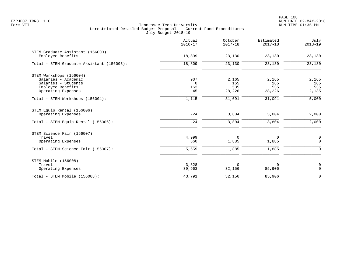|                                                                | Actual<br>$2016 - 17$       | October<br>$2017 - 18$ | Estimated<br>$2017 - 18$ | July<br>$2018 - 19$          |
|----------------------------------------------------------------|-----------------------------|------------------------|--------------------------|------------------------------|
| STEM Graduate Assistant (156003)<br>Employee Benefits          | 18,809                      | 23,130                 | 23,130                   | 23,130                       |
| Total - STEM Graduate Assistant (156003):                      | 18,809                      | 23,130                 | 23,130                   | 23,130                       |
| STEM Workshops (156004)<br>Salaries - Academic                 | 907                         | 2,165                  | 2,165                    | 2,165                        |
| Salaries - Students<br>Employee Benefits<br>Operating Expenses | $\overline{0}$<br>163<br>45 | 165<br>535<br>28,226   | 165<br>535<br>28,226     | 165<br>535<br>2,135          |
| Total - STEM Workshops (156004):                               | 1,115                       | 31,091                 | 31,091                   | 5,000                        |
| STEM Equip Rental (156006)<br>Operating Expenses               | $-24$                       | 3,804                  | 3,804                    | 2,000                        |
| Total - STEM Equip Rental (156006):                            | $-24$                       | 3,804                  | 3,804                    | 2,000                        |
| STEM Science Fair (156007)<br>Travel<br>Operating Expenses     | 4,999<br>660                | $\mathbf 0$<br>1,885   | 0<br>1,885               | $\mathsf{O}$<br>$\mathsf{O}$ |
| Total - STEM Science Fair (156007):                            | 5,659                       | 1,885                  | 1,885                    | $\mathsf{O}$                 |
| STEM Mobile (156008)<br>Travel<br>Operating Expenses           | 3,828<br>39,963             | $\Omega$<br>32,156     | 0<br>85,906              | $\mathsf{O}$<br>$\mathsf{O}$ |
| Total - STEM Mobile (156008):                                  | 43,791                      | 32,156                 | 85,906                   | $\mathsf{O}$                 |
|                                                                |                             |                        |                          |                              |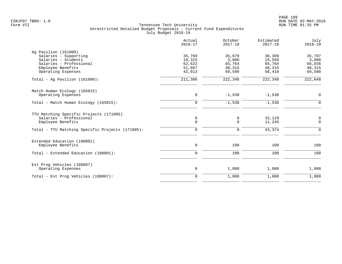|                                                                                                                                            | Actual<br>$2016 - 17$                          | October<br>$2017 - 18$                        | Estimated<br>$2017 - 18$                       | July<br>$2018 - 19$                           |
|--------------------------------------------------------------------------------------------------------------------------------------------|------------------------------------------------|-----------------------------------------------|------------------------------------------------|-----------------------------------------------|
| Ag Pavilion (161000)<br>Salaries - Supporting<br>Salaries - Students<br>Salaries - Professional<br>Employee Benefits<br>Operating Expenses | 35,769<br>19,315<br>62,622<br>51,667<br>42,013 | 35,679<br>3,000<br>65,764<br>48,315<br>69,590 | 36,309<br>15,550<br>65,764<br>48,315<br>56,410 | 35,707<br>3,000<br>66,036<br>48,315<br>69,590 |
| Total - Aq Pavilion $(161000)$ :                                                                                                           | 211,386                                        | 222,348                                       | 222,348                                        | 222,648                                       |
| Match Human Ecology (165015)<br>Operating Expenses                                                                                         | 0                                              | $-1,538$                                      | $-1,538$                                       | $\mathsf{O}$                                  |
| Total - Match Human Ecology (165015):                                                                                                      | $\mathbf 0$                                    | $-1,538$                                      | $-1,538$                                       | $\mathbf 0$                                   |
| TTU Matching Specific Projects (171005)<br>Salaries - Professional<br>Employee Benefits                                                    | 0<br>$\mathsf{O}$                              | 0<br>0                                        | 32,129<br>11,245                               | 0<br>$\mathbf 0$                              |
| Total - TTU Matching Specific Projects (171005):                                                                                           | $\mathbf 0$                                    | 0                                             | 43,374                                         | $\mathbf 0$                                   |
| Extended Education (180001)<br>Employee Benefits                                                                                           | $\mathsf{O}$                                   | 100                                           | 100                                            | 100                                           |
| Total - Extended Education (180001):                                                                                                       | $\mathbf 0$                                    | 100                                           | 100                                            | 100                                           |
| Ext Prog Vehicles (180007)<br>Operating Expenses                                                                                           | 0                                              | 1,000                                         | 1,000                                          | 1,000                                         |
| Total - Ext Prog Vehicles (180007):                                                                                                        | $\mathbf 0$                                    | 1,000                                         | 1,000                                          | 1,000                                         |
|                                                                                                                                            |                                                |                                               |                                                |                                               |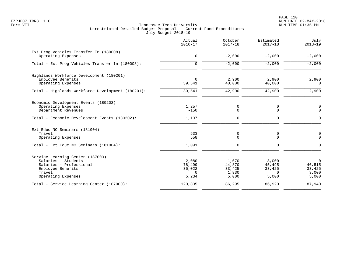|                                                                                                                                         | Actual<br>$2016 - 17$                          | October<br>$2017 - 18$                      | Estimated<br>$2017 - 18$                       | July<br>$2018 - 19$                               |
|-----------------------------------------------------------------------------------------------------------------------------------------|------------------------------------------------|---------------------------------------------|------------------------------------------------|---------------------------------------------------|
| Ext Prog Vehicles Transfer In (180008)<br>Operating Expenses                                                                            | $\mathbf 0$                                    | $-2,000$                                    | $-2,000$                                       | $-2,000$                                          |
| Total - Ext Prog Vehicles Transfer In (180008):                                                                                         | $\Omega$                                       | $-2,000$                                    | $-2,000$                                       | $-2,000$                                          |
| Highlands Workforce Development (180201)<br>Employee Benefits<br>Operating Expenses                                                     | $\Omega$<br>39,541                             | 2,900<br>40,000                             | 2,900<br>40,000                                | 2,900<br>$\Omega$                                 |
| Total - Highlands Workforce Development (180201):                                                                                       | 39,541                                         | 42,900                                      | 42,900                                         | 2,900                                             |
| Economic Development Events (180202)<br>Operating Expenses<br>Department Revenues                                                       | 1,257<br>$-150$                                | 0<br>0                                      | 0<br>$\Omega$                                  | $\mathbf 0$<br>$\Omega$                           |
| Total - Economic Development Events (180202):                                                                                           | 1,107                                          | $\mathbf 0$                                 | 0                                              | $\Omega$                                          |
| Ext Educ NC Seminars (181004)<br>Travel<br>Operating Expenses                                                                           | 533<br>558                                     | 0<br>0                                      | 0<br>$\Omega$                                  | 0<br>$\Omega$                                     |
| Total - Ext Educ NC Seminars (181004):                                                                                                  | 1,091                                          | 0                                           | 0                                              | $\Omega$                                          |
| Service Learning Center (187000)<br>Salaries - Students<br>Salaries - Professional<br>Employee Benefits<br>Travel<br>Operating Expenses | 2,080<br>78,499<br>35,022<br>$\Omega$<br>5,234 | 1,070<br>44,870<br>33,425<br>1,930<br>5,000 | 3,000<br>45,495<br>33,425<br>$\Omega$<br>5,000 | $\mathbf 0$<br>46,515<br>33,425<br>3,000<br>5,000 |
| Total - Service Learning Center (187000):                                                                                               | 120,835                                        | 86,295                                      | 86,920                                         | 87,940                                            |
|                                                                                                                                         |                                                |                                             |                                                |                                                   |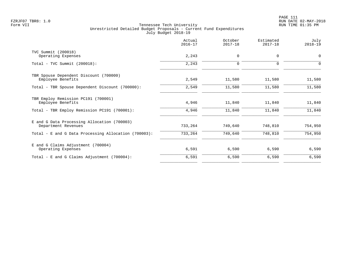|                                                                    | Actual<br>$2016 - 17$ | October<br>$2017 - 18$ | Estimated<br>$2017 - 18$ | July<br>$2018 - 19$ |
|--------------------------------------------------------------------|-----------------------|------------------------|--------------------------|---------------------|
| TVC Summit (200018)<br>Operating Expenses                          | 2,243                 | $\mathbf 0$            | 0                        | 0                   |
| $Total - TVC Summit (200018):$                                     | 2,243                 | $\mathbf 0$            | $\Omega$                 | $\Omega$            |
| TBR Spouse Dependent Discount (700000)<br>Employee Benefits        | 2,549                 | 11,580                 | 11,580                   | 11,580              |
| Total - TBR Spouse Dependent Discount (700000):                    | 2,549                 | 11,580                 | 11,580                   | 11,580              |
| TBR Employ Remission PC191 (700001)<br>Employee Benefits           | 4,946                 | 11,840                 | 11,840                   | 11,840              |
| Total - TBR Employ Remission PC191 (700001):                       | 4,946                 | 11,840                 | 11,840                   | 11,840              |
| E and G Data Processing Allocation (700003)<br>Department Revenues | 733,264               | 749,640                | 748,810                  | 754,950             |
| Total - E and G Data Processing Allocation (700003):               | 733,264               | 749,640                | 748,810                  | 754,950             |
| E and G Claims Adjustment (700004)<br>Operating Expenses           | 6,591                 | 6,590                  | 6,590                    | 6,590               |
| Total - E and G Claims Adjustment (700004):                        | 6,591                 | 6,590                  | 6,590                    | 6,590               |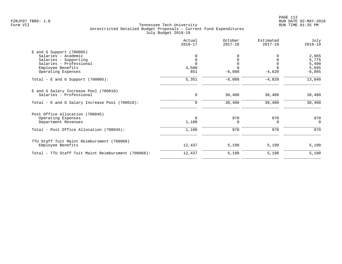|                                                     | Actual<br>$2016 - 17$ | October<br>$2017 - 18$ | Estimated<br>$2017 - 18$ | July<br>$2018 - 19$ |
|-----------------------------------------------------|-----------------------|------------------------|--------------------------|---------------------|
| $E$ and G Support (700005)                          |                       |                        |                          |                     |
| Salaries - Academic                                 |                       |                        |                          | 2,965               |
| Salaries - Supporting                               | $\mathbf 0$           | 0                      | 0                        | 5,775               |
| Salaries - Professional                             | $\Omega$              |                        | $\Omega$                 | 5,490               |
| Employee Benefits                                   | 4,500                 |                        |                          | 5,695               |
| Operating Expenses                                  | 851                   | $-6,088$               | $-4,820$                 | $-6,085$            |
| Total - E and G Support $(700005)$ :                | 5,351                 | $-6,088$               | $-4,820$                 | 13,840              |
| E and G Salary Increase Pool (700010)               |                       |                        |                          |                     |
| Salaries - Professional                             | 0                     | 38,400                 | 38,400                   | 38,400              |
| Total - E and G Salary Increase Pool (700010):      | $\mathbf 0$           | 38,400                 | 38,400                   | 38,400              |
| Post Office Allocation (700045)                     |                       |                        |                          |                     |
| Operating Expenses                                  | $\Omega$              | 970                    | 970                      | 970                 |
| Department Revenues                                 | 1,100                 | $\Omega$               | $\Omega$                 | $\Omega$            |
| Total - Post Office Allocation (700045):            | 1,100                 | 970                    | 970                      | 970                 |
| TTU Staff Tuit Maint Reimbursment (700068)          |                       |                        |                          |                     |
| Employee Benefits                                   | 12,437                | 5,190                  | 5,190                    | 5,190               |
| Total - TTU Staff Tuit Maint Reimbursment (700068): | 12,437                | 5,190                  | 5,190                    | 5,190               |
|                                                     |                       |                        |                          |                     |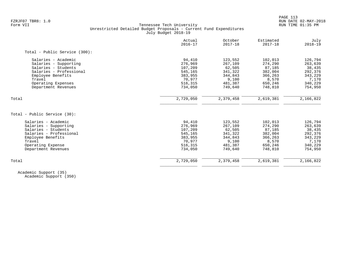| 94,410<br>123,552<br>276,969<br>267,109<br>107,209<br>545,165<br>341,322<br>383,955<br>344,843<br>70,977<br>516,315<br>481,387<br>734,050<br>749,640<br>2,729,050<br>2,379,458 | 102,013<br>274,290<br>62,505<br>87,185<br>382,004<br>366,263<br>9,100<br>8,570<br>650,246<br>748,810<br>2,619,381 | 126,794<br>263,639<br>38,435<br>292,376<br>343,229<br>7,170<br>340,229<br>754,950<br>2,166,822                                                                                                   |
|--------------------------------------------------------------------------------------------------------------------------------------------------------------------------------|-------------------------------------------------------------------------------------------------------------------|--------------------------------------------------------------------------------------------------------------------------------------------------------------------------------------------------|
|                                                                                                                                                                                |                                                                                                                   |                                                                                                                                                                                                  |
|                                                                                                                                                                                |                                                                                                                   |                                                                                                                                                                                                  |
|                                                                                                                                                                                |                                                                                                                   |                                                                                                                                                                                                  |
|                                                                                                                                                                                |                                                                                                                   |                                                                                                                                                                                                  |
|                                                                                                                                                                                |                                                                                                                   |                                                                                                                                                                                                  |
|                                                                                                                                                                                |                                                                                                                   |                                                                                                                                                                                                  |
|                                                                                                                                                                                |                                                                                                                   |                                                                                                                                                                                                  |
|                                                                                                                                                                                |                                                                                                                   |                                                                                                                                                                                                  |
|                                                                                                                                                                                |                                                                                                                   |                                                                                                                                                                                                  |
|                                                                                                                                                                                |                                                                                                                   |                                                                                                                                                                                                  |
|                                                                                                                                                                                |                                                                                                                   |                                                                                                                                                                                                  |
|                                                                                                                                                                                |                                                                                                                   |                                                                                                                                                                                                  |
| 94,410                                                                                                                                                                         |                                                                                                                   | 126,794                                                                                                                                                                                          |
|                                                                                                                                                                                |                                                                                                                   | 263,639                                                                                                                                                                                          |
|                                                                                                                                                                                |                                                                                                                   | 38,435                                                                                                                                                                                           |
|                                                                                                                                                                                |                                                                                                                   | 292,376                                                                                                                                                                                          |
|                                                                                                                                                                                |                                                                                                                   | 343,229                                                                                                                                                                                          |
|                                                                                                                                                                                |                                                                                                                   | 7,170                                                                                                                                                                                            |
|                                                                                                                                                                                |                                                                                                                   | 340,229                                                                                                                                                                                          |
|                                                                                                                                                                                |                                                                                                                   | 754,950                                                                                                                                                                                          |
|                                                                                                                                                                                |                                                                                                                   | 2,166,822                                                                                                                                                                                        |
|                                                                                                                                                                                | 276,969<br>107,209<br>545,165<br>383,955<br>70,977<br>516,315<br>734,050<br>2,729,050                             | 123,552<br>102,013<br>267,109<br>274,290<br>62,505<br>87,185<br>341,322<br>382,004<br>344,843<br>366,263<br>9,100<br>8,570<br>481,387<br>650,246<br>749,640<br>748,810<br>2,379,458<br>2,619,381 |

 Academic Support (35) Academic Support (350)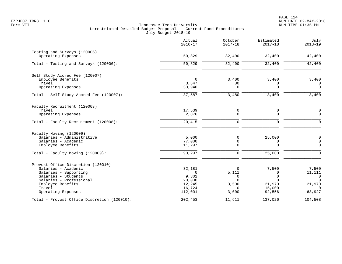|                                                                                                                                                                                           | Actual<br>$2016 - 17$                                                | October<br>$2017 - 18$                                  | Estimated<br>$2017 - 18$                                                   | July<br>$2018 - 19$                                                         |
|-------------------------------------------------------------------------------------------------------------------------------------------------------------------------------------------|----------------------------------------------------------------------|---------------------------------------------------------|----------------------------------------------------------------------------|-----------------------------------------------------------------------------|
| Testing and Surveys (120006)<br>Operating Expenses                                                                                                                                        | 50,829                                                               | 32,400                                                  | 32,400                                                                     | 42,400                                                                      |
| Total - Testing and Surveys (120006):                                                                                                                                                     | 50,829                                                               | 32,400                                                  | 32,400                                                                     | 42,400                                                                      |
| Self Study Accred Fee (120007)<br>Employee Benefits<br>Travel<br>Operating Expenses                                                                                                       | $\mathbf 0$<br>3,647<br>33,940                                       | 3,400<br>80<br>$\Omega$                                 | 3,400<br>$\Omega$<br>$\Omega$                                              | 3,400<br>$\mathbf 0$<br>$\Omega$                                            |
| Total - Self Study Accred Fee (120007):                                                                                                                                                   | 37,587                                                               | 3,480                                                   | 3,400                                                                      | 3,400                                                                       |
| Faculty Recruitment (120008)<br>Travel<br>Operating Expenses                                                                                                                              | 17,539<br>2,876                                                      | 0<br>$\mathbf 0$                                        | 0<br>$\mathbf 0$                                                           | 0<br>$\mathbf 0$                                                            |
| Total - Faculty Recruitment (120008):                                                                                                                                                     | 20,415                                                               | $\mathsf{O}$                                            | 0                                                                          | $\mathbf 0$                                                                 |
| Faculty Moving (120009)<br>Salaries - Administrative<br>Salaries - Academic<br>Employee Benefits                                                                                          | 5,000<br>77,000<br>11,297                                            | 0<br>0<br>0                                             | 25,000<br>0<br>$\Omega$                                                    | $\mathbf 0$<br>$\mathbf 0$<br>$\mathbf 0$                                   |
| Total - Faculty Moving (120009):                                                                                                                                                          | 93,297                                                               | $\mathbf 0$                                             | 25,000                                                                     | $\mathbf 0$                                                                 |
| Provost Office Discretion (120010)<br>Salaries - Academic<br>Salaries - Supporting<br>Salaries - Students<br>Salaries - Professional<br>Employee Benefits<br>Travel<br>Operating Expenses | 32,181<br>$\Omega$<br>9,302<br>20,000<br>12,245<br>16,724<br>112,001 | 0<br>5,111<br>0<br>$\cap$<br>3,500<br>$\Omega$<br>3,000 | 7,500<br>$\Omega$<br>$\mathbf 0$<br>$\Omega$<br>21,970<br>15,000<br>92,556 | 7,500<br>11,111<br>$\overline{0}$<br>$\Omega$<br>21,970<br>$\cap$<br>63,927 |
| Total - Provost Office Discretion (120010):                                                                                                                                               | 202,453                                                              | 11,611                                                  | 137,026                                                                    | 104,508                                                                     |
|                                                                                                                                                                                           |                                                                      |                                                         |                                                                            |                                                                             |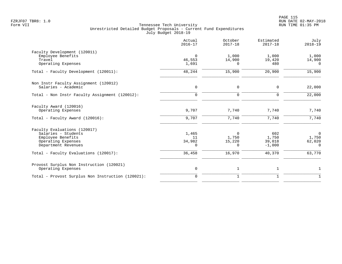|                                                                                                                       | Actual<br>$2016 - 17$       | October<br>$2017 - 18$           | Estimated<br>$2017 - 18$           | July<br>$2018 - 19$                           |
|-----------------------------------------------------------------------------------------------------------------------|-----------------------------|----------------------------------|------------------------------------|-----------------------------------------------|
| Faculty Development (120011)<br>Employee Benefits<br>Travel<br>Operating Expenses                                     | $\Omega$<br>46,553<br>1,691 | 1,000<br>14,900<br>0             | 1,000<br>19,420<br>480             | 1,000<br>14,900<br>$\Omega$                   |
| Total - Faculty Development (120011):                                                                                 | 48,244                      | 15,900                           | 20,900                             | 15,900                                        |
| Non Instr Faculty Assignment (120012)<br>Salaries - Academic                                                          | $\mathbf 0$                 | $\mathsf{O}$                     | $\mathbf 0$                        | 22,000                                        |
| Total - Non Instr Faculty Assignment (120012):                                                                        | $\mathbf 0$                 | $\mathbf 0$                      | 0                                  | 22,000                                        |
| Faculty Award (120016)<br>Operating Expenses                                                                          | 9,707                       | 7,740                            | 7,740                              | 7,740                                         |
| Total - Faculty Award (120016):                                                                                       | 9,707                       | 7,740                            | 7,740                              | 7,740                                         |
| Faculty Evaluations (120017)<br>Salaries - Students<br>Employee Benefits<br>Operating Expenses<br>Department Revenues | 1,465<br>11<br>34,982<br>0  | 0<br>1,750<br>15,220<br>$\Omega$ | 602<br>1,750<br>39,018<br>$-1,000$ | $\overline{0}$<br>1,750<br>62,020<br>$\Omega$ |
| Total - Faculty Evaluations (120017):                                                                                 | 36,458                      | 16,970                           | 40,370                             | 63,770                                        |
| Provost Surplus Non Instruction (120021)<br>Operating Expenses                                                        | $\mathsf{O}$                | $\mathbf{1}$                     | $\mathbf{1}$                       | $\mathbf 1$                                   |
| Total - Provost Surplus Non Instruction (120021):                                                                     | $\mathbf{0}$                | $\mathbf{1}$                     | $\mathbf{1}$                       | $\mathbf{1}$                                  |
|                                                                                                                       |                             |                                  |                                    |                                               |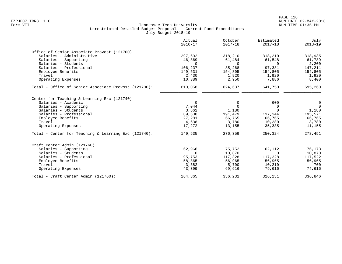|                                                      | Actual<br>$2016 - 17$ | October<br>$2017 - 18$ | Estimated<br>$2017 - 18$ | July<br>$2018 - 19$ |
|------------------------------------------------------|-----------------------|------------------------|--------------------------|---------------------|
| Office of Senior Associate Provost (121700)          |                       |                        |                          |                     |
| Salaries - Administrative                            | 297,602               | 318,210                | 318,210                  | 318,935             |
| Salaries - Supporting                                | 46,869                | 61,484                 | 61,548                   | 61,789              |
| Salaries - Students                                  | $\Omega$              | $\Omega$               | $\Omega$                 | 2,200               |
| Salaries - Professional                              | 106,237               | 85,268                 | 97,381                   | 147,211             |
| Employee Benefits                                    | 149,531               | 154,805                | 154,805                  | 154,805             |
| Travel                                               | 2,430                 | 1,920                  | 1,920                    | 1,920               |
| Operating Expenses                                   | 10,389                | 2,950                  | 7,886                    | 8,400               |
| Total - Office of Senior Associate Provost (121700): | 613,058               | 624,637                | 641,750                  | 695,260             |
| Center for Teaching & Learning Exc (121740)          |                       |                        |                          |                     |
| Salaries - Academic                                  | $\mathbf 0$           | 0                      | 600                      | $\mathbf 0$         |
| Salaries - Supporting                                | 7,044                 | $\mathbf 0$            | 0                        | $\Omega$            |
| Salaries - Students                                  | 3,662                 | 1,180                  | $\Omega$                 | 1,180               |
| Salaries - Professional                              | 89,638                | 191,479                | 137,344                  | 195,571             |
| Employee Benefits                                    | 27,281                | 66,765                 | 66,765                   | 66,765              |
| Travel                                               | 4,638                 | 3,780                  | 10,280                   | 3,780               |
| Operating Expenses                                   | 17,272                | 13,155                 | 35,335                   | 11,155              |
| Total - Center for Teaching & Learning Exc (121740): | 149,535               | 276,359                | 250,324                  | 278,451             |
| Craft Center Admin (121760)                          |                       |                        |                          |                     |
| Salaries - Supporting                                | 62,966                | 75,752                 | 62,112                   | 76,173              |
| Salaries - Students                                  | 0                     | 10,870                 | $\mathbf 0$              | 10,870              |
| Salaries - Professional                              | 95,753                | 117,328                | 117,328                  | 117,522             |
| Employee Benefits                                    | 58,865                | 56,965                 | 56,965                   | 56,965              |
| Travel                                               | 3,382                 | 5,700                  | 10,210                   | 700                 |
| Operating Expenses                                   | 43,399                | 69,616                 | 79,616                   | 74,616              |
| Total - Craft Center Admin (121760):                 | 264,365               | 336,231                | 326,231                  | 336,846             |
|                                                      |                       |                        |                          |                     |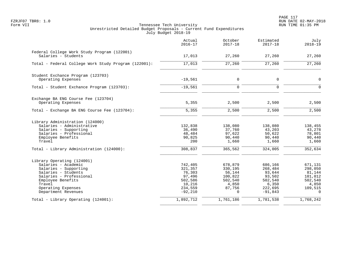|                                                                                                                                                                                                          | Actual<br>$2016 - 17$                                                               | October<br>$2017 - 18$                                                            | Estimated<br>$2017 - 18$                                                           | July<br>$2018 - 19$                                                                |
|----------------------------------------------------------------------------------------------------------------------------------------------------------------------------------------------------------|-------------------------------------------------------------------------------------|-----------------------------------------------------------------------------------|------------------------------------------------------------------------------------|------------------------------------------------------------------------------------|
| Federal College Work Study Program (122001)<br>Salaries - Students                                                                                                                                       | 17,013                                                                              | 27,260                                                                            | 27,260                                                                             | 27,260                                                                             |
| Total - Federal College Work Study Program (122001):                                                                                                                                                     | 17,013                                                                              | 27,260                                                                            | 27,260                                                                             | 27,260                                                                             |
| Student Exchance Program (123703)<br>Operating Expenses                                                                                                                                                  | $-19,561$                                                                           | $\mathbf 0$                                                                       | 0                                                                                  | $\mathbf 0$                                                                        |
| Total - Student Exchance Program (123703):                                                                                                                                                               | $-19,561$                                                                           | $\mathbf 0$                                                                       | 0                                                                                  | $\Omega$                                                                           |
| Exchange BA ENG Course Fee (123704)<br>Operating Expenses                                                                                                                                                | 5,355                                                                               | 2,500                                                                             | 2,500                                                                              | 2,500                                                                              |
| Total - Exchange BA ENG Course Fee (123704):                                                                                                                                                             | 5,355                                                                               | 2,500                                                                             | 2,500                                                                              | 2,500                                                                              |
| Library Administration (124000)<br>Salaries - Administrative<br>Salaries - Supporting<br>Salaries - Professional<br>Employee Benefits<br>Travel                                                          | 132,838<br>36,490<br>48,484<br>90,825<br>200                                        | 138,080<br>37,760<br>97,622<br>90,440<br>1,660                                    | 138,080<br>43,203<br>50,622<br>90,440<br>1,660                                     | 138,455<br>43,278<br>78,801<br>90,440<br>1,660                                     |
| Total - Library Administration (124000):                                                                                                                                                                 | 308,837                                                                             | 365,562                                                                           | 324,005                                                                            | 352,634                                                                            |
| Library Operating (124001)<br>Salaries - Academic<br>Salaries - Supporting<br>Salaries - Students<br>Salaries - Professional<br>Employee Benefits<br>Travel<br>Operating Expenses<br>Department Revenues | 742,405<br>321,357<br>76,303<br>97,496<br>502,586<br>10,216<br>234,559<br>$-92,210$ | 678,879<br>330,195<br>56,144<br>100,822<br>502,540<br>4,850<br>87,756<br>$\Omega$ | 686,166<br>268,484<br>93,644<br>93,502<br>502,540<br>6,350<br>222,695<br>$-91,843$ | 671,131<br>298,050<br>81,144<br>101,012<br>502,540<br>4,850<br>109,515<br>$\Omega$ |
| Total - Library Operating (124001):                                                                                                                                                                      | 1,892,712                                                                           | 1,761,186                                                                         | 1,781,538                                                                          | 1,768,242                                                                          |
|                                                                                                                                                                                                          |                                                                                     |                                                                                   |                                                                                    |                                                                                    |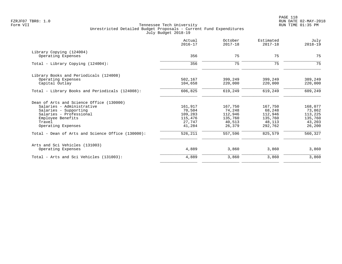| Actual<br>$2016 - 17$ | October<br>$2017 - 18$                                   | Estimated<br>$2017 - 18$                                | July<br>$2018 - 19$                                     |
|-----------------------|----------------------------------------------------------|---------------------------------------------------------|---------------------------------------------------------|
|                       |                                                          |                                                         |                                                         |
|                       |                                                          |                                                         | 75                                                      |
| 356                   | 75                                                       | 75                                                      | 75                                                      |
|                       |                                                          |                                                         |                                                         |
| 502,167               | 399,249                                                  | 399,249                                                 | 389,249                                                 |
|                       |                                                          |                                                         | 220,000                                                 |
| 606,825               | 619,249                                                  | 619,249                                                 | 609,249                                                 |
|                       |                                                          |                                                         |                                                         |
| 161,917               | 167,750                                                  | 167,750                                                 | 168,077                                                 |
|                       |                                                          |                                                         | 73,862                                                  |
|                       |                                                          |                                                         | 113,225                                                 |
|                       |                                                          |                                                         | 135,760                                                 |
| 41,284                | 26,379                                                   | 292,762                                                 | 43,203<br>26,200                                        |
| 526,211               | 557,596                                                  | 825,579                                                 | 560,327                                                 |
|                       |                                                          |                                                         |                                                         |
| 4,889                 | 3,860                                                    | 3,860                                                   | 3,860                                                   |
| 4,889                 | 3,860                                                    | 3,860                                                   | 3,860                                                   |
|                       | 356<br>104,658<br>70,504<br>109,283<br>115,476<br>27,747 | 75<br>220,000<br>74,248<br>112,946<br>135,760<br>40,513 | 75<br>220,000<br>68,248<br>112,946<br>135,760<br>48,113 |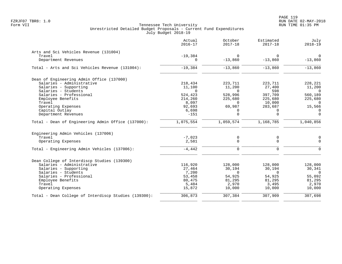|                                                      | Actual<br>$2016 - 17$ | October<br>$2017 - 18$ | Estimated<br>$2017 - 18$ | July<br>$2018 - 19$ |
|------------------------------------------------------|-----------------------|------------------------|--------------------------|---------------------|
| Arts and Sci Vehicles Revenue (131004)               |                       |                        |                          |                     |
| Travel                                               | $-19,384$             | $\Omega$               | $\Omega$                 | $\Omega$            |
| Department Revenues                                  | 0                     | $-13,860$              | $-13,860$                | $-13,860$           |
| Total - Arts and Sci Vehicles Revenue (131004):      | $-19,384$             | $-13,860$              | $-13,860$                | $-13,860$           |
| Dean of Engineering Admin Office (137000)            |                       |                        |                          |                     |
| Salaries - Administrative                            | 218,434               | 223,711                | 223,711                  | 228,221             |
| Salaries - Supporting                                | 11,100                | 11,200                 | 27,400                   | 11,200              |
| Salaries - Students                                  | $\Omega$              | $\Omega$               | 598                      | $\overline{0}$      |
| Salaries - Professional                              | 524,423               | 528,996                | 397,709                  | 560,189             |
| Employee Benefits                                    | 214,260               | 225,680                | 225,680                  | 225,680             |
| Travel                                               | 8,097                 | $\Omega$               | 10,000                   | $\Omega$            |
| Operating Expenses                                   | 92,693                | 69,987                 | 283,687                  | 15,566              |
| Capital Outlay                                       | 6,698                 | 0                      | 0                        | $\mathbf 0$         |
| Department Revenues                                  | $-151$                | $\Omega$               | $\Omega$                 | $\Omega$            |
| Total - Dean of Engineering Admin Office (137000):   | 1,075,554             | 1,059,574              | 1,168,785                | 1,040,856           |
| Engineering Admin Vehicles (137006)                  |                       |                        |                          |                     |
| Travel                                               | $-7,023$              | 0                      | 0                        | 0                   |
| Operating Expenses                                   | 2,581                 | $\mathbf 0$            | 0                        | $\mathbf 0$         |
| Total - Engineering Admin Vehicles (137006):         | $-4,442$              | $\mathbf 0$            | 0                        | $\Omega$            |
| Dean College of Interdiscp Studies (139300)          |                       |                        |                          |                     |
| Salaries - Administrative                            | 116,920               | 128,000                | 128,000                  | 128,000             |
| Salaries - Supporting                                | 27,464                | 30,194                 | 30,194                   | 30,341              |
| Salaries - Students                                  | 7,200                 | $\mathbf 0$            | $\mathbf 0$              | $\overline{0}$      |
| Salaries - Professional                              | 53,458                | 54,925                 | 54,925                   | 55,092              |
| Employee Benefits                                    | 80,475                | 81,295                 | 81,295                   | 81,295              |
| Travel                                               | 5,484                 | 2,970                  | 3,495                    | 2,970               |
| Operating Expenses                                   | 15,872                | 10,000                 | 10,000                   | 10,000              |
| Total - Dean College of Interdiscp Studies (139300): | 306,873               | 307,384                | 307,909                  | 307,698             |
|                                                      |                       |                        |                          |                     |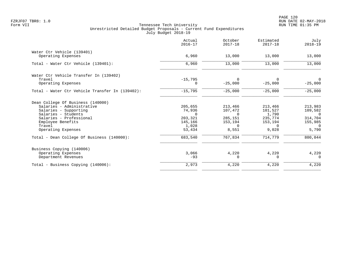PAGE 120 FZRJF07 TBR8: 1.0 RUN DATE 02-MAY-2018

|                                                 | Actual<br>$2016 - 17$ | October<br>$2017 - 18$ | Estimated<br>$2017 - 18$ | July<br>$2018 - 19$ |
|-------------------------------------------------|-----------------------|------------------------|--------------------------|---------------------|
| Water Ctr Vehicle (139401)                      |                       |                        |                          |                     |
| Operating Expenses                              | 6,960                 | 13,000                 | 13,000                   | 13,000              |
| Total - Water Ctr Vehicle (139401):             | 6,960                 | 13,000                 | 13,000                   | 13,000              |
| Water Ctr Vehicle Transfer In (139402)          |                       |                        |                          |                     |
| Travel                                          | $-15,795$             | $\Omega$               | 0                        | $\overline{0}$      |
| Operating Expenses                              | 0                     | $-25,000$              | $-25,000$                | $-25,000$           |
| Total - Water Ctr Vehicle Transfer In (139402): | $-15,795$             | $-25,000$              | $-25,000$                | $-25,000$           |
| Dean College Of Business (140000)               |                       |                        |                          |                     |
| Salaries - Administrative                       | 205,655               | 213,466                | 213,466                  | 213,983             |
| Salaries - Supporting                           | 74,936                | 107,472                | 101,527                  | 109,582             |
| Salaries - Students                             | $\Omega$              | $\Omega$               | 1,790                    | $\Omega$            |
| Salaries - Professional                         | 203,321               | 285,151                | 235,774                  | 314,704             |
| Employee Benefits                               | 145,166               | 153,194                | 153,194                  | 155,985             |
| Travel<br>Operating Expenses                    | 1,028<br>53,434       | $\Omega$<br>8,551      | $\Omega$<br>9,028        | $\Omega$<br>5,790   |
| Total - Dean College Of Business (140000):      | 683,540               | 767,834                | 714,779                  | 800,044             |
|                                                 |                       |                        |                          |                     |
| Business Copying (140006)                       |                       |                        |                          |                     |
| Operating Expenses                              | 3,066                 | 4,220                  | 4,220                    | 4,220               |
| Department Revenues                             | $-93$                 | $\Omega$               | $\Omega$                 | $\Omega$            |
| Total - Business Copying (140006):              | 2,973                 | 4,220                  | 4,220                    | 4,220               |
|                                                 |                       |                        |                          |                     |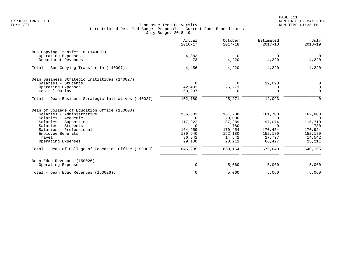|                                                       | Actual<br>$2016 - 17$ | October<br>$2017 - 18$ | Estimated<br>$2017 - 18$ | July<br>$2018 - 19$ |
|-------------------------------------------------------|-----------------------|------------------------|--------------------------|---------------------|
| Bus Copying Transfer In (140007)                      |                       |                        |                          |                     |
| Operating Expenses                                    | $-4,383$              | $\Omega$               | 0                        | $\mathbf 0$         |
| Department Revenues                                   | $-73$                 | $-4,220$               | $-4,220$                 | $-4,220$            |
| Total - Bus Copying Transfer In (140007):             | $-4,456$              | $-4,220$               | $-4,220$                 | $-4,220$            |
| Dean Business Strategic Initiatives (140027)          |                       |                        |                          |                     |
| Salaries - Students                                   | $\Omega$              | $\Omega$               | 12,093                   | 0                   |
| Operating Expenses                                    | 42,483                | 25,271                 | 0                        | $\overline{0}$      |
| Capital Outlay                                        | 60,297                | 0                      | $\Omega$                 | $\Omega$            |
| Total - Dean Business Strategic Initiatives (140027): | 102,780               | 25,271                 | 12,093                   | $\Omega$            |
| Dean of College of Education Office (150000)          |                       |                        |                          |                     |
| Salaries - Administrative                             | 156,832               | 161,708                | 161,708                  | 162,808             |
| Salaries - Academic                                   | $\Omega$              | 29,000                 | $\Omega$                 | $\Omega$            |
| Salaries - Supporting                                 | 117,922               | 87,289                 | 97,074                   | 115,710             |
| Salaries - Students                                   | $\Omega$              | 780                    | $\Omega$                 | 780                 |
| Salaries - Professional                               | 164,959               | 170,454                | 170,454                  | 170,924             |
| Employee Benefits                                     | 139,640               | 152,180                | 152,180                  | 152,180             |
| Travel                                                | 36,842                | 14,542                 | 27,797                   | 14,542              |
| Operating Expenses                                    | 29,100                | 23,211                 | 66,427                   | 23,211              |
| Total - Dean of College of Education Office (150000): | 645,295               | 639,164                | 675,640                  | 640,155             |
| Dean Educ Revenues (150026)                           |                       |                        |                          |                     |
| Operating Expenses                                    | 0                     | 5,060                  | 5,060                    | 5,060               |
| Total - Dean Educ Revenues (150026):                  | $\mathbf 0$           | 5,060                  | 5,060                    | 5,060               |
|                                                       |                       |                        |                          |                     |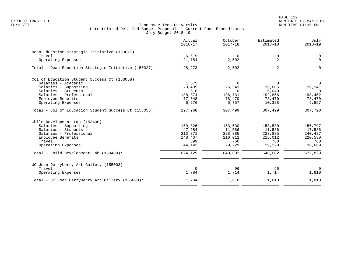PAGE 122 FZRJF07 TBR8: 1.0 RUN DATE 02-MAY-2018

|                                                       | Actual<br>$2016 - 17$ | October<br>$2017 - 18$ | Estimated<br>$2017 - 18$ | July<br>$2018 - 19$ |
|-------------------------------------------------------|-----------------------|------------------------|--------------------------|---------------------|
| Dean Education Strategic Initiative (150027)          |                       |                        |                          |                     |
| Travel                                                | 6,519                 | $\Omega$               | 0                        | $\mathbf 0$         |
| Operating Expenses                                    | 21,754                | 2,502                  | 2                        | $\Omega$            |
| Total - Dean Education Strategic Initiative (150027): | 28, 273               | 2,502                  | 2                        | $\Omega$            |
| Col of Education Student Success Ct (153058)          |                       |                        |                          |                     |
| Salaries - Academic                                   | 1,575                 | 0                      | 0                        | 0                   |
| Salaries - Supporting                                 | 23,485                | 26,541                 | 19,805                   | 26,241              |
| Salaries - Students                                   | 610                   | $\Omega$               | 6,040                    | $\Omega$            |
| Salaries - Professional                               | 188,374               | 196,731                | 192,856                  | 193,452             |
| Employee Benefits                                     | 77,648                | 78,470                 | 78,470                   | 78,470              |
| Operating Expenses                                    | 6,276                 | 5,757                  | 10,328                   | 9,557               |
| Total - Col of Education Student Success Ct (153058): | 297,968               | 307,499                | 307,499                  | 307,720             |
| Child Development Lab (153400)                        |                       |                        |                          |                     |
| Salaries - Supporting                                 | 169,826               | 153,530                | 153,530                  | 156,797             |
| Salaries - Students                                   | 47,284                | 11,586                 | 11,586                   | 17,586              |
| Salaries - Professional                               | 213,871               | 228,885                | 228,885                  | 240,487             |
| Employee Benefits                                     | 148,407               | 216,012                | 216,012                  | 220,530             |
| Travel                                                | 599                   | 760                    | 760                      | 760                 |
| Operating Expenses                                    | 44,142                | 29,229                 | 29,229                   | 36,669              |
| Total - Child Development Lab (153400):               | 624,129               | 640,002                | 640,002                  | 672,829             |
| UC Joan Derryberry Art Gallery (155003)               |                       |                        |                          |                     |
| Travel                                                | $\mathbf 0$           | 96                     | 96                       | $\mathbf 0$         |
| Operating Expenses                                    | 1,784                 | 1,714                  | 1,714                    | 1,810               |
| Total - UC Joan Derryberry Art Gallery (155003):      | 1,784                 | 1,810                  | 1,810                    | 1,810               |
|                                                       |                       |                        |                          |                     |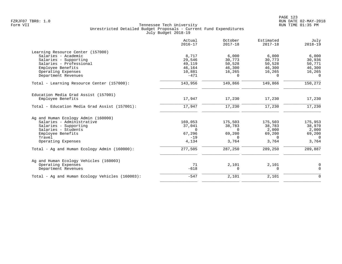| Actual<br>$2016 - 17$ | October<br>$2017 - 18$                                                                                            | Estimated<br>$2017 - 18$                                                                                      | July<br>$2018 - 19$                                                                                        |
|-----------------------|-------------------------------------------------------------------------------------------------------------------|---------------------------------------------------------------------------------------------------------------|------------------------------------------------------------------------------------------------------------|
|                       |                                                                                                                   |                                                                                                               |                                                                                                            |
|                       |                                                                                                                   |                                                                                                               | 6,000                                                                                                      |
|                       |                                                                                                                   |                                                                                                               | 30,936                                                                                                     |
|                       |                                                                                                                   |                                                                                                               | 50,771                                                                                                     |
|                       |                                                                                                                   |                                                                                                               | 46,300                                                                                                     |
|                       |                                                                                                                   |                                                                                                               | 16,265                                                                                                     |
|                       |                                                                                                                   |                                                                                                               | $\Omega$                                                                                                   |
| 143,956               | 149,866                                                                                                           | 149,866                                                                                                       | 150,272                                                                                                    |
|                       |                                                                                                                   |                                                                                                               |                                                                                                            |
| 17,947                | 17,230                                                                                                            | 17,230                                                                                                        | 17,230                                                                                                     |
| 17,947                | 17,230                                                                                                            | 17,230                                                                                                        | 17,230                                                                                                     |
|                       |                                                                                                                   |                                                                                                               |                                                                                                            |
|                       |                                                                                                                   |                                                                                                               | 175,953                                                                                                    |
|                       |                                                                                                                   |                                                                                                               | 38,970                                                                                                     |
|                       |                                                                                                                   |                                                                                                               | 2,000                                                                                                      |
|                       |                                                                                                                   |                                                                                                               | 69,200                                                                                                     |
|                       | $\Omega$                                                                                                          | 0                                                                                                             | $\overline{0}$                                                                                             |
| 4,134                 | 3,764                                                                                                             | 3,764                                                                                                         | 3,764                                                                                                      |
| 277,505               | 287,250                                                                                                           | 289,250                                                                                                       | 289,887                                                                                                    |
|                       |                                                                                                                   |                                                                                                               |                                                                                                            |
|                       |                                                                                                                   |                                                                                                               | 0                                                                                                          |
| $-618$                | 0                                                                                                                 | $\mathbf 0$                                                                                                   | $\mathbf 0$                                                                                                |
| $-547$                | 2,101                                                                                                             | 2,101                                                                                                         | $\mathbf 0$                                                                                                |
|                       | 8,717<br>29,546<br>49,119<br>46,164<br>10,881<br>$-471$<br>169,053<br>37,041<br>$\Omega$<br>67,296<br>$-19$<br>71 | 6,000<br>30,773<br>50,528<br>46,300<br>16,265<br>$\Omega$<br>175,503<br>38,783<br>$\Omega$<br>69,200<br>2,101 | 6,000<br>30,773<br>50,528<br>46,300<br>16,265<br>$\Omega$<br>175,503<br>38,783<br>2,000<br>69,200<br>2,101 |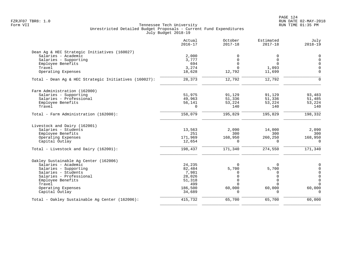|                                                       | Actual<br>$2016 - 17$ | October<br>$2017 - 18$  | Estimated<br>$2017 - 18$ | July<br>$2018 - 19$      |
|-------------------------------------------------------|-----------------------|-------------------------|--------------------------|--------------------------|
| Dean Ag & HEC Strategic Initiatives (160027)          |                       |                         |                          |                          |
| Salaries - Academic                                   | 2,000                 | 0                       | 0                        | $\mathbf 0$              |
| Salaries - Supporting                                 | 3,777                 | $\mathbf 0$             | $\mathbf 0$              | $\mathbf 0$              |
| Employee Benefits                                     | 694                   | $\Omega$                | $\Omega$                 | $\Omega$                 |
| Travel                                                | 3,274                 | $\Omega$                | 1,093                    | $\mathbf 0$              |
| Operating Expenses                                    | 18,628                | 12,792                  | 11,699                   | $\Omega$                 |
| Total - Dean Aq & HEC Strategic Initiatives (160027): | 28,373                | 12,792                  | 12,792                   | $\Omega$                 |
| Farm Administration (162000)                          |                       |                         |                          |                          |
| Salaries - Supporting                                 | 51,975                | 91,129                  | 91,129                   | 93,483                   |
| Salaries - Professional                               | 49,963                | 51,336                  | 51,336                   | 51,485                   |
| Employee Benefits                                     | 56,141                | 53,224                  | 53,224                   | 53,224                   |
| Travel                                                | $\Omega$              | 140                     | 140                      | 140                      |
| Total - Farm Administration (162000):                 | 158,079               | 195,829                 | 195,829                  | 198,332                  |
| Livestock and Dairy (162001)                          |                       |                         |                          |                          |
| Salaries - Students                                   | 13,563                | 2,090                   | 14,000                   | 2,090                    |
| Employee Benefits                                     | 251                   | 300                     | 300                      | 300                      |
| Operating Expenses                                    | 171,969               | 168,950                 | 260,250                  | 168,950                  |
| Capital Outlay                                        | 12,654                | $\Omega$                | $\Omega$                 | $\Omega$                 |
| Total - Livestock and Dairy (162001):                 | 198,437               | 171,340                 | 274,550                  | 171,340                  |
| Oakley Sustainable Aq Center (162006)                 |                       |                         |                          |                          |
| Salaries - Academic                                   | 24,235                | $\Omega$                | $\Omega$                 | 0                        |
| Salaries - Supporting                                 | 82,484                | 5,700                   | 5,700                    | 0                        |
| Salaries - Students                                   | 7,981                 | $\Omega$                | 0                        | $\overline{0}$           |
| Salaries - Professional                               | 28,026                | $\mathsf 0$             | $\Omega$                 | $\mathbf 0$              |
| Employee Benefits                                     | 51,318                | $\mathbf 0$<br>$\Omega$ | $\Omega$<br>$\cap$       | $\mathsf{O}$<br>$\Omega$ |
| Travel                                                | 499                   |                         |                          |                          |
| Operating Expenses<br>Capital Outlay                  | 186,500<br>34,689     | 60,000<br>$\Omega$      | 60,000<br>$\cap$         | 60,000<br>$\Omega$       |
| Total - Oakley Sustainable Ag Center (162006):        | 415,732               | 65,700                  | 65,700                   | 60,000                   |
|                                                       |                       |                         |                          |                          |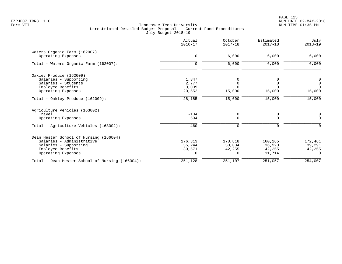PAGE 125 FZRJF07 TBR8: 1.0 RUN DATE 02-MAY-2018

|                                                 | Actual<br>$2016 - 17$ | October<br>$2017 - 18$ | Estimated<br>$2017 - 18$ | July<br>$2018 - 19$ |
|-------------------------------------------------|-----------------------|------------------------|--------------------------|---------------------|
| Waters Organic Farm (162007)                    |                       |                        |                          |                     |
| Operating Expenses                              | $\mathbf 0$           | 6,000                  | 6,000                    | 6,000               |
| Total - Waters Organic Farm (162007):           | $\Omega$              | 6,000                  | 6,000                    | 6,000               |
| Oakley Produce (162009)                         |                       |                        |                          |                     |
| Salaries - Supporting                           | 1,847                 | 0                      |                          | 0                   |
| Salaries - Students                             | 2,777                 | $\Omega$               |                          | $\mathsf 0$         |
| Employee Benefits                               | 3,009                 | $\Omega$               |                          | $\Omega$            |
| Operating Expenses                              | 20,552                | 15,000                 | 15,000                   | 15,000              |
| Total - Oakley Produce (162009):                | 28,185                | 15,000                 | 15,000                   | 15,000              |
| Agriculture Vehicles (163002)                   |                       |                        |                          |                     |
| Travel                                          | $-134$                | 0                      | 0                        | 0                   |
| Operating Expenses                              | 594                   | $\mathbf 0$            | $\Omega$                 | $\Omega$            |
| Total - Agriculture Vehicles (163002):          | 460                   | 0                      | 0                        | $\Omega$            |
| Dean Hester School of Nursing (166004)          |                       |                        |                          |                     |
| Salaries - Administrative                       | 176,313               | 178,818                | 160,165                  | 172,461             |
| Salaries - Supporting                           | 35,244                | 30,034                 | 36,923                   | 39,291              |
| Employee Benefits                               | 39,571                | 42,255                 | 42,255                   | 42,255              |
| Operating Expenses                              | 0                     | $\Omega$               | 11,714                   | $\Omega$            |
| Total - Dean Hester School of Nursing (166004): | 251,128               | 251,107                | 251,057                  | 254,007             |
|                                                 |                       |                        |                          |                     |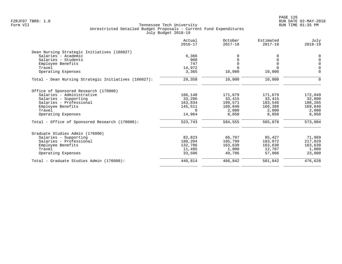| Actual<br>$2016 - 17$ | October<br>$2017 - 18$ | Estimated<br>$2017 - 18$ | July<br>$2018 - 19$ |
|-----------------------|------------------------|--------------------------|---------------------|
|                       |                        |                          |                     |
| 9,366                 |                        |                          | $\mathbf 0$         |
| 908                   | 0                      | O                        | $\Omega$            |
|                       | $\Omega$               | $\Omega$                 | $\mathbf 0$         |
|                       |                        |                          | $\Omega$            |
|                       |                        |                          | $\mathbf 0$         |
| 29,358                | 10,000                 | 10,000                   | $\Omega$            |
|                       |                        |                          |                     |
| 166,148               | 171,679                | 171,679                  | 172,049             |
| 33,286                | 33,415                 | 33,415                   | 32,800              |
| 163,834               | 199,571                | 183,546                  | 188,265             |
| 145,511               | 169,840                | 166,388                  | 169,840             |
| $\Omega$              | 2,000                  | 2,000                    | 2,000               |
| 14,964                | 8,050                  | 8,050                    | 8,050               |
| 523,743               | 584,555                | 565,078                  | 573,004             |
|                       |                        |                          |                     |
| 82,823                | 66,707                 | 85,427                   | 71,969              |
| 180,204               | 185,799                | 183,072                  | 217,029             |
| 132,786               | 163,630                | 163,630                  | 163,630             |
| 11,495                | 1,000                  | 12,707                   | 1,000               |
| 33,506                | 49,706                 | 57,006                   | 23,000              |
| 440,814               | 466,842                | 501,842                  | 476,628             |
|                       | 747<br>14,972<br>3,365 | 10,000                   | 10,000              |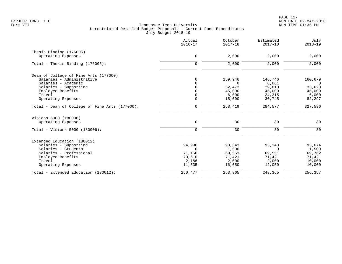|                                                | Actual<br>$2016 - 17$ | October<br>$2017 - 18$ | Estimated<br>$2017 - 18$ | July<br>$2018 - 19$ |
|------------------------------------------------|-----------------------|------------------------|--------------------------|---------------------|
| Thesis Binding (176005)                        |                       |                        |                          |                     |
| Operating Expenses                             | $\mathbf 0$           | 2,000                  | 2,000                    | 2,000               |
| Total - Thesis Binding $(176005)$ :            | $\mathbf 0$           | 2,000                  | 2,000                    | 2,000               |
| Dean of College of Fine Arts (177000)          |                       |                        |                          |                     |
| Salaries - Administrative                      | 0                     | 159,946                | 146,746                  | 160,679             |
| Salaries - Academic                            | $\Omega$              | $\Omega$               | 8,061                    | $\overline{0}$      |
| Salaries - Supporting                          | $\Omega$              | 32,473                 | 29,810                   | 33,620              |
| Employee Benefits                              | $\Omega$              | 45,000                 | 45,000                   | 45,000              |
| Travel                                         | 0                     | 6,000                  | 24,215                   | 6,000               |
| Operating Expenses                             | $\Omega$              | 15,000                 | 30,745                   | 82,297              |
| Total - Dean of College of Fine Arts (177000): | $\mathbf 0$           | 258,419                | 284,577                  | 327,596             |
| Visions 5000 (180006)                          |                       |                        |                          |                     |
| Operating Expenses                             | $\mathbf 0$           | 30                     | 30                       | 30                  |
| Total - Visions 5000 (180006):                 | $\mathbf 0$           | 30                     | 30                       | 30                  |
| Extended Education (180012)                    |                       |                        |                          |                     |
| Salaries - Supporting                          | 94,996                | 93,343                 | 93,343                   | 93,674              |
| Salaries - Students                            | $\Omega$              | 1,500                  | $\Omega$                 | 1,500               |
| Salaries - Professional                        | 71,150                | 69,551                 | 69,551                   | 69,762              |
| Employee Benefits                              | 70,610                | 71,421                 | 71,421                   | 71,421              |
| Travel                                         | 2,186                 | 2,000                  | 2,000                    | 10,000              |
| Operating Expenses                             | 11,535                | 16,050                 | 12,050                   | 10,000              |
| Total - Extended Education (180012):           | 250,477               | 253,865                | 248,365                  | 256,357             |
|                                                |                       |                        |                          |                     |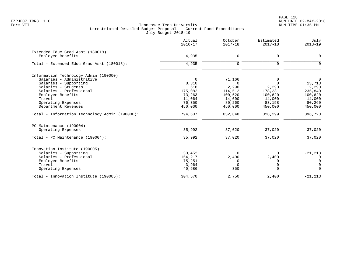PAGE 128 FZRJF07 TBR8: 1.0 RUN DATE 02-MAY-2018

|                                                       | Actual<br>$2016 - 17$ | October<br>$2017 - 18$ | Estimated<br>$2017 - 18$ | July<br>$2018 - 19$ |
|-------------------------------------------------------|-----------------------|------------------------|--------------------------|---------------------|
| Extended Educ Grad Asst (180018)<br>Employee Benefits | 4,935                 | $\mathbf 0$            | 0                        | 0                   |
| Total - Extended Educ Grad Asst (180018):             | 4,935                 | $\Omega$               | $\Omega$                 | $\Omega$            |
| Information Technology Admin (190000)                 |                       |                        |                          |                     |
| Salaries - Administrative                             | $\Omega$              | 71,166                 | 0                        | $\Omega$            |
| Salaries - Supporting                                 | 8,310                 | $\Omega$               | $\Omega$                 | 13,713              |
| Salaries - Students                                   | 618                   | 2,290                  | 2,290                    | 2,290               |
| Salaries - Professional                               | 175,082               | 114,512                | 178,231                  | 235,840             |
| Employee Benefits                                     | 73,263                | 100,620                | 100,620                  | 100,620             |
| Travel                                                | 11,064                | 14,000                 | 14,000                   | 14,000              |
| Operating Expenses                                    | 76,350                | 80,260                 | 83,158                   | 80,260              |
| Department Revenues                                   | 450,000               | 450,000                | 450,000                  | 450,000             |
| Total - Information Technology Admin (190000):        | 794,687               | 832,848                | 828,299                  | 896,723             |
| PC Maintenance (190004)                               |                       |                        |                          |                     |
| Operating Expenses                                    | 35,992                | 37,020                 | 37,020                   | 37,020              |
| Total - PC Maintenance (190004):                      | 35,992                | 37,020                 | 37,020                   | 37,020              |
| Innovation Institute (190005)                         |                       |                        |                          |                     |
| Salaries - Supporting                                 | 30,452                | $\Omega$               | 0                        | $-21, 213$          |
| Salaries - Professional                               | 154,217               | 2,400                  | 2,400                    | 0                   |
| Employee Benefits                                     | 75,251                | 0                      | 0                        | $\mathbf 0$         |
| Travel                                                | 3,964                 | $\Omega$               | 0                        | $\Omega$            |
| Operating Expenses                                    | 40,686                | 350                    | $\Omega$                 | $\Omega$            |
| Total - Innovation Institute (190005):                | 304,570               | 2,750                  | 2,400                    | $-21, 213$          |
|                                                       |                       |                        |                          |                     |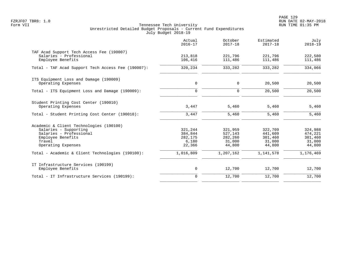PAGE 129 FZRJF07 TBR8: 1.0 RUN DATE 02-MAY-2018

|                                                                                                                                                  | Actual<br>$2016 - 17$                            | October<br>$2017 - 18$                            | Estimated<br>$2017 - 18$                          | July<br>$2018 - 19$                               |
|--------------------------------------------------------------------------------------------------------------------------------------------------|--------------------------------------------------|---------------------------------------------------|---------------------------------------------------|---------------------------------------------------|
| TAF Acad Support Tech Access Fee (190007)<br>Salaries - Professional<br>Employee Benefits                                                        | 213,818<br>106,416                               | 221,796<br>111,486                                | 221,796<br>111,486                                | 222,580<br>111,486                                |
| Total - TAF Acad Support Tech Access Fee (190007):                                                                                               | 320,234                                          | 333,282                                           | 333,282                                           | 334,066                                           |
| ITS Equipment Loss and Damage (190009)<br>Operating Expenses                                                                                     | $\mathbf 0$                                      | 0                                                 | 20,500                                            | 20,500                                            |
| Total - ITS Equipment Loss and Damage (190009):                                                                                                  | $\mathbf 0$                                      | $\mathbf 0$                                       | 20,500                                            | 20,500                                            |
| Student Printing Cost Center (190010)<br>Operating Expenses<br>Total - Student Printing Cost Center (190010):                                    | 3,447<br>3,447                                   | 5,460<br>5,460                                    | 5,460<br>5,460                                    | 5,460<br>5,460                                    |
|                                                                                                                                                  |                                                  |                                                   |                                                   |                                                   |
| Academic & Client Technologies (190100)<br>Salaries - Supporting<br>Salaries - Professional<br>Employee Benefits<br>Travel<br>Operating Expenses | 321,244<br>384,844<br>282,175<br>6,180<br>22,366 | 321,959<br>527,143<br>282,260<br>31,000<br>44,800 | 322,709<br>441,609<br>301,460<br>31,000<br>44,800 | 324,988<br>474,221<br>301,460<br>31,000<br>44,800 |
| Total - Academic & Client Technologies (190100):                                                                                                 | 1,016,809                                        | $\overline{1}$ , 207, 162                         | 1,141,578                                         | 1,176,469                                         |
| IT Infrastructure Services (190199)<br>Employee Benefits                                                                                         | $\mathsf{O}$                                     | 12,700                                            | 12,700                                            | 12,700                                            |
| Total - IT Infrastructure Services (190199):                                                                                                     | $\mathbf 0$                                      | 12,700                                            | 12,700                                            | 12,700                                            |
|                                                                                                                                                  |                                                  |                                                   |                                                   |                                                   |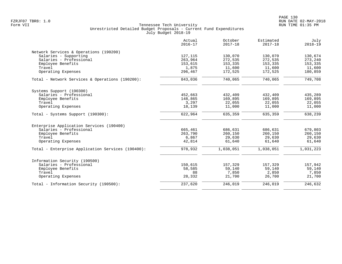| Actual<br>$2016 - 17$ | October<br>$2017 - 18$                                                                                                          | Estimated<br>$2017 - 18$                                                                                                              | July<br>$2018 - 19$                                                                                                                   |
|-----------------------|---------------------------------------------------------------------------------------------------------------------------------|---------------------------------------------------------------------------------------------------------------------------------------|---------------------------------------------------------------------------------------------------------------------------------------|
|                       |                                                                                                                                 |                                                                                                                                       |                                                                                                                                       |
|                       |                                                                                                                                 |                                                                                                                                       | 130,674                                                                                                                               |
|                       |                                                                                                                                 |                                                                                                                                       | 273,240                                                                                                                               |
|                       |                                                                                                                                 |                                                                                                                                       | 153,335                                                                                                                               |
|                       |                                                                                                                                 |                                                                                                                                       | 11,600                                                                                                                                |
| 296,467               | 172,525                                                                                                                         | 172,525                                                                                                                               | 180,859                                                                                                                               |
| 843,036               | 740,065                                                                                                                         | 740,065                                                                                                                               | 749,708                                                                                                                               |
|                       |                                                                                                                                 |                                                                                                                                       |                                                                                                                                       |
|                       |                                                                                                                                 |                                                                                                                                       | 435,289                                                                                                                               |
|                       |                                                                                                                                 |                                                                                                                                       | 169,895                                                                                                                               |
|                       |                                                                                                                                 |                                                                                                                                       | 22,055                                                                                                                                |
| 18,139                | 11,000                                                                                                                          | 11,000                                                                                                                                | 11,000                                                                                                                                |
| 622,964               | 635,359                                                                                                                         | 635,359                                                                                                                               | 638,239                                                                                                                               |
|                       |                                                                                                                                 |                                                                                                                                       |                                                                                                                                       |
|                       |                                                                                                                                 |                                                                                                                                       | 679,803                                                                                                                               |
|                       |                                                                                                                                 |                                                                                                                                       | 260,150                                                                                                                               |
|                       |                                                                                                                                 |                                                                                                                                       | 29,630                                                                                                                                |
| 42,814                | 61,640                                                                                                                          | 61,640                                                                                                                                | 61,640                                                                                                                                |
| 978,932               | 1,038,051                                                                                                                       | 1,038,051                                                                                                                             | 1,031,223                                                                                                                             |
|                       |                                                                                                                                 |                                                                                                                                       |                                                                                                                                       |
|                       |                                                                                                                                 |                                                                                                                                       | 157,942                                                                                                                               |
|                       |                                                                                                                                 |                                                                                                                                       | 59,140                                                                                                                                |
|                       |                                                                                                                                 |                                                                                                                                       | 7,850                                                                                                                                 |
| 28,332                | 21,700                                                                                                                          | 26,700                                                                                                                                | 21,700                                                                                                                                |
|                       |                                                                                                                                 |                                                                                                                                       |                                                                                                                                       |
|                       | 127,115<br>263,964<br>153,615<br>1,875<br>452,663<br>148,865<br>3,297<br>665,461<br>263,790<br>6,867<br>150,615<br>58,585<br>88 | 130,070<br>272,535<br>153,335<br>11,600<br>432,409<br>169,895<br>22,055<br>686,631<br>260,150<br>29,630<br>157,329<br>59,140<br>7,850 | 130,070<br>272,535<br>153,335<br>11,600<br>432,409<br>169,895<br>22,055<br>686,631<br>260,150<br>29,630<br>157,329<br>59,140<br>2,850 |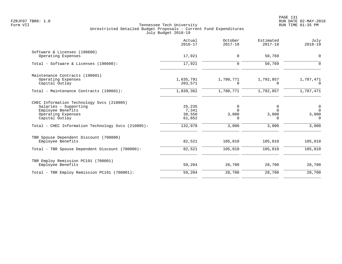|                                                                                                                                                                                       | Actual<br>$2016 - 17$                          | October<br>$2017 - 18$                      | Estimated<br>$2017 - 18$                    | July<br>$2018 - 19$                                      |
|---------------------------------------------------------------------------------------------------------------------------------------------------------------------------------------|------------------------------------------------|---------------------------------------------|---------------------------------------------|----------------------------------------------------------|
| Software & Licenses (190600)<br>Operating Expenses                                                                                                                                    | 17,921                                         | $\mathbf 0$                                 | 50,769                                      | 0                                                        |
| Total - Software & Licenses (190600):                                                                                                                                                 | 17,921                                         | 0                                           | 50,769                                      | $\Omega$                                                 |
| Maintenance Contracts (190601)<br>Operating Expenses<br>Capital Outlay                                                                                                                | 1,635,791<br>203,571                           | 1,780,771<br>$\Omega$                       | 1,792,857<br>$\Omega$                       | 1,787,471<br>$\Omega$                                    |
| Total - Maintenance Contracts (190601):                                                                                                                                               | 1,839,362                                      | 1,780,771                                   | 1,792,857                                   | 1,787,471                                                |
| CHEC Information Technology Svcs (210005)<br>Salaries - Supporting<br>Employee Benefits<br>Operating Expenses<br>Capital Outlay<br>Total - CHEC Information Technology Svcs (210005): | 25,235<br>7,341<br>38,550<br>61,852<br>132,978 | 0<br>$\Omega$<br>3,000<br>$\Omega$<br>3,000 | 0<br>$\Omega$<br>3,000<br>$\Omega$<br>3,000 | $\overline{0}$<br>$\Omega$<br>3,000<br>$\Omega$<br>3,000 |
| TBR Spouse Dependent Discount (700000)<br>Employee Benefits<br>Total - TBR Spouse Dependent Discount (700000):                                                                        | 82,521<br>82,521                               | 105,010<br>105,010                          | 105,010<br>105,010                          | 105,010<br>105,010                                       |
| TBR Employ Remission PC191 (700001)<br>Employee Benefits                                                                                                                              | 59,204                                         | 28,700                                      | 28,700                                      | 28,700                                                   |
| Total - TBR Employ Remission PC191 (700001):                                                                                                                                          | 59,204                                         | 28,700                                      | 28,700                                      | 28,700                                                   |
|                                                                                                                                                                                       |                                                |                                             |                                             |                                                          |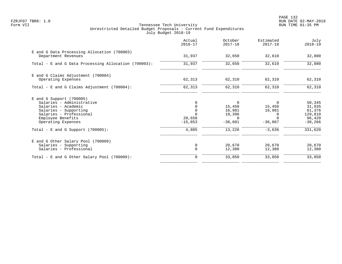PAGE 132 FZRJF07 TBR8: 1.0 RUN DATE 02-MAY-2018

|                                                                                                                                                                                                                       | Actual<br>$2016 - 17$                    | October<br>$2017 - 18$                                                    | Estimated<br>$2017 - 18$                                        | July<br>$2018 - 19$                                                     |
|-----------------------------------------------------------------------------------------------------------------------------------------------------------------------------------------------------------------------|------------------------------------------|---------------------------------------------------------------------------|-----------------------------------------------------------------|-------------------------------------------------------------------------|
| E and G Data Processing Allocation (700003)<br>Department Revenues                                                                                                                                                    | 31,937                                   | 32,650                                                                    | 32,610                                                          | 32,880                                                                  |
| Total - E and G Data Processing Allocation (700003):                                                                                                                                                                  | 31,937                                   | 32,650                                                                    | 32,610                                                          | 32,880                                                                  |
| E and G Claims Adjustment (700004)<br>Operating Expenses                                                                                                                                                              | 62,313                                   | 62,310                                                                    | 62,310                                                          | 62,310                                                                  |
| Total - E and G Claims Adjustment (700004):                                                                                                                                                                           | 62,313                                   | 62,310                                                                    | 62,310                                                          | 62,310                                                                  |
| $E$ and G Support (700005)<br>Salaries - Administrative<br>Salaries - Academic<br>Salaries - Supporting<br>Salaries - Professional<br>Employee Benefits<br>Operating Expenses<br>Total - E and G Support $(700005)$ : | $\Omega$<br>20,658<br>$-15,853$<br>4,805 | $\Omega$<br>15,450<br>16,981<br>19,396<br>$\Omega$<br>$-38,601$<br>13,226 | 15,450<br>16,981<br>$\Omega$<br>$\cap$<br>$-36,067$<br>$-3,636$ | 50,345<br>31,935<br>61,376<br>129,810<br>96,420<br>$-38,266$<br>331,620 |
| E and G Other Salary Pool (700009)<br>Salaries - Supporting<br>Salaries - Professional                                                                                                                                | 0<br>$\mathbf 0$                         | 20,670<br>12,380                                                          | 20,670<br>12,380                                                | 20,670<br>12,380                                                        |
| Total - E and G Other Salary Pool (700009):                                                                                                                                                                           | 0                                        | 33,050                                                                    | 33,050                                                          | 33,050                                                                  |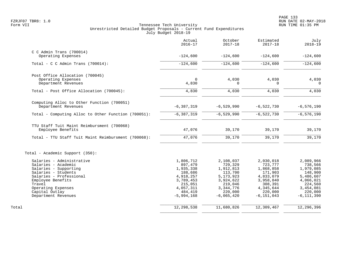|                                                                           | Actual<br>$2016 - 17$             | October<br>$2017 - 18$            | Estimated<br>$2017 - 18$          | July<br>$2018 - 19$               |
|---------------------------------------------------------------------------|-----------------------------------|-----------------------------------|-----------------------------------|-----------------------------------|
| $C$ C Admin Trans (700014)<br>Operating Expenses                          | $-124,600$                        | $-124,600$                        | $-124,600$                        | $-124,600$                        |
|                                                                           |                                   |                                   |                                   |                                   |
| Total - C C Admin Trans $(700014)$ :                                      | $-124,600$                        | $-124,600$                        | $-124,600$                        | $-124,600$                        |
| Post Office Allocation (700045)                                           |                                   |                                   |                                   |                                   |
| Operating Expenses<br>Department Revenues                                 | $\Omega$<br>4,830                 | 4,030<br>O                        | 4,030<br>$\Omega$                 | 4,030<br>$\Omega$                 |
| Total - Post Office Allocation (700045):                                  | 4,830                             | 4,030                             | 4,030                             | 4,030                             |
| Computing Alloc to Other Function (700051)                                |                                   |                                   |                                   |                                   |
| Department Revenues                                                       | $-6, 387, 319$                    | $-6, 529, 990$                    | $-6,522,730$                      | $-6, 576, 190$                    |
| Total - Computing Alloc to Other Function (700051):                       | $-6, 387, 319$                    | $-6, 529, 990$                    | $-6, 522, 730$                    | $-6, 576, 190$                    |
| TTU Staff Tuit Maint Reimbursment (700068)                                |                                   |                                   |                                   |                                   |
| Employee Benefits                                                         | 47,076                            | 39,170                            | 39,170                            | 39,170                            |
| Total - TTU Staff Tuit Maint Reimbursment (700068):                       | 47,076                            | 39,170                            | 39,170                            | 39,170                            |
| Total - Academic Support (350):                                           |                                   |                                   |                                   |                                   |
| Salaries - Administrative<br>Salaries - Academic<br>Salaries - Supporting | 1,806,712<br>897,479<br>1,935,338 | 2,108,037<br>729,329<br>1,912,813 | 2,030,018<br>723,777<br>1,868,858 | 2,089,966<br>738,566<br>1,979,085 |
| Salaries - Students<br>Salaries - Professional                            | 188,686<br>4,918,257              | 113,700<br>5, 173, 923            | 171,903<br>4,833,079              | 148,900<br>5,486,607              |
| Employee Benefits<br>Travel                                               | 3,789,453<br>215,051              | 3,924,622<br>219,046              | 3,958,840<br>308,391              | 4,066,021<br>224,560              |
| Operating Expenses<br>Capital Outlay                                      | 4,057,311<br>484,419              | 3, 344, 776<br>220,000            | 4,345,644<br>220,000              | 3,454,081<br>220,000              |
| Department Revenues                                                       | $-5,994,168$                      | $-6,065,420$                      | $-6, 151, 043$                    | $-6, 111, 390$                    |
| Total                                                                     | 12,298,538                        | 11,680,826                        | 12,309,467                        | 12,296,396                        |
|                                                                           |                                   |                                   |                                   |                                   |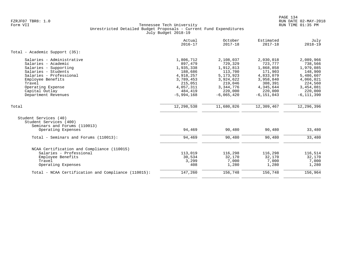|                                                                                                                                                                                                                          | Actual<br>$2016 - 17$                                                                                                     | October<br>$2017 - 18$                                                                                                        | Estimated<br>$2017 - 18$                                                                                                    | July<br>$2018 - 19$                                                                                                         |
|--------------------------------------------------------------------------------------------------------------------------------------------------------------------------------------------------------------------------|---------------------------------------------------------------------------------------------------------------------------|-------------------------------------------------------------------------------------------------------------------------------|-----------------------------------------------------------------------------------------------------------------------------|-----------------------------------------------------------------------------------------------------------------------------|
| Total - Academic Support (35):                                                                                                                                                                                           |                                                                                                                           |                                                                                                                               |                                                                                                                             |                                                                                                                             |
| Salaries - Administrative<br>Salaries - Academic<br>Salaries - Supporting<br>Salaries - Students<br>Salaries - Professional<br>Employee Benefits<br>Travel<br>Operating Expense<br>Capital Outlay<br>Department Revenues | 1,806,712<br>897,479<br>1,935,338<br>188,686<br>4,918,257<br>3,789,453<br>215,051<br>4,057,311<br>484,419<br>$-5,994,168$ | 2,108,037<br>729,329<br>1,912,813<br>113,700<br>5, 173, 923<br>3,924,622<br>219,046<br>3, 344, 776<br>220,000<br>$-6,065,420$ | 2,030,018<br>723,777<br>1,868,858<br>171,903<br>4,833,079<br>3,958,840<br>308,391<br>4,345,644<br>220,000<br>$-6, 151, 043$ | 2,089,966<br>738,566<br>1,979,085<br>148,900<br>5,486,607<br>4,066,021<br>224,560<br>3,454,081<br>220,000<br>$-6, 111, 390$ |
| Total                                                                                                                                                                                                                    | 12,298,538                                                                                                                | 11,680,826                                                                                                                    | 12,309,467                                                                                                                  | 12,296,396                                                                                                                  |
| Student Services (40)<br>Student Services (400)<br>Seminars and Forums (110013)<br>Operating Expenses                                                                                                                    | 94,469                                                                                                                    | 90,480                                                                                                                        | 90,480                                                                                                                      | 33,480                                                                                                                      |
| Total - Seminars and Forums (110013):                                                                                                                                                                                    | 94,469                                                                                                                    | 90,480                                                                                                                        | 90,480                                                                                                                      | 33,480                                                                                                                      |
| NCAA Certification and Compliance (110015)<br>Salaries - Professional<br>Employee Benefits<br>Travel<br>Operating Expenses                                                                                               | 113,019<br>30,534<br>3,299<br>408                                                                                         | 116,298<br>32,170<br>7,000<br>1,280                                                                                           | 116,298<br>32,170<br>7,000<br>1,280                                                                                         | 116,514<br>32,170<br>7,000<br>1,280                                                                                         |
| Total - NCAA Certification and Compliance (110015):                                                                                                                                                                      | 147,260                                                                                                                   | 156,748                                                                                                                       | 156,748                                                                                                                     | 156,964                                                                                                                     |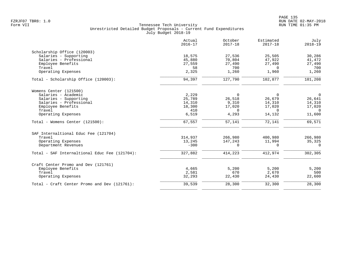|                                               | Actual<br>$2016 - 17$ | October<br>$2017 - 18$ | Estimated<br>$2017 - 18$ | July<br>$2018 - 19$ |
|-----------------------------------------------|-----------------------|------------------------|--------------------------|---------------------|
| Scholarship Office (120003)                   |                       |                        |                          |                     |
| Salaries - Supporting                         | 18,575                | 27,536                 | 25,505                   | 30,286              |
| Salaries - Professional                       | 45,880                | 70,804                 | 47,922                   | 41,472              |
| Employee Benefits                             | 27,559                | 27,490                 | 27,490                   | 27,490              |
| Travel                                        | 58                    | 700                    | $\Omega$                 | 700                 |
| Operating Expenses                            | 2,325                 | 1,260                  | 1,960                    | 1,260               |
| Total - Scholarship Office (120003):          | 94,397                | 127,790                | 102,877                  | 101,208             |
| Womens Center (121500)                        |                       |                        |                          |                     |
| Salaries - Academic                           | 2,229                 | $\Omega$               | $\Omega$                 | $\mathbf 0$         |
| Salaries - Supporting                         | 25,789                | 26,518                 | 26,679                   | 26,641              |
| Salaries - Professional                       | 14,310                | 9,310                  | 14,310                   | 14,310              |
| Employee Benefits                             | 18,300                | 17,020                 | 17,020                   | 17,020              |
| Travel                                        | 410                   | $\Omega$               | $\Omega$                 | $\Omega$            |
| Operating Expenses                            | 6,519                 | 4,293                  | 14,132                   | 11,600              |
| Total - Womens Center (121500):               | 67,557                | 57,141                 | 72,141                   | 69,571              |
| SAF Internaltional Educ Fee (121704)          |                       |                        |                          |                     |
| Travel                                        | 314,937               | 266,980                | 400,980                  | 266,980             |
| Operating Expenses                            | 13,245                | 147,243                | 11,994                   | 35,325              |
| Department Revenues                           | $-300$                | $\Omega$               | $\Omega$                 | $\Omega$            |
| Total - SAF Internaltional Educ Fee (121704): | 327,882               | 414,223                | 412,974                  | 302,305             |
| Craft Center Promo and Dev (121761)           |                       |                        |                          |                     |
| Employee Benefits                             | 4,665                 | 5.200                  | 5,200                    | 5,200               |
| Travel                                        | 2,581                 | 670                    | 2,670                    | 500                 |
| Operating Expenses                            | 32,293                | 22,430                 | 24,430                   | 22,600              |
| Total - Craft Center Promo and Dev (121761):  | 39,539                | 28,300                 | 32,300                   | 28,300              |
|                                               |                       |                        |                          |                     |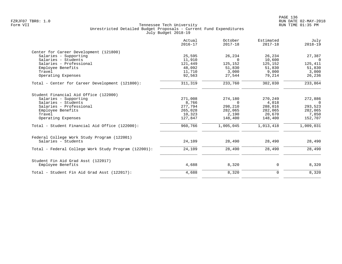|                                                                    | Actual<br>$2016 - 17$ | October<br>$2017 - 18$ | Estimated<br>$2017 - 18$ | July<br>$2018 - 19$ |
|--------------------------------------------------------------------|-----------------------|------------------------|--------------------------|---------------------|
| Center for Career Development (121800)                             |                       |                        |                          |                     |
| Salaries - Supporting                                              | 25,595                | 26,234                 | 26,234                   | 27,387              |
| Salaries - Students                                                | 11,910                | $\Omega$               | 10,600                   | $\overline{0}$      |
| Salaries - Professional                                            | 121,449               | 125,152                | 125,152                  | 125,411             |
| Employee Benefits                                                  | 48,092                | 51,830                 | 51,830                   | 51,830              |
| Travel                                                             | 11,710                | 3,000                  | 9,000                    | 3,000               |
| Operating Expenses                                                 | 92,563                | 27,544                 | 79,214                   | 26,236              |
| Total - Center for Career Development (121800):                    | 311,319               | 233,760                | 302,030                  | 233,864             |
| Student Financial Aid Office (122000)                              |                       |                        |                          |                     |
| Salaries - Supporting                                              | 271,008               | 274,180                | 270,249                  | 272,886             |
| Salaries - Students                                                | 8,766                 | $\Omega$               | 4,018                    | $\Omega$            |
| Salaries - Professional                                            | 277,794               | 298,210                | 288,016                  | 293,523             |
| Employee Benefits                                                  | 265,028               | 282,065                | 282,065                  | 282,065             |
| Travel                                                             | 10,323                | 2,190                  | 20,670                   | 7,850               |
| Operating Expenses                                                 | 127,847               | 148,400                | 148,400                  | 152,707             |
| Total - Student Financial Aid Office (122000):                     | 960,766               | 1,005,045              | 1,013,418                | 1,009,031           |
| Federal College Work Study Program (122001)<br>Salaries - Students |                       |                        |                          | 28,490              |
|                                                                    | 24,109                | 28,490                 | 28,490                   |                     |
| Total - Federal College Work Study Program (122001):               | 24,109                | 28,490                 | 28,490                   | 28,490              |
| Student Fin Aid Grad Asst (122017)                                 |                       |                        |                          |                     |
| Employee Benefits                                                  | 4,688                 | 8,320                  | 0                        | 8,320               |
| Total - Student Fin Aid Grad Asst (122017):                        | 4,688                 | 8,320                  | $\mathbf 0$              | 8,320               |
|                                                                    |                       |                        |                          |                     |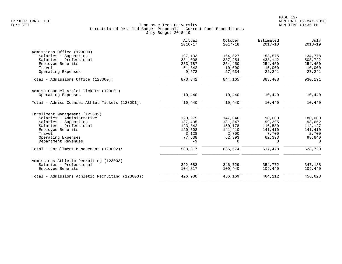|                                                  | Actual<br>$2016 - 17$ | October<br>$2017 - 18$ | Estimated<br>$2017 - 18$ | July<br>$2018 - 19$ |
|--------------------------------------------------|-----------------------|------------------------|--------------------------|---------------------|
| Admissions Office (123000)                       |                       |                        |                          |                     |
| Salaries - Supporting                            | 197,133               | 164,827                | 153,575                  | 134,778             |
| Salaries - Professional                          | 381,008               | 387,254                | 438,142                  | 503,722             |
| Employee Benefits                                | 233,787               | 254,450                | 254,450                  | 254,450             |
| Travel                                           | 51,842                | 10,000                 | 15,000                   | 10,000              |
| Operating Expenses                               | 9,572                 | 27,634                 | 22,241                   | 27,241              |
| Total - Admissions Office (123000):              | 873,342               | 844,165                | 883,408                  | 930,191             |
| Admiss Counsel Athlet Tickets (123001)           |                       |                        |                          |                     |
| Operating Expenses                               | 10,440                | 10,440                 | 10,440                   | 10,440              |
| Total - Admiss Counsel Athlet Tickets (123001):  | 10,440                | 10,440                 | 10,440                   | 10,440              |
| Enrollment Management (123002)                   |                       |                        |                          |                     |
| Salaries - Administrative                        | 120,975               | 147,046                | 90,000                   | 180,000             |
| Salaries - Supporting                            | 137,435               | 131,847                | 99,395                   | 93,652              |
| Salaries - Professional                          | 123,842               | 150,178                | 116,580                  | 112,127             |
| Employee Benefits                                | 120,808               | 141,410                | 141,410                  | 141,410             |
| Travel                                           | 3,128                 | 2,700                  | 7,700                    | 2,700               |
| Operating Expenses                               | 77,638                | 62,393                 | 62,393                   | 98,840              |
| Department Revenues                              | $-9$                  | 0                      | 0                        | $\Omega$            |
| Total - Enrollment Management (123002):          | 583,817               | 635,574                | 517,478                  | 628,729             |
| Admissions Athletic Recruiting (123003)          |                       |                        |                          |                     |
| Salaries - Professional                          | 322,083               | 346,729                | 354,772                  | 347,188             |
| Employee Benefits                                | 104,817               | 109,440                | 109,440                  | 109,440             |
| Total - Admissions Athletic Recruiting (123003): | 426,900               | 456,169                | 464,212                  | 456,628             |
|                                                  |                       |                        |                          |                     |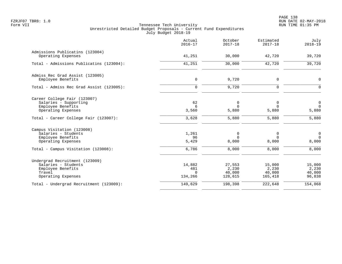|                                                                                                            | Actual<br>$2016 - 17$                | October<br>$2017 - 18$               | Estimated<br>$2017 - 18$             | July<br>$2018 - 19$                 |
|------------------------------------------------------------------------------------------------------------|--------------------------------------|--------------------------------------|--------------------------------------|-------------------------------------|
| Admissions Publicatins (123004)<br>Operating Expenses                                                      | 41,251                               | 30,000                               | 42,720                               | 39,720                              |
| Total - Admissions Publicatins (123004):                                                                   | 41,251                               | 30,000                               | 42,720                               | 39,720                              |
| Admiss Rec Grad Assist (123005)<br>Employee Benefits                                                       | 0                                    | 9,720                                | 0                                    | $\mathbf 0$                         |
| Total - Admiss Rec Grad Assist (123005):                                                                   | $\Omega$                             | 9,720                                | 0                                    | $\Omega$                            |
| Career College Fair (123007)<br>Salaries - Supporting<br>Employee Benefits<br>Operating Expenses           | 62<br>6<br>3,560                     | 0<br>$\Omega$<br>5,880               | 0<br>$\Omega$<br>5,880               | $\mathbf 0$<br>$\Omega$<br>5,880    |
| Total - Career College Fair (123007):                                                                      | 3,628                                | 5,880                                | 5,880                                | 5,880                               |
| Campus Visitation (123008)<br>Salaries - Students<br>Employee Benefits<br>Operating Expenses               | 1,261<br>96<br>5,429                 | 0<br>$\Omega$<br>8,000               | 0<br>$\Omega$<br>8,000               | $\mathbf 0$<br>$\Omega$<br>8,000    |
| Total - Campus Visitation (123008):                                                                        | 6,786                                | 8,000                                | 8,000                                | 8,000                               |
| Undergrad Recruitment (123009)<br>Salaries - Students<br>Employee Benefits<br>Travel<br>Operating Expenses | 14,882<br>481<br>$\Omega$<br>134,266 | 27,553<br>2,230<br>40,000<br>128,615 | 15,000<br>2,230<br>40,000<br>165,418 | 15,000<br>2,230<br>40,000<br>96,838 |
| Total - Undergrad Recruitment (123009):                                                                    | 149,629                              | 198,398                              | 222,648                              | 154,068                             |
|                                                                                                            |                                      |                                      |                                      |                                     |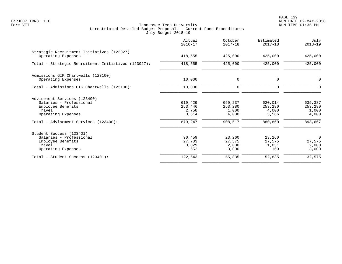PAGE 139 FZRJF07 TBR8: 1.0 RUN DATE 02-MAY-2018

|                                                                                                              | Actual<br>$2016 - 17$                | October<br>$2017 - 18$               | Estimated<br>$2017 - 18$             | July<br>$2018 - 19$                        |
|--------------------------------------------------------------------------------------------------------------|--------------------------------------|--------------------------------------|--------------------------------------|--------------------------------------------|
| Strategic Recruitment Initiatives (123027)<br>Operating Expenses                                             | 418,555                              | 425,000                              | 425,000                              | 425,000                                    |
| Total - Strategic Recruitment Initiatives (123027):                                                          | 418,555                              | 425,000                              | 425,000                              | 425,000                                    |
| Admissions GIK Chartwells (123100)<br>Operating Expenses                                                     | 10,000                               | $\mathbf 0$                          | 0                                    | $\mathbf 0$                                |
| Total - Admissions GIK Chartwells (123100):                                                                  | 10,000                               | $\mathbf 0$                          | 0                                    | $\Omega$                                   |
| Advisement Services (123400)<br>Salaries - Professional<br>Employee Benefits<br>Travel<br>Operating Expenses | 619,429<br>253,446<br>2,758<br>3,614 | 650,237<br>253,280<br>1,000<br>4,000 | 620,014<br>253,280<br>4,000<br>3,566 | 635,387<br>253,280<br>1,000<br>4,000       |
| Total - Advisement Services (123400):                                                                        | 879,247                              | 908,517                              | 880,860                              | 893,667                                    |
| Student Success (123401)<br>Salaries - Professional<br>Employee Benefits<br>Travel<br>Operating Expenses     | 90,459<br>27,703<br>3,829<br>652     | 23,260<br>27,575<br>2,000<br>3,000   | 23,260<br>27,575<br>1,831<br>169     | $\overline{0}$<br>27,575<br>2,000<br>3,000 |
| Total - Student Success (123401):                                                                            | 122,643                              | 55,835                               | 52,835                               | 32,575                                     |
|                                                                                                              |                                      |                                      |                                      |                                            |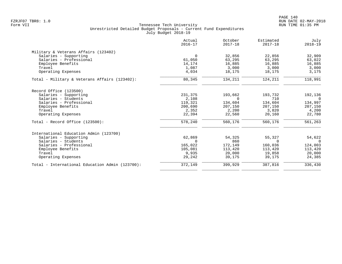|                                                 | Actual<br>$2016 - 17$ | October<br>$2017 - 18$ | Estimated<br>$2017 - 18$ | July<br>$2018 - 19$ |
|-------------------------------------------------|-----------------------|------------------------|--------------------------|---------------------|
| Military & Veterans Affairs (123402)            |                       |                        |                          |                     |
| Salaries - Supporting                           | $\overline{0}$        | 32,856                 | 22,856                   | 32,909              |
| Salaries - Professional                         | 61,050                | 63,295                 | 63,295                   | 63,022              |
| Employee Benefits                               | 14,174                | 16,885                 | 16,885                   | 16,885              |
| Travel                                          | 1,087                 | 3,000                  | 3,000                    | 3,000               |
| Operating Expenses                              | 4,034                 | 18,175                 | 18,175                   | 3,175               |
| Total - Military & Veterans Affairs (123402):   | 80,345                | 134,211                | 124,211                  | 118,991             |
| Record Office (123500)                          |                       |                        |                          |                     |
| Salaries - Supporting                           | 231,375               | 193,662                | 193,732                  | 192,136             |
| Salaries - Students                             | 2,108                 | $\Omega$               | 710                      | $\overline{0}$      |
| Salaries - Professional                         | 119,321               | 134,604                | 134,604                  | 134,997             |
| Employee Benefits                               | 200,690               | 207,150                | 207,150                  | 207,150             |
| Travel                                          | 2,352                 | 2,200                  | 3,820                    | 4,200               |
| Operating Expenses                              | 22,394                | 22,560                 | 20,160                   | 22,780              |
| Total - Record Office $(123500)$ :              | 578,240               | 560,176                | 560,176                  | 561,263             |
| International Education Admin (123700)          |                       |                        |                          |                     |
| Salaries - Supporting                           | 62,869                | 54,325                 | 55,327                   | 54,622              |
| Salaries - Students                             | $\Omega$              | 860                    | $\Omega$                 | $\Omega$            |
| Salaries - Professional                         | 165,022               | 172,149                | 160,036                  | 124,003             |
| Employee Benefits                               | 105,081               | 113,420                | 113,420                  | 113,420             |
| Travel                                          | 9,935                 | 20,000                 | 19,858                   | 20,000              |
| Operating Expenses                              | 29,242                | 39,175                 | 39,175                   | 24,385              |
| Total - International Education Admin (123700): | 372,149               | 399,929                | 387,816                  | 336,430             |
|                                                 |                       |                        |                          |                     |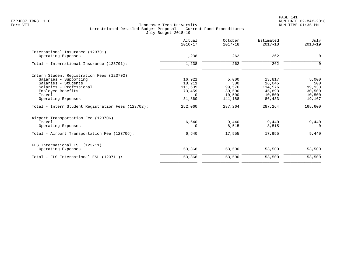|                                                    | Actual<br>$2016 - 17$ | October<br>$2017 - 18$ | Estimated<br>$2017 - 18$ | July<br>$2018 - 19$ |
|----------------------------------------------------|-----------------------|------------------------|--------------------------|---------------------|
| International Insurance (123701)                   |                       |                        |                          |                     |
| Operating Expenses                                 | 1,238                 | 262                    | 262                      | $\mathbf 0$         |
| Total - International Insurance (123701):          | 1,238                 | 262                    | 262                      | $\Omega$            |
| Intern Student Registration Fees (123702)          |                       |                        |                          |                     |
| Salaries - Supporting                              | 16,921                | 5,000                  | 13,817                   | 5,000               |
| Salaries - Students                                | 18,211                | 500                    | 16,045                   | 500                 |
| Salaries - Professional                            | 111,609               | 99,576                 | 114,576                  | 99,933              |
| Employee Benefits                                  | 73,459                | 30,500                 | 45,893                   | 30,500              |
| Travel                                             | $\Omega$              | 10,500                 | 10,500                   | 10,500              |
| Operating Expenses                                 | 31,860                | 141,188                | 86,433                   | 19,167              |
| Total - Intern Student Registration Fees (123702): | 252,060               | 287,264                | 287,264                  | 165,600             |
| Airport Transportation Fee (123706)                |                       |                        |                          |                     |
| Travel                                             | 6,640                 | 9,440                  | 9,440                    | 9,440               |
| Operating Expenses                                 |                       | 8,515                  | 8,515                    | $\Omega$            |
| Total - Airport Transportation Fee (123706):       | 6,640                 | 17,955                 | 17,955                   | 9,440               |
| FLS International ESL (123711)                     |                       |                        |                          |                     |
| Operating Expenses                                 | 53,368                | 53,500                 | 53,500                   | 53,500              |
| Total - FLS International ESL (123711):            | 53,368                | 53,500                 | 53,500                   | 53,500              |
|                                                    |                       |                        |                          |                     |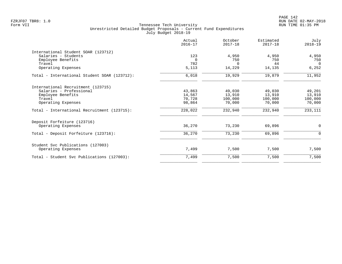|                                              | Actual<br>$2016 - 17$ | October<br>$2017 - 18$ | Estimated<br>$2017 - 18$ | July<br>$2018 - 19$ |
|----------------------------------------------|-----------------------|------------------------|--------------------------|---------------------|
| International Student SOAR (123712)          |                       |                        |                          |                     |
| Salaries - Students                          | 123                   | 4,950                  | 4,950                    | 4,950               |
| Employee Benefits                            | $\Omega$              | 750                    | 750                      | 750                 |
| Travel                                       | 782                   | $\Omega$               | 44                       | $\Omega$            |
| Operating Expenses                           | 5,113                 | 14,229                 | 14,135                   | 6,252               |
| Total - International Student SOAR (123712): | 6,018                 | 19,929                 | 19,879                   | 11,952              |
| International Recruitment (123715)           |                       |                        |                          |                     |
| Salaries - Professional                      | 43,863                | 49,030                 | 49,030                   | 49,201              |
| Employee Benefits                            | 14,567                | 13,910                 | 13,910                   | 13,910              |
| Travel                                       | 70,728                | 100,000                | 100,000                  | 100,000             |
| Operating Expenses                           | 98,864                | 70,000                 | 70,000                   | 70,000              |
| Total - International Recruitment (123715):  | 228,022               | 232,940                | 232,940                  | 233,111             |
| Deposit Forfeiture (123716)                  |                       |                        |                          |                     |
| Operating Expenses                           | 36,270                | 73,230                 | 69,896                   | $\mathbf 0$         |
| Total - Deposit Forfeiture (123716):         | 36,270                | 73,230                 | 69,896                   | $\mathbf 0$         |
| Student Svc Publications (127003)            |                       |                        |                          |                     |
| Operating Expenses                           | 7,499                 | 7,500                  | 7,500                    | 7,500               |
| Total - Student Svc Publications (127003):   | 7,499                 | 7,500                  | 7,500                    | 7,500               |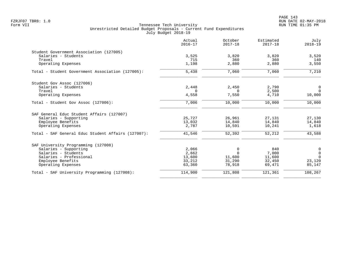PAGE 143 FZRJF07 TBR8: 1.0 RUN DATE 02-MAY-2018

|                                                    | Actual<br>$2016 - 17$ | October<br>$2017 - 18$ | Estimated<br>$2017 - 18$ | July<br>$2018 - 19$ |
|----------------------------------------------------|-----------------------|------------------------|--------------------------|---------------------|
| Student Government Association (127005)            |                       |                        |                          |                     |
| Salaries - Students                                | 3,525                 | 3,820                  | 3,820                    | 3,520               |
| Travel                                             | 715                   | 360                    | 360                      | 140                 |
| Operating Expenses                                 | 1,198                 | 2,880                  | 2,880                    | 3,550               |
| Total - Student Government Association (127005):   | 5,438                 | 7,060                  | 7,060                    | 7,210               |
| Student Gov Assoc (127006)                         |                       |                        |                          |                     |
| Salaries - Students                                | 2,448                 | 2,450                  | 2,790                    | 0                   |
| Travel                                             | $\Omega$              | $\Omega$               | 2,500                    | $\Omega$            |
| Operating Expenses                                 | 4,558                 | 7,550                  | 4,710                    | 10,000              |
| Total - Student Gov Assoc (127006):                | 7,006                 | 10,000                 | 10,000                   | 10,000              |
| SAF General Educ Student Affairs (127007)          |                       |                        |                          |                     |
| Salaries - Supporting                              | 25,727                | 26,961                 | 27,131                   | 27,130              |
| Employee Benefits                                  | 13,032                | 14,840                 | 14,840                   | 14,840              |
| Operating Expenses                                 | 2,787                 | 10,591                 | 10,241                   | 1,618               |
| Total - SAF General Educ Student Affairs (127007): | 41,546                | 52,392                 | 52,212                   | 43,588              |
| SAF University Programming (127008)                |                       |                        |                          |                     |
| Salaries - Supporting                              | 2,066                 | 0                      | 840                      | 0                   |
| Salaries - Students                                | 2,662                 | $\Omega$               | 7,000                    | $\overline{0}$      |
| Salaries - Professional                            | 13,600                | 11,600                 | 11,600                   | $\Omega$            |
| Employee Benefits                                  | 33,212                | 31,290                 | 32,450                   | 23,120              |
| Operating Expenses                                 | 63,360                | 78,918                 | 69,471                   | 85,147              |
| Total - SAF University Programming (127008):       | 114,900               | 121,808                | 121,361                  | 108,267             |
|                                                    |                       |                        |                          |                     |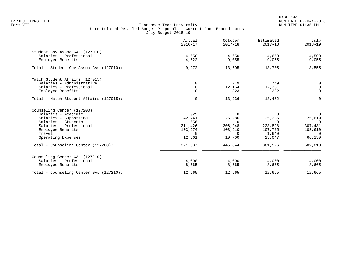|                                              | Actual<br>$2016 - 17$ | October<br>$2017 - 18$ | Estimated<br>$2017 - 18$ | July<br>$2018 - 19$ |
|----------------------------------------------|-----------------------|------------------------|--------------------------|---------------------|
| Student Gov Assoc GAs (127010)               |                       |                        |                          |                     |
| Salaries - Professional<br>Employee Benefits | 4,650<br>4,622        | 4,650<br>9,055         | 4,650<br>9,055           | 4,500<br>9,055      |
| Total - Student Gov Assoc GAs (127010):      | 9,272                 | 13,705                 | 13,705                   | 13,555              |
| Match Student Affairs (127015)               |                       |                        |                          |                     |
| Salaries - Administrative                    | 0                     | 749                    | 749                      | $\overline{0}$      |
| Salaries - Professional                      | $\mathsf{O}$          | 12,164                 | 12,331                   | $\mathsf{O}$        |
| Employee Benefits                            | $\Omega$              | 323                    | 382                      | $\mathbf 0$         |
| Total - Match Student Affairs (127015):      | $\mathbf 0$           | 13,236                 | 13,462                   | $\mathbf 0$         |
| Counseling Center (127200)                   |                       |                        |                          |                     |
| Salaries - Academic                          | 929                   | $\Omega$               | $\Omega$                 | $\mathsf{O}$        |
| Salaries - Supporting                        | 42,241                | 25,286                 | 25,286                   | 25,619              |
| Salaries - Students                          | 656                   | $\Omega$               | $\Omega$                 | $\Omega$            |
| Salaries - Professional                      | 211,426               | 306,248                | 223,828                  | 307,431             |
| Employee Benefits<br>Travel                  | 103,674<br>$\Omega$   | 103,610<br>$\Omega$    | 107,725                  | 103,610<br>$\Omega$ |
| Operating Expenses                           | 12,661                | 10,700                 | 1,640<br>23,047          | 66,150              |
|                                              |                       |                        |                          |                     |
| Total - Counseling Center (127200):          | 371,587               | 445,844                | 381,526                  | 502,810             |
| Counseling Center GAs (127210)               |                       |                        |                          |                     |
| Salaries - Professional                      | 4,000                 | 4,000                  | 4,000                    | 4,000               |
| Employee Benefits                            | 8,665                 | 8,665                  | 8,665                    | 8,665               |
| Total - Counseling Center GAs (127210):      | 12,665                | 12,665                 | 12,665                   | 12,665              |
|                                              |                       |                        |                          |                     |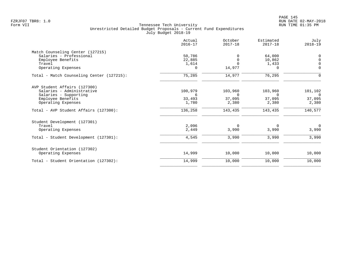|                                           | Actual<br>$2016 - 17$ | October<br>$2017 - 18$ | Estimated<br>$2017 - 18$ | July<br>$2018 - 19$ |
|-------------------------------------------|-----------------------|------------------------|--------------------------|---------------------|
| Match Counseling Center (127215)          |                       |                        |                          |                     |
| Salaries - Professional                   | 50,786                |                        | 64,000                   | $\mathbf 0$         |
| Employee Benefits                         | 22,885                | $\Omega$               | 10,862                   | $\Omega$            |
| Travel                                    | 1,614                 |                        | 1,433                    | $\Omega$            |
| Operating Expenses                        | 0                     | 14,977                 | 0                        | $\mathbf 0$         |
| Total - Match Counseling Center (127215): | 75,285                | 14,977                 | 76,295                   | 0                   |
| AVP Student Affairs (127300)              |                       |                        |                          |                     |
| Salaries - Administrative                 | 100,979               | 103,960                | 103,960                  | 101,102             |
| Salaries - Supporting                     | 6                     | $\Omega$               | $\Omega$                 | $\Omega$            |
| Employee Benefits                         | 33,493                | 37,095                 | 37,095                   | 37,095              |
| Operating Expenses                        | 1,780                 | 2,380                  | 2,380                    | 2,380               |
| Total - AVP Student Affairs (127300):     | 136,258               | 143,435                | 143,435                  | 140,577             |
| Student Development (127301)              |                       |                        |                          |                     |
| Travel                                    | 2,096                 | 0                      | 0                        | $\mathbf 0$         |
| Operating Expenses                        | 2,449                 | 3,990                  | 3,990                    | 3,990               |
| Total - Student Development (127301):     | 4,545                 | 3,990                  | 3,990                    | 3,990               |
| Student Orientation (127302)              |                       |                        |                          |                     |
| Operating Expenses                        | 14,999                | 10,000                 | 10,000                   | 10,000              |
| Total - Student Orientation (127302):     | 14,999                | 10,000                 | 10,000                   | 10,000              |
|                                           |                       |                        |                          |                     |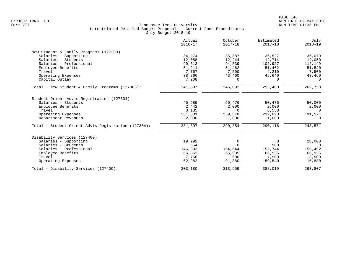|                                                     | Actual<br>$2016 - 17$ | October<br>$2017 - 18$ | Estimated<br>$2017 - 18$ | July<br>$2018 - 19$ |
|-----------------------------------------------------|-----------------------|------------------------|--------------------------|---------------------|
| New Student & Family Programs (127303)              |                       |                        |                          |                     |
| Salaries - Supporting                               | 34,274                | 35,887                 | 36,527                   | 36,079              |
| Salaries - Students                                 | 12,058                | 12,244                 | 12,714                   | 12,050              |
| Salaries - Professional                             | 90,513                | 94,539                 | 102,927                  | 112,149             |
| Employee Benefits                                   | 51,211                | 51,462                 | 51,462                   | 51,520              |
| Travel                                              | 7,767                 | 7,500                  | 4,210                    | 7,500               |
| Operating Expenses                                  | 38,866                | 43,460                 | 45,640                   | 43,460              |
| Capital Outlay                                      | 7,208                 | $\Omega$               | $\Omega$                 | $\Omega$            |
| Total - New Student & Family Programs (127303):     | 241,897               | 245,092                | 253,480                  | 262,758             |
| Student Orient Advis Registration (127304)          |                       |                        |                          |                     |
| Salaries - Students                                 | 45,989                | 50,476                 | 50,476                   | 50,000              |
| Employee Benefits                                   | 2,442                 | 2,000                  | 2,000                    | 2,000               |
| Travel                                              | 3,135                 | $\Omega$               | 6,550                    | $\overline{0}$      |
| Operating Expenses                                  | 231,831               | 239,378                | 232,090                  | 191,571             |
| Department Revenues                                 | $-2,000$              | $-1,000$               | $-1,000$                 | $\Omega$            |
| Total - Student Orient Advis Registration (127304): | 281,397               | 290,854                | 290,116                  | 243,571             |
| Disability Services (127400)                        |                       |                        |                          |                     |
| Salaries - Supporting                               | 19,292                | 0                      | $\Omega$                 | 28,000              |
| Salaries - Students                                 | 654                   | $\Omega$               | 900                      | $\Omega$            |
| Salaries - Professional                             | 146,333               | 154,644                | 152,744                  | 155,492             |
| Employee Benefits                                   | 66,863                | 66,935                 | 66,935                   | 66,935              |
| Travel                                              | 7,756                 | 500                    | 7,900                    | $-3,500$            |
| Operating Expenses                                  | 62,282                | 91,880                 | 159,540                  | 16,880              |
| Total - Disability Services (127400):               | 303,180               | 313,959                | 388,019                  | 263,807             |
|                                                     |                       |                        |                          |                     |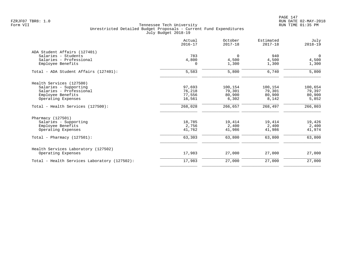| Actual<br>$2016 - 17$ | October<br>$2017 - 18$              | Estimated<br>$2017 - 18$             | July<br>$2018 - 19$                  |
|-----------------------|-------------------------------------|--------------------------------------|--------------------------------------|
|                       |                                     |                                      |                                      |
| 783                   | $\overline{0}$                      | 940                                  | $\overline{0}$                       |
|                       |                                     |                                      | 4,500                                |
|                       | 1,300                               | 1,300                                | 1,300                                |
| 5,583                 | 5,800                               | 6,740                                | 5,800                                |
|                       |                                     |                                      |                                      |
|                       |                                     |                                      | 100,654                              |
|                       |                                     |                                      | 79,397                               |
|                       |                                     |                                      | 80,900                               |
| 16,561                | 6,302                               | 8,142                                | 5,852                                |
| 268,028               | 266,657                             | 268,497                              | 266,803                              |
|                       |                                     |                                      |                                      |
| 18,785                | 19,414                              | 19,414                               | 19,426                               |
| 2,756                 | 2,400                               | 2,400                                | 2,400                                |
| 41,762                | 41,986                              | 41,986                               | 41,974                               |
| 63,303                | 63,800                              | 63,800                               | 63,800                               |
|                       |                                     |                                      |                                      |
| 17,983                | 27,000                              | 27,000                               | 27,000                               |
| 17,983                | 27,000                              | 27,000                               | 27,000                               |
|                       | 4,800<br>97,693<br>76,218<br>77,556 | 4,500<br>100,154<br>79,301<br>80,900 | 4,500<br>100,154<br>79,301<br>80,900 |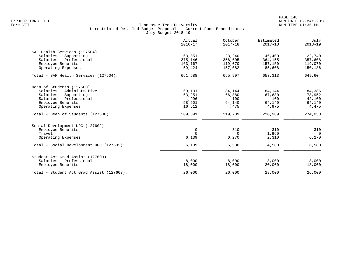|                                           | Actual<br>$2016 - 17$ | October<br>$2017 - 18$ | Estimated<br>$2017 - 18$ | July<br>$2018 - 19$ |
|-------------------------------------------|-----------------------|------------------------|--------------------------|---------------------|
| SAF Health Services (127504)              |                       |                        |                          |                     |
| Salaries - Supporting                     | 63,851                | 23,240                 | 46,400                   | 22,740              |
| Salaries - Professional                   | 375,146               | 356,605                | 364,155                  | 357,608             |
| Employee Benefits                         | 163,167               | 119,070                | 157,150                  | 119,070             |
| Operating Expenses                        | 59,424                | 157,082                | 85,608                   | 150,186             |
| Total - SAF Health Services (127504):     | 661,588               | 655,997                | 653,313                  | 649,604             |
| Dean of Students (127600)                 |                       |                        |                          |                     |
| Salaries - Administrative                 | 69,131                | 84,144                 | 84,144                   | 84,386              |
| Salaries - Supporting                     | 63,251                | 66,880                 | 67,630                   | 78,952              |
| Salaries - Professional                   | 1,996                 | 100                    | 100                      | 42,100              |
| Employee Benefits                         | 58,501                | 64,140                 | 64,140                   | 64,140              |
| Operating Expenses                        | 16,512                | 4,475                  | 4,975                    | 4,475               |
| Total - Dean of Students (127600):        | 209,391               | 219,739                | 220,989                  | 274,053             |
| Social Development UPC (127602)           |                       |                        |                          |                     |
| Employee Benefits                         | $\mathbf 0$           | 310                    | 310                      | 310                 |
| Travel                                    | $\Omega$              | $\Omega$               | 1,960                    | $\Omega$            |
| Operating Expenses                        | 6,139                 | 6,270                  | 2,310                    | 6,270               |
| Total - Social Development UPC (127602):  | 6,139                 | 6,580                  | 4,580                    | 6,580               |
| Student Act Grad Assist (127603)          |                       |                        |                          |                     |
| Salaries - Professional                   | 8,000                 | 8,000                  | 8,000                    | 8,000               |
| Employee Benefits                         | 18,000                | 18,000                 | 20,000                   | 18,000              |
| Total - Student Act Grad Assist (127603): | 26,000                | 26,000                 | 28,000                   | 26,000              |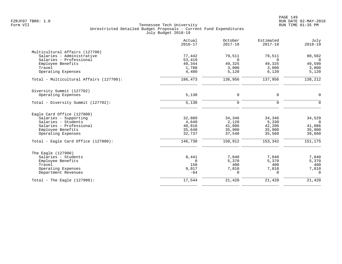|                                         | Actual<br>$2016 - 17$ | October<br>$2017 - 18$ | Estimated<br>$2017 - 18$ | July<br>$2018 - 19$ |
|-----------------------------------------|-----------------------|------------------------|--------------------------|---------------------|
| Multicultural Affairs (127700)          |                       |                        |                          |                     |
| Salaries - Administrative               | 77,442                | 79,511                 | 79,511                   | 80,502              |
| Salaries - Professional                 | 53,419                | $\Omega$               | $\Omega$                 | $\Omega$            |
| Employee Benefits                       | 49,344                | 49,325                 | 49,325                   | 49,590              |
| Travel                                  | 1,788                 | 3,000                  | 3,000                    | 3,000               |
| Operating Expenses                      | 4,480                 | 5,120                  | 6,120                    | 5,120               |
| Total - Multicultural Affairs (127700): | 186,473               | 136,956                | 137,956                  | 138,212             |
| Diversity Summit (127702)               |                       |                        |                          |                     |
| Operating Expenses                      | 5,130                 | 0                      | 0                        | $\mathbf 0$         |
| Total - Diversity Summit (127702):      | 5,130                 | $\mathbf 0$            | $\mathbf 0$              | $\Omega$            |
| Eagle Card Office (127800)              |                       |                        |                          |                     |
| Salaries - Supporting                   | 32,889                | 34,346                 | 34,346                   | 34,529              |
| Salaries - Students                     | 4,640                 | 2,120                  | 5,330                    | $\Omega$            |
| Salaries - Professional                 | 40,816                | 41,006                 | 42,206                   | 41,086              |
| Employee Benefits                       | 35,648                | 35,900                 | 35,900                   | 35,900              |
| Operating Expenses                      | 32,737                | 37,540                 | 35,560                   | 39,660              |
| Total - Eagle Card Office (127800):     | 146,730               | 150,912                | 153,342                  | 151,175             |
| The Eagle (127900)                      |                       |                        |                          |                     |
| Salaries - Students                     | 8,441                 | 7,840                  | 7,840                    | 7,840               |
| Employee Benefits                       | $\Omega$              | 5,370                  | 5,370                    | 5,370               |
| Travel                                  | 150                   | 400                    | 400                      | 400                 |
| Operating Expenses                      | 9,017                 | 7,810                  | 7,810                    | 7,810               |
| Department Revenues                     | $-64$                 | 0                      | $\Omega$                 | $\Omega$            |
| Total - The Eagle $(127900)$ :          | 17,544                | 21,420                 | 21,420                   | 21,420              |
|                                         |                       |                        |                          |                     |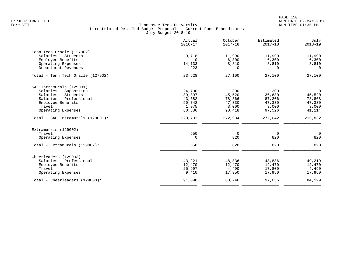|                                    | Actual<br>$2016 - 17$ | October<br>$2017 - 18$ | Estimated<br>$2017 - 18$ | July<br>$2018 - 19$ |
|------------------------------------|-----------------------|------------------------|--------------------------|---------------------|
| Tenn Tech Oracle (127902)          |                       |                        |                          |                     |
| Salaries - Students                | 9,718                 | 11,990                 | 11,990                   | 11,990              |
| Employee Benefits                  | $\Omega$              | 6,300                  | 6,300                    | 6,300               |
| Operating Expenses                 | 14,133                | 8,810                  | 8,810                    | 8,810               |
| Department Revenues                | $-223$                | $\Omega$               | $\Omega$                 | $\Omega$            |
| Total - Tenn Tech Oracle (127902): | 23,628                | 27,100                 | 27,100                   | 27,100              |
| SAF Intramurals (129001)           |                       |                        |                          |                     |
| Salaries - Supporting              | 24,700                | 300                    | 300                      | $\mathsf{O}$        |
| Salaries - Students                | 39,397                | 45,520                 | 36,680                   | 45,520              |
| Salaries - Professional            | 43,382                | 78,366                 | 87,206                   | 78,868              |
| Employee Benefits                  | 50,742                | 47,330                 | 47,330                   | 47,330              |
| Travel                             | 1,975                 | 3,000                  | 3,000                    | 3,000               |
| Operating Expenses                 | 60,536                | 98,418                 | 97,526                   | 41,114              |
| Total - SAF Intramurals (129001):  | 220,732               | 272,934                | 272,042                  | 215,832             |
| Extramurals (129002)               |                       |                        |                          |                     |
| Travel                             | 550                   | $\overline{0}$         | $\Omega$                 | $\overline{0}$      |
| Operating Expenses                 | $\Omega$              | 820                    | 820                      | 820                 |
| Total - Extramurals (129002):      | 550                   | 820                    | 820                      | 820                 |
| Cheerleaders (129003)              |                       |                        |                          |                     |
| Salaries - Professional            | 43,221                | 48,836                 | 48,836                   | 49,219              |
| Employee Benefits                  | 12,470                | 12,470                 | 12,470                   | 12,470              |
| Travel                             | 25,997                | 4,490                  | 17,800                   | 4,490               |
| Operating Expenses                 | 9,410                 | 17,950                 | 17,950                   | 17,950              |
| Total - Cheerleaders (129003):     | 91,098                | 83,746                 | 97,056                   | 84,129              |
|                                    |                       |                        |                          |                     |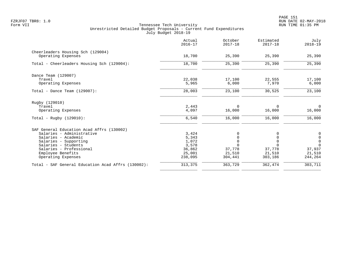|                                                         | Actual<br>$2016 - 17$ | October<br>$2017 - 18$ | Estimated<br>$2017 - 18$ | July<br>$2018 - 19$                        |
|---------------------------------------------------------|-----------------------|------------------------|--------------------------|--------------------------------------------|
| Cheerleaders Housing Sch (129004)<br>Operating Expenses | 18,700                | 25,390                 | 25,390                   | 25,390                                     |
|                                                         |                       |                        |                          |                                            |
| Total - Cheerleaders Housing Sch (129004):              | 18,700                | 25,390                 | 25,390                   | 25,390                                     |
| Dance Team (129007)                                     |                       |                        |                          |                                            |
| Travel                                                  | 22,038                | 17,100                 | 22,555                   | 17,100                                     |
| Operating Expenses                                      | 5,965                 | 6,000                  | 7,970                    | 6,000                                      |
| Total - Dance Team $(129007)$ :                         | 28,003                | 23,100                 | 30,525                   | 23,100                                     |
| Rugby (129010)                                          |                       |                        |                          |                                            |
| Travel                                                  | 2,443                 | $\Omega$               | $\Omega$                 | $\mathbf 0$                                |
| Operating Expenses                                      | 4,097                 | 16,000                 | 16,000                   | 16,000                                     |
| Total - Rugby $(129010)$ :                              | 6,540                 | 16,000                 | 16,000                   | 16,000                                     |
| SAF General Education Acad Affrs (130002)               |                       |                        |                          |                                            |
| Salaries - Administrative                               | 3,424                 | $\Omega$               | 0                        | $\begin{smallmatrix}0\\0\end{smallmatrix}$ |
| Salaries - Academic                                     | 5,343                 | $\Omega$               |                          |                                            |
| Salaries - Supporting                                   | 1,072                 | $\Omega$               |                          | $\mathbf 0$                                |
| Salaries - Students                                     | 3,578                 | $\Omega$               | $\Omega$                 | $\Omega$                                   |
| Salaries - Professional                                 | 36,862                | 37,778                 | 37,778                   | 37,937                                     |
| Employee Benefits<br>Operating Expenses                 | 25,001<br>238,095     | 21,510<br>304,441      | 21,510<br>303,186        | 21,510<br>244,264                          |
| Total - SAF General Education Acad Affrs (130002):      | 313,375               | 363,729                | 362,474                  | 303,711                                    |
|                                                         |                       |                        |                          |                                            |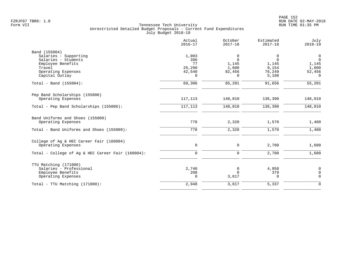|                                                   | Actual<br>$2016 - 17$ | October<br>$2017 - 18$ | Estimated<br>$2017 - 18$ | July<br>$2018 - 19$           |
|---------------------------------------------------|-----------------------|------------------------|--------------------------|-------------------------------|
| Band (155004)                                     |                       |                        |                          |                               |
| Salaries - Supporting                             | 1,003<br>396          | 0                      | 0<br>$\mathbf 0$         | $\mathbf 0$<br>$\overline{0}$ |
| Salaries - Students<br>Employee Benefits          | 77                    | 0<br>1,145             | 1,145                    | 1,145                         |
| Travel                                            | 25,290                | 1,600                  | 9,154                    | 1,600                         |
| Operating Expenses                                | 42,540                | 82,456                 | 76,249                   | 52,456                        |
| Capital Outlay                                    | $\Omega$              | 0                      | 5,108                    | $\Omega$                      |
| Total - Band (155004):                            | 69,306                | 85,201                 | 91,656                   | 55,201                        |
| Pep Band Scholarships (155006)                    |                       |                        |                          |                               |
| Operating Expenses                                | 117,113               | 148,010                | 136,390                  | 148,010                       |
| Total - Pep Band Scholarships (155006):           | 117, 113              | 148,010                | 136,390                  | 148,010                       |
| Band Uniforms and Shoes (155009)                  |                       |                        |                          |                               |
| Operating Expenses                                | 778                   | 2,320                  | 1,570                    | 1,400                         |
| Total - Band Uniforms and Shoes (155009):         | 778                   | 2,320                  | 1,570                    | 1,400                         |
| College of Ag & HEC Career Fair (160004)          |                       |                        |                          |                               |
| Operating Expenses                                | $\mathsf{O}$          | 0                      | 2,700                    | 1,600                         |
| Total - College of Ag & HEC Career Fair (160004): | $\Omega$              | $\Omega$               | 2,700                    | 1,600                         |
| TTU Matching (171000)                             |                       |                        |                          |                               |
| Salaries - Professional                           | 2,740                 | 0                      | 4,958                    | 0                             |
| Employee Benefits                                 | 208                   | $\Omega$               | 379                      | $\mathbf 0$                   |
| Operating Expenses                                | $\Omega$              | 3,617                  | $\Omega$                 | $\Omega$                      |
| Total - TTU Matching (171000):                    | 2,948                 | 3,617                  | 5,337                    | $\Omega$                      |
|                                                   |                       |                        |                          |                               |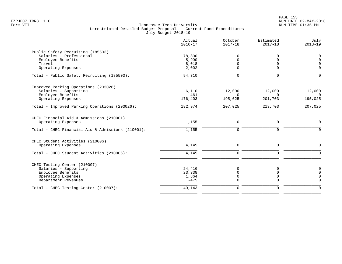|                                                                | Actual<br>$2016 - 17$ | October<br>$2017 - 18$ | Estimated<br>$2017 - 18$ | July<br>$2018 - 19$ |
|----------------------------------------------------------------|-----------------------|------------------------|--------------------------|---------------------|
| Public Safety Recruiting (185503)                              |                       |                        |                          |                     |
| Salaries - Professional                                        | 78,300                | 0                      | 0                        | $\mathbf 0$         |
| Employee Benefits                                              | 5,990                 | 0                      | $\Omega$                 | $\Omega$            |
| Travel                                                         | 8,018                 | 0                      | $\mathbf 0$              | $\Omega$            |
| Operating Expenses                                             | 2,002                 | $\Omega$               | $\Omega$                 | $\Omega$            |
| Total - Public Safety Recruiting (185503):                     | 94,310                | $\mathbf 0$            | $\mathbf 0$              | $\Omega$            |
| Improved Parking Operations (203026)                           |                       |                        |                          |                     |
| Salaries - Supporting                                          | 6,110                 | 12,000                 | 12,000                   | 12,000              |
| Employee Benefits                                              | 461                   | $\Omega$               | $\Omega$                 | $\Omega$            |
| Operating Expenses                                             | 176,403               | 195,025                | 201,703                  | 195,025             |
| Total - Improved Parking Operations (203026):                  | 182,974               | 207,025                | 213,703                  | 207,025             |
| CHEC Financial Aid & Admissions (210001)<br>Operating Expenses | 1,155                 | $\mathbf 0$            | 0                        | $\Omega$            |
|                                                                |                       |                        |                          |                     |
| Total - CHEC Financial Aid & Admissions (210001):              | 1,155                 | $\mathbf 0$            | $\Omega$                 | $\Omega$            |
| CHEC Student Activities (210006)                               |                       |                        |                          |                     |
| Operating Expenses                                             | 4,145                 | 0                      | 0                        | $\mathbf 0$         |
| Total - CHEC Student Activities (210006):                      | 4,145                 | 0                      | $\mathbf 0$              | $\Omega$            |
| CHEC Testing Center (210007)                                   |                       |                        |                          |                     |
| Salaries - Supporting                                          | 24,416                | $\Omega$               | $\Omega$                 | $\mathbf 0$         |
| Employee Benefits                                              | 23,338                |                        | 0                        | $\mathbf 0$         |
| Operating Expenses                                             | 1,864                 | 0                      | 0                        | $\Omega$            |
| Department Revenues                                            | $-475$                | $\Omega$               | $\mathbf 0$              | $\Omega$            |
| Total - CHEC Testing Center (210007):                          | 49,143                | 0                      | 0                        | $\Omega$            |
|                                                                |                       |                        |                          |                     |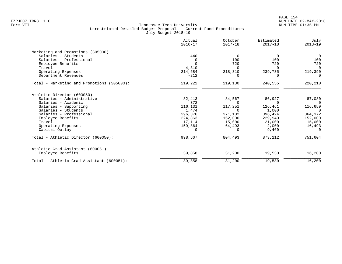|                                            | Actual<br>$2016 - 17$ | October<br>$2017 - 18$ | Estimated<br>$2017 - 18$ | July<br>$2018 - 19$ |
|--------------------------------------------|-----------------------|------------------------|--------------------------|---------------------|
| Marketing and Promotions (305000)          |                       |                        |                          |                     |
| Salaries - Students                        | 440                   | 0                      | $\Omega$                 | $\overline{0}$      |
| Salaries - Professional                    | <sup>0</sup>          | 100                    | 100                      | 100                 |
| Employee Benefits                          | $\Omega$              | 720                    | 720                      | 720                 |
| Travel                                     | 4,310                 | $\Omega$               | $\Omega$                 | $\Omega$            |
| Operating Expenses                         | 214,684               | 218,310                | 239,735                  | 219,390             |
| Department Revenues                        | $-212$                | $\Omega$               | $\Omega$                 | $\Omega$            |
| Total - Marketing and Promotions (305000): | 219,222               | 219,130                | 240,555                  | 220,210             |
| Athletic Director (600050)                 |                       |                        |                          |                     |
| Salaries - Administrative                  | 82,413                | 84,567                 | 86,927                   | 87,080              |
| Salaries - Academic                        | 372                   | 0                      | 0                        | $\overline{0}$      |
| Salaries - Supporting                      | 116,131               | 117,251                | 126,461                  | 116,659             |
| Salaries - Students                        | 1,474                 | $\Omega$               | 1,000                    | $\Omega$            |
| Salaries - Professional                    | 396,376               | 371,182                | 396,424                  | 364,372             |
| Employee Benefits                          | 224,863               | 152,000                | 229,940                  | 152,000             |
| Travel                                     | 17,114                | 15,000                 | 21,000                   | 15,000              |
| Operating Expenses                         | 159,864               | 64,493                 | 2,000                    | 16,493              |
| Capital Outlay                             | $\Omega$              | $\Omega$               | 9,460                    | $\Omega$            |
| Total - Athletic Director (600050):        | 998,607               | 804,493                | 873,212                  | 751,604             |
| Athletic Grad Assistant (600051)           |                       |                        |                          |                     |
| Employee Benefits                          | 39,858                | 31,200                 | 19,530                   | 16,200              |
| Total - Athletic Grad Assistant (600051):  | 39,858                | 31,200                 | 19,530                   | 16,200              |
|                                            |                       |                        |                          |                     |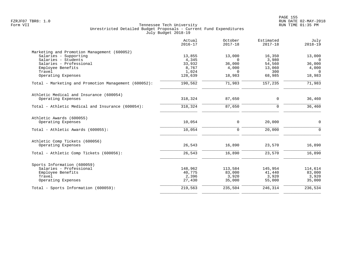|                                                      | Actual<br>$2016 - 17$ | October<br>$2017 - 18$ | Estimated<br>$2017 - 18$ | July<br>$2018 - 19$ |
|------------------------------------------------------|-----------------------|------------------------|--------------------------|---------------------|
| Marketing and Promotion Management (600052)          |                       |                        |                          |                     |
| Salaries - Supporting                                | 13,855                | 13,000                 | 16,350                   | 13,000              |
| Salaries - Students                                  | 4,345                 | $\Omega$               | 3,980                    | $\Omega$            |
| Salaries - Professional                              | 33,932                | 36,000                 | 54,560                   | 36,000              |
| Employee Benefits<br>Travel                          | 8,767<br>1,024        | 4,000<br>$\Omega$      | 13,060<br>300            | 4,000<br>$\Omega$   |
| Operating Expenses                                   | 128,639               | 18,983                 | 68,985                   | 18,983              |
|                                                      |                       |                        |                          |                     |
| Total - Marketing and Promotion Management (600052): | 190, 562              | 71,983                 | 157,235                  | 71,983              |
| Athletic Medical and Insurance (600054)              |                       |                        |                          |                     |
| Operating Expenses                                   | 318,324               | 87,650                 | 0                        | 36,460              |
| Total - Athletic Medical and Insurance (600054):     | 318,324               | 87,650                 | $\mathbf 0$              | 36,460              |
| Athletic Awards (600055)                             |                       |                        |                          |                     |
| Operating Expenses                                   | 10,054                | $\mathbf 0$            | 20,000                   | 0                   |
| Total - Athletic Awards (600055):                    | 10,054                | $\mathbf 0$            | 20,000                   | $\Omega$            |
| Athletic Comp Tickets (600056)                       |                       |                        |                          |                     |
| Operating Expenses                                   | 26,543                | 16,890                 | 23,570                   | 16,890              |
| Total - Athletic Comp Tickets (600056):              | 26,543                | 16,890                 | 23,570                   | 16,890              |
| Sports Information (600059)                          |                       |                        |                          |                     |
| Salaries - Professional                              | 148,962               | 113,584                | 145,954                  | 114,614             |
| Employee Benefits                                    | 40,775                | 83,000                 | 41,440                   | 83,000              |
| Travel                                               | 2,396                 | 3,920                  | 3,920                    | 3,920               |
| Operating Expenses                                   | 27,430                | 35,000                 | 55,000                   | 35,000              |
| Total - Sports Information (600059):                 | 219,563               | 235,504                | 246,314                  | 236,534             |
|                                                      |                       |                        |                          |                     |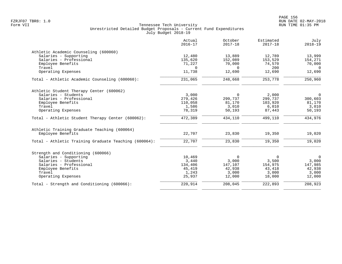|                                                       | Actual<br>$2016 - 17$ | October<br>$2017 - 18$ | Estimated<br>$2017 - 18$ | July<br>$2018 - 19$ |
|-------------------------------------------------------|-----------------------|------------------------|--------------------------|---------------------|
| Athletic Academic Counseling (600060)                 |                       |                        |                          |                     |
| Salaries - Supporting                                 | 12,480                | 13,889                 | 12,789                   | 13,999              |
| Salaries - Professional                               | 135,620               | 152,089                | 153,529                  | 154,271             |
| Employee Benefits                                     | 71,227                | 70,000                 | 74,570                   | 70,000              |
| Travel                                                | $\Omega$              | $\Omega$               | 200                      | $\Omega$            |
| Operating Expenses                                    | 11,738                | 12,690                 | 12,690                   | 12,690              |
| Total - Athletic Academic Counseling (600060):        | 231,065               | 248,668                | 253,778                  | 250,960             |
| Athletic Student Therapy Center (600062)              |                       |                        |                          |                     |
| Salaries - Students                                   | 3,000                 | $\Omega$               | 2,000                    | $\overline{0}$      |
| Salaries - Professional                               | 279,426               | 299,737                | 299,737                  | 300,603             |
| Employee Benefits                                     | 110,058               | 81,170                 | 103,920                  | 81,170              |
| Travel                                                | 1,586                 | 3,010                  | 6,010                    | 3,010               |
| Operating Expenses                                    | 78,319                | 50,193                 | 87,443                   | 50,193              |
| Total - Athletic Student Therapy Center (600062):     | 472,389               | 434,110                | 499,110                  | 434,976             |
| Athletic Training Graduate Teaching (600064)          |                       |                        |                          |                     |
| Employee Benefits                                     | 22,707                | 23,830                 | 19,350                   | 19,020              |
| Total - Athletic Training Graduate Teaching (600064): | 22,707                | 23,830                 | 19,350                   | 19,020              |
| Strength and Conditioning (600066)                    |                       |                        |                          |                     |
| Salaries - Supporting                                 | 10,469                | $\overline{0}$         | $\Omega$                 | $\overline{0}$      |
| Salaries - Students                                   | 3,440                 | 3,000                  | 3,500                    | 3,000               |
| Salaries - Professional                               | 134,406               | 147,107                | 154,975                  | 147,985             |
| Employee Benefits                                     | 45,419                | 42,938                 | 43,418                   | 42,938              |
| Travel                                                | 1,243                 | 3,000                  | 3,000                    | 3,000               |
| Operating Expenses                                    | 25,937                | 12,000                 | 18,000                   | 12,000              |
| Total - Strength and Conditioning (600066):           | 220,914               | 208,045                | 222,893                  | 208,923             |
|                                                       |                       |                        |                          |                     |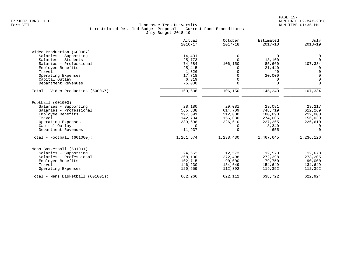|                                    | Actual<br>$2016 - 17$ | October<br>$2017 - 18$ | Estimated<br>$2017 - 18$ | July<br>$2018 - 19$ |
|------------------------------------|-----------------------|------------------------|--------------------------|---------------------|
| Video Production (600067)          |                       |                        |                          |                     |
| Salaries - Supporting              | 14,401                | $\Omega$               | $\Omega$                 | 0                   |
| Salaries - Students                | 25,773                | $\Omega$               | 18,100                   | $\Omega$            |
| Salaries - Professional            | 74,684                | 106,150                | 85,660                   | 107,334             |
| Employee Benefits                  | 25,415                |                        | 21,440                   |                     |
| Travel                             | 1,326                 |                        | 40                       | $\overline{0}$      |
| Operating Expenses                 | 17,718                |                        | 20,000                   | $\Omega$            |
| Capital Outlay                     | 6,319                 |                        | 0                        | $\overline{0}$      |
| Department Revenues                | $-5,000$              | $\Omega$               | $\mathbf 0$              | $\mathbf 0$         |
| Total - Video Production (600067): | 160,636               | 106,150                | 145,240                  | 107,334             |
| Football (601000)                  |                       |                        |                          |                     |
| Salaries - Supporting              | 28,180                | 29,081                 | 29,081                   | 29,217              |
| Salaries - Professional            | 565,338               | 614,709                | 748,719                  | 612,269             |
| Employee Benefits                  | 197,591               | 212,000                | 180,890                  | 212,000             |
| Travel                             | 142,704               | 156,030                | 274,005                  | 156,030             |
| Operating Expenses                 | 339,698               | 226,610                | 227,265                  | 226,610             |
| Capital Outlay                     | $\Omega$              | 0                      | 8,340                    | $\mathbf 0$         |
| Department Revenues                | $-11,937$             | $\Omega$               | $-655$                   | $\Omega$            |
| $Total - Football (601000):$       | 1,261,574             | 1,238,430              | 1,467,645                | 1,236,126           |
| Mens Basketball (601001)           |                       |                        |                          |                     |
| Salaries - Supporting              | 24,662                | 12,573                 | 12,573                   | 12,678              |
| Salaries - Professional            | 268,100               | 272,498                | 272,398                  | 273,205             |
| Employee Benefits                  | 102,715               | 90,000                 | 79,750                   | 90,000              |
| Travel                             | 146,230               | 134,649                | 154,649                  | 134,649             |
| Operating Expenses                 | 120,559               | 112,392                | 119,352                  | 112,392             |
| Total - Mens Basketball (601001):  | 662,266               | 622,112                | 638,722                  | 622,924             |
|                                    |                       |                        |                          |                     |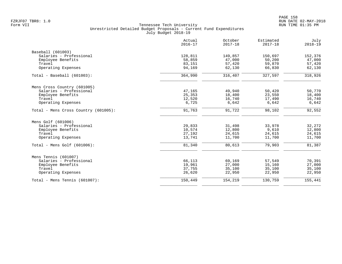|                                      | Actual<br>$2016 - 17$ | October<br>$2017 - 18$ | Estimated<br>$2017 - 18$ | July<br>$2018 - 19$ |
|--------------------------------------|-----------------------|------------------------|--------------------------|---------------------|
| Baseball (601003)                    |                       |                        |                          |                     |
| Salaries - Professional              | 128,811               | 149,857                | 150,697                  | 152,376             |
| Employee Benefits                    | 58,859                | 47,000                 | 50,200                   | 47,000              |
| Travel                               | 83,151                | 57,420                 | 59,870                   | 57,420              |
| Operating Expenses                   | 94,169                | 62,130                 | 66,830                   | 62,130              |
| Total - Baseball (601003):           | 364,990               | 316,407                | 327,597                  | 318,926             |
| Mens Cross Country (601005)          |                       |                        |                          |                     |
| Salaries - Professional              | 47,165                | 49,940                 | 50,420                   | 50,770              |
| Employee Benefits                    | 25,353                | 18,400                 | 23,550                   | 18,400              |
| Travel                               | 12,520                | 16,740                 | 17,490                   | 16,740              |
| Operating Expenses                   | 6,725                 | 6,642                  | 6,642                    | 6,642               |
| Total - Mens Cross Country (601005): | 91,763                | 91,722                 | 98,102                   | 92,552              |
| Mens Golf (601006)                   |                       |                        |                          |                     |
| Salaries - Professional              | 29,833                | 31,498                 | 33,978                   | 32,272              |
| Employee Benefits                    | 10,574                | 12,800                 | 9,610                    | 12,800              |
| Travel                               | 27,192                | 24,615                 | 24,615                   | 24,615              |
| Operating Expenses                   | 13,741                | 11,700                 | 11,700                   | 11,700              |
| Total - Mens Golf (601006):          | 81,340                | 80,613                 | 79,903                   | 81,387              |
| Mens Tennis (601007)                 |                       |                        |                          |                     |
| Salaries - Professional              | 66,113                | 69,169                 | 57,549                   | 70,391              |
| Employee Benefits                    | 19,961                | 27,000                 | 15,160                   | 27,000              |
| Travel                               | 37,755                | 35,100                 | 35,100                   | 35,100              |
| Operating Expenses                   | 26,620                | 22,950                 | 22,950                   | 22,950              |
| Total - Mens Tennis $(601007)$ :     | 150,449               | 154,219                | 130,759                  | 155,441             |
|                                      |                       |                        |                          |                     |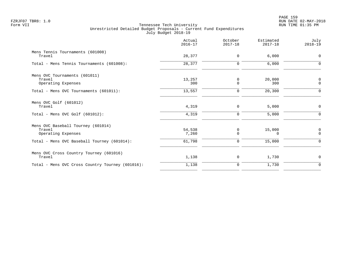|                                                                    | Actual<br>$2016 - 17$ | October<br>$2017 - 18$ | Estimated<br>$2017 - 18$ | July<br>$2018 - 19$ |
|--------------------------------------------------------------------|-----------------------|------------------------|--------------------------|---------------------|
| Mens Tennis Tournaments (601008)<br>Travel                         | 28,377                | $\mathbf 0$            | 6,000                    | $\mathbf 0$         |
| Total - Mens Tennis Tournaments (601008):                          | 28,377                | $\mathbf 0$            | 6,000                    | $\Omega$            |
| Mens OVC Tournaments (601011)<br>Travel<br>Operating Expenses      | 13,257<br>300         | 0<br>$\mathbf 0$       | 20,000<br>300            | 0<br>$\mathbf 0$    |
| Total - Mens OVC Tournaments (601011):                             | 13,557                | $\mathbf 0$            | 20,300                   | $\Omega$            |
| Mens OVC Golf (601012)<br>Travel                                   | 4,319                 | $\mathbf 0$            | 5,000                    | $\mathbf 0$         |
| Total - Mens OVC Golf $(601012)$ :                                 | 4,319                 | $\mathbf 0$            | 5,000                    | $\Omega$            |
| Mens OVC Baseball Tourney (601014)<br>Travel<br>Operating Expenses | 54,538<br>7,260       | 0<br>$\Omega$          | 15,000<br>0              | 0<br>$\Omega$       |
| Total - Mens OVC Baseball Tourney (601014):                        | 61,798                | $\Omega$               | 15,000                   | $\Omega$            |
| Mens OVC Cross Country Tourney (601016)<br>Travel                  | 1,138                 | 0                      | 1,730                    | $\mathbf 0$         |
| Total - Mens OVC Cross Country Tourney (601016):                   | 1,138                 | $\mathbf 0$            | 1,730                    | $\mathbf 0$         |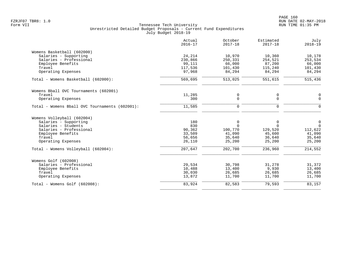|                                                | Actual<br>$2016 - 17$ | October<br>$2017 - 18$ | Estimated<br>$2017 - 18$ | July<br>$2018 - 19$ |
|------------------------------------------------|-----------------------|------------------------|--------------------------|---------------------|
| Womens Basketball (602000)                     |                       |                        |                          |                     |
| Salaries - Supporting                          | 24,214                | 10,970                 | 10,360                   | 10,178              |
| Salaries - Professional                        | 230,866               | 250,331                | 254,521                  | 253,534             |
| Employee Benefits                              | 99,111                | 66,000                 | 87,200                   | 66,000              |
| Travel                                         | 117,536               | 101,430                | 115,240                  | 101,430             |
| Operating Expenses                             | 97,968                | 84,294                 | 84,294                   | 84,294              |
| Total - Womens Basketball (602000):            | $\overline{569,695}$  | 513,025                | 551,615                  | 515,436             |
| Womens Bball OVC Tournaments (602001)          |                       |                        |                          |                     |
| Travel                                         | 11,285                | 0                      | 0                        | 0                   |
| Operating Expenses                             | 300                   | $\Omega$               | $\mathbf 0$              | $\mathbf 0$         |
| Total - Womens Bball OVC Tournaments (602001): | 11,585                | 0                      | 0                        | $\mathbf 0$         |
| Womens Volleyball (602004)                     |                       |                        |                          |                     |
| Salaries - Supporting                          | 180                   | 0                      | 0                        | $\mathsf{O}$        |
| Salaries - Students                            | 830                   | $\Omega$               | $\Omega$                 | $\overline{0}$      |
| Salaries - Professional                        | 90,362                | 100,770                | 129,520                  | 112,622             |
| Employee Benefits                              | 33,509                | 41,090                 | 45,600                   | 41,090              |
| Travel                                         | 56,656                | 35,640                 | 36,640                   | 35,640              |
| Operating Expenses                             | 26,110                | 25,200                 | 25,200                   | 25,200              |
| Total - Womens Volleyball (602004):            | 207,647               | 202,700                | 236,960                  | 214,552             |
| Womens Golf (602008)                           |                       |                        |                          |                     |
| Salaries - Professional                        | 29,534                | 30,798                 | 31,278                   | 31,372              |
| Employee Benefits                              | 10,488                | 13,400                 | 9,930                    | 13,400              |
| Travel                                         | 30,030                | 26,685                 | 26,685                   | 26,685              |
| Operating Expenses                             | 13,872                | 11,700                 | 11,700                   | 11,700              |
| Total - Womens Golf (602008):                  | 83,924                | 82,583                 | 79,593                   | 83,157              |
|                                                |                       |                        |                          |                     |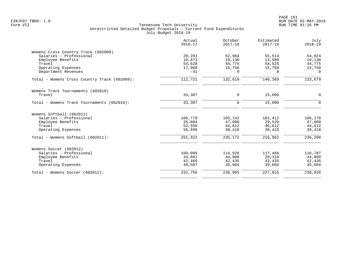|                                              | Actual<br>$2016 - 17$ | October<br>$2017 - 18$ | Estimated<br>$2017 - 18$ | July<br>$2018 - 19$ |
|----------------------------------------------|-----------------------|------------------------|--------------------------|---------------------|
| Womens Cross Country Track (602009)          |                       |                        |                          |                     |
| Salaries - Professional                      | 29,293                | 52,964                 | 55,514                   | 54,024              |
| Employee Benefits                            | 10,873                | 19,130                 | 14,580                   | 19,130              |
| Travel                                       | 54,628                | 44,775                 | 54,525                   | 44,775              |
| Operating Expenses                           | 17,968                | 15,750                 | 15,750                   | 15,750              |
| Department Revenues                          | $-41$                 | $\Omega$               | $\Omega$                 | $\Omega$            |
| Total - Womens Cross Country Track (602009): | 112,721               | 132,619                | 140,369                  | 133,679             |
| Womens Track Tournaments (602010)            |                       |                        |                          |                     |
| Travel                                       | 33,307                | $\Omega$               | 15,000                   | $\mathbf{0}$        |
| Total - Womens Track Tournaments (602010):   | 33,307                | $\Omega$               | 15,000                   | $\Omega$            |
| Womens Softball (602011)                     |                       |                        |                          |                     |
| Salaries - Professional                      | 106,779               | 105,142                | 102,412                  | 106,170             |
| Employee Benefits                            | 35,894                | 47,000                 | 29,520                   | 47,000              |
| Travel                                       | 52,550                | 44,612                 | 46,612                   | 44,612              |
| Operating Expenses                           | 56,699                | 38,418                 | 38,418                   | 38,418              |
| Total - Womens Softball (602011):            | 251,922               | 235,172                | 216,962                  | 236,200             |
| Womens Soccer (602012)                       |                       |                        |                          |                     |
| Salaries - Professional                      | 109,099               | 114,926                | 117,466                  | 116,787             |
| Employee Benefits                            | 34,681                | 44,000                 | 28,310                   | 44,000              |
| Travel                                       | 42,469                | 42,435                 | 42,435                   | 42,435              |
| Operating Expenses                           | 46,507                | 35,604                 | 39,604                   | 35,604              |
| Total - Womens Soccer (602012):              | 232,756               | 236,965                | 227,815                  | 238,826             |
|                                              |                       |                        |                          |                     |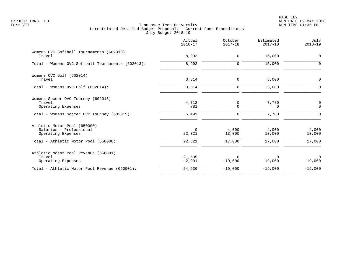|                                                                               | Actual<br>$2016 - 17$ | October<br>$2017 - 18$ | Estimated<br>$2017 - 18$ | July<br>$2018 - 19$      |
|-------------------------------------------------------------------------------|-----------------------|------------------------|--------------------------|--------------------------|
| Womens OVC Softball Tournaments (602013)<br>Travel                            | 8,992                 | 0                      | 15,000                   | $\mathbf 0$              |
| Total - Womens OVC Softball Tournaments (602013):                             | 8,992                 | $\mathbf 0$            | 15,000                   | 0                        |
| Womens OVC Golf (602014)<br>Travel                                            | 3,814                 | 0                      | 5,000                    | $\mathbf 0$              |
| Total - Womens OVC Golf (602014):                                             | 3,814                 | $\mathbf 0$            | 5,000                    | $\Omega$                 |
| Womens Soccer OVC Tourney (602015)<br>Travel<br>Operating Expenses            | 4,712<br>781          | 0<br>$\Omega$          | 7,780<br>$\Omega$        | 0<br>$\Omega$            |
| Total - Womens Soccer OVC Tourney (602015):                                   | 5,493                 | 0                      | 7,780                    | $\Omega$                 |
| Athletic Motor Pool (650000)<br>Salaries - Professional<br>Operating Expenses | $\Omega$<br>22,321    | 4,000<br>13,000        | 4,000<br>13,000          | 4,000<br>13,000          |
| Total - Athletic Motor Pool (650000):                                         | 22,321                | 17,000                 | 17,000                   | 17,000                   |
| Athletic Motor Pool Revenue (650001)<br>Travel<br>Operating Expenses          | $-21,635$<br>$-2,901$ | 0<br>$-19,000$         | 0<br>$-19,000$           | $\mathbf 0$<br>$-19,000$ |
| Total - Athletic Motor Pool Revenue (650001):                                 | $-24,536$             | $-19,000$              | $-19,000$                | $-19,000$                |
|                                                                               |                       |                        |                          |                          |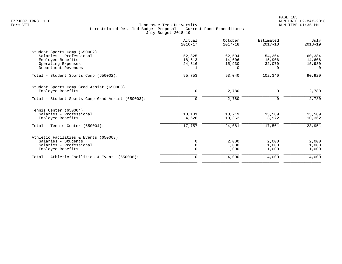|                                                   | Actual<br>$2016 - 17$ | October<br>$2017 - 18$ | Estimated<br>$2017 - 18$ | July<br>$2018 - 19$ |
|---------------------------------------------------|-----------------------|------------------------|--------------------------|---------------------|
| Student Sports Comp (650002)                      |                       |                        |                          |                     |
| Salaries - Professional                           | 52,825                | 62,504                 | 54,364                   | 60,384              |
| Employee Benefits                                 | 18,613                | 14,606                 | 15,906                   | 14,606              |
| Operating Expenses                                | 24,316                | 15,930                 | 32,070                   | 15,930              |
| Department Revenues                               | $-1$                  | $\Omega$               | 0                        | $\Omega$            |
| Total - Student Sports Comp (650002):             | 95,753                | 93,040                 | 102,340                  | 90,920              |
| Student Sports Comp Grad Assist (650003)          |                       |                        |                          |                     |
| Employee Benefits                                 | $\mathbf 0$           | 2,780                  | 0                        | 2,780               |
| Total - Student Sports Comp Grad Assist (650003): | $\Omega$              | 2,780                  | $\Omega$                 | 2,780               |
| Tennis Center (650004)                            |                       |                        |                          |                     |
| Salaries - Professional                           | 13,131                | 13,719                 | 13,589                   | 13,589              |
| Employee Benefits                                 | 4,626                 | 10,362                 | 3,972                    | 10,362              |
| Total - Tennis Center $(650004)$ :                | 17,757                | 24,081                 | 17,561                   | 23,951              |
| Athletic Facilities & Events (650008)             |                       |                        |                          |                     |
| Salaries - Students                               |                       | 2,000                  | 2,000                    | 2,000               |
| Salaries - Professional                           |                       | 1,000                  | 1,000                    | 1,000               |
| Employee Benefits                                 |                       | 1,000                  | 1,000                    | 1,000               |
| Total - Athletic Facilities & Events (650008):    | $\Omega$              | 4,000                  | 4,000                    | 4,000               |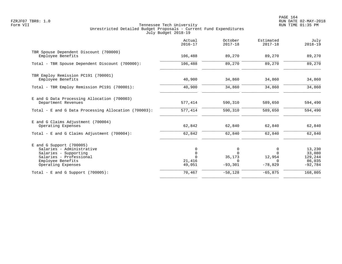PAGE 164 FZRJF07 TBR8: 1.0 RUN DATE 02-MAY-2018

|                                                                                                                                                      | Actual<br>$2016 - 17$                            | October<br>$2017 - 18$                           | Estimated<br>$2017 - 18$                         | July<br>$2018 - 19$                                |
|------------------------------------------------------------------------------------------------------------------------------------------------------|--------------------------------------------------|--------------------------------------------------|--------------------------------------------------|----------------------------------------------------|
| TBR Spouse Dependent Discount (700000)<br>Employee Benefits                                                                                          | 106,488                                          | 89,270                                           | 89,270                                           | 89,270                                             |
| Total - TBR Spouse Dependent Discount (700000):                                                                                                      | 106,488                                          | 89,270                                           | 89,270                                           | 89,270                                             |
| TBR Employ Remission PC191 (700001)<br>Employee Benefits                                                                                             | 40,900                                           | 34,860                                           | 34,860                                           | 34,860                                             |
| Total - TBR Employ Remission PC191 (700001):                                                                                                         | 40,900                                           | 34,860                                           | 34,860                                           | 34,860                                             |
| E and G Data Processing Allocation (700003)<br>Department Revenues                                                                                   | 577,414                                          | 590,310                                          | 589,650                                          | 594,490                                            |
| Total - E and G Data Processing Allocation (700003):                                                                                                 | 577,414                                          | 590,310                                          | 589,650                                          | 594,490                                            |
| E and G Claims Adjustment (700004)<br>Operating Expenses                                                                                             | 62,842                                           | 62,840                                           | 62,840                                           | 62,840                                             |
| Total - E and G Claims Adjustment $(700004)$ :                                                                                                       | 62,842                                           | 62,840                                           | 62,840                                           | 62,840                                             |
| E and G Support (700005)<br>Salaries - Administrative<br>Salaries - Supporting<br>Salaries - Professional<br>Employee Benefits<br>Operating Expenses | 0<br>$\mathbf 0$<br>$\Omega$<br>21,416<br>49,051 | 0<br>$\Omega$<br>35,173<br>$\Omega$<br>$-93,301$ | 0<br>$\Omega$<br>12,954<br>$\Omega$<br>$-78,829$ | 13,230<br>33,080<br>129,244<br>86,035<br>$-92,784$ |
| Total - E and G Support $(700005)$ :                                                                                                                 | 70,467                                           | $-58,128$                                        | $-65,875$                                        | 168,805                                            |
|                                                                                                                                                      |                                                  |                                                  |                                                  |                                                    |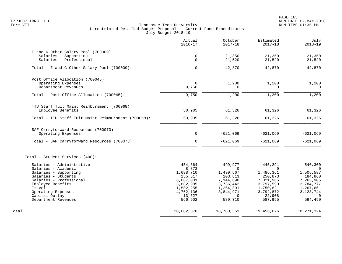|                                                     | Actual<br>$2016 - 17$ | October<br>$2017 - 18$ | Estimated<br>$2017 - 18$ | July<br>$2018 - 19$ |
|-----------------------------------------------------|-----------------------|------------------------|--------------------------|---------------------|
| E and G Other Salary Pool (700009)                  |                       |                        |                          |                     |
| Salaries - Supporting                               | $\mathsf{O}$          | 21,350                 | 21,350                   | 21,350              |
| Salaries - Professional                             | $\mathbf 0$           | 21,520                 | 21,520                   | 21,520              |
| Total - E and G Other Salary Pool (700009):         | $\Omega$              | 42,870                 | 42,870                   | 42,870              |
| Post Office Allocation (700045)                     |                       |                        |                          |                     |
| Operating Expenses                                  | $\mathbf 0$           | 1,200                  | 1,200                    | 1,200               |
| Department Revenues                                 | 9,750                 | $\Omega$               | $\Omega$                 | $\Omega$            |
| Total - Post Office Allocation (700045):            | 9,750                 | 1,200                  | 1,200                    | 1,200               |
| TTU Staff Tuit Maint Reimbursment (700068)          |                       |                        |                          |                     |
| Employee Benefits                                   | 50,905                | 61,326                 | 61,326                   | 61,326              |
| Total - TTU Staff Tuit Maint Reimbursment (700068): | 50,905                | 61,326                 | 61,326                   | 61,326              |
| SAF Carryforward Resources (700073)                 |                       |                        |                          |                     |
| Operating Expenses                                  | $\mathbf 0$           | $-621,069$             | $-621,069$               | $-621,069$          |
| Total - SAF Carryforward Resources (700073):        | $\mathbf 0$           | $-621,069$             | $-621,069$               | $-621,069$          |
| Total - Student Services (400):                     |                       |                        |                          |                     |
| Salaries - Administrative<br>Salaries - Academic    | 454,364<br>8,873      | 499,977<br>$\Omega$    | 445,291<br>$\Omega$      | 546,300<br>$\Omega$ |
| Salaries - Supporting                               | 1,688,710             | 1,499,567              | 1,486,361                | 1,505,587           |
| Salaries - Students                                 | 255,617               | 203,813                | 250,873                  | 184,860             |
| Salaries - Professional                             | 6,867,001             | 7,144,890              | 7,321,965                | 7,263,905           |
| Employee Benefits                                   | 3,882,985             | 3,736,442              | 3,797,590                | 3,784,777           |
| Travel                                              | 1,582,255             | 1,264,391              | 1,750,821                | 1,267,661           |
| Operating Expenses                                  | 4,762,136             | 3,844,971              | 3,792,872                | 3, 123, 744         |
| Capital Outlay                                      | 13,527                | $\Omega$               | 22,908                   | $\Omega$            |
| Department Revenues                                 | 566,902               | 589,310                | 587,995                  | 594,490             |
|                                                     |                       |                        |                          |                     |
| Total                                               | 20,082,370            | 18,783,361             | 19,456,676               | 18, 271, 324        |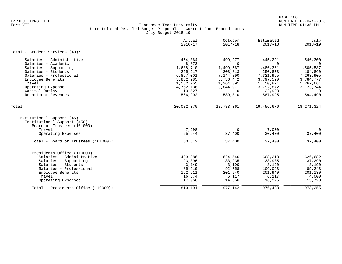|                                                                                                   | Actual<br>$2016 - 17$       | October<br>$2017 - 18$     | Estimated<br>$2017 - 18$ | July<br>$2018 - 19$ |
|---------------------------------------------------------------------------------------------------|-----------------------------|----------------------------|--------------------------|---------------------|
| Total - Student Services (40):                                                                    |                             |                            |                          |                     |
| Salaries - Administrative<br>Salaries - Academic                                                  | 454,364<br>8,873            | 499,977<br>$\Omega$        | 445,291<br>$\Omega$      | 546,300<br>$\Omega$ |
| Salaries - Supporting                                                                             | 1,688,710                   | 1,499,567                  | 1,486,361                | 1,505,587           |
| Salaries - Students                                                                               | 255,617                     | 203,813                    | 250,873                  | 184,860             |
| Salaries - Professional                                                                           | 6,867,001                   | 7,144,890                  | 7,321,965                | 7,263,905           |
| Employee Benefits                                                                                 | 3,882,985                   | 3,736,442                  | 3,797,590                | 3,784,777           |
| Travel                                                                                            | 1,582,255                   | 1,264,391                  | 1,750,821                | 1,267,661           |
| Operating Expense                                                                                 | 4,762,136                   | 3,844,971<br>$\Omega$      | 3,792,872                | 3, 123, 744         |
| Capital Outlay<br>Department Revenues                                                             | 13,527<br>566,902           | 589,310                    | 22,908<br>587,995        | $\Omega$<br>594,490 |
|                                                                                                   |                             |                            |                          |                     |
| Total                                                                                             | 20,082,370                  | 18,783,361                 | 19,456,676               | 18, 271, 324        |
| Institutional Support (45)<br>Institutional Support (450)<br>Board of Trustees (101000)<br>Travel | 7,698                       | $\Omega$                   | 7,000                    | $\Omega$            |
| Operating Expenses                                                                                | 55,944                      | 37,400                     | 30,400                   | 37,400              |
| Total - Board of Trustees (101000):                                                               | 63,642                      | 37,400                     | 37,400                   | 37,400              |
|                                                                                                   |                             |                            |                          |                     |
|                                                                                                   |                             |                            |                          | 626,682             |
|                                                                                                   |                             |                            |                          | 37,290              |
| Salaries - Students                                                                               | 3,149                       |                            | 3,190                    | 3,190               |
| Salaries - Professional                                                                           |                             | 92,758                     | 106,063                  | 85,243              |
| Employee Benefits                                                                                 | 162,911                     | 201,940                    | 201,940                  | 201,130             |
| Travel                                                                                            | 16,874                      | 6,117                      | 6,117                    | 4,000               |
| Operating Expenses                                                                                | 17,966                      | 14,656                     | 16,975                   | 15,720              |
| Total - Presidents Office (110000):                                                               | 810,101                     | 977,142                    | 976,433                  | 973,255             |
| Presidents Office (110000)<br>Salaries - Administrative<br>Salaries - Supporting                  | 499,886<br>23,396<br>85,919 | 624,546<br>33,935<br>3,190 | 608,213<br>33,935        |                     |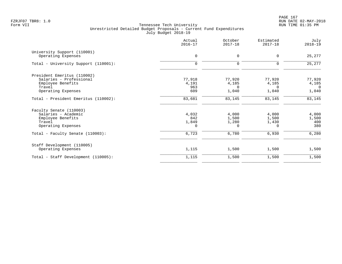PAGE 167 FZRJF07 TBR8: 1.0 RUN DATE 02-MAY-2018

|                                                                                                             | Actual<br>$2016 - 17$             | October<br>$2017 - 18$               | Estimated<br>$2017 - 18$            | July<br>$2018 - 19$                        |
|-------------------------------------------------------------------------------------------------------------|-----------------------------------|--------------------------------------|-------------------------------------|--------------------------------------------|
| University Support (110001)<br>Operating Expenses                                                           | $\mathbf 0$                       | $\mathbf 0$                          | $\mathbf 0$                         | 25,277                                     |
| Total - University Support (110001):                                                                        | $\mathbf 0$                       | $\mathbf 0$                          | $\mathbf 0$                         | 25,277                                     |
| President Emeritus (110002)<br>Salaries - Professional<br>Employee Benefits<br>Travel<br>Operating Expenses | 77,918<br>4,191<br>963<br>609     | 77,920<br>4,185<br>$\Omega$<br>1,040 | 77,920<br>4,185<br>0<br>1,040       | 77,920<br>4,185<br>$\overline{0}$<br>1,040 |
| Total - President Emeritus (110002):                                                                        | 83,681                            | 83,145                               | 83,145                              | 83,145                                     |
| Faculty Senate (110003)<br>Salaries - Academic<br>Employee Benefits<br>Travel<br>Operating Expenses         | 4,032<br>842<br>1,849<br>$\Omega$ | 4,000<br>1,500<br>1,280<br>0         | 4,000<br>1,500<br>1,430<br>$\Omega$ | 4,000<br>1,500<br>400<br>380               |
| Total - Faculty Senate (110003):                                                                            | 6,723                             | 6,780                                | 6,930                               | 6,280                                      |
| Staff Development (110005)<br>Operating Expenses                                                            | 1,115                             | 1,500                                | 1,500                               | 1,500                                      |
| Total - Staff Development (110005):                                                                         | 1,115                             | 1,500                                | 1,500                               | 1,500                                      |
|                                                                                                             |                                   |                                      |                                     |                                            |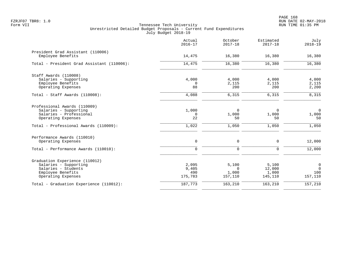|                                                                                                                                                 | Actual<br>$2016 - 17$            | October<br>$2017 - 18$                | Estimated<br>$2017 - 18$            | July<br>$2018 - 19$                                |
|-------------------------------------------------------------------------------------------------------------------------------------------------|----------------------------------|---------------------------------------|-------------------------------------|----------------------------------------------------|
| President Grad Assistant (110006)<br>Employee Benefits                                                                                          | 14,475                           | 16,380                                | 16,380                              | 16,380                                             |
| Total - President Grad Assistant (110006):                                                                                                      | 14,475                           | 16,380                                | 16,380                              | 16,380                                             |
| Staff Awards (110008)<br>Salaries - Supporting<br>Employee Benefits<br>Operating Expenses                                                       | 4,000<br>$\Omega$<br>88          | 4,000<br>2,115<br>200                 | 4,000<br>2,115<br>200               | 4,000<br>2,115<br>2,200                            |
| Total - Staff Awards (110008):                                                                                                                  | 4,088                            | 6,315                                 | 6,315                               | 8,315                                              |
| Professional Awards (110009)<br>Salaries - Supporting<br>Salaries - Professional<br>Operating Expenses<br>Total - Professional Awards (110009): | 1,000<br>$\Omega$<br>22<br>1,022 | $\Omega$<br>1,000<br>50<br>1,050      | $\Omega$<br>1,000<br>50<br>1,050    | $\mathbf 0$<br>1,000<br>50<br>1,050                |
| Performance Awards (110010)<br>Operating Expenses                                                                                               | $\mathsf{O}$                     | $\mathbf 0$                           | 0                                   | 12,000                                             |
| Total - Performance Awards (110010):                                                                                                            | $\Omega$                         | $\mathbf 0$                           | $\Omega$                            | 12,000                                             |
| Graduation Experience (110012)<br>Salaries - Supporting<br>Salaries - Students<br>Employee Benefits<br>Operating Expenses                       | 2,095<br>9,405<br>490<br>175,783 | 5,100<br>$\Omega$<br>1,000<br>157,110 | 5,100<br>12,000<br>1,000<br>145,110 | $\overline{0}$<br>$\overline{0}$<br>100<br>157,110 |
| Total - Graduation Experience (110012):                                                                                                         | 187,773                          | 163,210                               | 163,210                             | 157,210                                            |
|                                                                                                                                                 |                                  |                                       |                                     |                                                    |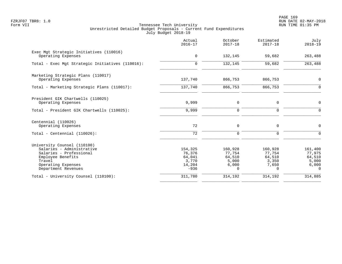PAGE 169 FZRJF07 TBR8: 1.0 RUN DATE 02-MAY-2018

|                                                                                                                                                                 | Actual<br>$2016 - 17$                                    | October<br>$2017 - 18$                                    | Estimated<br>$2017 - 18$                                  | July<br>$2018 - 19$                                       |
|-----------------------------------------------------------------------------------------------------------------------------------------------------------------|----------------------------------------------------------|-----------------------------------------------------------|-----------------------------------------------------------|-----------------------------------------------------------|
| Exec Mgt Strategic Initiatives (110016)<br>Operating Expenses                                                                                                   | $\mathbf 0$                                              | 132,145                                                   | 59,682                                                    | 263,488                                                   |
| Total - Exec Mgt Strategic Initiatives (110016):                                                                                                                | $\Omega$                                                 | 132,145                                                   | 59,682                                                    | 263,488                                                   |
| Marketing Strategic Plans (110017)<br>Operating Expenses                                                                                                        | 137,740                                                  | 866,753                                                   | 866,753                                                   | 0                                                         |
| Total - Marketing Strategic Plans (110017):                                                                                                                     | 137,740                                                  | 866,753                                                   | 866,753                                                   | $\mathbf 0$                                               |
| President GIK Chartwells (110025)<br>Operating Expenses                                                                                                         | 9,999                                                    | 0                                                         | 0                                                         | $\mathbf 0$                                               |
| Total - President GIK Chartwells (110025):                                                                                                                      | 9,999                                                    | $\mathbf 0$                                               | 0                                                         | $\mathbf 0$                                               |
| Centennial (110026)<br>Operating Expenses                                                                                                                       | 72                                                       | 0                                                         | 0                                                         | 0                                                         |
| Total - Centennial $(110026)$ :                                                                                                                                 | 72                                                       | $\mathbf 0$                                               | 0                                                         | $\mathbf 0$                                               |
| University Counsel (110100)<br>Salaries - Administrative<br>Salaries - Professional<br>Employee Benefits<br>Travel<br>Operating Expenses<br>Department Revenues | 154,325<br>76,376<br>64,041<br>3,770<br>14,204<br>$-936$ | 160,928<br>77,754<br>64,510<br>5,000<br>6,000<br>$\Omega$ | 160,928<br>77,754<br>64,510<br>3,350<br>7,650<br>$\Omega$ | 161,400<br>77,975<br>64,510<br>5,000<br>6,000<br>$\Omega$ |
| Total - University Counsel (110100):                                                                                                                            | 311,780                                                  | 314,192                                                   | 314,192                                                   | 314,885                                                   |
|                                                                                                                                                                 |                                                          |                                                           |                                                           |                                                           |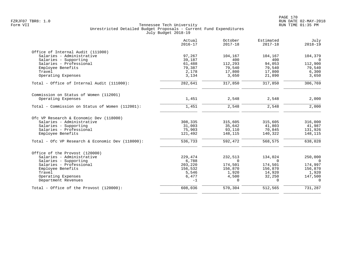|                                                  | Actual<br>$2016 - 17$ | October<br>$2017 - 18$ | Estimated<br>$2017 - 18$ | July<br>$2018 - 19$ |
|--------------------------------------------------|-----------------------|------------------------|--------------------------|---------------------|
| Office of Internal Audit (111000)                |                       |                        |                          |                     |
| Salaries - Administrative                        | 97,267                | 104,167                | 104,167                  | 104,379             |
| Salaries - Supporting                            | 39,187                | 400                    | 400                      | $\Omega$            |
| Salaries - Professional                          | 61,488                | 112,293                | 94,053                   | 112,900             |
| Employee Benefits                                | 79,387                | 79,540                 | 79,540                   | 79,540              |
| Travel                                           | 2,178                 | 17,800                 | 17,800                   | 6,300               |
| Operating Expenses                               | 3,134                 | 3,650                  | 21,890                   | 3,650               |
| Total - Office of Internal Audit (111000):       | 282,641               | 317,850                | 317,850                  | 306,769             |
| Commission on Status of Women (112001)           |                       |                        |                          |                     |
| Operating Expenses                               | 1,451                 | 2,548                  | 2,548                    | 2,000               |
| Total - Commission on Status of Women (112001):  | 1,451                 | 2,548                  | 2,548                    | 2,000               |
| Ofc VP Research & Economic Dev (118000)          |                       |                        |                          |                     |
| Salaries - Administrative                        | 308,335               | 315,605                | 315,605                  | 316,000             |
| Salaries - Supporting                            | 31,003                | 35,642                 | 41,803                   | 41,987              |
| Salaries - Professional                          | 75,903                | 93,110                 | 70,845                   | 131,926             |
| Employee Benefits                                | 121,492               | 148,115                | 140,322                  | 148,115             |
| Total - Ofc VP Research & Economic Dev (118000): | 536,733               | 592,472                | 568,575                  | 638,028             |
| Office of the Provost (120000)                   |                       |                        |                          |                     |
| Salaries - Administrative                        | 229,474               | 232,513                | 134,024                  | 250,000             |
| Salaries - Supporting                            | 6,788                 | $\Omega$               | $\Omega$                 | $\Omega$            |
| Salaries - Professional                          | 203,220               | 174,501                | 174,501                  | 174,997             |
| Employee Benefits                                | 156,532               | 156,870                | 156,870                  | 156,870             |
| Travel                                           | 5,546                 | 1,920                  | 14,920                   | 1,920               |
| Operating Expenses                               | 6,477                 | 4,500                  | 32,250                   | 147,500             |
| Department Revenues                              | $-1$                  | $\Omega$               | $\cap$                   | $\Omega$            |
| Total - Office of the Provost (120000):          | 608,036               | 570,304                | 512,565                  | 731,287             |
|                                                  |                       |                        |                          |                     |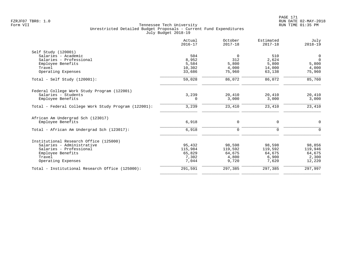|                                                      | Actual<br>$2016 - 17$ | October<br>$2017 - 18$ | Estimated<br>$2017 - 18$ | July<br>$2018 - 19$ |
|------------------------------------------------------|-----------------------|------------------------|--------------------------|---------------------|
| Self Study (120001)                                  |                       |                        |                          |                     |
| Salaries - Academic                                  | 504                   | $\Omega$               | 510                      | 0                   |
| Salaries - Professional                              | 8,952                 | 312                    | 2,624                    | $\mathbf 0$         |
| Employee Benefits                                    | 5,584                 | 5,800                  | 5,800                    | 5,800               |
| Travel                                               | 10,302                | 4,000                  | 14,000                   | 4,000               |
| Operating Expenses                                   | 33,686                | 75,960                 | 63,138                   | 75,960              |
| Total - Self Study $(120001)$ :                      | 59,028                | 86,072                 | 86,072                   | 85,760              |
| Federal College Work Study Program (122001)          |                       |                        |                          |                     |
| Salaries - Students                                  | 3,239                 | 20,410                 | 20,410                   | 20,410              |
| Employee Benefits                                    | 0                     | 3,000                  | 3,000                    | 3,000               |
| Total - Federal College Work Study Program (122001): | 3,239                 | 23,410                 | 23,410                   | 23,410              |
| African Am Undergrad Sch (123017)                    |                       |                        |                          |                     |
| Employee Benefits                                    | 6,918                 | $\mathbf 0$            | $\mathbf 0$              | $\mathbf 0$         |
| Total - African Am Undergrad Sch (123017):           | 6,918                 | $\Omega$               | $\Omega$                 | $\Omega$            |
| Institutional Research Office (125000)               |                       |                        |                          |                     |
| Salaries - Administrative                            | 95,432                | 98,598                 | 98,598                   | 98,856              |
| Salaries - Professional                              | 115,984               | 119,592                | 119,592                  | 119,946             |
| Employee Benefits                                    | 65,829                | 64,675                 | 64,675                   | 64,675              |
| Travel                                               | 7,302                 | 4,800                  | 6,900                    | 2,300               |
| Operating Expenses                                   | 7,044                 | 9,720                  | 7,620                    | 12,220              |
| Total - Institutional Research Office (125000):      | 291,591               | 297,385                | 297,385                  | 297,997             |
|                                                      |                       |                        |                          |                     |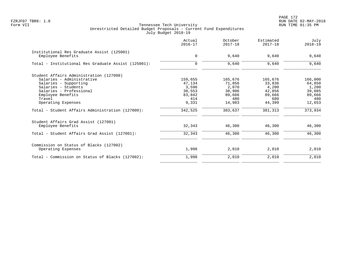PAGE 172 FZRJF07 TBR8: 1.0 RUN DATE 02-MAY-2018

|                                                                 | Actual<br>$2016 - 17$ | October<br>$2017 - 18$ | Estimated<br>$2017 - 18$ | July<br>$2018 - 19$ |
|-----------------------------------------------------------------|-----------------------|------------------------|--------------------------|---------------------|
| Institutional Res Graduate Assist (125001)<br>Employee Benefits | 0                     | 9,640                  | 9,640                    | 9,640               |
|                                                                 |                       |                        |                          |                     |
| Total - Institutional Res Graduate Assist (125001):             | $\mathbf 0$           | 9,640                  | 9,640                    | 9,640               |
| Student Affairs Administration (127000)                         |                       |                        |                          |                     |
| Salaries - Administrative                                       | 159,655               | 165,676                | 165,676                  | 166,000             |
| Salaries - Supporting                                           | 47,134                | 71,856                 | 33,836                   | 64,850              |
| Salaries - Students                                             | 3,596                 | 2,070                  | 4,200                    | 1,200               |
| Salaries - Professional                                         | 38,553                | 38,906                 | 42,856                   | 39,085              |
| Employee Benefits                                               | 83,842                | 89,666                 | 89,666                   | 89,666              |
| Travel                                                          | 414                   | 480                    | 680                      | 480                 |
| Operating Expenses                                              | 9,331                 | 14,983                 | 44,399                   | 12,653              |
| Total - Student Affairs Administration (127000):                | 342,525               | 383,637                | 381,313                  | 373,934             |
| Student Affairs Grad Assist (127001)                            |                       |                        |                          |                     |
| Employee Benefits                                               | 32,343                | 46,300                 | 46,300                   | 46,300              |
| Total - Student Affairs Grad Assist (127001):                   | 32,343                | 46,300                 | 46,300                   | 46,300              |
| Commission on Status of Blacks (127002)                         |                       |                        |                          |                     |
| Operating Expenses                                              | 1,998                 | 2,010                  | 2,010                    | 2,010               |
| Total - Commission on Status of Blacks (127002):                | 1,998                 | 2,010                  | 2,010                    | 2,010               |
|                                                                 |                       |                        |                          |                     |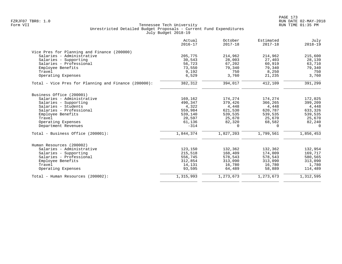|                                                      | Actual<br>$2016 - 17$ | October<br>$2017 - 18$ | Estimated<br>$2017 - 18$ | July<br>$2018 - 19$ |
|------------------------------------------------------|-----------------------|------------------------|--------------------------|---------------------|
| Vice Pres for Planning and Finance (200000)          |                       |                        |                          |                     |
| Salaries - Administrative                            | 205,775               | 214,962                | 214,962                  | 215,600             |
| Salaries - Supporting                                | 30,543                | 28,003                 | 27,403                   | 28,139              |
| Salaries - Professional                              | 56,723                | 67,202                 | 60,919                   | 63,710              |
| Employee Benefits                                    | 73,550                | 79,340                 | 79,340                   | 79,340              |
| Travel                                               | 9,192                 | 750                    | 8,250                    | 750                 |
| Operating Expenses                                   | 6,529                 | 3,760                  | 21,235                   | 3,760               |
| Total - Vice Pres for Planning and Finance (200000): | 382,312               | 394,017                | 412,109                  | 391,299             |
| Business Office (200001)                             |                       |                        |                          |                     |
| Salaries - Administrative                            | 169,162               | 174,274                | 174,274                  | 172,025             |
| Salaries - Supporting                                | 490,347               | 379,426                | 366,265                  | 399,209             |
| Salaries - Students                                  | 4,322                 | 4,448                  | 4,448                    | 4,448               |
| Salaries - Professional                              | 559,984               | 621,530                | 620,787                  | 633,326             |
| Employee Benefits                                    | 539,140               | 539,535                | 539,535                  | 539,535             |
| Travel                                               | 20,597                | 25,670                 | 25,670                   | 25,670              |
| Operating Expenses                                   | 61,136                | 82,320                 | 68,582                   | 82,240              |
| Department Revenues                                  | $-314$                | 0                      | 0                        | 0                   |
| Total - Business Office (200001):                    | 1,844,374             | 1,827,203              | 1,799,561                | 1,856,453           |
| Human Resources (200002)                             |                       |                        |                          |                     |
| Salaries - Administrative                            | 123,150               | 132,362                | 132,362                  | 132,954             |
| Salaries - Supporting                                | 215,518               | 168,409                | 174,009                  | 169,717             |
| Salaries - Professional                              | 556,745               | 578,543                | 578,543                  | 580,565             |
| Employee Benefits                                    | 312,854               | 313,090                | 313,090                  | 313,090             |
| Travel                                               | 14,131                | 16,780                 | 16,780                   | 1,780               |
| Operating Expenses                                   | 93,595                | 64,489                 | 58,889                   | 114,489             |
| Total - Human Resources (200002):                    | 1,315,993             | 1,273,673              | 1,273,673                | 1,312,595           |
|                                                      |                       |                        |                          |                     |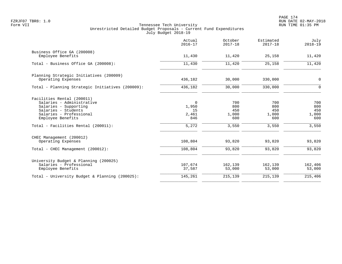|                                                                                                                                                                                                | Actual<br>$2016 - 17$                               | October<br>$2017 - 18$                     | Estimated<br>$2017 - 18$                   | July<br>$2018 - 19$                        |
|------------------------------------------------------------------------------------------------------------------------------------------------------------------------------------------------|-----------------------------------------------------|--------------------------------------------|--------------------------------------------|--------------------------------------------|
| Business Office GA (200008)<br>Employee Benefits                                                                                                                                               | 11,430                                              | 11,420                                     | 25,158                                     | 11,420                                     |
| Total - Business Office GA (200008):                                                                                                                                                           | 11,430                                              | 11,420                                     | 25,158                                     | 11,420                                     |
| Planning Strategic Initiatives (200009)<br>Operating Expenses                                                                                                                                  | 436,182                                             | 30,000                                     | 330,000                                    | $\mathsf{O}$                               |
| Total - Planning Strategic Initiatives (200009):                                                                                                                                               | 436,182                                             | 30,000                                     | 330,000                                    | $\mathbf 0$                                |
| Facilities Rental (200011)<br>Salaries - Administrative<br>Salaries - Supporting<br>Salaries - Students<br>Salaries - Professional<br>Employee Benefits<br>Total - Facilities Rental (200011): | $\mathbf 0$<br>1,950<br>15<br>2,461<br>846<br>5,272 | 700<br>800<br>450<br>1,000<br>600<br>3,550 | 700<br>800<br>450<br>1,000<br>600<br>3,550 | 700<br>800<br>450<br>1,000<br>600<br>3,550 |
| CHEC Management (200012)<br>Operating Expenses<br>Total - CHEC Management (200012):                                                                                                            | 108,804<br>108,804                                  | 93,820<br>93,820                           | 93,820<br>93,820                           | 93,820<br>93,820                           |
| University Budget & Planning (200025)<br>Salaries - Professional                                                                                                                               | 107,674                                             | 162,139                                    | 162,139                                    | 162,406                                    |
| Employee Benefits<br>Total - University Budget & Planning (200025):                                                                                                                            | 37,587<br>145,261                                   | 53,000<br>215,139                          | 53,000<br>215,139                          | 53,000<br>215,406                          |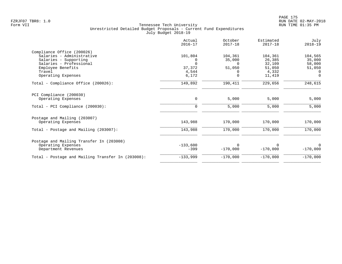|                                                   | Actual<br>$2016 - 17$ | October<br>$2017 - 18$ | Estimated<br>$2017 - 18$ | July<br>$2018 - 19$ |
|---------------------------------------------------|-----------------------|------------------------|--------------------------|---------------------|
| Compliance Office (200026)                        |                       |                        |                          |                     |
| Salaries - Administrative                         | 101,804               | 104,361                | 104,361                  | 104,565             |
| Salaries - Supporting                             |                       | 35,000                 | 26,385                   | 35,000              |
| Salaries - Professional                           | $\Omega$              | $\Omega$               | 32,109                   | 58,000              |
| Employee Benefits                                 | 37,372                | 51,050                 | 51,050                   | 51,050              |
| Travel                                            | 4,544                 | 0                      | 4,332                    | $\Omega$            |
| Operating Expenses                                | 6,172                 | 0                      | 11,419                   | $\Omega$            |
| Total - Compliance Office (200026):               | 149,892               | 190,411                | 229,656                  | 248,615             |
| PCI Compliance (200030)                           |                       |                        |                          |                     |
| Operating Expenses                                | $\mathbf 0$           | 5,000                  | 5,000                    | 5,000               |
| Total - PCI Compliance (200030):                  | $\Omega$              | 5,000                  | 5,000                    | 5,000               |
| Postage and Mailing (203007)                      |                       |                        |                          |                     |
| Operating Expenses                                | 143,988               | 170,000                | 170,000                  | 170,000             |
| Total - Postage and Mailing (203007):             | 143,988               | 170,000                | 170,000                  | 170,000             |
| Postage and Mailing Transfer In (203008)          |                       |                        |                          |                     |
| Operating Expenses                                | $-133,600$            | <sup>0</sup>           |                          | $\Omega$            |
| Department Revenues                               | $-399$                | $-170,000$             | $-170,000$               | $-170,000$          |
| Total - Postage and Mailing Transfer In (203008): | $-133,999$            | $-170,000$             | $-170,000$               | $-170,000$          |
|                                                   |                       |                        |                          |                     |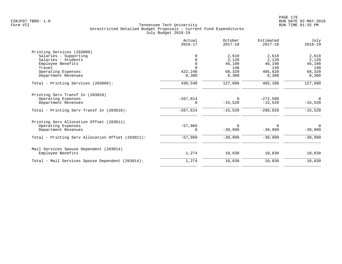|                                                   | Actual<br>$2016 - 17$ | October<br>$2017 - 18$ | Estimated<br>$2017 - 18$ | July<br>$2018 - 19$ |
|---------------------------------------------------|-----------------------|------------------------|--------------------------|---------------------|
| Printing Services (203009)                        |                       |                        |                          |                     |
| Salaries - Supporting                             | $\Omega$              | 2,610                  | 2,610                    | 2,610               |
| Salaries - Students                               |                       | 2,120                  | 2,120                    | 2,120               |
| Employee Benefits                                 | $\Omega$              | 46,190                 | 46,190                   | 46,190              |
| Travel                                            | $\Omega$              | 140                    | 140                      | 140                 |
| Operating Expenses                                | 422,248               | 68,320                 | 405,820                  | 68,320              |
| Department Revenues                               | 8,300                 | 8,300                  | 8,300                    | 8,300               |
| Total - Printing Services (203009):               | 430,548               | 127,680                | 465,180                  | 127,680             |
| Printing Serv Transf In (203010)                  |                       |                        |                          |                     |
| Operating Expenses                                | $-267,614$            | $\Omega$               | $-272,500$               | $\overline{0}$      |
| Department Revenues                               | 0                     | $-15,520$              | $-15,520$                | $-15,520$           |
| Total - Printing Serv Transf In (203010):         | $-267,614$            | $-15,520$              | $-288,020$               | $-15,520$           |
| Printing Serv Allocation Offset (203011)          |                       |                        |                          |                     |
| Operating Expenses                                | $-57,969$             | $\mathbf 0$            | $\Omega$                 | $\Omega$            |
| Department Revenues                               | 0                     | $-39,999$              | $-39,999$                | $-39,999$           |
| Total - Printing Serv Allocation Offset (203011): | $-57,969$             | $-39,999$              | $-39,999$                | $-39,999$           |
| Mail Services Spouse Dependent (203014)           |                       |                        |                          |                     |
| Employee Benefits                                 | 1,274                 | 10,830                 | 10,830                   | 10,830              |
| Total - Mail Services Spouse Dependent (203014):  | 1,274                 | 10,830                 | 10,830                   | 10,830              |
|                                                   |                       |                        |                          |                     |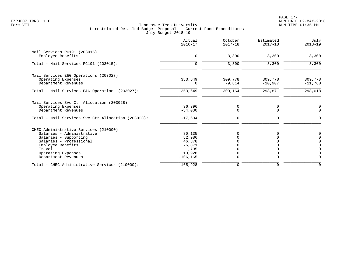|                                                    | Actual<br>$2016 - 17$ | October<br>$2017 - 18$  | Estimated<br>$2017 - 18$ | July<br>$2018 - 19$        |
|----------------------------------------------------|-----------------------|-------------------------|--------------------------|----------------------------|
| Mail Services PC191 (203015)                       |                       |                         |                          |                            |
| Employee Benefits                                  | 0                     | 3,300                   | 3,300                    | 3,300                      |
| Total - Mail Services PC191 (203015):              | $\Omega$              | 3,300                   | 3,300                    | 3,300                      |
| Mail Services E&G Operations (203027)              |                       |                         |                          |                            |
| Operating Expenses<br>Department Revenues          | 353,649<br>0          | 309,778<br>$-9,614$     | 309,778<br>$-10,907$     | 309,778<br>$-11,760$       |
| Total - Mail Services E&G Operations (203027):     | 353,649               | 300,164                 | 298,871                  | 298,018                    |
| Mail Services Svc Ctr Allocation (203028)          |                       |                         |                          |                            |
| Operating Expenses<br>Department Revenues          | 36,396<br>$-54,000$   | $\mathbf 0$<br>$\Omega$ | 0<br>$\Omega$            | 0<br>$\Omega$              |
| Total - Mail Services Svc Ctr Allocation (203028): | $-17,604$             | 0                       | 0                        | $\Omega$                   |
| CHEC Administrative Services (210000)              |                       |                         |                          |                            |
| Salaries - Administrative                          | 80,135                | O                       |                          | 0                          |
| Salaries - Supporting                              | 52,986                |                         |                          | $\mathbf 0$                |
| Salaries - Professional                            | 46,378                |                         |                          | $\mathbf 0$                |
| Employee Benefits<br>Travel                        | 76,871<br>1,795       |                         |                          | $\mathbf 0$<br>$\mathbf 0$ |
| Operating Expenses                                 | 13,928                | 0                       |                          | $\Omega$                   |
| Department Revenues                                | $-106, 165$           | $\Omega$                |                          | $\Omega$                   |
| Total - CHEC Administrative Services (210000):     | 165,928               | $\mathbf 0$             | 0                        | $\Omega$                   |
|                                                    |                       |                         |                          |                            |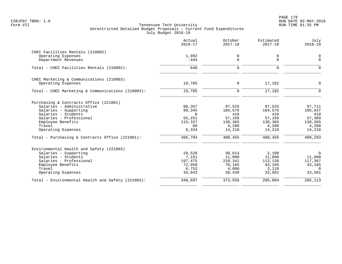|                                                    | Actual<br>$2016 - 17$ | October<br>$2017 - 18$ | Estimated<br>$2017 - 18$ | July<br>$2018 - 19$ |
|----------------------------------------------------|-----------------------|------------------------|--------------------------|---------------------|
| CHEC Facilities Rentals (210002)                   |                       |                        |                          |                     |
| Operating Expenses<br>Department Revenues          | 1,092<br>$-444$       | 0<br>$\Omega$          | 0<br>$\mathbf 0$         | 0<br>$\Omega$       |
| Total - CHEC Facilities Rentals (210002):          | 648                   | $\Omega$               | $\Omega$                 | $\Omega$            |
| CHEC Marketing & Communications (210003)           |                       |                        |                          |                     |
| Operating Expenses                                 | 19,705                | 0                      | 17,182                   | $\Omega$            |
| Total - CHEC Marketing & Communications (210003):  | 19,705                | $\mathbf 0$            | 17,182                   | $\Omega$            |
| Purchasing & Contracts Office (221001)             |                       |                        |                          |                     |
| Salaries - Administrative                          | 88,357                | 97,525                 | 97,525                   | 97,711              |
| Salaries - Supporting<br>Salaries - Students       | 99,345<br>$\Omega$    | 104,576<br>410         | 104,576<br>410           | 105,037<br>410      |
| Salaries - Professional                            | 55,251                | 57,169                 | 57,169                   | 57,360              |
| Employee Benefits                                  | 115,337               | 130,365                | 130,365                  | 130,365             |
| Travel                                             | 80                    | 4,200                  | 4,200                    | 4,200               |
| Operating Expenses                                 | 8,334                 | 14,210                 | 14,210                   | 14,210              |
| Total - Purchasing & Contracts Office $(221001)$ : | 366,704               | 408,455                | 408,455                  | 409,293             |
| Environmental Health and Safety (221003)           |                       |                        |                          |                     |
| Salaries - Supporting                              | 29,526                | 30,614                 | 2,100                    | $\mathbf 0$         |
| Salaries - Students<br>Salaries - Professional     | 7,151                 | 11,000                 | 11,000                   | 11,000              |
| Employee Benefits                                  | 197,475<br>72,950     | 210,341<br>78,165      | 113,138<br>43,165        | 117,367<br>43,165   |
| Travel                                             | 6,752                 | 4,000                  | 2,110                    | $\Omega$            |
| Operating Expenses                                 | 34,843                | 39,430                 | 33,581                   | 33,581              |
| Total - Environmental Health and Safety (221003):  | 348,697               | 373,550                | 205,094                  | 205,113             |
|                                                    |                       |                        |                          |                     |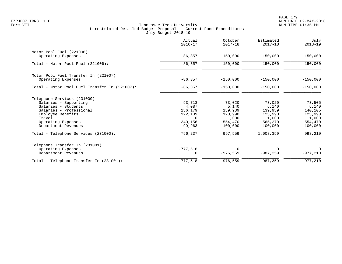|                                               | Actual<br>$2016 - 17$ | October<br>$2017 - 18$ | Estimated<br>$2017 - 18$ | July<br>$2018 - 19$ |
|-----------------------------------------------|-----------------------|------------------------|--------------------------|---------------------|
| Motor Pool Fuel (221006)                      |                       |                        |                          |                     |
| Operating Expenses                            | 86,357                | 150,000                | 150,000                  | 150,000             |
| Total - Motor Pool Fuel (221006):             | 86,357                | 150,000                | 150,000                  | 150,000             |
| Motor Pool Fuel Transfer In (221007)          |                       |                        |                          |                     |
| Operating Expenses                            | $-86, 357$            | $-150,000$             | $-150,000$               | $-150,000$          |
| Total - Motor Pool Fuel Transfer In (221007): | $-86, 357$            | $-150,000$             | $-150,000$               | $-150,000$          |
| Telephone Services (231000)                   |                       |                        |                          |                     |
| Salaries - Supporting                         | 93,713                | 73,020                 | 73,020                   | 73,505              |
| Salaries - Students                           | 4,087                 | 5,140                  | 5,140                    | 5,140               |
| Salaries - Professional                       | 136,179               | 139,939                | 139,939                  | 140,105             |
| Employee Benefits                             | 122,139               | 123,990                | 123,990                  | 123,990             |
| Travel                                        | $\cap$                | 1,000                  | 1,000                    | 1,000               |
| Operating Expenses<br>Department Revenues     | 340,156<br>99,963     | 554,470<br>100,000     | 565,270<br>100,000       | 554,470<br>100,000  |
| Total - Telephone Services (231000):          | 796,237               | 997,559                | 1,008,359                | 998,210             |
| Telephone Transfer In (231001)                |                       |                        |                          |                     |
| Operating Expenses                            | $-777,518$            | $\Omega$               | $\Omega$                 | $\Omega$            |
| Department Revenues                           | 0                     | $-976, 559$            | $-987, 359$              | $-977,210$          |
| Total - Telephone Transfer In (231001):       | $-777,518$            | $-976,559$             | $-987, 359$              | $-977,210$          |
|                                               |                       |                        |                          |                     |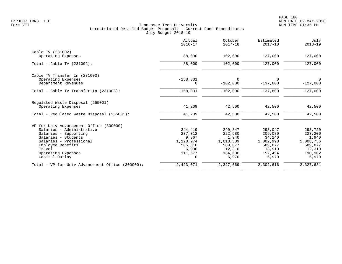|                                                         | Actual<br>$2016 - 17$ | October<br>$2017 - 18$ | Estimated<br>$2017 - 18$ | July<br>$2018 - 19$ |
|---------------------------------------------------------|-----------------------|------------------------|--------------------------|---------------------|
| Cable TV (231002)                                       |                       |                        |                          |                     |
| Operating Expenses                                      | 88,000                | 102,000                | 127,000                  | 127,000             |
| Total - Cable TV (231002):                              | 88,000                | 102,000                | 127,000                  | 127,000             |
| Cable TV Transfer In (231003)                           |                       |                        |                          |                     |
| Operating Expenses<br>Department Revenues               | $-158, 331$<br>0      | $\Omega$<br>$-102,000$ | $\Omega$<br>$-137.800$   | 0<br>$-127,000$     |
| Total - Cable TV Transfer In (231003):                  | $-158, 331$           | $-102,000$             | $-137,800$               | $-127,000$          |
| Regulated Waste Disposal (255001)<br>Operating Expenses | 41,209                | 42,500                 | 42,500                   | 42,500              |
| Total - Regulated Waste Disposal (255001):              | 41,209                | 42,500                 | 42,500                   | 42,500              |
| VP for Univ Advancement Office (300000)                 |                       |                        |                          |                     |
| Salaries - Administrative                               | 344,419               | 290,847                | 293,047                  | 293,720             |
| Salaries - Supporting                                   | 237,312               | 222,580                | 209,080                  | 223,206             |
| Salaries - Students                                     | 9,367                 | 1,940                  | 34,240                   | 1,940               |
| Salaries - Professional                                 | 1,128,974             | 1,018,539              | 1,002,998                | 1,008,756           |
| Employee Benefits                                       | 585,316               | 589,877                | 589,877                  | 589,877             |
| Travel                                                  | 6,006                 | 12,310                 | 13,910                   | 12,310              |
| Operating Expenses<br>Capital Outlay                    | 111,677<br>0          | 184,606<br>6,970       | 152,494<br>6,970         | 190,902<br>6,970    |
|                                                         |                       |                        |                          |                     |
| Total - VP for Univ Advancement Office (300000):        | 2,423,071             | 2,327,669              | 2,302,616                | 2,327,681           |
|                                                         |                       |                        |                          |                     |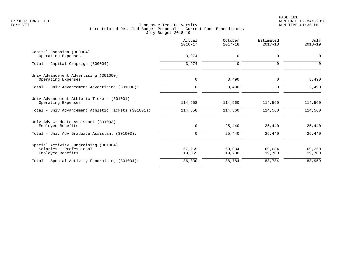|                                                                  | Actual<br>$2016 - 17$ | October<br>$2017 - 18$ | Estimated<br>$2017 - 18$ | July<br>$2018 - 19$ |
|------------------------------------------------------------------|-----------------------|------------------------|--------------------------|---------------------|
| Capital Campaign (300004)<br>Operating Expenses                  | 3,974                 | $\mathbf 0$            | $\mathbf{0}$             | $\Omega$            |
| Total - Capital Campaign (300004):                               | 3,974                 | $\mathbf 0$            | $\mathbf 0$              | $\Omega$            |
| Univ Advancement Advertising (301000)                            |                       |                        |                          |                     |
| Operating Expenses                                               | 0                     | 3,490                  | $\mathbf 0$              | 3,490               |
| Total - Univ Advancement Advertising (301000):                   | $\mathbf 0$           | 3,490                  | $\mathbf 0$              | 3,490               |
| Univ Advancement Athletic Tickets (301001)<br>Operating Expenses | 114,558               | 114,560                | 114,560                  | 114,560             |
| Total - Univ Advancement Athletic Tickets (301001):              | 114,558               | 114,560                | 114,560                  | 114,560             |
| Univ Adv Graduate Assistant (301003)                             |                       |                        |                          |                     |
| Employee Benefits                                                | 0                     | 25,440                 | 25,440                   | 25,440              |
| Total - Univ Adv Graduate Assistant (301003):                    | 0                     | 25,440                 | 25,440                   | 25,440              |
| Special Activity Fundraising (301004)                            |                       |                        |                          |                     |
| Salaries - Professional                                          | 67,265                | 69,084                 | 69,084                   | 69,259              |
| Employee Benefits                                                | 19,065                | 19,700                 | 19,700                   | 19,700              |
| Total - Special Activity Fundraising (301004):                   | 86,330                | 88,784                 | 88,784                   | 88,959              |
|                                                                  |                       |                        |                          |                     |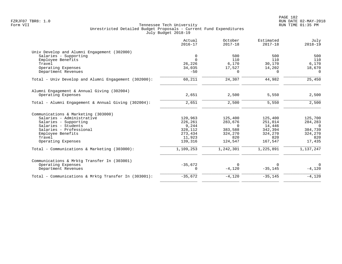| Actual<br>$2016 - 17$ | October<br>$2017 - 18$                              | Estimated<br>$2017 - 18$                  | July<br>$2018 - 19$                                     |
|-----------------------|-----------------------------------------------------|-------------------------------------------|---------------------------------------------------------|
|                       |                                                     |                                           |                                                         |
| 0                     | 500                                                 | 500                                       | 500                                                     |
| $\Omega$              | 110                                                 | 110                                       | 110                                                     |
| 26,226                | 6,170                                               | 30,170                                    | 6,170                                                   |
| 34,035                | 17,527                                              | 14,202                                    | 18,670                                                  |
| $-50$                 | $\Omega$                                            | $\Omega$                                  | $\Omega$                                                |
| 60,211                | 24,307                                              | 44,982                                    | 25,450                                                  |
|                       |                                                     |                                           |                                                         |
| 2,651                 | 2,500                                               | 5,550                                     | 2,500                                                   |
| 2,651                 | 2,500                                               | 5,550                                     | 2,500                                                   |
|                       |                                                     |                                           |                                                         |
|                       |                                                     |                                           | 125,700                                                 |
|                       |                                                     |                                           | 284,283                                                 |
|                       | $\Omega$                                            |                                           | $\overline{0}$                                          |
|                       |                                                     |                                           | 384,739                                                 |
| 273,434               | 324,270                                             |                                           | 324,270                                                 |
| 11,923                | 820                                                 | 820                                       | 820                                                     |
| 139,316               | 124,547                                             | 167,547                                   | 17,435                                                  |
| 1,109,253             | 1,242,301                                           | 1,225,891                                 | 1,137,247                                               |
|                       |                                                     |                                           |                                                         |
|                       |                                                     |                                           | $\Omega$                                                |
| 0                     | $-4,120$                                            | $-35,145$                                 | $-4,120$                                                |
| $-35,672$             | $-4,120$                                            | $-35,145$                                 | $-4,120$                                                |
|                       | 120,963<br>226,261<br>9,244<br>328,112<br>$-35,672$ | 125,400<br>283,676<br>383,588<br>$\Omega$ | 125,400<br>251,014<br>14,446<br>342,394<br>324,270<br>0 |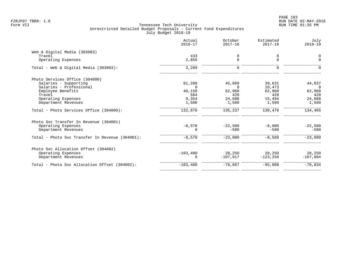|                                                 | Actual<br>$2016 - 17$ | October<br>$2017 - 18$ | Estimated<br>$2017 - 18$ | July<br>$2018 - 19$ |
|-------------------------------------------------|-----------------------|------------------------|--------------------------|---------------------|
| Web & Digital Media (303003)                    |                       |                        |                          |                     |
| Travel                                          | 433                   | 0                      | 0                        | 0                   |
| Operating Expenses                              | 2,856                 | 0                      | $\mathbf 0$              | $\Omega$            |
| Total - Web & Digital Media $(303003)$ :        | 3,289                 | 0                      | $\Omega$                 |                     |
| Photo Services Office (304000)                  |                       |                        |                          |                     |
| Salaries - Supporting                           | 81,288                | 45,669                 | 39,631                   | 44,837              |
| Salaries - Professional                         | $\Omega$              | $\Omega$               | 10,473                   | $\Omega$            |
| Employee Benefits                               | 40,150                | 62,960                 | 62,960                   | 62,960              |
| Travel                                          | 584                   | 420                    | 420                      | 420                 |
| Operating Expenses                              | 9,354                 | 24,688                 | 15,494                   | 24,688              |
| Department Revenues                             | 1,500                 | 1,500                  | 1,500                    | 1,500               |
| Total - Photo Services Office (304000):         | 132,876               | 135,237                | 130,478                  | 134,405             |
| Photo Svc Transfer In Revenue (304001)          |                       |                        |                          |                     |
| Operating Expenses                              | $-8,570$              | $-22.500$              | $-8,000$                 | $-22,500$           |
| Department Revenues                             | 0                     | $-580$                 | $-580$                   | $-580$              |
| Total - Photo Svc Transfer In Revenue (304001): | $-8,570$              | $-23,080$              | $-8,580$                 | $-23,080$           |
| Photo Svc Allocation Offset (304002)            |                       |                        |                          |                     |
| Operating Expenses                              | $-103,400$            | 28,250                 | 28,250                   | 28,250              |
| Department Revenues                             | $\Omega$              | $-107,917$             | $-123, 258$              | $-107,084$          |
| Total - Photo Svc Allocation Offset (304002):   | $-103, 400$           | $-79,667$              | $-95,008$                | $-78,834$           |
|                                                 |                       |                        |                          |                     |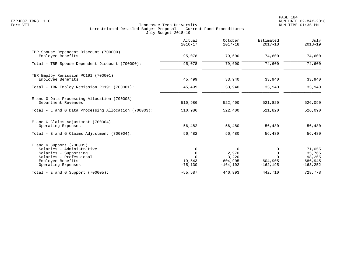PAGE 184 FZRJF07 TBR8: 1.0 RUN DATE 02-MAY-2018

|                                                                                                                                                        | Actual<br>$2016 - 17$                          | October<br>$2017 - 18$                        | Estimated<br>$2017 - 18$                            | July<br>$2018 - 19$                                  |
|--------------------------------------------------------------------------------------------------------------------------------------------------------|------------------------------------------------|-----------------------------------------------|-----------------------------------------------------|------------------------------------------------------|
| TBR Spouse Dependent Discount (700000)<br>Employee Benefits                                                                                            | 95,078                                         | 79,600                                        | 74,600                                              | 74,600                                               |
| Total - TBR Spouse Dependent Discount (700000):                                                                                                        | 95,078                                         | 79,600                                        | 74,600                                              | 74,600                                               |
| TBR Employ Remission PC191 (700001)<br>Employee Benefits                                                                                               | 45,499                                         | 33,940                                        | 33,940                                              | 33,940                                               |
| Total - TBR Employ Remission PC191 (700001):                                                                                                           | 45,499                                         | 33,940                                        | 33,940                                              | 33,940                                               |
| E and G Data Processing Allocation (700003)<br>Department Revenues                                                                                     | 510,986                                        | 522,400                                       | 521,820                                             | 526,090                                              |
| Total - E and G Data Processing Allocation (700003):                                                                                                   | 510,986                                        | 522,400                                       | 521,820                                             | 526,090                                              |
| E and G Claims Adjustment (700004)<br>Operating Expenses                                                                                               | 56,482                                         | 56,480                                        | 56,480                                              | 56,480                                               |
| Total - E and G Claims Adjustment $(700004)$ :                                                                                                         | 56,482                                         | 56,480                                        | 56,480                                              | 56,480                                               |
| $E$ and G Support (700005)<br>Salaries - Administrative<br>Salaries - Supporting<br>Salaries - Professional<br>Employee Benefits<br>Operating Expenses | $\Omega$<br>$\mathbf 0$<br>19,543<br>$-75,130$ | 0<br>2,970<br>3,220<br>604,905<br>$-164, 102$ | 0<br>$\Omega$<br>$\Omega$<br>604,905<br>$-162, 195$ | 71,055<br>35,765<br>98,265<br>686,945<br>$-163, 252$ |
| Total - E and G Support $(700005)$ :                                                                                                                   | $-55,587$                                      | 446,993                                       | 442,710                                             | 728, 778                                             |
|                                                                                                                                                        |                                                |                                               |                                                     |                                                      |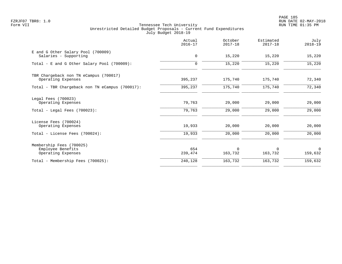PAGE 185 FZRJF07 TBR8: 1.0 RUN DATE 02-MAY-2018

|                                                                     | Actual<br>$2016 - 17$ | October<br>$2017 - 18$ | Estimated<br>$2017 - 18$ | July<br>$2018 - 19$ |
|---------------------------------------------------------------------|-----------------------|------------------------|--------------------------|---------------------|
| E and G Other Salary Pool (700009)<br>Salaries - Supporting         | 0                     | 15,220                 | 15,220                   | 15,220              |
| Total - E and G Other Salary Pool (700009):                         | $\Omega$              | 15,220                 | 15,220                   | 15,220              |
| TBR Chargeback non TN eCampus (700017)<br>Operating Expenses        | 395,237               | 175,740                | 175,740                  | 72,340              |
| Total - TBR Chargeback non TN eCampus (700017):                     | 395,237               | 175,740                | 175,740                  | 72,340              |
| Legal Fees (700023)<br>Operating Expenses                           | 79,763                | 29,000                 | 29,000                   | 29,000              |
| Total - Legal Fees $(700023)$ :                                     | 79,763                | 29,000                 | 29,000                   | 29,000              |
| License Fees (700024)<br>Operating Expenses                         | 19,933                | 20,000                 | 20,000                   | 20,000              |
| Total - License Fees (700024):                                      | 19,933                | 20,000                 | 20,000                   | 20,000              |
| Membership Fees (700025)<br>Employee Benefits<br>Operating Expenses | 654<br>239,474        | $\Omega$<br>163,732    | $\Omega$<br>163,732      | 0<br>159,632        |
| Total - Membership Fees (700025):                                   | 240,128               | 163,732                | 163,732                  | 159,632             |
|                                                                     |                       |                        |                          |                     |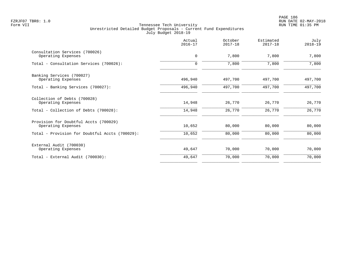PAGE 186 FZRJF07 TBR8: 1.0 RUN DATE 02-MAY-2018

|                                                             | Actual<br>$2016 - 17$ | October<br>$2017 - 18$ | Estimated<br>$2017 - 18$ | July<br>$2018 - 19$ |
|-------------------------------------------------------------|-----------------------|------------------------|--------------------------|---------------------|
| Consultation Services (700026)<br>Operating Expenses        | 0                     | 7,800                  | 7,800                    | 7,800               |
| Total - Consultation Services (700026):                     | $\mathbf 0$           | 7,800                  | 7,800                    | 7,800               |
| Banking Services (700027)<br>Operating Expenses             | 496,940               | 497,700                | 497,700                  | 497,700             |
| Total - Banking Services (700027):                          | 496,940               | 497,700                | 497,700                  | 497,700             |
| Collection of Debts (700028)<br>Operating Expenses          | 14,948                | 26,770                 | 26,770                   | 26,770              |
| Total - Collection of Debts (700028):                       | 14,948                | 26,770                 | 26,770                   | 26,770              |
| Provision for Doubtful Accts (700029)<br>Operating Expenses | 10,652                | 80,000                 | 80,000                   | 80,000              |
| Total - Provision for Doubtful Accts (700029):              | 10,652                | 80,000                 | 80,000                   | 80,000              |
| External Audit (700030)<br>Operating Expenses               | 49,647                | 70,000                 | 70,000                   | 70,000              |
| Total - External Audit (700030):                            | 49,647                | 70,000                 | 70,000                   | 70,000              |
|                                                             |                       |                        |                          |                     |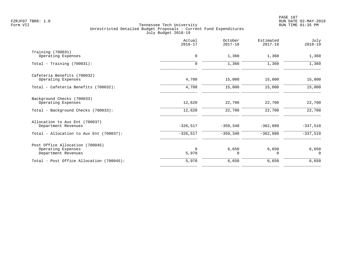|                                                                              | Actual<br>$2016 - 17$ | October<br>$2017 - 18$ | Estimated<br>$2017 - 18$ | July<br>$2018 - 19$ |
|------------------------------------------------------------------------------|-----------------------|------------------------|--------------------------|---------------------|
| Training (700031)<br>Operating Expenses                                      | 0                     | 1,360                  | 1,360                    | 1,360               |
| Total - Training (700031):                                                   | $\Omega$              | 1,360                  | 1,360                    | 1,360               |
| Cafeteria Benefits (700032)<br>Operating Expenses                            | 4,708                 | 15,000                 | 15,000                   | 15,000              |
| Total - Cafeteria Benefits (700032):                                         | 4,708                 | 15,000                 | 15,000                   | 15,000              |
| Background Checks (700033)<br>Operating Expenses                             | 12,620                | 22,700                 | 22,700                   | 22,700              |
| Total - Background Checks (700033):                                          | 12,620                | 22,700                 | 22,700                   | 22,700              |
| Allocation to Aux Ent (700037)<br>Department Revenues                        | $-326,517$            | $-359,340$             | $-362,880$               | $-337,510$          |
| Total - Allocation to Aux Ent (700037):                                      | $-326, 517$           | $-359, 340$            | $-362,880$               | $-337,510$          |
| Post Office Allocation (700045)<br>Operating Expenses<br>Department Revenues | $\Omega$<br>5,970     | 6,650<br>0             | 6,650<br>$\Omega$        | 6,650<br>$\Omega$   |
| Total - Post Office Allocation (700045):                                     | 5,970                 | 6,650                  | 6,650                    | 6,650               |
|                                                                              |                       |                        |                          |                     |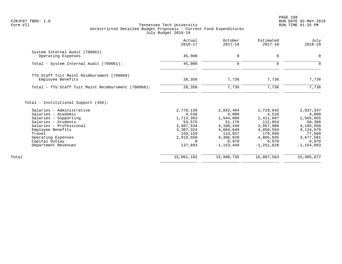PAGE 188 FZRJF07 TBR8: 1.0 RUN DATE 02-MAY-2018

|                                                      | Actual<br>$2016 - 17$ | October<br>$2017 - 18$ | Estimated<br>$2017 - 18$ | July<br>$2018 - 19$ |
|------------------------------------------------------|-----------------------|------------------------|--------------------------|---------------------|
| System Internal Audit (700061)<br>Operating Expenses | 45,900                | $\mathbf 0$            | $\mathbf 0$              | 0                   |
|                                                      |                       |                        |                          |                     |
| Total - System Internal Audit (700061):              | 45,900                | 0                      | $\Omega$                 | $\Omega$            |
| TTU Staff Tuit Maint Reimbursment (700068)           |                       |                        |                          |                     |
| Employee Benefits                                    | 28,358                | 7,736                  | 7,736                    | 7,736               |
| Total - TTU Staff Tuit Maint Reimbursment (700068):  | 28,358                | 7,736                  | 7,736                    | 7,736               |
| Total - Institutional Support (450):                 |                       |                        |                          |                     |
| Salaries - Administrative                            | 2,778,139             | 2,842,464<br>4,000     | 2,729,842<br>4,510       | 2,937,347           |
| Salaries - Academic<br>Salaries - Supporting         | 4,536<br>1,713,392    | 1,544,006              | 1,411,687                | 4,000<br>1,565,955  |
| Salaries - Students                                  | 53,575                | 51,178                 | 112,054                  | 50,308              |
| Salaries - Professional                              | 3,987,534             | 4,100,440              | 3,957,900                | 4,195,850           |
| Employee Benefits                                    | 3,307,324             | 4,084,649              | 4,050,594                | 4,124,979           |
| Travel                                               | 159,159               | 113,657                | 179,999                  | 77,660              |
| Operating Expenses                                   | 2,919,550             | 4,396,820              | 4,805,835                | 3,677,501           |
| Capital Outlay                                       | 0                     | 6,970                  | 6,970                    | 6,970               |
| Department Revenues                                  | 137,893               | $-1, 153, 449$         | $-1, 251, 828$           | $-1, 154, 893$      |
| Total                                                | 15,061,102            | 15,990,735             | 16,007,563               | 15,485,677          |
|                                                      |                       |                        |                          |                     |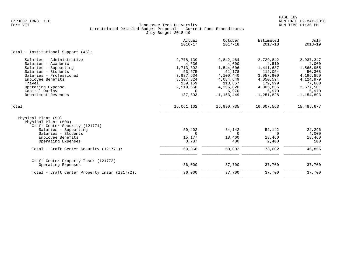|                                                                                                                                                                                                                          | Actual<br>$2016 - 17$                                                                                              | October<br>$2017 - 18$                                                                                                 | Estimated<br>$2017 - 18$                                                                                                | July<br>$2018 - 19$                                                                                                   |
|--------------------------------------------------------------------------------------------------------------------------------------------------------------------------------------------------------------------------|--------------------------------------------------------------------------------------------------------------------|------------------------------------------------------------------------------------------------------------------------|-------------------------------------------------------------------------------------------------------------------------|-----------------------------------------------------------------------------------------------------------------------|
| Total - Institutional Support (45):                                                                                                                                                                                      |                                                                                                                    |                                                                                                                        |                                                                                                                         |                                                                                                                       |
| Salaries - Administrative<br>Salaries - Academic<br>Salaries - Supporting<br>Salaries - Students<br>Salaries - Professional<br>Employee Benefits<br>Travel<br>Operating Expense<br>Capital Outlay<br>Department Revenues | 2,778,139<br>4,536<br>1,713,392<br>53,575<br>3,987,534<br>3,307,324<br>159,159<br>2,919,550<br>$\Omega$<br>137,893 | 2,842,464<br>4,000<br>1,544,006<br>51,178<br>4,100,440<br>4,084,649<br>113,657<br>4,396,820<br>6,970<br>$-1, 153, 449$ | 2,729,842<br>4,510<br>1,411,687<br>112,054<br>3,957,900<br>4,050,594<br>179,999<br>4,805,835<br>6,970<br>$-1, 251, 828$ | 2,937,347<br>4,000<br>1,565,955<br>50,308<br>4,195,850<br>4,124,979<br>77,660<br>3,677,501<br>6,970<br>$-1, 154, 893$ |
| Total                                                                                                                                                                                                                    | 15,061,102                                                                                                         | 15,990,735                                                                                                             | 16,007,563                                                                                                              | 15,485,677                                                                                                            |
| Physical Plant (50)<br>Physical Plant (500)<br>Craft Center Security (121771)<br>Salaries - Supporting<br>Salaries - Students<br>Employee Benefits<br>Operating Expenses                                                 | 50,402<br>$\Omega$<br>15,177<br>3,787                                                                              | 34,142<br>$\Omega$<br>18,460<br>400                                                                                    | 52,142<br>$\Omega$<br>18,460<br>2,400                                                                                   | 24,296<br>4,000<br>18,460<br>100                                                                                      |
| Total - Craft Center Security (121771):                                                                                                                                                                                  | 69,366                                                                                                             | 53,002                                                                                                                 | 73,002                                                                                                                  | 46,856                                                                                                                |
| Craft Center Property Insur (121772)<br>Operating Expenses                                                                                                                                                               | 36,000                                                                                                             | 37,700                                                                                                                 | 37,700                                                                                                                  | 37,700                                                                                                                |
| Total - Craft Center Property Insur (121772):                                                                                                                                                                            | 36,000                                                                                                             | 37,700                                                                                                                 | 37,700                                                                                                                  | 37,700                                                                                                                |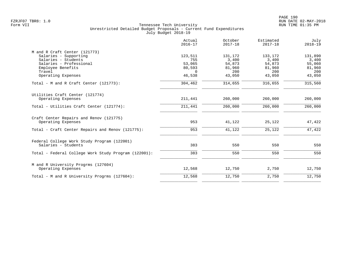|                                                      | Actual<br>$2016 - 17$ | October<br>$2017 - 18$ | Estimated<br>$2017 - 18$ | July<br>$2018 - 19$ |
|------------------------------------------------------|-----------------------|------------------------|--------------------------|---------------------|
| M and R Craft Center (121773)                        |                       |                        |                          |                     |
| Salaries - Supporting                                | 123,511               | 131,172                | 133,172                  | 131,890             |
| Salaries - Students                                  | 755                   | 3,400                  | 3,400                    | 3,400               |
| Salaries - Professional                              | 53,065                | 54,873                 | 54,873                   | 55,060              |
| Employee Benefits                                    | 80,593                | 81,960                 | 81,960                   | 81,960              |
| Travel                                               | $\Omega$              | 200                    | 200                      | 200                 |
| Operating Expenses                                   | 46,538                | 43,050                 | 43,050                   | 43,050              |
| Total - M and R Craft Center $(121773)$ :            | 304,462               | 314,655                | 316,655                  | 315,560             |
| Utilities Craft Center (121774)                      |                       |                        |                          |                     |
| Operating Expenses                                   | 211,441               | 260,000                | 260,000                  | 260,000             |
| Total - Utilities Craft Center (121774):             | 211,441               | 260,000                | 260,000                  | 260,000             |
| Craft Center Repairs and Renov (121775)              |                       |                        |                          |                     |
| Operating Expenses                                   | 953                   | 41,122                 | 25,122                   | 47,422              |
| Total - Craft Center Repairs and Renov (121775):     | 953                   | 41,122                 | 25,122                   | 47,422              |
| Federal College Work Study Program (122001)          |                       |                        |                          |                     |
| Salaries - Students                                  | 383                   | 550                    | 550                      | 550                 |
| Total - Federal College Work Study Program (122001): | 383                   | 550                    | 550                      | 550                 |
| M and R University Progrms (127604)                  |                       |                        |                          |                     |
| Operating Expenses                                   | 12,568                | 12,750                 | 2,750                    | 12,750              |
| Total - M and R University Progrms (127604):         | 12,568                | 12,750                 | 2,750                    | 12,750              |
|                                                      |                       |                        |                          |                     |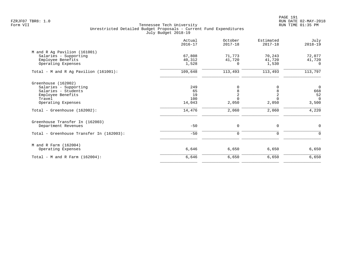PAGE 191 FZRJF07 TBR8: 1.0 RUN DATE 02-MAY-2018

|                                          | Actual<br>$2016 - 17$ | October<br>$2017 - 18$ | Estimated<br>$2017 - 18$ | July<br>$2018 - 19$ |
|------------------------------------------|-----------------------|------------------------|--------------------------|---------------------|
| M and R Ag Pavilion (161001)             |                       |                        |                          |                     |
| Salaries - Supporting                    | 67,808                | 71,773                 | 70,243                   | 72,077              |
| Employee Benefits                        | 40,312                | 41,720                 | 41,720                   | 41,720              |
| Operating Expenses                       | 1,528                 | 0                      | 1,530                    | $\Omega$            |
| Total - M and R Ag Pavilion (161001):    | 109,648               | 113,493                | 113,493                  | 113,797             |
| Greenhouse (162002)                      |                       |                        |                          |                     |
| Salaries - Supporting                    | 249                   | 0                      | 0                        | $\overline{0}$      |
| Salaries - Students                      | 65                    | 8                      | 8                        | 668                 |
| Employee Benefits                        | 19                    | $\overline{2}$         | $\overline{2}$           | 52                  |
| Travel                                   | 100                   | $\Omega$               | $\Omega$                 | $\Omega$            |
| Operating Expenses                       | 14,043                | 2,050                  | 2,050                    | 3,500               |
| Total - Greenhouse (162002):             | 14,476                | 2,060                  | 2,060                    | 4,220               |
| Greenhouse Transfer In (162003)          |                       |                        |                          |                     |
| Department Revenues                      | $-50$                 | $\mathbf 0$            | 0                        | 0                   |
| Total - Greenhouse Transfer In (162003): | $-50$                 | 0                      | $\mathbf 0$              | 0                   |
| M and R Farm (162004)                    |                       |                        |                          |                     |
| Operating Expenses                       | 6,646                 | 6,650                  | 6,650                    | 6,650               |
| Total - M and R Farm $(162004)$ :        | 6,646                 | 6,650                  | 6,650                    | 6,650               |
|                                          |                       |                        |                          |                     |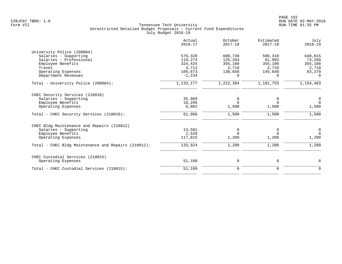|                                                     | Actual<br>$2016 - 17$ | October<br>$2017 - 18$ | Estimated<br>$2017 - 18$ | July<br>$2018 - 19$ |
|-----------------------------------------------------|-----------------------|------------------------|--------------------------|---------------------|
| University Police (200004)                          |                       |                        |                          |                     |
| Salaries - Supporting                               | 576,328               | 600,730                | 596,310                  | 640,015             |
| Salaries - Professional                             | 119,274               | 125,204                | 81,993                   | 73,268              |
| Employee Benefits                                   | 324,425               | 355,100                | 355,100                  | 355,100             |
| Travel                                              | 4,711                 | 2,710                  | 2,710                    | 2,710               |
| Operating Expenses                                  | 109,673               | 138,650                | 145,640                  | 83,370              |
| Department Revenues                                 | $-1,234$              | $\Omega$               | $\Omega$                 | $\cap$              |
| Total - University Police (200004):                 | 1,133,177             | 1,222,394              | 1,181,753                | 1,154,463           |
| CHEC Security Services (210010)                     |                       |                        |                          |                     |
| Salaries - Supporting                               | 35,969                | 0                      | 0                        | 0                   |
| Employee Benefits                                   | 18,295                | $\Omega$               | $\Omega$                 | $\Omega$            |
| Operating Expenses                                  | 6,802                 | 1,500                  | 1,500                    | 1,500               |
| Total - CHEC Security Services (210010):            | 61,066                | 1,500                  | 1,500                    | 1,500               |
| CHEC Bldg Maintenance and Repairs (210012)          |                       |                        |                          |                     |
| Salaries - Supporting                               | 13,581                | 0                      | 0                        | 0                   |
| Employee Benefits                                   | 2,528                 | $\Omega$               | $\Omega$                 | $\Omega$            |
| Operating Expenses                                  | 117,815               | 1,200                  | 1,200                    | 1,200               |
| Total - CHEC Bldg Maintenance and Repairs (210012): | 133,924               | 1,200                  | 1,200                    | 1,200               |
| CHEC Custodial Services (210015)                    |                       |                        |                          |                     |
| Operating Expenses                                  | 51,109                | 0                      | 0                        | 0                   |
| Total - CHEC Custodial Services (210015):           | 51,109                | $\mathbf 0$            | $\mathbf 0$              | $\Omega$            |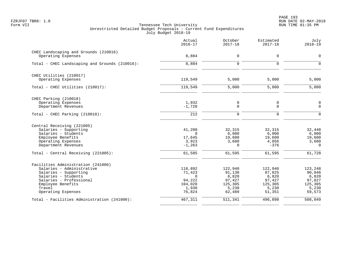PAGE 193 FZRJF07 TBR8: 1.0 RUN DATE 02-MAY-2018

|                                                             | Actual<br>$2016 - 17$ | October<br>$2017 - 18$      | Estimated<br>$2017 - 18$   | July<br>$2018 - 19$        |
|-------------------------------------------------------------|-----------------------|-----------------------------|----------------------------|----------------------------|
| CHEC Landscaping and Grounds (210016)<br>Operating Expenses | 8,884                 | $\mathbf 0$                 | $\mathbf 0$                | 0                          |
| Total - CHEC Landscaping and Grounds (210016):              | 8,884                 | $\Omega$                    | $\Omega$                   | $\Omega$                   |
| CHEC Utilities (210017)                                     |                       |                             |                            |                            |
| Operating Expenses                                          | 119,549               | 5,000                       | 5,000                      | 5,000                      |
| Total - CHEC Utilities (210017):                            | 119,549               | 5,000                       | 5,000                      | 5,000                      |
| CHEC Parking (210018)                                       |                       |                             |                            |                            |
| Operating Expenses<br>Department Revenues                   | 1,932<br>$-1,720$     | $\mathsf{O}$<br>$\mathbf 0$ | $\mathbf 0$<br>$\mathbf 0$ | $\mathsf 0$<br>$\mathbf 0$ |
| Total - CHEC Parking (210018):                              | 212                   | $\overline{0}$              | $\mathbf 0$                | $\mathbf 0$                |
| Central Receiving (221005)                                  |                       |                             |                            |                            |
| Salaries - Supporting                                       | 41,280                | 32,315                      | 32,315                     | 32,448                     |
| Salaries - Students<br>Employee Benefits                    | $\Omega$<br>17,645    | 6,000<br>19,600             | 6,000<br>19,600            | 6,000<br>19,600            |
| Operating Expenses                                          | 3,923                 | 3,680                       | 4,056                      | 3,680                      |
| Department Revenues                                         | $-1, 263$             | $\Omega$                    | $-376$                     | $\Omega$                   |
| Total - Central Receiving (221005):                         | 61,585                | 61,595                      | 61,595                     | 61,728                     |
| Facilities Administration (241000)                          |                       |                             |                            |                            |
| Salaries - Administrative                                   | 118,892               | 122,940                     | 122,940                    | 123,248                    |
| Salaries - Supporting                                       | 71,423                | 91,130                      | 87,825                     | 90,046                     |
| Salaries - Students<br>Salaries - Professional              | $\mathbf 0$<br>94,222 | 6,820<br>97,427             | 6,820<br>97,427            | 6,820<br>97,827            |
| Employee Benefits                                           | 104,020               | 125,305                     | 125,305                    | 125,305                    |
| Travel                                                      | 1,930                 | 5,230                       | 5,230                      | 5,230                      |
| Operating Expenses                                          | 76,824                | 62,489                      | 51,351                     | 59,573                     |
| Total - Facilities Administration (241000):                 | 467,311               | 511,341                     | 496,898                    | 508,049                    |
|                                                             |                       |                             |                            |                            |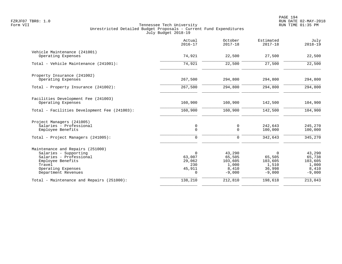|                                                                                                                                                                  | Actual<br>$2016 - 17$                                           | October<br>$2017 - 18$                                    | Estimated<br>$2017 - 18$                                     | July<br>$2018 - 19$                                       |
|------------------------------------------------------------------------------------------------------------------------------------------------------------------|-----------------------------------------------------------------|-----------------------------------------------------------|--------------------------------------------------------------|-----------------------------------------------------------|
| Vehicle Maintenance (241001)<br>Operating Expenses                                                                                                               | 74,921                                                          | 22,500                                                    | 27,500                                                       | 22,500                                                    |
| Total - Vehicle Maintenance (241001):                                                                                                                            | 74,921                                                          | 22,500                                                    | 27,500                                                       | 22,500                                                    |
| Property Insurance (241002)<br>Operating Expenses                                                                                                                | 267,500                                                         | 294,800                                                   | 294,800                                                      | 294,800                                                   |
| Total - Property Insurance (241002):                                                                                                                             | 267,500                                                         | 294,800                                                   | 294,800                                                      | 294,800                                                   |
| Facilities Development Fee (241003)<br>Operating Expenses                                                                                                        | 160,900                                                         | 160,900                                                   | 142,500                                                      | 104,900                                                   |
| Total - Facilities Development Fee (241003):                                                                                                                     | 160,900                                                         | 160,900                                                   | 142,500                                                      | 104,900                                                   |
| Project Managers (241005)<br>Salaries - Professional<br>Employee Benefits<br>Total - Project Managers (241005):                                                  | 0<br>$\mathbf 0$<br>$\mathbf 0$                                 | 0<br>$\Omega$<br>$\Omega$                                 | 242,643<br>100,000<br>342,643                                | 245,270<br>100,000<br>345,270                             |
| Maintenance and Repairs (251000)<br>Salaries - Supporting<br>Salaries - Professional<br>Employee Benefits<br>Travel<br>Operating Expenses<br>Department Revenues | $\mathbf 0$<br>63,007<br>29,062<br>230<br>45,911<br>$\mathbf 0$ | 43,290<br>65,505<br>103,605<br>1,000<br>8,410<br>$-9,000$ | $\Omega$<br>65,505<br>103,605<br>1,510<br>36,998<br>$-9,000$ | 43,290<br>65,738<br>103,605<br>1,000<br>8,410<br>$-9,000$ |
| Total - Maintenance and Repairs (251000):                                                                                                                        | 138,210                                                         | 212,810                                                   | 198,618                                                      | 213,043                                                   |
|                                                                                                                                                                  |                                                                 |                                                           |                                                              |                                                           |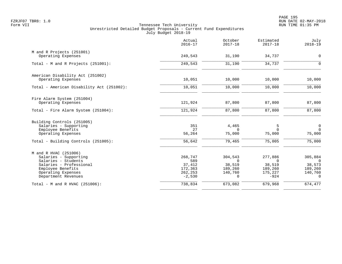|                                                                                                                                                                    | Actual<br>$2016 - 17$                                      | October<br>$2017 - 18$                                          | Estimated<br>$2017 - 18$                                      | July<br>$2018 - 19$                                             |
|--------------------------------------------------------------------------------------------------------------------------------------------------------------------|------------------------------------------------------------|-----------------------------------------------------------------|---------------------------------------------------------------|-----------------------------------------------------------------|
| M and R Projects (251001)<br>Operating Expenses                                                                                                                    | 249,543                                                    | 31,190                                                          | 34,737                                                        | $\mathbf 0$                                                     |
| Total - M and R Projects (251001):                                                                                                                                 | 249,543                                                    | 31,190                                                          | 34,737                                                        | $\Omega$                                                        |
| American Disability Act (251002)<br>Operating Expenses                                                                                                             | 10,051                                                     | 10,000                                                          | 10,000                                                        | 10,000                                                          |
| Total - American Disability Act (251002):                                                                                                                          | 10,051                                                     | 10,000                                                          | 10,000                                                        | 10,000                                                          |
| Fire Alarm System (251004)<br>Operating Expenses                                                                                                                   | 121,924                                                    | 87,800                                                          | 87,800                                                        | 87,800                                                          |
| Total - Fire Alarm System (251004):                                                                                                                                | 121,924                                                    | 87,800                                                          | 87,800                                                        | 87,800                                                          |
| Building Controls (251005)<br>Salaries - Supporting<br>Employee Benefits<br>Operating Expenses<br>Total - Building Controls (251005):                              | 351<br>27<br>56,264<br>56,642                              | 4,465<br>$\Omega$<br>75,000<br>79,465                           | 5<br>$\Omega$<br>75,000<br>75,005                             | $\mathsf{O}$<br>$\Omega$<br>75,000<br>75,000                    |
| M and R HVAC (251006)<br>Salaries - Supporting<br>Salaries - Students<br>Salaries - Professional<br>Employee Benefits<br>Operating Expenses<br>Department Revenues | 268,747<br>589<br>37,412<br>172,363<br>262,253<br>$-2,530$ | 304,543<br>$\Omega$<br>38,519<br>189,260<br>140,760<br>$\Omega$ | 277,886<br>$\Omega$<br>38,519<br>189,260<br>175,227<br>$-924$ | 305,884<br>$\Omega$<br>38,573<br>189,260<br>140,760<br>$\Omega$ |
| Total - M and R HVAC (251006):                                                                                                                                     | 738,834                                                    | 673,082                                                         | 679,968                                                       | 674,477                                                         |
|                                                                                                                                                                    |                                                            |                                                                 |                                                               |                                                                 |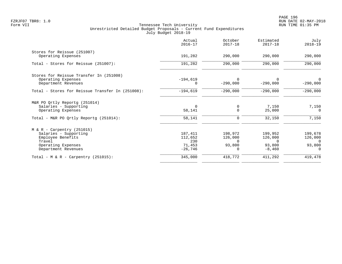|                                                                                                                                   | Actual<br>$2016 - 17$                            | October<br>$2017 - 18$                               | Estimated<br>$2017 - 18$                             | July<br>$2018 - 19$                                  |
|-----------------------------------------------------------------------------------------------------------------------------------|--------------------------------------------------|------------------------------------------------------|------------------------------------------------------|------------------------------------------------------|
| Stores for Reissue (251007)<br>Operating Expenses                                                                                 | 191,282                                          | 290,000                                              | 290,000                                              | 290,000                                              |
| Total - Stores for Reissue (251007):                                                                                              | 191,282                                          | 290,000                                              | 290,000                                              | 290,000                                              |
| Stores for Reissue Transfer In (251008)<br>Operating Expenses<br>Department Revenues                                              | $-194,619$                                       | 0<br>$-290,000$                                      | $-290,000$                                           | 0<br>$-290,000$                                      |
| Total - Stores for Reissue Transfer In (251008):                                                                                  | $-194,619$                                       | $-290,000$                                           | $-290,000$                                           | $-290,000$                                           |
| M&R PO Qrtly Reportg (251014)<br>Salaries - Supporting<br>Operating Expenses                                                      | $\Omega$<br>58,141                               | 0<br>$\mathbf 0$                                     | 7,150<br>25,000                                      | 7,150<br>$\Omega$                                    |
| Total - M&R PO Ortly Reportq (251014):                                                                                            | 58,141                                           | $\mathbf 0$                                          | 32,150                                               | 7,150                                                |
| $M & R - Carpentry (251015)$<br>Salaries - Supporting<br>Employee Benefits<br>Travel<br>Operating Expenses<br>Department Revenues | 187,411<br>112,652<br>230<br>71,453<br>$-26,746$ | 198,972<br>126,000<br>$\Omega$<br>93,800<br>$\Omega$ | 199,952<br>126,000<br>$\Omega$<br>93,800<br>$-8,460$ | 199,678<br>126,000<br>$\Omega$<br>93,800<br>$\Omega$ |
| Total - M & R - Carpentry $(251015)$ :                                                                                            | 345,000                                          | 418,772                                              | 411,292                                              | 419,478                                              |
|                                                                                                                                   |                                                  |                                                      |                                                      |                                                      |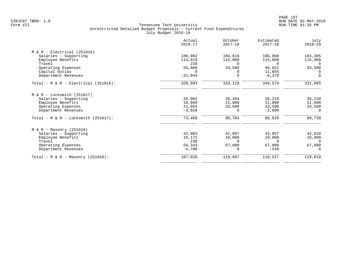| Actual<br>$2016 - 17$ | October<br>$2017 - 18$                           | Estimated<br>$2017 - 18$     | July<br>$2018 - 19$                                          |
|-----------------------|--------------------------------------------------|------------------------------|--------------------------------------------------------------|
|                       |                                                  |                              |                                                              |
| 180,982               | 184,619                                          | 186,068                      | 183,305                                                      |
| 114,919               | 115,000                                          | 115,000                      | 115,000                                                      |
| 230                   | $\Omega$                                         | $\Omega$                     | $\overline{0}$                                               |
| 55,806                | 33,500                                           | 46,021                       | 33,500                                                       |
| $\Omega$              |                                                  |                              | $\Omega$                                                     |
|                       |                                                  |                              | $\Omega$                                                     |
| 329,893               | 333,119                                          | 349,574                      | 331,805                                                      |
|                       |                                                  |                              |                                                              |
| 35,982                | 36,204                                           | 36,219                       | 36,239                                                       |
| 18,660                | 21,000                                           | 21,000                       | 21,000                                                       |
| 21,854                | 33,500                                           | 33,500                       | 33,500                                                       |
| $-3,028$              | 0                                                | $-2,090$                     | $\Omega$                                                     |
| 73,468                | 90,704                                           | 88,629                       | 90,739                                                       |
|                       |                                                  |                              |                                                              |
| 42,063                | 42,667                                           | 43,057                       | 42,810                                                       |
|                       |                                                  |                              | 10,000                                                       |
|                       | $\Omega$                                         |                              | $\Omega$                                                     |
|                       |                                                  |                              | 67,000                                                       |
|                       | 0                                                |                              | $\Omega$                                                     |
| 107,028               | 119,667                                          | 119,527                      | 119,810                                                      |
|                       | $-22,044$<br>10,172<br>230<br>59,343<br>$-4,780$ | $\Omega$<br>10,000<br>67,000 | 11,855<br>$-9,370$<br>10,000<br>$\Omega$<br>67,000<br>$-530$ |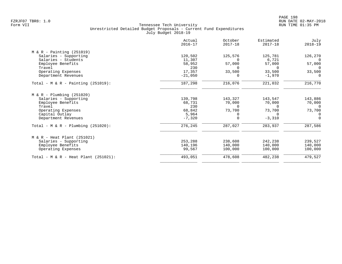|                                         | Actual<br>$2016 - 17$ | October<br>$2017 - 18$ | Estimated<br>$2017 - 18$ | July<br>$2018 - 19$ |
|-----------------------------------------|-----------------------|------------------------|--------------------------|---------------------|
| $M & R - \text{Pairting} (251019)$      |                       |                        |                          |                     |
| Salaries - Supporting                   | 120,502               | 125,576                | 125,781                  | 126,270             |
| Salaries - Students                     | 11,307                |                        | 6,721                    | $\Omega$            |
| Employee Benefits                       | 58,952                | 57,000                 | 57,000                   | 57,000              |
| Travel                                  | 230                   | $\Omega$               | $\Omega$                 | $\Omega$            |
| Operating Expenses                      | 17,357                | 33,500                 | 33,500                   | 33,500              |
| Department Revenues                     | $-21,050$             | $\Omega$               | $-1,970$                 | $\Omega$            |
| Total - $M & R -$ Painting (251019):    | 187,298               | 216,076                | 221,032                  | 216,770             |
| $M & R - Plumbing (251020)$             |                       |                        |                          |                     |
| Salaries - Supporting                   | 139,798               | 143,327                | 143,547                  | 143,886             |
| Employee Benefits                       | 68,731                | 70,000                 | 70,000                   | 70,000              |
| Travel                                  | 230                   | $\Omega$               | $\Omega$                 | $\Omega$            |
| Operating Expenses                      | 68,842                | 73,700                 | 73,700                   | 73,700              |
| Capital Outlay                          | 5,964                 | 0                      | $\Omega$                 | $\Omega$            |
| Department Revenues                     | $-7,320$              | $\Omega$               | $-3,310$                 | $\Omega$            |
| Total - M & R - Plumbing $(251020)$ :   | 276,245               | 287,027                | 283,937                  | 287,586             |
| $M & R - Heat Plant (251021)$           |                       |                        |                          |                     |
| Salaries - Supporting                   | 253,288               | 238,608                | 242,238                  | 239,527             |
| Employee Benefits                       | 140,196               | 140,000                | 140,000                  | 140,000             |
| Operating Expenses                      | 99,567                | 100,000                | 100,000                  | 100,000             |
| Total - M & R - Heat Plant $(251021)$ : | 493,051               | 478,608                | 482,238                  | 479,527             |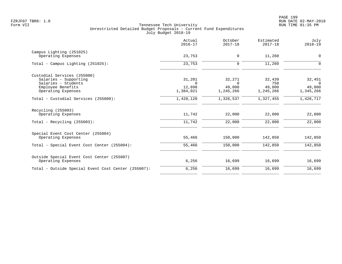|                                                     | Actual<br>$2016 - 17$ | October<br>$2017 - 18$ | Estimated<br>$2017 - 18$ | July<br>$2018 - 19$ |
|-----------------------------------------------------|-----------------------|------------------------|--------------------------|---------------------|
| Campus Lighting (251025)                            |                       |                        |                          |                     |
| Operating Expenses                                  | 23,753                | 0                      | 11,260                   | $\mathbf 0$         |
| Total - Campus Lighting $(251025)$ :                | 23,753                | $\mathbf 0$            | 11,260                   | $\Omega$            |
| Custodial Services (255000)                         |                       |                        |                          |                     |
| Salaries - Supporting<br>Salaries - Students        | 31,201<br>$\Omega$    | 32,271<br>$\Omega$     | 32,439<br>750            | 32,451<br>$\Omega$  |
| Employee Benefits                                   | 12,898                | 49,000                 | 49,000                   | 49,000              |
| Operating Expenses                                  | 1,384,021             | 1,245,266              | 1,245,266                | 1,345,266           |
| Total - Custodial Services (255000):                | 1,428,120             | 1,326,537              | 1,327,455                | 1,426,717           |
| Recycling (255003)                                  |                       |                        |                          |                     |
| Operating Expenses                                  | 11,742                | 22,000                 | 22,000                   | 22,000              |
| Total - Recycling $(255003)$ :                      | 11,742                | 22,000                 | 22,000                   | 22,000              |
| Special Event Cost Center (255004)                  |                       |                        |                          |                     |
| Operating Expenses                                  | 55,466                | 150,000                | 142,850                  | 142,850             |
| Total - Special Event Cost Center (255004):         | 55,466                | 150,000                | 142,850                  | 142,850             |
| Outside Special Event Cost Center (255007)          |                       |                        |                          |                     |
| Operating Expenses                                  | 6,256                 | 16,699                 | 16,699                   | 16,699              |
| Total - Outside Special Event Cost Center (255007): | 6,256                 | 16,699                 | 16,699                   | 16,699              |
|                                                     |                       |                        |                          |                     |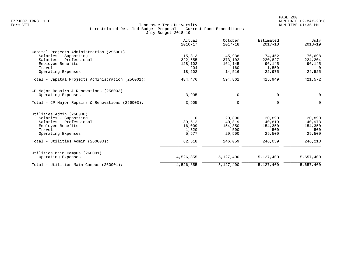| 15,313<br>322,655<br>128,102<br>204 | 45,938<br>373,102<br>161,145                       | 74,452<br>220,827                  | 76,698                             |
|-------------------------------------|----------------------------------------------------|------------------------------------|------------------------------------|
|                                     |                                                    |                                    |                                    |
|                                     |                                                    |                                    |                                    |
|                                     |                                                    |                                    | 224,204                            |
|                                     |                                                    | 96,145                             | 96,145                             |
|                                     | 160                                                | 1,550                              | $\Omega$                           |
|                                     | 14,516                                             | 22,975                             | 24,525                             |
| 484,476                             | 594,861                                            | 415,949                            | 421,572                            |
|                                     |                                                    |                                    |                                    |
| 3,905                               | 0                                                  | 0                                  | $\mathbf 0$                        |
| 3,905                               | 0                                                  | $\Omega$                           | $\Omega$                           |
|                                     |                                                    |                                    |                                    |
|                                     |                                                    |                                    | 20,890                             |
|                                     |                                                    |                                    | 40,973                             |
|                                     |                                                    |                                    | 154,350                            |
|                                     |                                                    |                                    | 500                                |
| 5,577                               | 29,500                                             | 29,500                             | 29,500                             |
| 62,518                              | 246,059                                            | 246,059                            | 246,213                            |
|                                     |                                                    |                                    |                                    |
| 4,526,855                           | 5,127,400                                          | 5,127,400                          | 5,657,400                          |
| 4,526,855                           | 5,127,400                                          | 5,127,400                          | 5,657,400                          |
|                                     | 18,202<br>$\mathbf 0$<br>39,612<br>16,009<br>1,320 | 20,890<br>40,819<br>154,350<br>500 | 20,890<br>40,819<br>154,350<br>500 |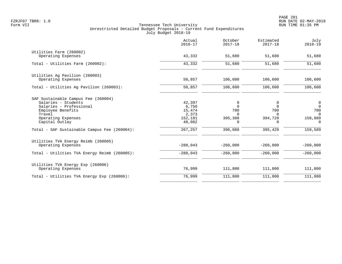|                                                                                                                                                                                                              | Actual<br>$2016 - 17$                                               | October<br>$2017 - 18$                                      | Estimated<br>$2017 - 18$                             | July<br>$2018 - 19$                                                                   |
|--------------------------------------------------------------------------------------------------------------------------------------------------------------------------------------------------------------|---------------------------------------------------------------------|-------------------------------------------------------------|------------------------------------------------------|---------------------------------------------------------------------------------------|
| Utilities Farm (260002)<br>Operating Expenses                                                                                                                                                                | 43,332                                                              | 51,680                                                      | 51,680                                               | 51,680                                                                                |
| Total - Utilities Farm (260002):                                                                                                                                                                             | 43,332                                                              | 51,680                                                      | 51,680                                               | 51,680                                                                                |
| Utilities Ag Pavilion (260003)<br>Operating Expenses                                                                                                                                                         | 50,857                                                              | 106,600                                                     | 106,600                                              | 106,600                                                                               |
| Total - Utilities Aq Pavilion (260003):                                                                                                                                                                      | 50,857                                                              | 106,600                                                     | 106,600                                              | 106,600                                                                               |
| SAF Sustainable Campus Fee (260004)<br>Salaries - Students<br>Salaries - Professional<br>Employee Benefits<br>Travel<br>Operating Expenses<br>Capital Outlay<br>Total - SAF Sustainable Campus Fee (260004): | 42,397<br>6,750<br>15,474<br>2,373<br>152,181<br>48,082<br>267, 257 | 0<br>$\Omega$<br>700<br>$\Omega$<br>395,388<br>0<br>396,088 | 0<br>$\Omega$<br>700<br>0<br>394,729<br>0<br>395,429 | $\overline{0}$<br>$\overline{0}$<br>700<br>$\Omega$<br>158,889<br>$\Omega$<br>159,589 |
| Utilities TVA Energy Reimb (260005)<br>Operating Expenses                                                                                                                                                    | $-288,043$                                                          | $-260,000$                                                  | $-260.000$                                           | $-260,000$                                                                            |
| Total - Utilities TVA Energy Reimb (260005):                                                                                                                                                                 | $-288,043$                                                          | $-260,000$                                                  | $-260,000$                                           | $-260,000$                                                                            |
| Utilities TVA Energy Exp (260006)<br>Operating Expenses                                                                                                                                                      | 76,999                                                              | 111,800                                                     | 111,800                                              | 111,800                                                                               |
| Total - Utilities TVA Energy Exp (260006):                                                                                                                                                                   | 76,999                                                              | 111,800                                                     | 111,800                                              | 111,800                                                                               |
|                                                                                                                                                                                                              |                                                                     |                                                             |                                                      |                                                                                       |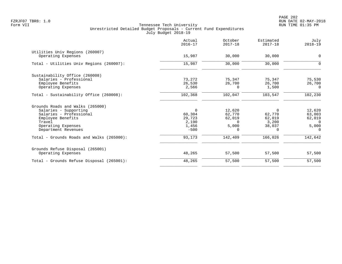|                                           | Actual<br>$2016 - 17$ | October<br>$2017 - 18$ | Estimated<br>$2017 - 18$ | July<br>$2018 - 19$ |
|-------------------------------------------|-----------------------|------------------------|--------------------------|---------------------|
| Utilities Univ Regions (260007)           |                       |                        |                          |                     |
| Operating Expenses                        | 15,987                | 30,000                 | 30,000                   | $\mathbf 0$         |
| Total - Utilities Univ Regions (260007):  | 15,987                | 30,000                 | 30,000                   | 0                   |
| Sustainability Office (260008)            |                       |                        |                          |                     |
| Salaries - Professional                   | 73,272                | 75,347                 | 75,347                   | 75,530              |
| Employee Benefits                         | 26,530                | 26,700                 | 26,700                   | 26,700              |
| Operating Expenses                        | 2,566                 | $\Omega$               | 1,500                    | $\Omega$            |
| Total - Sustainability Office (260008):   | 102,368               | 102,047                | 103,547                  | 102,230             |
| Grounds Roads and Walks (265000)          |                       |                        |                          |                     |
| Salaries - Supporting                     | $\mathbf 0$           | 12,620                 | $\Omega$                 | 12,620              |
| Salaries - Professional                   | 60,304                | 62,770                 | 62,770                   | 63,003              |
| Employee Benefits                         | 29,723                | 62,019                 | 62,019                   | 62,019              |
| Travel                                    | 2,190                 | $\Omega$               | 3,200                    | $\Omega$            |
| Operating Expenses                        | 1,456                 | 5,000                  | 38,037                   | 5,000               |
| Department Revenues                       | $-500$                | $\Omega$               | $\Omega$                 | $\Omega$            |
| Total - Grounds Roads and Walks (265000): | 93,173                | 142,409                | 166,026                  | 142,642             |
| Grounds Refuse Disposal (265001)          |                       |                        |                          |                     |
| Operating Expenses                        | 48,265                | 57,500                 | 57,500                   | 57,500              |
| Total - Grounds Refuse Disposal (265001): | 48,265                | 57,500                 | 57,500                   | 57,500              |
|                                           |                       |                        |                          |                     |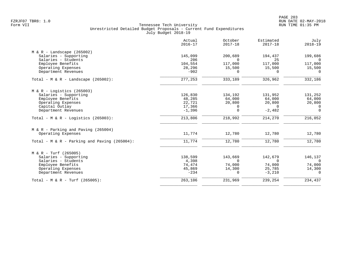|                                                | Actual<br>$2016 - 17$ | October<br>$2017 - 18$ | Estimated<br>$2017 - 18$ | July<br>$2018 - 19$ |
|------------------------------------------------|-----------------------|------------------------|--------------------------|---------------------|
| $M & R -$ Landscape (265002)                   |                       |                        |                          |                     |
| Salaries - Supporting                          | 145,099               | 200,689                | 194,437                  | 199,686             |
| Salaries - Students                            | 206                   | $\Omega$               | 25                       | $\Omega$            |
| Employee Benefits                              | 104,554               | 117,000                | 117,000                  | 117,000             |
| Operating Expenses                             | 28,296                | 15,500                 | 15,500                   | 15,500              |
| Department Revenues                            | $-902$                | $\Omega$               | $\Omega$                 | $\Omega$            |
| Total - M & R - Landscape $(265002)$ :         | 277,253               | 333,189                | 326,962                  | 332,186             |
| $M & R -$ Logistics (265003)                   |                       |                        |                          |                     |
| Salaries - Supporting                          | 126,830               | 134,192                | 131,952                  | 131,252             |
| Employee Benefits                              | 48,285                | 64,000                 | 64,000                   | 64,000              |
| Operating Expenses                             | 22,721                | 20,800                 | 20,800                   | 20,800              |
| Capital Outlay                                 | 17,366                | 0                      | $\Omega$                 | $\Omega$            |
| Department Revenues                            | $-1,396$              | $\mathbf 0$            | $-2,482$                 | $\Omega$            |
| Total - M & R - Logistics (265003):            | 213,806               | 218,992                | 214,270                  | 216,052             |
| $M & R - Parking$ and Paving (265004)          |                       |                        |                          |                     |
| Operating Expenses                             | 11,774                | 12,780                 | 12,780                   | 12,780              |
| Total - $M & R -$ Parking and Paving (265004): | 11,774                | 12,780                 | 12,780                   | 12,780              |
| $M & R - Turf (265005)$                        |                       |                        |                          |                     |
| Salaries - Supporting                          | 138,599               | 143,669                | 142,679                  | 146,137             |
| Salaries - Students                            | 4,398                 | $\Omega$               | $\Omega$                 | $\Omega$            |
| Employee Benefits                              | 74,474                | 74,000                 | 74,000                   | 74,000              |
| Operating Expenses                             | 45,869                | 14,300                 | 25,785                   | 14,300              |
| Department Revenues                            | $-234$                | $\Omega$               | $-3,210$                 | $\Omega$            |
| Total - M & R - Turf (265005):                 | 263,106               | 231,969                | 239,254                  | 234,437             |
|                                                |                       |                        |                          |                     |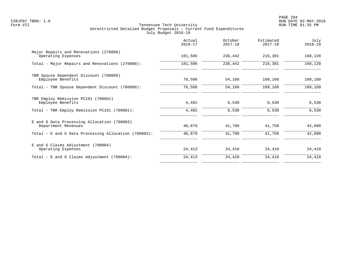|                                                                    | Actual<br>$2016 - 17$ | October<br>$2017 - 18$ | Estimated<br>$2017 - 18$ | July<br>$2018 - 19$ |
|--------------------------------------------------------------------|-----------------------|------------------------|--------------------------|---------------------|
| Major Repairs and Renovations (270000)<br>Operating Expenses       | 181,506               | 236,442                | 216,301                  | 160,120             |
| Total - Major Repairs and Renovations (270000):                    | 181,506               | 236,442                | 216,301                  | 160,120             |
| TBR Spouse Dependent Discount (700000)<br>Employee Benefits        | 76,508                | 54,160                 | 109,160                  | 109,160             |
| Total - TBR Spouse Dependent Discount (700000):                    | 76,508                | 54,160                 | 109,160                  | 109,160             |
| TBR Employ Remission PC191 (700001)<br>Employee Benefits           | 4,482                 | 6,530                  | 6,530                    | 6,530               |
| Total - TBR Employ Remission PC191 (700001):                       | 4,482                 | 6,530                  | 6,530                    | 6,530               |
| E and G Data Processing Allocation (700003)<br>Department Revenues | 40,879                | 41,790                 | 41,750                   | 42,090              |
| Total - E and G Data Processing Allocation (700003):               | 40,879                | 41,790                 | 41,750                   | 42,090              |
| E and G Claims Adjustment (700004)<br>Operating Expenses           | 24,413                | 24,410                 | 24,410                   | 24,410              |
| Total - E and G Claims Adjustment (700004):                        | 24,413                | 24,410                 | 24,410                   | 24,410              |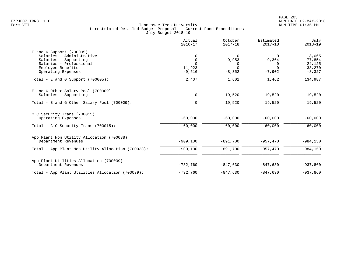|                                                                                                                                                        | Actual<br>$2016 - 17$                              | October<br>$2017 - 18$                         | Estimated<br>$2017 - 18$                       | July<br>$2018 - 19$                             |
|--------------------------------------------------------------------------------------------------------------------------------------------------------|----------------------------------------------------|------------------------------------------------|------------------------------------------------|-------------------------------------------------|
| $E$ and G Support (700005)<br>Salaries - Administrative<br>Salaries - Supporting<br>Salaries - Professional<br>Employee Benefits<br>Operating Expenses | 0<br>$\mathbf 0$<br>$\Omega$<br>11,923<br>$-9,516$ | $\Omega$<br>9,953<br>0<br>$\Omega$<br>$-8,352$ | $\Omega$<br>9,364<br>0<br>$\Omega$<br>$-7,902$ | 3,065<br>77,854<br>24,125<br>38,270<br>$-8,327$ |
| Total - E and G Support $(700005)$ :                                                                                                                   | 2,407                                              | 1,601                                          | 1,462                                          | 134,987                                         |
| E and G Other Salary Pool (700009)<br>Salaries - Supporting<br>Total - E and G Other Salary Pool $(700009)$ :                                          | 0<br>$\mathbf 0$                                   | 19,520<br>19,520                               | 19,520<br>19,520                               | 19,520<br>19,520                                |
| C C Security Trans (700015)<br>Operating Expenses                                                                                                      | $-60,000$                                          | $-60,000$                                      | $-60,000$                                      | $-60,000$                                       |
| Total - C C Security Trans $(700015)$ :                                                                                                                | $-60,000$                                          | $-60,000$                                      | $-60,000$                                      | $-60,000$                                       |
| App Plant Non Utility Allocation (700038)<br>Department Revenues                                                                                       | $-909,100$                                         | $-891,700$                                     | $-957,470$                                     | $-984, 150$                                     |
| Total - App Plant Non Utility Allocation (700038):                                                                                                     | $-909,100$                                         | $-891,700$                                     | $-957,470$                                     | $-984, 150$                                     |
| App Plant Utilities Allocation (700039)<br>Department Revenues                                                                                         | $-732,760$                                         | $-847,630$                                     | $-847,630$                                     | $-937,860$                                      |
| Total - App Plant Utilities Allocation (700039):                                                                                                       | $-732,760$                                         | $-847,630$                                     | $-847,630$                                     | $-937,860$                                      |
|                                                                                                                                                        |                                                    |                                                |                                                |                                                 |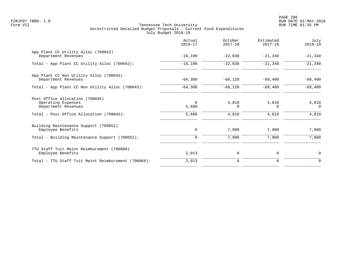PAGE 206 FZRJF07 TBR8: 1.0 RUN DATE 02-MAY-2018

|                                                                              | Actual<br>$2016 - 17$ | October<br>$2017 - 18$ | Estimated<br>$2017 - 18$ | July<br>$2018 - 19$ |
|------------------------------------------------------------------------------|-----------------------|------------------------|--------------------------|---------------------|
| App Plant CC Utility Alloc (700042)<br>Department Revenues                   | $-16,190$             | $-22,630$              | $-21,340$                | $-21,340$           |
| Total - App Plant CC Utility Alloc (700042):                                 | $-16,190$             | $-22,630$              | $-21,340$                | $-21,340$           |
| App Plant CC Non Utility Alloc (700043)<br>Department Revenues               | $-64,300$             | $-68,120$              | $-69,400$                | $-69,400$           |
| Total - App Plant CC Non Utility Alloc (700043):                             | $-64,300$             | $-68,120$              | $-69,400$                | $-69,400$           |
| Post Office Allocation (700045)<br>Operating Expenses<br>Department Revenues | $\Omega$<br>5,680     | 4,810<br>$\Omega$      | 4,810<br>$\Omega$        | 4,810<br>$\Omega$   |
| Total - Post Office Allocation (700045):                                     | 5,680                 | 4,810                  | 4,810                    | 4,810               |
| Building Maintenance Support (700052)<br>Employee Benefits                   | 0                     | 7,900                  | 7,900                    | 7,900               |
| Total - Building Maintenance Support (700052):                               | $\mathbf 0$           | 7,900                  | 7,900                    | 7,900               |
| TTU Staff Tuit Maint Reimbursment (700068)<br>Employee Benefits              | 2,013                 | 0                      | 0                        | 0                   |
| Total - TTU Staff Tuit Maint Reimbursment (700068):                          | 2,013                 | $\mathbf 0$            | 0                        | $\mathbf 0$         |
|                                                                              |                       |                        |                          |                     |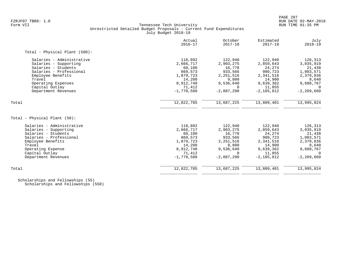# FZRJF07 TBR8: 1.0 RUN DATE 02-MAY-2018 Tennessee Tech University Unrestricted Detailed Budget Proposals - Current Fund Expenditures July Budget 2018-19

|                               | Actual<br>$2016 - 17$ | October<br>$2017 - 18$ | Estimated<br>$2017 - 18$ | July<br>$2018 - 19$ |
|-------------------------------|-----------------------|------------------------|--------------------------|---------------------|
| Total - Physical Plant (500): |                       |                        |                          |                     |
| Salaries - Administrative     | 118,892               | 122,940                | 122,940                  | 126,313             |
| Salaries - Supporting         | 2,666,717             | 2,903,275              | 2,859,643                | 3,035,919           |
| Salaries - Students           | 60,100                | 16,778                 | 24,274                   | 21,438              |
| Salaries - Professional       | 869,573               | 933,566                | 980,723                  | 1,003,571           |
| Employee Benefits             | 1,879,723             | 2, 251, 516            | 2,341,516                | 2,379,836           |
| Travel                        | 14,208                | 9,800                  | 14,900                   | 9,640               |
| Operating Expenses            | 8,912,748             | 9,536,640              | 9,639,362                | 9,688,767           |
| Capital Outlay                | 71,412                | $\Omega$               | 11,855                   | $\Omega$            |
| Department Revenues           | $-1,770,588$          | $-2,087,290$           | $-2.185.812$             | $-2, 269, 660$      |
| Total                         | 12,822,785            | 13,687,225             | 13,809,401               | 13,995,824          |
|                               |                       |                        |                          |                     |
| Total - Physical Plant (50):  |                       |                        |                          |                     |
| Salaries - Administrative     | 118,892               | 122,940                | 122,940                  | 126,313             |
| Salaries - Supporting         | 2,666,717             | 2,903,275              | 2,859,643                | 3,035,919           |
| Salaries - Students           | 60,100                | 16,778                 | 24,274                   | 21,438              |
| Salaries - Professional       | 869,573               | 933,566                | 980,723                  | 1,003,571           |
| Employee Benefits             | 1,879,723             | 2, 251, 516            | 2,341,516                | 2,379,836           |
| Travel                        | 14,208                | 9,800                  | 14,900                   | 9,640               |
| Operating Expense             | 8,912,748             | 9,536,640              | 9,639,362                | 9,688,767           |
| Capital Outlay                | 71,412                | $\Omega$               | 11,855                   | $\Omega$            |
| Department Revenues           | $-1,770,588$          | $-2,087,290$           | $-2,185,812$             | $-2, 269, 660$      |
| Total                         | 12,822,785            | 13,687,225             | 13,809,401               | 13,995,824          |
|                               |                       |                        |                          |                     |

 Scholarships and Fellowships (55) Scholarships and Fellowships (550)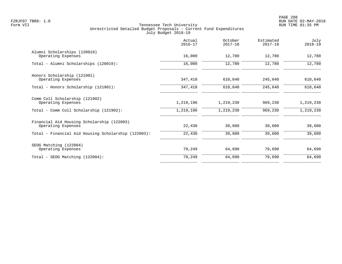|                                                                  | Actual<br>$2016 - 17$ | October<br>$2017 - 18$ | Estimated<br>$2017 - 18$ | July<br>$2018 - 19$ |
|------------------------------------------------------------------|-----------------------|------------------------|--------------------------|---------------------|
| Alumni Scholarships (120019)<br>Operating Expenses               | 16,000                | 12,780                 | 12,780                   | 12,780              |
| Total - Alumni Scholarships (120019):                            | 16,000                | 12,780                 | 12,780                   | 12,780              |
| Honors Scholarship (121901)<br>Operating Expenses                | 347,418               | 610,640                | 245,640                  | 610,640             |
| Total - Honors Scholarship (121901):                             | 347,418               | 610,640                | 245,640                  | 610,640             |
| Comm Coll Scholarship (121902)<br>Operating Expenses             | 1,219,196             | 1,219,230              | 969,230                  | 1,219,230           |
| Total - Comm Coll Scholarship (121902):                          | 1,219,196             | 1,219,230              | 969,230                  | 1,219,230           |
| Financial Aid Housing Scholarship (122003)<br>Operating Expenses | 22,430                | 39,600                 | 39,600                   | 39,600              |
| Total - Financial Aid Housing Scholarship (122003):              | 22,430                | 39,600                 | 39,600                   | 39,600              |
| SEOG Matching (122004)<br>Operating Expenses                     | 79,249                | 64,690                 | 79,690                   | 64,690              |
| Total - SEOG Matching (122004):                                  | 79,249                | 64,690                 | 79,690                   | 64,690              |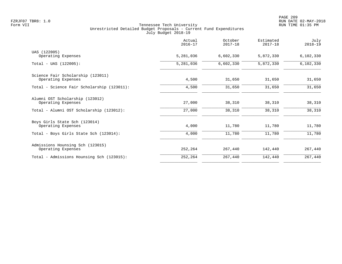|                                                         | Actual<br>$2016 - 17$ | October<br>$2017 - 18$ | Estimated<br>$2017 - 18$ | July<br>$2018 - 19$ |
|---------------------------------------------------------|-----------------------|------------------------|--------------------------|---------------------|
| UAS (122005)<br>Operating Expenses                      | 5,281,036             | 6,602,330              | 5,872,330                | 6,102,330           |
| Total - UAS (122005):                                   | 5,281,036             | 6,602,330              | 5,872,330                | 6,102,330           |
| Science Fair Scholarship (123011)<br>Operating Expenses | 4,500                 | 31,650                 | 31,650                   | 31,650              |
| Total - Science Fair Scholarship (123011):              | 4,500                 | 31,650                 | 31,650                   | 31,650              |
| Alumni OST Scholarship (123012)<br>Operating Expenses   | 27,000                | 38,310                 | 38,310                   | 38,310              |
| Total - Alumni OST Scholarship (123012):                | 27,000                | 38,310                 | 38,310                   | 38,310              |
| Boys Girls State Sch (123014)<br>Operating Expenses     | 4,000                 | 11,780                 | 11,780                   | 11,780              |
| Total - Boys Girls State Sch (123014):                  | 4,000                 | 11,780                 | 11,780                   | 11,780              |
| Admissions Hounsing Sch (123015)<br>Operating Expenses  | 252,264               | 267,440                | 142,440                  | 267,440             |
| Total - Admissions Hounsing Sch (123015):               | 252,264               | 267,440                | 142,440                  | 267,440             |
|                                                         |                       |                        |                          |                     |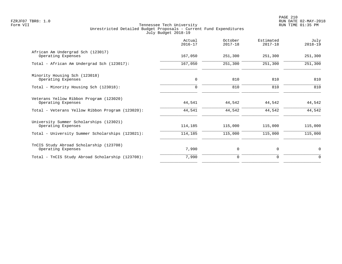|                                                               | Actual<br>$2016 - 17$ | October<br>$2017 - 18$ | Estimated<br>$2017 - 18$ | July<br>$2018 - 19$ |
|---------------------------------------------------------------|-----------------------|------------------------|--------------------------|---------------------|
| African Am Undergrad Sch (123017)<br>Operating Expenses       | 167,050               | 251,300                | 251,300                  | 251,300             |
| Total - African Am Undergrad Sch (123017):                    | 167,050               | 251,300                | 251,300                  | 251,300             |
| Minority Housing Sch (123018)<br>Operating Expenses           | $\mathbf 0$           | 810                    | 810                      | 810                 |
| Total - Minority Housing Sch (123018):                        | $\Omega$              | 810                    | 810                      | 810                 |
| Veterans Yellow Ribbon Program (123020)<br>Operating Expenses | 44,541                | 44,542                 | 44,542                   | 44,542              |
| Total - Veterans Yellow Ribbon Program (123020):              | 44,541                | 44,542                 | 44,542                   | 44,542              |
| University Summer Scholarships (123021)<br>Operating Expenses | 114,185               | 115,000                | 115,000                  | 115,000             |
| Total - University Summer Scholarships (123021):              | 114,185               | 115,000                | 115,000                  | 115,000             |
| TnCIS Study Abroad Scholarship (123708)<br>Operating Expenses | 7,990                 | 0                      | 0                        | $\mathbf 0$         |
| Total - TnCIS Study Abroad Scholarship (123708):              | 7,990                 | $\Omega$               | 0                        | $\Omega$            |
|                                                               |                       |                        |                          |                     |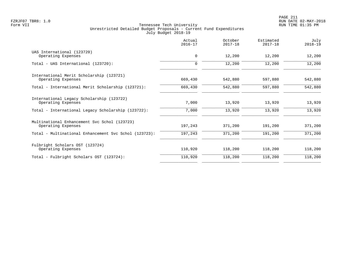|                                                                    | Actual<br>$2016 - 17$ | October<br>$2017 - 18$ | Estimated<br>$2017 - 18$ | July<br>$2018 - 19$ |
|--------------------------------------------------------------------|-----------------------|------------------------|--------------------------|---------------------|
| UAS International (123720)<br>Operating Expenses                   | $\mathbf 0$           | 12,200                 | 12,200                   | 12,200              |
| Total - UAS International (123720):                                | $\mathbf 0$           | 12,200                 | 12,200                   | 12,200              |
| International Merit Scholarship (123721)<br>Operating Expenses     | 669,430               | 542,880                | 597,880                  | 542,880             |
| Total - International Merit Scholarship (123721):                  | 669,430               | 542,880                | 597,880                  | 542,880             |
| International Legacy Scholarship (123722)<br>Operating Expenses    | 7,000                 | 13,920                 | 13,920                   | 13,920              |
| Total - International Legacy Scholarship (123722):                 | 7,000                 | 13,920                 | 13,920                   | 13,920              |
| Multinational Enhancement Svc Schol (123723)<br>Operating Expenses | 197,243               | 371,200                | 191,200                  | 371,200             |
| Total - Multinational Enhancement Svc Schol (123723):              | 197,243               | 371,200                | 191,200                  | 371,200             |
| Fulbright Scholars OST (123724)<br>Operating Expenses              | 110,920               | 118,200                | 118,200                  | 118,200             |
| Total - Fulbright Scholars OST (123724):                           | 110,920               | 118,200                | 118,200                  | 118,200             |
|                                                                    |                       |                        |                          |                     |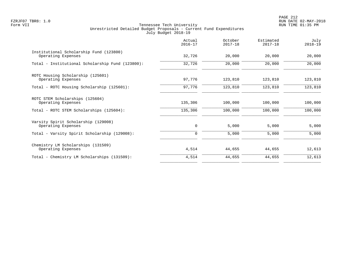PAGE 212 FZRJF07 TBR8: 1.0 RUN DATE 02-MAY-2018

|                                                               | Actual<br>$2016 - 17$ | October<br>$2017 - 18$ | Estimated<br>$2017 - 18$ | July<br>$2018 - 19$ |
|---------------------------------------------------------------|-----------------------|------------------------|--------------------------|---------------------|
| Institutional Scholarship Fund (123800)<br>Operating Expenses | 32,726                | 20,000                 | 20,000                   | 20,000              |
| Total - Institutional Scholarship Fund (123800):              | 32,726                | 20,000                 | 20,000                   | 20,000              |
| ROTC Housing Scholarship (125601)<br>Operating Expenses       | 97,776                | 123,810                | 123,810                  | 123,810             |
| Total - ROTC Housing Scholarship (125601):                    | 97,776                | 123,810                | 123,810                  | 123,810             |
| ROTC STEM Scholarships (125604)<br>Operating Expenses         | 135,306               | 100,000                | 100,000                  | 100,000             |
| Total - ROTC STEM Scholarships (125604):                      | 135,306               | 100,000                | 100,000                  | 100,000             |
| Varsity Spirit Scholarship (129008)<br>Operating Expenses     | $\mathbf 0$           | 5,000                  | 5,000                    | 5,000               |
| Total - Varsity Spirit Scholarship (129008):                  | 0                     | 5,000                  | 5,000                    | 5,000               |
| Chemistry LM Scholarships (131509)<br>Operating Expenses      | 4,514                 | 44,655                 | 44,655                   | 12,613              |
| Total - Chemistry LM Scholarships (131509):                   | 4,514                 | 44,655                 | 44,655                   | 12,613              |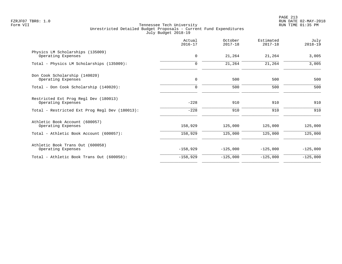PAGE 213 FZRJF07 TBR8: 1.0 RUN DATE 02-MAY-2018

|                                                             | Actual<br>$2016 - 17$ | October<br>$2017 - 18$ | Estimated<br>$2017 - 18$ | July<br>$2018 - 19$ |
|-------------------------------------------------------------|-----------------------|------------------------|--------------------------|---------------------|
| Physics LM Scholarships (135009)<br>Operating Expenses      | $\mathbf 0$           | 21,264                 | 21,264                   | 3,005               |
| Total - Physics LM Scholarships (135009):                   | 0                     | 21,264                 | 21,264                   | 3,005               |
| Don Cook Scholarship (140020)<br>Operating Expenses         | $\mathbf 0$           | 500                    | 500                      | 500                 |
| Total - Don Cook Scholarship (140020):                      | 0                     | 500                    | 500                      | 500                 |
| Restricted Ext Prog Regl Dev (180013)<br>Operating Expenses | $-228$                | 910                    | 910                      | 910                 |
| Total - Restricted Ext Prog Regl Dev (180013):              | $-228$                | 910                    | 910                      | 910                 |
| Athletic Book Account (600057)<br>Operating Expenses        | 158,929               | 125,000                | 125,000                  | 125,000             |
| Total - Athletic Book Account (600057):                     | 158,929               | 125,000                | 125,000                  | 125,000             |
| Athletic Book Trans Out (600058)<br>Operating Expenses      | $-158,929$            | $-125,000$             | $-125,000$               | $-125,000$          |
| Total - Athletic Book Trans Out (600058):                   | $-158,929$            | $-125,000$             | $-125,000$               | $-125,000$          |
|                                                             |                       |                        |                          |                     |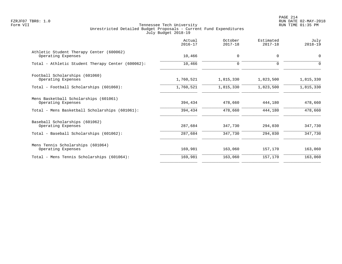PAGE 214 FZRJF07 TBR8: 1.0 RUN DATE 02-MAY-2018

|                                                                | Actual<br>$2016 - 17$ | October<br>$2017 - 18$ | Estimated<br>$2017 - 18$ | July<br>$2018 - 19$ |
|----------------------------------------------------------------|-----------------------|------------------------|--------------------------|---------------------|
| Athletic Student Therapy Center (600062)<br>Operating Expenses | 10,466                | 0                      | $\mathbf 0$              | $\overline{0}$      |
| Total - Athletic Student Therapy Center (600062):              | 10,466                | 0                      | 0                        | $\Omega$            |
| Football Scholarships (601060)                                 |                       |                        |                          |                     |
| Operating Expenses                                             | 1,760,521             | 1,815,330              | 1,823,500                | 1,815,330           |
| Total - Football Scholarships (601060):                        | 1,760,521             | 1,815,330              | 1,823,500                | 1,815,330           |
| Mens Basketball Scholarships (601061)<br>Operating Expenses    | 394,434               | 478,660                | 444,180                  | 478,660             |
| Total - Mens Basketball Scholarships (601061):                 | 394,434               | 478,660                | 444,180                  | 478,660             |
| Baseball Scholarships (601062)                                 |                       |                        |                          |                     |
| Operating Expenses                                             | 287,684               | 347,730                | 294,030                  | 347,730             |
| Total - Baseball Scholarships (601062):                        | 287,684               | 347,730                | 294,030                  | 347,730             |
| Mens Tennis Scholarships (601064)                              |                       |                        |                          |                     |
| Operating Expenses                                             | 169,981               | 163,060                | 157,170                  | 163,060             |
| Total - Mens Tennis Scholarships (601064):                     | 169,981               | 163,060                | 157,170                  | 163,060             |
|                                                                |                       |                        |                          |                     |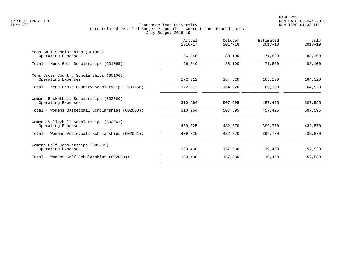|                                                                | Actual<br>$2016 - 17$ | October<br>$2017 - 18$ | Estimated<br>$2017 - 18$ | July<br>$2018 - 19$ |
|----------------------------------------------------------------|-----------------------|------------------------|--------------------------|---------------------|
| Mens Golf Scholarships (601065)<br>Operating Expenses          | 56,846                | 88,100                 | 71,820                   | 88,100              |
| Total - Mens Golf Scholarships (601065):                       | 56,846                | 88,100                 | 71,820                   | 88,100              |
| Mens Cross Country Scholarships (601066)<br>Operating Expenses | 172,312               | 164,520                | 165,100                  | 164,520             |
| Total - Mens Cross Country Scholarships (601066):              | 172,312               | 164,520                | 165,100                  | 164,520             |
| Womens Basketball Scholarships (602060)<br>Operating Expenses  | 310,964               | 507,595                | 457,425                  | 507,595             |
| Total - Womens Basketball Scholarships (602060):               | 310,964               | 507,595                | 457,425                  | 507,595             |
| Womens Volleyball Scholarships (602061)<br>Operating Expenses  | 409,325               | 432,870                | 399,770                  | 432,870             |
| Total - Womens Volleyball Scholarships (602061):               | 409,325               | 432,870                | 399,770                  | 432,870             |
| Womens Golf Scholarships (602063)<br>Operating Expenses        | 100,438               | 157,530                | 119,450                  | 157,530             |
| Total - Womens Golf Scholarships (602063):                     | 100,438               | 157,530                | 119,450                  | 157,530             |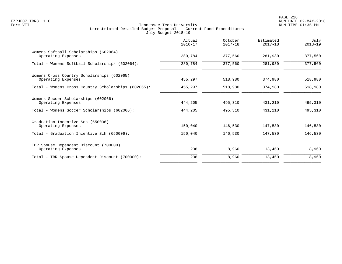|                                                                  | Actual<br>$2016 - 17$ | October<br>$2017 - 18$ | Estimated<br>$2017 - 18$ | July<br>$2018 - 19$ |
|------------------------------------------------------------------|-----------------------|------------------------|--------------------------|---------------------|
| Womens Softball Scholarships (602064)<br>Operating Expenses      | 280,784               | 377,560                | 281,930                  | 377,560             |
| Total - Womens Softball Scholarships (602064):                   | 280,784               | 377,560                | 281,930                  | 377,560             |
| Womens Cross Country Scholarships (602065)<br>Operating Expenses | 455,297               | 518,980                | 374,980                  | 518,980             |
| Total - Womens Cross Country Scholarships (602065):              | 455,297               | 518,980                | 374,980                  | 518,980             |
| Womens Soccer Scholarships (602066)<br>Operating Expenses        | 444,205               | 495,310                | 431,210                  | 495,310             |
| Total - Womens Soccer Scholarships (602066):                     | 444,205               | 495,310                | 431,210                  | 495,310             |
| Graduation Incentive Sch (650006)<br>Operating Expenses          | 150,040               | 146,530                | 147,530                  | 146,530             |
| Total - Graduation Incentive Sch (650006):                       | 150,040               | 146,530                | 147,530                  | 146,530             |
| TBR Spouse Dependent Discount (700000)<br>Operating Expenses     | 238                   | 8,960                  | 13,460                   | 8,960               |
| Total - TBR Spouse Dependent Discount (700000):                  | 238                   | 8,960                  | 13,460                   | 8,960               |
|                                                                  |                       |                        |                          |                     |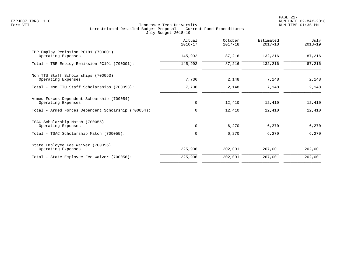PAGE 217 FZRJF07 TBR8: 1.0 RUN DATE 02-MAY-2018

|                                                                  | Actual<br>$2016 - 17$ | October<br>$2017 - 18$ | Estimated<br>$2017 - 18$ | July<br>$2018 - 19$ |
|------------------------------------------------------------------|-----------------------|------------------------|--------------------------|---------------------|
| TBR Employ Remission PC191 (700001)<br>Operating Expenses        | 145,992               | 87,216                 | 132,216                  | 87,216              |
| Total - TBR Employ Remission PC191 (700001):                     | 145,992               | 87,216                 | 132,216                  | 87,216              |
| Non TTU Staff Scholarships (700053)<br>Operating Expenses        | 7,736                 | 2,148                  | 7,148                    | 2,148               |
| Total - Non TTU Staff Scholarships (700053):                     | 7,736                 | 2,148                  | 7,148                    | 2,148               |
| Armed Forces Dependent Schoarship (700054)<br>Operating Expenses | 0                     | 12,410                 | 12,410                   | 12,410              |
| Total - Armed Forces Dependent Schoarship (700054):              | $\mathbf 0$           | 12,410                 | 12,410                   | 12,410              |
| TSAC Scholarship Match (700055)<br>Operating Expenses            | $\mathbf 0$           | 6,270                  | 6,270                    | 6,270               |
| Total - TSAC Scholarship Match (700055):                         | 0                     | 6,270                  | 6,270                    | 6,270               |
| State Employee Fee Waiver (700056)<br>Operating Expenses         | 325,906               | 202,001                | 267,001                  | 202,001             |
| Total - State Employee Fee Waiver (700056):                      | 325,906               | 202,001                | 267,001                  | 202,001             |
|                                                                  |                       |                        |                          |                     |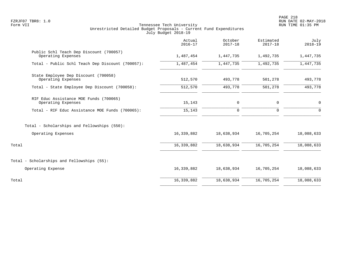PAGE 218 FZRJF07 TBR8: 1.0 RUN DATE 02-MAY-2018

|                                                               | Actual<br>$2016 - 17$ | October<br>$2017 - 18$ | Estimated<br>$2017 - 18$ | July<br>$2018 - 19$ |
|---------------------------------------------------------------|-----------------------|------------------------|--------------------------|---------------------|
| Public Schl Teach Dep Discount (700057)<br>Operating Expenses | 1,487,454             | 1,447,735              | 1,492,735                | 1,447,735           |
| Total - Public Schl Teach Dep Discount (700057):              | 1,487,454             | 1,447,735              | 1,492,735                | 1,447,735           |
| State Employee Dep Discount (700058)<br>Operating Expenses    | 512,570               | 493,778                | 501,278                  | 493,778             |
| Total - State Employee Dep Discount (700058):                 | 512,570               | 493,778                | 501,278                  | 493,778             |
| RIF Educ Assistance MOE Funds (700065)<br>Operating Expenses  | 15,143                | 0                      | 0                        | $\mathbf 0$         |
| Total - RIF Educ Assistance MOE Funds (700065):               | 15,143                | 0                      | 0                        | $\Omega$            |
| Total - Scholarships and Fellowships (550):                   |                       |                        |                          |                     |
| Operating Expenses                                            | 16,339,882            | 18,638,934             | 16,705,254               | 18,088,633          |
| Total                                                         | 16,339,882            | 18,638,934             | 16,705,254               | 18,088,633          |
| Total - Scholarships and Fellowships (55):                    |                       |                        |                          |                     |
| Operating Expense                                             | 16,339,882            | 18,638,934             | 16,705,254               | 18,088,633          |
| Total                                                         | 16,339,882            | 18,638,934             | 16,705,254               | 18,088,633          |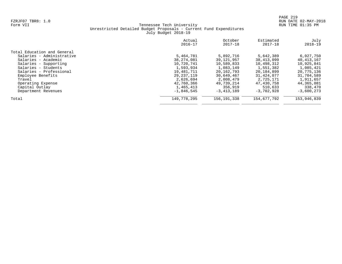|                             | Actual<br>$2016 - 17$ | October<br>$2017 - 18$ | Estimated<br>$2017 - 18$ | July<br>$2018 - 19$ |
|-----------------------------|-----------------------|------------------------|--------------------------|---------------------|
| Total Education and General |                       |                        |                          |                     |
| Salaries - Administrative   | 5,464,781             | 5,892,716              | 5,642,389                | 6,027,750           |
| Salaries - Academic         | 38,274,081            | 39,121,957             | 38, 413, 099             | 40, 413, 167        |
| Salaries - Supporting       | 10,720,741            | 10,589,833             | 10,498,312               | 10,925,841          |
| Salaries - Students         | 1,593,934             | 1,083,149              | 1,551,382                | 1,085,421           |
| Salaries - Professional     | 19,481,711            | 20,162,793             | 20,184,899               | 20,775,136          |
| Employee Benefits           | 29, 237, 119          | 30,649,467             | 31,424,077               | 31,704,589          |
| Travel                      | 2,626,694             | 2,008,479              | 2,725,171                | 1,911,657           |
| Operating Expense           | 42,760,366            | 49,739,214             | 47,430,758               | 44,365,081          |
| Capital Outlay              | 1,465,413             | 356,919                | 510,633                  | 338,470             |
| Department Revenues         | $-1,846,545$          | $-3,413,189$           | $-3,702,928$             | $-3,600,273$        |
| Total                       | 149,778,295           | 156, 191, 338          | 154,677,792              | 153,946,839         |
|                             |                       |                        |                          |                     |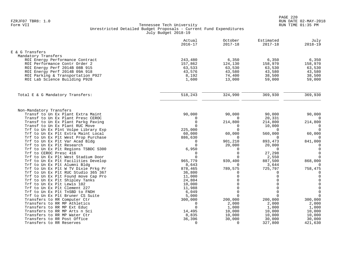|                                                            | Actual<br>$2016 - 17$ | October<br>$2017 - 18$ | Estimated<br>$2017 - 18$ | July<br>$2018 - 19$         |
|------------------------------------------------------------|-----------------------|------------------------|--------------------------|-----------------------------|
| E & G Transfers                                            |                       |                        |                          |                             |
| Mandatory Transfers                                        |                       |                        |                          |                             |
| ROI Energy Performance Contract                            | 243,480               | 6,350                  | 6,350                    | 6,350                       |
| ROI Performance Contr Order 2                              | 157,862               | 124,130                | 158,970                  | 158,970                     |
| ROI Energy Perf 2014B 08B 915                              | 63,533                | 63,530                 | 63,530                   | 63,530                      |
| ROI Energy Perf 2014B 09A 918                              | 43,576                | 43,580                 | 43,580                   | 43,580                      |
| ROI Parking & Transportation P927                          | 8,192                 | 74,400                 | 38,500                   | 38,500                      |
| ROI Lab Science Building P928                              | 1,600                 | 13,000                 | 59,000                   | 59,000                      |
| Total E & G Mandatory Transfers:                           | 518,243               | 324,990                | 369,930                  | 369,930                     |
|                                                            |                       |                        |                          |                             |
| Non-Mandatory Transfers                                    |                       |                        |                          |                             |
| Transf to Un Ex Plant Extra Maint                          | 90,000                | 90,000                 | 90,000                   | 90,000                      |
| Transf to Un Ex Plant Presc CEROC                          | $\mathbf 0$           | $\Omega$               | 20,331                   | $\Omega$                    |
| Transf to Un Ex Plant Parkg Paving                         | $\mathbf 0$           | 214,800                | 214,800                  | 214,800                     |
| Transf to Un Ex Plant RUC Move                             | $\cap$                | $\Omega$               | 10,000                   | $\mathbf 0$                 |
| Trf to Un Ex Plnt Volpe Library Exp                        | 225,000               | $\Omega$               | $\Omega$                 | $\mathbf 0$                 |
| Trf to Un Ex Plt Extra Maint Local                         | 60,000                | 60,000                 | 560,000                  | 60,000                      |
| Trf to Un Ex Plt West Prop Purchase                        | 886,630               | $\Omega$               | $\mathbf 0$              | $\Omega$                    |
| Trf to Un Ex Plt Var Acad Bldg                             | 0                     | 901,210                | 893,473                  | 841,000                     |
| Trf to Un Ex Plt Research                                  | $\Omega$              | 20,000                 | 20,000                   | $\mathbf 0$                 |
| Trf to Un Ex Plt Regions TSBDC S300                        | 6,950                 | $\Omega$               | $\Omega$                 | $\mathsf{O}$                |
| Trf to CEROC Presc 416                                     | $\Omega$              | $\Omega$               | 27,298                   | $\mathbf 0$                 |
| Trf to Un Ex Plt West Stadium Door                         | $\Omega$              | $\Omega$               | 2,550                    | $\mathbf 0$                 |
| Trf to Un Ex Plt Facilities Develop                        | 965,779               | 939,400                | 887,500                  | 868,000                     |
| Trf to Un Ex Plt Alumni Bldg                               | 8,643                 | $\Omega$               | 3,644                    | $\Omega$                    |
| Trf to Un Ex Plt W TV Dixie Prkg Pr                        | 878,465               | 789,575                | 725,797                  | 758,475                     |
| Trf to Un Ex Plt RUC Studio 365 367                        | 36,800                | $\Omega$               | $\Omega$                 | $\mathbf 0$                 |
| Trf to Un Ex Plt Found move Cap Pro                        | 11,000                | $\Omega$               | $\Omega$                 | $\mathbf 0$                 |
| Trf to Un Ex Plt Shipley Tanks                             | 24,804                | $\Omega$<br>$\Omega$   |                          | $\mathbf 0$                 |
| Trf to Un Ex Plt Lewis 102<br>Trf to Un Ex Plt Clement 227 | 10,000                | $\Omega$               | $\cap$                   | $\mathsf 0$<br>$\mathsf{O}$ |
| Trf to Un Ex Plt TnSBD to FNDH                             | 11,988<br>6,049       | $\Omega$               | $\Omega$                 | $\mathbf 0$                 |
| Trf to Un Ex Plt Bruner CS Suite                           | 5,000                 | $\Omega$               | $\Omega$                 | $\mathbf 0$                 |
| Transfers to RR Computer Ctr                               | 300,000               | 200,000                | 200,000                  | 300,000                     |
| Transfers to RR MP Athletics                               | $\Omega$              | 2,000                  | 2,000                    | 2,000                       |
| Transfers to RR MP Ext Educ                                | $\Omega$              | 1,000                  | 1,000                    | 1,000                       |
| Transfers to RR MP Arts n Sci                              | 14,495                | 10,000                 | 10,000                   | 10,000                      |
| Transfers to RR MP Water Ctr                               | 8,835                 | 10,000                 | 10,000                   | 10,000                      |
| Transfers to RR Post Office                                | 36,396                | 30,000                 | 30,000                   | 30,000                      |
| Transfers to RR Reserves                                   | $\Omega$              | $\Omega$               | 327,800                  | 421,630                     |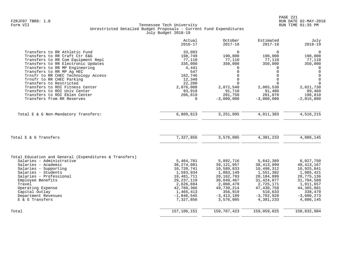|                                                        | Actual       | October        | Estimated    | July         |
|--------------------------------------------------------|--------------|----------------|--------------|--------------|
|                                                        | $2016 - 17$  | $2017 - 18$    | $2017 - 18$  | $2018 - 19$  |
| Transfers to RR Athletic Fund                          | 33,093       | $\Omega$       | 0            | $\mathbf 0$  |
| Transfers to RR Craft Ctr E&G                          | 198,749      | 190,000        | 190,000      | 190,000      |
| Transfers to RR Com Equipment Repl                     | 77,110       | 77,110         | 77,110       | 77,110       |
| Transfers to RR Electronic Updates                     | 335,000      | 350,000        | 350,000      | 350,000      |
| Transfers to RR MP Engineering                         | 4,441        | 0              | $\Omega$     | $\Omega$     |
| Transfers to RR MP Aq HEC                              | 547          | $\Omega$       | $\Omega$     | $\mathbf 0$  |
| Trnsfr to RR CHEC Technology Access                    | 162,746      | $\Omega$       | $\Omega$     | $\Omega$     |
| Trnsfr to RR CHEC Parking                              | 12,348       | $\Omega$       | $\Omega$     | $\mathbf 0$  |
| Transfers to Restricted                                | 22,200       | $\Omega$       | $\Omega$     | $\Omega$     |
| Transfers to ROI Fitness Center                        | 2,076,008    | 2,072,540      | 2,065,530    | 2,021,730    |
| Transfers to ROI Univ Center                           | 93,918       | 91,710         | 91,400       | 89,460       |
| Transfers to ROI Eblen Center                          | 206,619      | 201,750        | 201,070      | 196,810      |
| Transfers from RR Reserves                             | 0            | $-3,000,000$   | $-3,000,000$ | $-2,015,800$ |
| Total E & G Non-Mandatory Transfers:                   | 6,809,613    | 3,251,095      | 4,011,303    | 4,516,215    |
| Total E & G Transfers                                  | 7,327,856    | 3,576,085      | 4,381,233    | 4,886,145    |
| Total Education and General (Expenditures & Transfers) |              |                |              |              |
| Salaries - Administrative                              | 5,464,781    | 5,892,716      | 5,642,389    | 6,027,750    |
| Salaries - Academic                                    | 38, 274, 081 | 39, 121, 957   | 38, 413, 099 | 40, 413, 167 |
| Salaries - Supporting                                  | 10,720,741   | 10,589,833     | 10,498,312   | 10,925,841   |
| Salaries - Students                                    | 1,593,934    | 1,083,149      | 1,551,382    | 1,085,421    |
| Salaries - Professional                                | 19,481,711   | 20, 162, 793   | 20,184,899   | 20, 775, 136 |
| Employee Benefits                                      | 29, 237, 119 | 30,649,467     | 31, 424, 077 | 31,704,589   |
| Travel                                                 | 2,626,694    | 2,008,479      | 2,725,171    | 1,911,657    |
| Operating Expense                                      | 42,760,366   | 49,739,214     | 47,430,758   | 44, 365, 081 |
| Capital Outlay                                         | 1,465,413    | 356,919        | 510,633      | 338,470      |
| Department Revenues                                    | $-1,846,545$ | $-3, 413, 189$ | $-3,702,928$ | $-3,600,273$ |
| E & G Transfers                                        | 7,327,856    | 3,576,085      | 4,381,233    | 4,886,145    |
| Total                                                  | 157,106,151  | 159, 767, 423  | 159,059,025  | 158,832,984  |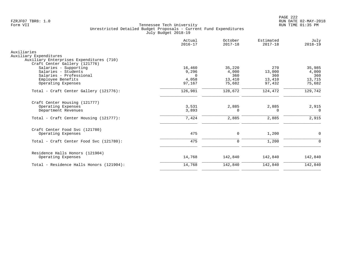|                                                                                                                                                     | Actual<br>$2016 - 17$                          | October<br>$2017 - 18$                     | Estimated<br>$2017 - 18$                 | July<br>$2018 - 19$                        |
|-----------------------------------------------------------------------------------------------------------------------------------------------------|------------------------------------------------|--------------------------------------------|------------------------------------------|--------------------------------------------|
| Auxiliaries<br>Auxiliary Expenditures<br>Auxiliary Enterprises Expenditures (710)                                                                   |                                                |                                            |                                          |                                            |
| Craft Center Gallery (121776)<br>Salaries - Supporting<br>Salaries - Students<br>Salaries - Professional<br>Employee Benefits<br>Operating Expenses | 16,460<br>9,296<br>$\Omega$<br>4,058<br>97,167 | 35,220<br>4,000<br>360<br>13,410<br>75,682 | 270<br>13,000<br>360<br>13,410<br>97,432 | 35,985<br>4,000<br>360<br>13,715<br>75,682 |
| Total - Craft Center Gallery (121776):                                                                                                              | 126,981                                        | 128,672                                    | 124,472                                  | 129,742                                    |
| Craft Center Housing (121777)<br>Operating Expenses<br>Department Revenues                                                                          | 3,531<br>3,893                                 | 2,885<br>$\Omega$                          | 2,885<br>$\Omega$                        | 2,915<br>$\Omega$                          |
| Total - Craft Center Housing (121777):                                                                                                              | 7,424                                          | 2,885                                      | 2,885                                    | 2,915                                      |
| Craft Center Food Svc (121780)<br>Operating Expenses                                                                                                | 475                                            | 0                                          | 1,200                                    | $\mathbf 0$                                |
| Total - Craft Center Food Svc (121780):                                                                                                             | 475                                            | $\mathbf 0$                                | 1,200                                    | $\Omega$                                   |
| Residence Halls Honors (121904)<br>Operating Expenses                                                                                               | 14,768                                         | 142,840                                    | 142,840                                  | 142,840                                    |
| Total - Residence Halls Honors (121904):                                                                                                            | 14,768                                         | 142,840                                    | 142,840                                  | 142,840                                    |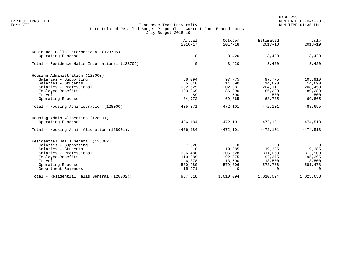PAGE 223 FZRJF07 TBR8: 1.0 RUN DATE 02-MAY-2018

|                                                 | Actual<br>$2016 - 17$ | October<br>$2017 - 18$ | Estimated<br>$2017 - 18$ | July<br>$2018 - 19$ |
|-------------------------------------------------|-----------------------|------------------------|--------------------------|---------------------|
| Residence Halls International (123705)          |                       |                        |                          |                     |
| Operating Expenses                              | $\mathbf 0$           | 3,420                  | 3,420                    | 3,420               |
| Total - Residence Halls International (123705): | $\Omega$              | 3,420                  | 3,420                    | 3,420               |
| Housing Administration (128000)                 |                       |                        |                          |                     |
| Salaries - Supporting                           | 88,094                | 97,775                 | 97,775                   | 105,910             |
| Salaries - Students                             | 5,818                 | 14,690                 | 14,690                   | 14,690              |
| Salaries - Professional                         | 202,629               | 202,981                | 204,111                  | 208,450             |
| Employee Benefits                               | 103,969               | 86,290                 | 86,290                   | 89,280              |
| Travel                                          | 89                    | 500                    | 500                      | 500                 |
| Operating Expenses                              | 34,772                | 69,865                 | 68,735                   | 69,865              |
| Total - Housing Administration (128000):        | 435,371               | 472,101                | 472,101                  | 488,695             |
| Housing Admin Allocation (128001)               |                       |                        |                          |                     |
| Operating Expenses                              | $-426, 184$           | $-472,101$             | $-472,101$               | $-474,513$          |
| Total - Housing Admin Allocation (128001):      | $-426, 184$           | $-472,101$             | $-472,101$               | $-474,513$          |
| Residential Halls General (128002)              |                       |                        |                          |                     |
| Salaries - Supporting                           | 7,320                 | $\Omega$               | $\Omega$                 | $\Omega$            |
| Salaries - Students                             | $\Omega$              | 19,385                 | 19,385                   | 19,385              |
| Salaries - Professional                         | 286,480               | 305,528                | 311,068                  | 313,900             |
| Employee Benefits                               | 110,889               | 92,375                 | 92,375                   | 95,395              |
| Travel                                          | 6,378                 | 13,500                 | 13,500                   | 13,500              |
| Operating Expenses                              | 530,980               | 579,306                | 573,766                  | 581,478             |
| Department Revenues                             | 15,571                | 0                      | 0                        | $\mathbf 0$         |
| Total - Residential Halls General (128002):     | 957,618               | 1,010,094              | 1,010,094                | 1,023,658           |
|                                                 |                       |                        |                          |                     |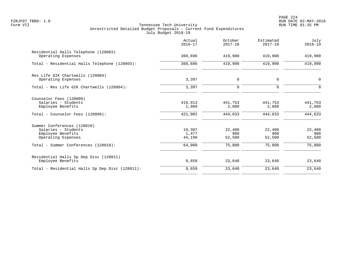PAGE 224 FZRJF07 TBR8: 1.0 RUN DATE 02-MAY-2018

|                                                                                                         | Actual<br>$2016 - 17$       | October<br>$2017 - 18$      | Estimated<br>$2017 - 18$    | July<br>$2018 - 19$         |
|---------------------------------------------------------------------------------------------------------|-----------------------------|-----------------------------|-----------------------------|-----------------------------|
| Residential Halls Telephone (128003)<br>Operating Expenses                                              | 360,696                     | 419,900                     | 419,900                     | 419,900                     |
| Total - Residential Halls Telephone (128003):                                                           | 360,696                     | 419,900                     | 419,900                     | 419,900                     |
| Res Life GIK Chartwells (128004)<br>Operating Expenses                                                  | 3,397                       | $\mathbf 0$                 | $\mathbf 0$                 | $\mathbf 0$                 |
| Total - Res Life GIK Chartwells (128004):                                                               | 3,397                       | $\mathbf 0$                 | $\Omega$                    | $\Omega$                    |
| Counselor Fees (128009)<br>Salaries - Students<br>Employee Benefits<br>Total - Counselor Fees (128009): | 419,013<br>1,989<br>421,002 | 441,753<br>2,880<br>444,633 | 441,753<br>2,880<br>444,633 | 441,753<br>2,880<br>444,633 |
| Summer Conferences (128010)<br>Salaries - Students<br>Employee Benefits<br>Operating Expenses           | 19,307<br>1,477<br>44,196   | 22,400<br>900<br>52,500     | 22,400<br>900<br>52,500     | 22,400<br>900<br>52,500     |
| Total - Summer Conferences (128010):                                                                    | 64,980                      | 75,800                      | 75,800                      | 75,800                      |
| Residential Halls Sp Dep Disc (128011)<br>Employee Benefits                                             | 9,659                       | 23,640                      | 23,640                      | 23,640                      |
| Total - Residential Halls Sp Dep Disc (128011):                                                         | 9,659                       | 23,640                      | 23,640                      | 23,640                      |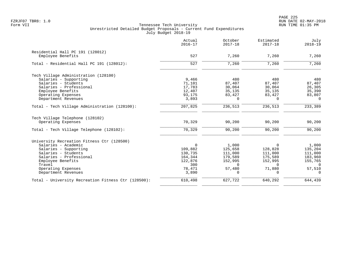PAGE 225 FZRJF07 TBR8: 1.0 RUN DATE 02-MAY-2018

|                                                     | Actual<br>$2016 - 17$ | October<br>$2017 - 18$ | Estimated<br>$2017 - 18$ | July<br>$2018 - 19$ |
|-----------------------------------------------------|-----------------------|------------------------|--------------------------|---------------------|
| Residential Hall PC 191 (128012)                    |                       |                        |                          |                     |
| Employee Benefits                                   | 527                   | 7,260                  | 7,260                    | 7,260               |
| Total - Residential Hall PC 191 (128012):           | 527                   | 7,260                  | 7,260                    | 7,260               |
| Tech Village Administration (128100)                |                       |                        |                          |                     |
| Salaries - Supporting                               | 9,466                 | 480                    | 480                      | 480                 |
| Salaries - Students                                 | 71,101                | 87,407                 | 87,407                   | 87,407              |
| Salaries - Professional                             | 17,783                | 30,064                 | 30,064                   | 26,305              |
| Employee Benefits                                   | 12,407                | 35,135                 | 35,135                   | 35,390              |
| Operating Expenses                                  | 93,175                | 83,427                 | 83,427                   | 83,807              |
| Department Revenues                                 | 3,893                 | $\Omega$               | $\Omega$                 | $\Omega$            |
| Total - Tech Village Administration (128100):       | 207,825               | 236,513                | 236,513                  | 233,389             |
| Tech Village Telephone (128102)                     |                       |                        |                          |                     |
| Operating Expenses                                  | 70,329                | 90,200                 | 90,200                   | 90,200              |
| Total - Tech Village Telephone (128102):            | 70,329                | 90,200                 | 90,200                   | 90,200              |
| University Recreation Fitness Ctr (128500)          |                       |                        |                          |                     |
| Salaries - Academic                                 | $\mathbf 0$           | 1,000                  | $\Omega$                 | 1,000               |
| Salaries - Supporting                               | 109,882               | 125,658                | 128,828                  | 135,204             |
| Salaries - Students                                 | 130,735               | 111,000                | 111,000                  | 111,000             |
| Salaries - Professional                             | 164,344               | 179,589                | 175,589                  | 183,960             |
| Employee Benefits                                   | 122,876               | 152,995                | 152,995                  | 155,765             |
| Travel                                              | 300                   | $\Omega$               | $\Omega$                 | $\Omega$            |
| Operating Expenses                                  | 78,471                | 57,480                 | 71,880                   | 57,510              |
| Department Revenues                                 | 3,890                 | $\Omega$               | $\Omega$                 | $\Omega$            |
| Total - University Recreation Fitness Ctr (128500): | 610,498               | 627,722                | 640,292                  | 644,439             |
|                                                     |                       |                        |                          |                     |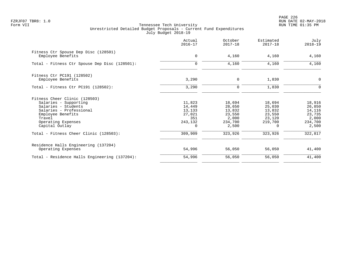PAGE 226 FZRJF07 TBR8: 1.0 RUN DATE 02-MAY-2018

|                                                           | Actual<br>$2016 - 17$ | October<br>$2017 - 18$ | Estimated<br>$2017 - 18$ | July<br>$2018 - 19$ |
|-----------------------------------------------------------|-----------------------|------------------------|--------------------------|---------------------|
| Fitness Ctr Spouse Dep Disc (128501)<br>Employee Benefits | $\mathbf 0$           | 4,160                  | 4,160                    | 4,160               |
| Total - Fitness Ctr Spouse Dep Disc (128501):             | 0                     | 4,160                  | 4,160                    | 4,160               |
| Fitness Ctr PC191 (128502)                                |                       |                        |                          |                     |
| Employee Benefits                                         | 3,290                 | 0                      | 1,830                    | $\mathbf 0$         |
| Total - Fitness Ctr PC191 (128502):                       | 3,290                 | $\Omega$               | 1,830                    | $\Omega$            |
| Fitness Cheer Clinic (128503)                             |                       |                        |                          |                     |
| Salaries - Supporting                                     | 11,823                | 18,694                 | 18,694                   | 18,916              |
| Salaries - Students                                       | 14,449                | 28,650                 | 25,030                   | 26,850              |
| Salaries - Professional                                   | 13,133                | 13,832                 | 13,832                   | 14,116              |
| Employee Benefits                                         | 27,021                | 23,550                 | 23,550                   | 23,735              |
| Travel                                                    | 351                   | 2,000                  | 23,120                   | 2,000               |
| Operating Expenses<br>Capital Outlay                      | 243,132<br>$\Omega$   | 234,700<br>2,500       | 219,700<br>$\Omega$      | 234,700<br>2,500    |
| Total - Fitness Cheer Clinic (128503):                    | 309,909               | 323,926                | 323,926                  | 322,817             |
| Residence Halls Engineering (137204)                      |                       |                        |                          |                     |
| Operating Expenses                                        | 54,996                | 56,050                 | 56,050                   | 41,400              |
| Total - Residence Halls Engineering (137204):             | 54,996                | 56,050                 | 56,050                   | 41,400              |
|                                                           |                       |                        |                          |                     |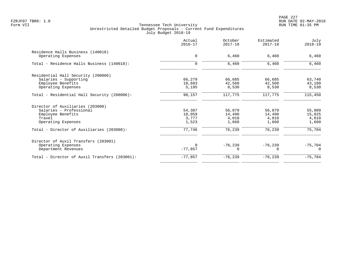|                                               | Actual<br>$2016 - 17$ | October<br>$2017 - 18$ | Estimated<br>$2017 - 18$ | July<br>$2018 - 19$ |
|-----------------------------------------------|-----------------------|------------------------|--------------------------|---------------------|
| Residence Halls Business (140018)             |                       |                        |                          |                     |
| Operating Expenses                            | $\mathbf 0$           | 6,460                  | 6,460                    | 6,460               |
| Total - Residence Halls Business (140018):    | $\mathbf 0$           | 6,460                  | 6,460                    | 6,460               |
| Residential Hall Security (200006)            |                       |                        |                          |                     |
| Salaries - Supporting                         | 66,279                | 66,685                 | 66,685                   | 63,740              |
| Employee Benefits                             | 18,683                | 42,560                 | 42,560                   | 43,180              |
| Operating Expenses                            | 5,195                 | 8,530                  | 8,530                    | 8,530               |
| Total - Residential Hall Security (200006):   | 90,157                | 117,775                | 117,775                  | 115,450             |
| Director of Auxiliaries (203000)              |                       |                        |                          |                     |
| Salaries - Professional                       | 54,387                | 56,079                 | 56,079                   | 55,009              |
| Employee Benefits                             | 18,059                | 14,490                 | 14,490                   | 15,025              |
| Travel                                        | 3,777                 | 4,010                  | 4,010                    | 4,010               |
| Operating Expenses                            | 1,523                 | 1,660                  | 1,660                    | 1,660               |
| Total - Director of Auxiliaries (203000):     | 77,746                | 76,239                 | 76,239                   | 75,704              |
| Director of Auxil Transfers (203001)          |                       |                        |                          |                     |
| Operating Expenses                            | $\Omega$              | $-76, 239$             | $-76, 239$               | $-75,704$           |
| Department Revenues                           | $-77,857$             | $\Omega$               | O                        | $\Omega$            |
| Total - Director of Auxil Transfers (203001): | $-77,857$             | $-76,239$              | $-76, 239$               | $-75,704$           |
|                                               |                       |                        |                          |                     |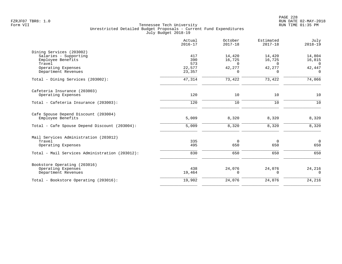|                                                | Actual<br>$2016 - 17$ | October<br>$2017 - 18$ | Estimated<br>$2017 - 18$ | July<br>$2018 - 19$ |
|------------------------------------------------|-----------------------|------------------------|--------------------------|---------------------|
| Dining Services (203002)                       |                       |                        |                          |                     |
| Salaries - Supporting                          | 417                   | 14,420                 | 14,420                   | 14,804              |
| Employee Benefits<br>Travel                    | 390<br>573            | 16,725<br>$\Omega$     | 16,725<br>$\Omega$       | 16,815<br>$\Omega$  |
| Operating Expenses                             | 22,577                | 42,277                 | 42,277                   | 42,447              |
| Department Revenues                            | 23,357                | 0                      | $\Omega$                 | $\Omega$            |
| Total - Dining Services (203002):              | 47,314                | 73,422                 | 73,422                   | 74,066              |
| Cafeteria Insurance (203003)                   |                       |                        |                          |                     |
| Operating Expenses                             | 120                   | 10                     | 10                       | 10                  |
| Total - Cafeteria Insurance (203003):          | 120                   | 10                     | 10                       | 10                  |
| Cafe Spouse Depend Discount (203004)           |                       |                        |                          |                     |
| Employee Benefits                              | 5,009                 | 8,320                  | 8,320                    | 8,320               |
| Total - Cafe Spouse Depend Discount (203004):  | 5,009                 | 8,320                  | 8,320                    | 8,320               |
| Mail Services Administration (203012)          |                       |                        |                          |                     |
| Travel                                         | 335                   | 0                      | $\overline{0}$           | $\overline{0}$      |
| Operating Expenses                             | 495                   | 650                    | 650                      | 650                 |
| Total - Mail Services Administration (203012): | 830                   | 650                    | 650                      | 650                 |
| Bookstore Operating (203016)                   |                       |                        |                          |                     |
| Operating Expenses                             | 438                   | 24,076                 | 24,076                   | 24,216              |
| Department Revenues                            | 19,464                | $\Omega$               | $\Omega$                 | $\Omega$            |
| Total - Bookstore Operating (203016):          | 19,902                | 24,076                 | 24,076                   | 24,216              |
|                                                |                       |                        |                          |                     |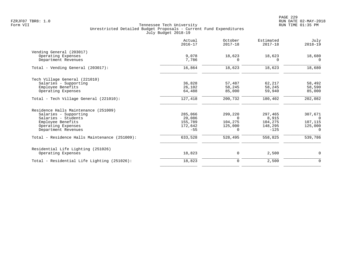|                                               | Actual<br>$2016 - 17$ | October<br>$2017 - 18$ | Estimated<br>$2017 - 18$ | July<br>$2018 - 19$ |
|-----------------------------------------------|-----------------------|------------------------|--------------------------|---------------------|
| Vending General (203017)                      |                       |                        |                          |                     |
| Operating Expenses                            | 9,078                 | 18,623                 | 18,623                   | 18,680              |
| Department Revenues                           | 7,786                 | 0                      | $\Omega$                 | $\Omega$            |
| Total - Vending General (203017):             | 16,864                | 18,623                 | 18,623                   | 18,680              |
| Tech Village General (221010)                 |                       |                        |                          |                     |
| Salaries - Supporting                         | 36,828                | 57,487                 | 62,217                   | 58,492              |
| Employee Benefits                             | 26,102                | 58,245                 | 58,245                   | 58,590              |
| Operating Expenses                            | 64,488                | 85,000                 | 59,940                   | 85,000              |
| Total - Tech Village General (221010):        | 127,418               | 200,732                | 180,402                  | 202,082             |
| Residence Halls Maintenance (251009)          |                       |                        |                          |                     |
| Salaries - Supporting                         | 285,066               | 299,220                | 297,465                  | 307,671             |
| Salaries - Students                           | 20,086                | $\Omega$               | 8,915                    | $\Omega$            |
| Employee Benefits                             | 155,789               | 104,275                | 104,275                  | 107,115             |
| Operating Expenses                            | 172,642               | 125,000                | 148,295                  | 125,000             |
| Department Revenues                           | $-55$                 | 0                      | $-125$                   | $\Omega$            |
| Total - Residence Halls Maintenance (251009): | 633,528               | 528,495                | 558,825                  | 539,786             |
| Residential Life Lighting (251026)            |                       |                        |                          |                     |
| Operating Expenses                            | 18,823                | 0                      | 2,500                    | 0                   |
| Total - Residential Life Lighting (251026):   | 18,823                | 0                      | 2,500                    | $\mathbf 0$         |
|                                               |                       |                        |                          |                     |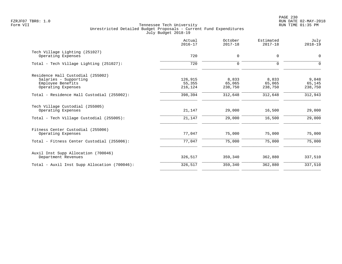PAGE 230 FZRJF07 TBR8: 1.0 RUN DATE 02-MAY-2018

|                                                       | Actual<br>$2016 - 17$ | October<br>$2017 - 18$ | Estimated<br>$2017 - 18$ | July<br>$2018 - 19$ |
|-------------------------------------------------------|-----------------------|------------------------|--------------------------|---------------------|
| Tech Village Lighting (251027)                        | 720                   |                        |                          |                     |
| Operating Expenses                                    |                       | 0                      | $\mathbf 0$              | 0                   |
| Total - Tech Village Lighting (251027):               | 720                   | $\mathbf 0$            | $\Omega$                 | $\Omega$            |
| Residence Hall Custodial (255002)                     |                       |                        |                          |                     |
| Salaries - Supporting                                 | 126,915               | 8,833                  | 8,833                    | 9,048               |
| Employee Benefits                                     | 55,355                | 65,065                 | 65,065                   | 65,145              |
| Operating Expenses                                    | 216,124               | 238,750                | 238,750                  | 238,750             |
| Total - Residence Hall Custodial (255002):            | 398,394               | 312,648                | 312,648                  | 312,943             |
| Tech Village Custodial (255005)<br>Operating Expenses | 21,147                | 29,000                 | 16,500                   | 29,000              |
| Total - Tech Village Custodial (255005):              | 21,147                | 29,000                 | 16,500                   | 29,000              |
|                                                       |                       |                        |                          |                     |
| Fitness Center Custodial (255006)                     |                       |                        |                          |                     |
| Operating Expenses                                    | 77,047                | 75,000                 | 75,000                   | 75,000              |
| Total - Fitness Center Custodial (255006):            | 77,047                | 75,000                 | 75,000                   | 75,000              |
| Auxil Inst Supp Allocation (700046)                   |                       |                        |                          |                     |
| Department Revenues                                   | 326,517               | 359,340                | 362,880                  | 337,510             |
| Total - Auxil Inst Supp Allocation (700046):          | 326,517               | 359,340                | 362,880                  | 337,510             |
|                                                       |                       |                        |                          |                     |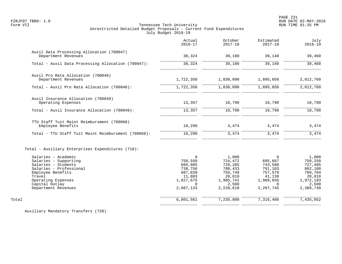PAGE 231 FZRJF07 TBR8: 1.0 RUN DATE 02-MAY-2018

# Form VII Tennessee Tech University RUN TIME 01:35 PM Unrestricted Detailed Budget Proposals - Current Fund Expenditures July Budget 2018-19

|                                                                                                                                                                                              | Actual<br>$2016 - 17$                                                                                | October<br>$2017 - 18$                                                                         | Estimated<br>$2017 - 18$                                                                             | July<br>$2018 - 19$                                                                            |
|----------------------------------------------------------------------------------------------------------------------------------------------------------------------------------------------|------------------------------------------------------------------------------------------------------|------------------------------------------------------------------------------------------------|------------------------------------------------------------------------------------------------------|------------------------------------------------------------------------------------------------|
| Auxil Data Processing Allocation (700047)<br>Department Revenues                                                                                                                             | 38,324                                                                                               | 39,180                                                                                         | 39,140                                                                                               | 39,460                                                                                         |
| Total - Auxil Data Processing Allocation (700047):                                                                                                                                           | 38,324                                                                                               | 39,180                                                                                         | 39,140                                                                                               | 39,460                                                                                         |
| Auxil Pro Rata Allocation (700048)<br>Department Revenues                                                                                                                                    | 1,722,350                                                                                            | 1,830,090                                                                                      | 1,895,850                                                                                            | 2,012,760                                                                                      |
| Total - Auxil Pro Rata Allocation (700048):                                                                                                                                                  | 1,722,350                                                                                            | 1,830,090                                                                                      | 1,895,850                                                                                            | 2,012,760                                                                                      |
| Auxil Insurance Allocation (700049)<br>Operating Expenses                                                                                                                                    | 13,357                                                                                               | 10,790                                                                                         | 10,790                                                                                               | 10,790                                                                                         |
| Total - Auxil Insurance Allocation (700049):                                                                                                                                                 | 13,357                                                                                               | 10,790                                                                                         | 10,790                                                                                               | 10,790                                                                                         |
| TTU Staff Tuit Maint Reimbursment (700068)<br>Employee Benefits                                                                                                                              | 10,290                                                                                               | 3,474                                                                                          | 3,474                                                                                                | 3,474                                                                                          |
| Total - TTU Staff Tuit Maint Reimbursment (700068):                                                                                                                                          | 10, 290                                                                                              | 3,474                                                                                          | 3,474                                                                                                | 3,474                                                                                          |
| Total - Auxiliary Enterprises Expenditures (710):                                                                                                                                            |                                                                                                      |                                                                                                |                                                                                                      |                                                                                                |
| Salaries - Academic<br>Salaries - Supporting<br>Salaries - Students<br>Salaries - Professional<br>Employee Benefits<br>Travel<br>Operating Expenses<br>Capital Outlay<br>Department Revenues | $\Omega$<br>758,550<br>689,805<br>738,756<br>687,839<br>11,803<br>1,827,675<br>$\Omega$<br>2,087,133 | 1,000<br>724,472<br>729,285<br>788,433<br>755,749<br>20,010<br>1,985,741<br>2,500<br>2,228,610 | $\Omega$<br>695,667<br>743,580<br>791,103<br>757,579<br>41,130<br>1,989,656<br>$\Omega$<br>2,297,745 | 1,000<br>750,250<br>727,485<br>802,100<br>769,784<br>20,010<br>1,972,193<br>2,500<br>2,389,730 |
| Total                                                                                                                                                                                        | 6,801,561                                                                                            | 7,235,800                                                                                      | 7,316,460                                                                                            | 7,435,052                                                                                      |
|                                                                                                                                                                                              |                                                                                                      |                                                                                                |                                                                                                      |                                                                                                |

Auxiliary Mandatory Transfers (720)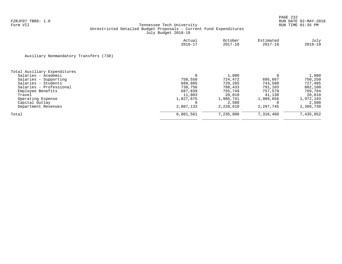|                                        | Actual<br>$2016 - 17$ | October<br>$2017 - 18$ | Estimated<br>$2017 - 18$ | July<br>$2018 - 19$ |
|----------------------------------------|-----------------------|------------------------|--------------------------|---------------------|
| Auxiliary Nonmandatory Transfers (730) |                       |                        |                          |                     |
| Total Auxiliary Expenditures           |                       |                        |                          |                     |
| Salaries - Academic                    | 0                     | 1,000                  |                          | 1,000               |
| Salaries - Supporting                  | 758,550               | 724,472                | 695,667                  | 750,250             |
| Salaries - Students                    | 689,805               | 729,285                | 743,580                  | 727,485             |
| Salaries - Professional                | 738,756               | 788,433                | 791,103                  | 802,100             |
| Employee Benefits                      | 687,839               | 755,749                | 757.579                  | 769,784             |
| Travel                                 | 11,803                | 20,010                 | 41,130                   | 20,010              |
| Operating Expense                      | 1,827,675             | 1,985,741              | 1,989,656                | 1,972,193           |
| Capital Outlay                         |                       | 2,500                  |                          | 2,500               |
| Department Revenues                    | 2,087,133             | 2,228,610              | 2,297,745                | 2,389,730           |
| Total                                  | 6,801,561             | 7,235,800              | 7,316,460                | 7,435,052           |
|                                        |                       |                        |                          |                     |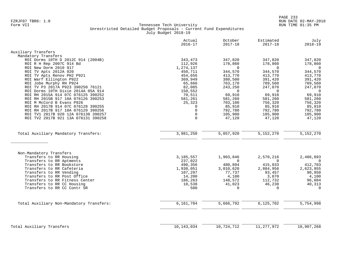|                                          | Actual<br>$2016 - 17$ | October<br>$2017 - 18$ | Estimated<br>$2017 - 18$ | July<br>$2018 - 19$ |
|------------------------------------------|-----------------------|------------------------|--------------------------|---------------------|
| Auxiliary Transfers                      |                       |                        |                          |                     |
| Mandatory Transfers                      |                       |                        |                          |                     |
| ROI Dorms 10TH D 2012C 914 (2004B)       | 343,473               | 347,820                | 347,820                  | 347,820             |
| ROI R H Rep 2007C 914 Bd                 | 112,926               | 178,860                | 178,860                  | 178,860             |
| ROI New Dorm 2010 917                    | 1,274,137             | $\Omega$               | $\Omega$                 | $\overline{0}$      |
| ROI TV Apts 2012A 920                    | 450,711               | 344,570                | 344,570                  | 344,570             |
| ROI TV Apts Renov PH2 P921               | 454,656               | 413,770                | 413,770                  | 413,770             |
| ROI Warf Ellington P922                  | 369,949               | 380,500                | 391,420                  | 391,420             |
| ROI Jobe Murphy RH P924                  | 65,666                | 763,170                | 789,560                  | 789,560             |
| ROI TV P3 2017A P923 390250 76121        | 82,085                | 243,250                | 247,070                  | 247,070             |
| ROI Dorms 10TH Dixie 2014A 05A 914       | 150,552               | $\Omega$               | $\Omega$                 | $\overline{0}$      |
| ROI RH 2015A 914 07C 076125 390252       | 70,511                | 69,910                 | 69,910                   | 69,910              |
| ROI RH 2015B 917 10A 076126 390253       | 581,261               | 581,260                | 581,260                  | 581,260             |
| ROI M McCord B Evans P926                | 25,323                | 703,100                | 756,320                  | 756,320             |
| ROI RH 2017B 914 07C 076128 390255       | $\Omega$              | 85,910                 | 85,910                   | 85,910              |
| ROI RH 2017B 917 10A 076129 390256       | $\mathbf 0$           | 792,780                | 792,780                  | 792,780             |
| ROI TV1 2017B 920 12A 076130 390257      | $\mathbf 0$           | 105,900                | 105,900                  | 105,900             |
| ROI TV2 2017B 921 13A 076131 390258      | $\Omega$              | 47,120                 | 47,120                   | 47,120              |
|                                          |                       |                        |                          |                     |
| Total Auxiliary Mandatory Transfers:     | 3,981,250             | 5,057,920              | 5,152,270                | 5, 152, 270         |
| Non-Mandatory Transfers                  |                       |                        |                          |                     |
| Transfers to RR Housing                  | 3, 185, 557           | 1,903,846              | 2,570,216                | 2,486,893           |
| Transfers to RR Aptments                 | 237,022               | $\Omega$               | $\Omega$                 | $\overline{0}$      |
| Transfers to RR Bookstore                | 490,356               | 480,894                | 415,033                  | 412,703             |
| Transfers to RR Cafeteria                | 1,930,051             | 3,010,620              | 2,884,956                | 2,623,955           |
| Transfers to RR Vending                  | 107,297               | 77,737                 | 93,457                   | 90,950              |
| Transfers to RR Post Office              | 14,200                | 4,100                  | 3,070                    | 4,100               |
| Transfers to RR Fitness Center           | 186,263               | 148,572                | 112,732                  | 96,084              |
| Transfers to RR CC Housing               | 10,538                | 41,023                 | 46,238                   | 40,313              |
| Transfers to RR CC Contr SR              | 500                   | $\Omega$               | $\Omega$                 | $\Omega$            |
|                                          |                       |                        |                          |                     |
| Total Auxiliary Non-Mandatory Transfers: | 6,161,784             | 5,666,792              | 6,125,702                | 5,754,998           |
|                                          |                       |                        |                          |                     |
| Total Auxiliary Transfers                | 10,143,034            | 10,724,712             | 11, 277, 972             | 10,907,268          |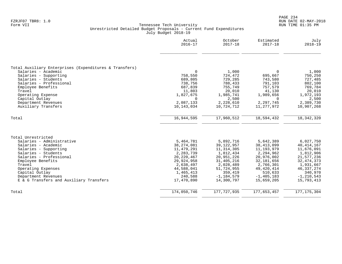|                                                        | Actual<br>$2016 - 17$   | October<br>$2017 - 18$ | Estimated<br>$2017 - 18$ | July<br>$2018 - 19$     |
|--------------------------------------------------------|-------------------------|------------------------|--------------------------|-------------------------|
|                                                        |                         |                        |                          |                         |
| Total Auxiliary Enterprises (Expenditures & Transfers) |                         |                        |                          |                         |
| Salaries - Academic                                    | $\Omega$                | 1,000                  | $\Omega$                 | 1,000                   |
| Salaries - Supporting                                  | 758,550                 | 724,472                | 695,667                  | 750,250                 |
| Salaries - Students                                    | 689,805                 | 729,285                | 743,580                  | 727,485                 |
| Salaries - Professional                                | 738,756                 | 788,433                | 791,103                  | 802,100                 |
| Employee Benefits                                      | 687,839                 | 755,749                | 757,579                  | 769,784                 |
| Travel<br>Operating Expense                            | 11,803<br>1,827,675     | 20,010<br>1,985,741    | 41,130<br>1,989,656      | 20,010<br>1,972,193     |
| Capital Outlay                                         | $\Omega$                | 2,500                  | 0                        | 2,500                   |
| Department Revenues                                    | 2,087,133               | 2,228,610              | 2,297,745                | 2,389,730               |
| Auxiliary Transfers                                    | 10,143,034              | 10,724,712             | 11,277,972               | 10,907,268              |
| Total                                                  | 16,944,595              | 17,960,512             | 18,594,432               | 18, 342, 320            |
| Total Unrestricted                                     |                         |                        |                          |                         |
| Salaries - Administrative                              | 5,464,781               | 5,892,716              | 5,642,389                | 6,027,750               |
| Salaries - Academic                                    | 38,274,081              | 39, 122, 957           | 38, 413, 099             | 40, 414, 167            |
| Salaries - Supporting                                  | 11,479,291              | 11, 314, 305           | 11, 193, 979             | 11,676,091              |
| Salaries - Students                                    | 2,283,739               | 1,812,434              | 2,294,962                | 1,812,906               |
| Salaries - Professional                                | 20, 220, 467            | 20,951,226             | 20,976,002               | 21,577,236              |
| Employee Benefits                                      | 29,924,958              | 31, 405, 216           | 32, 181, 656             | 32, 474, 373            |
| Travel                                                 | 2,638,497               | 2,028,489              | 2,766,301                | 1,931,667               |
| Operating Expenses<br>Capital Outlay                   | 44,588,041<br>1,465,413 | 51,724,955<br>359,419  | 49, 420, 414<br>510,633  | 46, 337, 274<br>340,970 |
| Department Revenues                                    | 240,588                 | $-1, 184, 579$         | $-1, 405, 183$           | $-1, 210, 543$          |
| E & G Transfers and Auxiliary Transfers                | 17,470,890              | 14,300,797             | 15,659,205               | 15,793,413              |
|                                                        |                         |                        |                          |                         |
| Total                                                  | 174,050,746             | 177, 727, 935          | 177,653,457              | 177, 175, 304           |
|                                                        |                         |                        |                          |                         |